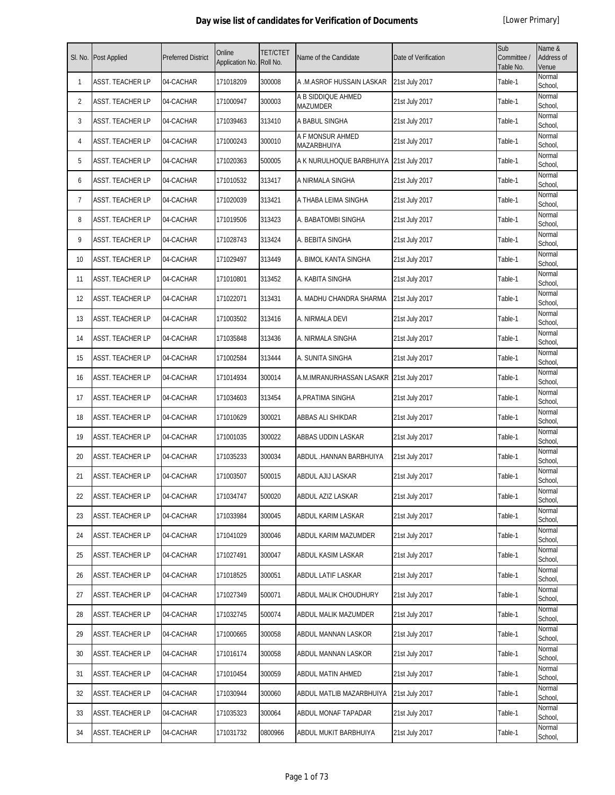| SI. No. | <b>Post Applied</b>     | <b>Preferred District</b> | Online<br>Application No. | <b>TET/CTET</b><br>Roll No. | Name of the Candidate                 | Date of Verification | Sub<br>Committee /<br>Table No. | Name &<br>Address of<br>Venue |
|---------|-------------------------|---------------------------|---------------------------|-----------------------------|---------------------------------------|----------------------|---------------------------------|-------------------------------|
| 1       | <b>ASST. TEACHER LP</b> | 04-CACHAR                 | 171018209                 | 300008                      | A .M.ASROF HUSSAIN LASKAR             | 21st July 2017       | Table-1                         | Normal<br>School,             |
| 2       | ASST. TEACHER LP        | 04-CACHAR                 | 171000947                 | 300003                      | A B SIDDIQUE AHMED<br><b>MAZUMDER</b> | 21st July 2017       | Table-1                         | Normal<br>School,             |
| 3       | ASST. TEACHER LP        | 04-CACHAR                 | 171039463                 | 313410                      | A BABUL SINGHA                        | 21st July 2017       | Table-1                         | Normal<br>School,             |
| 4       | ASST. TEACHER LP        | 04-CACHAR                 | 171000243                 | 300010                      | A F MONSUR AHMED<br>MAZARBHUIYA       | 21st July 2017       | Table-1                         | Normal<br>School,             |
| 5       | ASST. TEACHER LP        | 04-CACHAR                 | 171020363                 | 500005                      | A K NURULHOQUE BARBHUIYA              | 21st July 2017       | Table-1                         | Normal<br>School,             |
| 6       | ASST. TEACHER LP        | 04-CACHAR                 | 171010532                 | 313417                      | A NIRMALA SINGHA                      | 21st July 2017       | Table-1                         | Normal<br>School,             |
| 7       | ASST. TEACHER LP        | 04-CACHAR                 | 171020039                 | 313421                      | A THABA LEIMA SINGHA                  | 21st July 2017       | Table-1                         | Normal<br>School,             |
| 8       | ASST. TEACHER LP        | 04-CACHAR                 | 171019506                 | 313423                      | A. BABATOMBI SINGHA                   | 21st July 2017       | Table-1                         | Normal<br>School,             |
| 9       | ASST. TEACHER LP        | 04-CACHAR                 | 171028743                 | 313424                      | A. BEBITA SINGHA                      | 21st July 2017       | Table-1                         | Normal<br>School,             |
| 10      | ASST. TEACHER LP        | 04-CACHAR                 | 171029497                 | 313449                      | A. BIMOL KANTA SINGHA                 | 21st July 2017       | Table-1                         | Normal<br>School,             |
| 11      | ASST. TEACHER LP        | 04-CACHAR                 | 171010801                 | 313452                      | A. KABITA SINGHA                      | 21st July 2017       | Table-1                         | Normal<br>School,             |
| 12      | ASST. TEACHER LP        | 04-CACHAR                 | 171022071                 | 313431                      | A. MADHU CHANDRA SHARMA               | 21st July 2017       | Table-1                         | Normal<br>School,             |
| 13      | ASST. TEACHER LP        | 04-CACHAR                 | 171003502                 | 313416                      | A. NIRMALA DEVI                       | 21st July 2017       | Table-1                         | Normal<br>School,             |
| 14      | ASST. TEACHER LP        | 04-CACHAR                 | 171035848                 | 313436                      | A. NIRMALA SINGHA                     | 21st July 2017       | Table-1                         | Normal<br>School,             |
| 15      | ASST. TEACHER LP        | 04-CACHAR                 | 171002584                 | 313444                      | A. SUNITA SINGHA                      | 21st July 2017       | Table-1                         | Normal<br>School,             |
| 16      | ASST. TEACHER LP        | 04-CACHAR                 | 171014934                 | 300014                      | A.M.IMRANURHASSAN LASAKR              | 21st July 2017       | Table-1                         | Normal<br>School,             |
| 17      | ASST. TEACHER LP        | 04-CACHAR                 | 171034603                 | 313454                      | A.PRATIMA SINGHA                      | 21st July 2017       | Table-1                         | Normal<br>School,             |
| 18      | ASST. TEACHER LP        | 04-CACHAR                 | 171010629                 | 300021                      | ABBAS ALI SHIKDAR                     | 21st July 2017       | Table-1                         | Normal<br>School,             |
| 19      | <b>ASST. TEACHER LP</b> | 04-CACHAR                 | 171001035                 | 300022                      | ABBAS UDDIN LASKAR                    | 21st July 2017       | Table-1                         | Normal<br>School,             |
| 20      | ASST. TEACHER LP        | 04-CACHAR                 | 171035233                 | 300034                      | ABDUL .HANNAN BARBHUIYA               | 21st July 2017       | Table-1                         | Normal<br>School,             |
| 21      | ASST. TEACHER LP        | 04-CACHAR                 | 171003507                 | 500015                      | <b>ABDUL AJIJ LASKAR</b>              | 21st July 2017       | Table-1                         | Normal<br>School,             |
| 22      | <b>ASST. TEACHER LP</b> | 04-CACHAR                 | 171034747                 | 500020                      | <b>ABDUL AZIZ LASKAR</b>              | 21st July 2017       | Table-1                         | Normal<br>School,             |
| 23      | ASST. TEACHER LP        | 04-CACHAR                 | 171033984                 | 300045                      | ABDUL KARIM LASKAR                    | 21st July 2017       | Table-1                         | Normal<br>School,             |
| 24      | ASST. TEACHER LP        | 04-CACHAR                 | 171041029                 | 300046                      | ABDUL KARIM MAZUMDER                  | 21st July 2017       | Table-1                         | Normal<br>School,             |
| 25      | ASST. TEACHER LP        | 04-CACHAR                 | 171027491                 | 300047                      | ABDUL KASIM LASKAR                    | 21st July 2017       | Table-1                         | Normal<br>School,             |
| 26      | ASST. TEACHER LP        | 04-CACHAR                 | 171018525                 | 300051                      | ABDUL LATIF LASKAR                    | 21st July 2017       | Table-1                         | Normal<br>School,             |
| 27      | ASST. TEACHER LP        | 04-CACHAR                 | 171027349                 | 500071                      | ABDUL MALIK CHOUDHURY                 | 21st July 2017       | Table-1                         | Normal<br>School,             |
| 28      | ASST. TEACHER LP        | 04-CACHAR                 | 171032745                 | 500074                      | ABDUL MALIK MAZUMDER                  | 21st July 2017       | Table-1                         | Normal<br>School,             |
| 29      | ASST. TEACHER LP        | 04-CACHAR                 | 171000665                 | 300058                      | ABDUL MANNAN LASKOR                   | 21st July 2017       | Table-1                         | Normal<br>School,             |
| 30      | ASST. TEACHER LP        | 04-CACHAR                 | 171016174                 | 300058                      | ABDUL MANNAN LASKOR                   | 21st July 2017       | Table-1                         | Normal<br>School,             |
| 31      | ASST. TEACHER LP        | 04-CACHAR                 | 171010454                 | 300059                      | ABDUL MATIN AHMED                     | 21st July 2017       | Table-1                         | Normal<br>School,             |
| 32      | ASST. TEACHER LP        | 04-CACHAR                 | 171030944                 | 300060                      | ABDUL MATLIB MAZARBHUIYA              | 21st July 2017       | Table-1                         | Normal<br>School,             |
| 33      | ASST. TEACHER LP        | 04-CACHAR                 | 171035323                 | 300064                      | ABDUL MONAF TAPADAR                   | 21st July 2017       | Table-1                         | Normal<br>School,             |
| 34      | ASST. TEACHER LP        | 04-CACHAR                 | 171031732                 | 0800966                     | ABDUL MUKIT BARBHUIYA                 | 21st July 2017       | Table-1                         | Normal<br>School,             |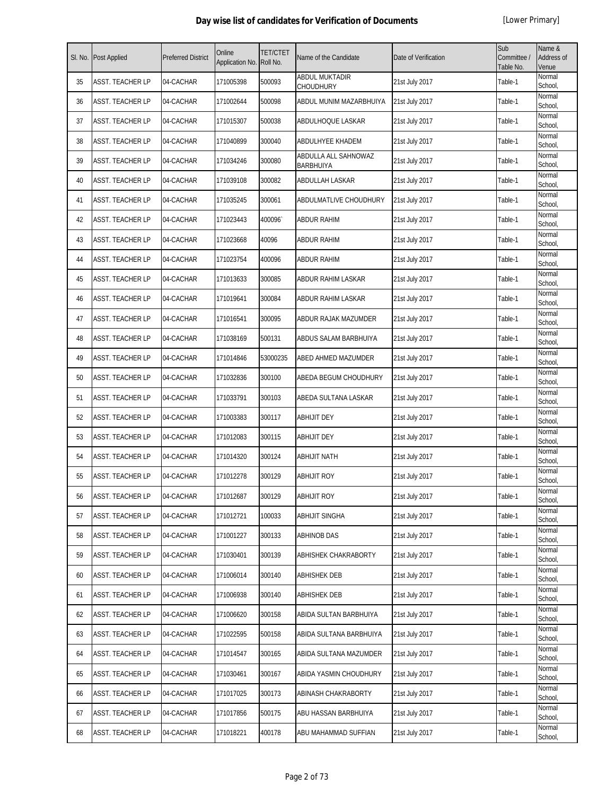|    | SI. No. Post Applied    | <b>Preferred District</b> | Online<br>Application No. | <b>TET/CTET</b><br>Roll No. | Name of the Candidate                     | Date of Verification | Sub<br>Committee /<br>Table No. | Name &<br>Address of<br>Venue |
|----|-------------------------|---------------------------|---------------------------|-----------------------------|-------------------------------------------|----------------------|---------------------------------|-------------------------------|
| 35 | <b>ASST. TEACHER LP</b> | 04-CACHAR                 | 171005398                 | 500093                      | <b>ABDUL MUKTADIR</b><br><b>CHOUDHURY</b> | 21st July 2017       | Table-1                         | Normal<br>School,             |
| 36 | <b>ASST. TEACHER LP</b> | 04-CACHAR                 | 171002644                 | 500098                      | ABDUL MUNIM MAZARBHUIYA                   | 21st July 2017       | Table-1                         | Normal<br>School,             |
| 37 | <b>ASST. TEACHER LP</b> | 04-CACHAR                 | 171015307                 | 500038                      | ABDULHOQUE LASKAR                         | 21st July 2017       | Table-1                         | Normal<br>School,             |
| 38 | <b>ASST. TEACHER LP</b> | 04-CACHAR                 | 171040899                 | 300040                      | ABDULHYEE KHADEM                          | 21st July 2017       | Table-1                         | Normal<br>School,             |
| 39 | ASST. TEACHER LP        | 04-CACHAR                 | 171034246                 | 300080                      | ABDULLA ALL SAHNOWAZ<br><b>BARBHUIYA</b>  | 21st July 2017       | Table-1                         | Normal<br>School,             |
| 40 | <b>ASST. TEACHER LP</b> | 04-CACHAR                 | 171039108                 | 300082                      | <b>ABDULLAH LASKAR</b>                    | 21st July 2017       | Table-1                         | Normal<br>School,             |
| 41 | ASST. TEACHER LP        | 04-CACHAR                 | 171035245                 | 300061                      | ABDULMATLIVE CHOUDHURY                    | 21st July 2017       | Table-1                         | Normal<br>School,             |
| 42 | <b>ASST. TEACHER LP</b> | 04-CACHAR                 | 171023443                 | 400096                      | <b>ABDUR RAHIM</b>                        | 21st July 2017       | Table-1                         | Normal<br>School,             |
| 43 | <b>ASST. TEACHER LP</b> | 04-CACHAR                 | 171023668                 | 40096                       | <b>ABDUR RAHIM</b>                        | 21st July 2017       | Table-1                         | Normal<br>School,             |
| 44 | <b>ASST. TEACHER LP</b> | 04-CACHAR                 | 171023754                 | 400096                      | <b>ABDUR RAHIM</b>                        | 21st July 2017       | Table-1                         | Normal<br>School,             |
| 45 | <b>ASST. TEACHER LP</b> | 04-CACHAR                 | 171013633                 | 300085                      | ABDUR RAHIM LASKAR                        | 21st July 2017       | Table-1                         | Normal<br>School,             |
| 46 | <b>ASST. TEACHER LP</b> | 04-CACHAR                 | 171019641                 | 300084                      | ABDUR RAHIM LASKAR                        | 21st July 2017       | Table-1                         | Normal<br>School,             |
| 47 | ASST. TEACHER LP        | 04-CACHAR                 | 171016541                 | 300095                      | ABDUR RAJAK MAZUMDER                      | 21st July 2017       | Table-1                         | Normal<br>School,             |
| 48 | <b>ASST. TEACHER LP</b> | 04-CACHAR                 | 171038169                 | 500131                      | ABDUS SALAM BARBHUIYA                     | 21st July 2017       | Table-1                         | Normal<br>School,             |
| 49 | <b>ASST. TEACHER LP</b> | 04-CACHAR                 | 171014846                 | 53000235                    | ABED AHMED MAZUMDER                       | 21st July 2017       | Table-1                         | Normal<br>School,             |
| 50 | <b>ASST. TEACHER LP</b> | 04-CACHAR                 | 171032836                 | 300100                      | ABEDA BEGUM CHOUDHURY                     | 21st July 2017       | Table-1                         | Normal<br>School,             |
| 51 | <b>ASST. TEACHER LP</b> | 04-CACHAR                 | 171033791                 | 300103                      | ABEDA SULTANA LASKAR                      | 21st July 2017       | Table-1                         | Normal<br>School,             |
| 52 | ASST. TEACHER LP        | 04-CACHAR                 | 171003383                 | 300117                      | ABHIJIT DEY                               | 21st July 2017       | Table-1                         | Normal<br>School,             |
| 53 | <b>ASST. TEACHER LP</b> | 04-CACHAR                 | 171012083                 | 300115                      | <b>ABHIJIT DEY</b>                        | 21st July 2017       | Table-1                         | Normal<br>School,             |
| 54 | <b>ASST. TEACHER LP</b> | 04-CACHAR                 | 171014320                 | 300124                      | <b>ABHIJIT NATH</b>                       | 21st July 2017       | Table-1                         | Normal<br>School,             |
| 55 | ASST. TEACHER LP        | 04-CACHAR                 | 171012278                 | 300129                      | <b>ABHIJIT ROY</b>                        | 21st July 2017       | Table-1                         | Normal<br>School,             |
| 56 | <b>ASST. TEACHER LP</b> | 04-CACHAR                 | 171012687                 | 300129                      | <b>ABHIJIT ROY</b>                        | 21st July 2017       | Table-1                         | Normal<br>School,             |
| 57 | <b>ASST. TEACHER LP</b> | 04-CACHAR                 | 171012721                 | 100033                      | <b>ABHIJIT SINGHA</b>                     | 21st July 2017       | Table-1                         | Normal<br>School,             |
| 58 | <b>ASST. TEACHER LP</b> | 04-CACHAR                 | 171001227                 | 300133                      | <b>ABHINOB DAS</b>                        | 21st July 2017       | Table-1                         | Normal<br>School,             |
| 59 | <b>ASST. TEACHER LP</b> | 04-CACHAR                 | 171030401                 | 300139                      | ABHISHEK CHAKRABORTY                      | 21st July 2017       | Table-1                         | Normal<br>School,             |
| 60 | <b>ASST. TEACHER LP</b> | 04-CACHAR                 | 171006014                 | 300140                      | ABHISHEK DEB                              | 21st July 2017       | Table-1                         | Normal<br>School,             |
| 61 | <b>ASST. TEACHER LP</b> | 04-CACHAR                 | 171006938                 | 300140                      | <b>ABHISHEK DEB</b>                       | 21st July 2017       | Table-1                         | Normal<br>School,             |
| 62 | <b>ASST. TEACHER LP</b> | 04-CACHAR                 | 171006620                 | 300158                      | ABIDA SULTAN BARBHUIYA                    | 21st July 2017       | Table-1                         | Normal<br>School,             |
| 63 | <b>ASST. TEACHER LP</b> | 04-CACHAR                 | 171022595                 | 500158                      | ABIDA SULTANA BARBHUIYA                   | 21st July 2017       | Table-1                         | Normal<br>School,             |
| 64 | <b>ASST. TEACHER LP</b> | 04-CACHAR                 | 171014547                 | 300165                      | ABIDA SULTANA MAZUMDER                    | 21st July 2017       | Table-1                         | Normal<br>School,             |
| 65 | ASST. TEACHER LP        | 04-CACHAR                 | 171030461                 | 300167                      | ABIDA YASMIN CHOUDHURY                    | 21st July 2017       | Table-1                         | Normal<br>School,             |
| 66 | ASST. TEACHER LP        | 04-CACHAR                 | 171017025                 | 300173                      | ABINASH CHAKRABORTY                       | 21st July 2017       | Table-1                         | Normal<br>School,             |
| 67 | <b>ASST. TEACHER LP</b> | 04-CACHAR                 | 171017856                 | 500175                      | ABU HASSAN BARBHUIYA                      | 21st July 2017       | Table-1                         | Normal<br>School,             |
| 68 | ASST. TEACHER LP        | 04-CACHAR                 | 171018221                 | 400178                      | ABU MAHAMMAD SUFFIAN                      | 21st July 2017       | Table-1                         | Normal<br>School,             |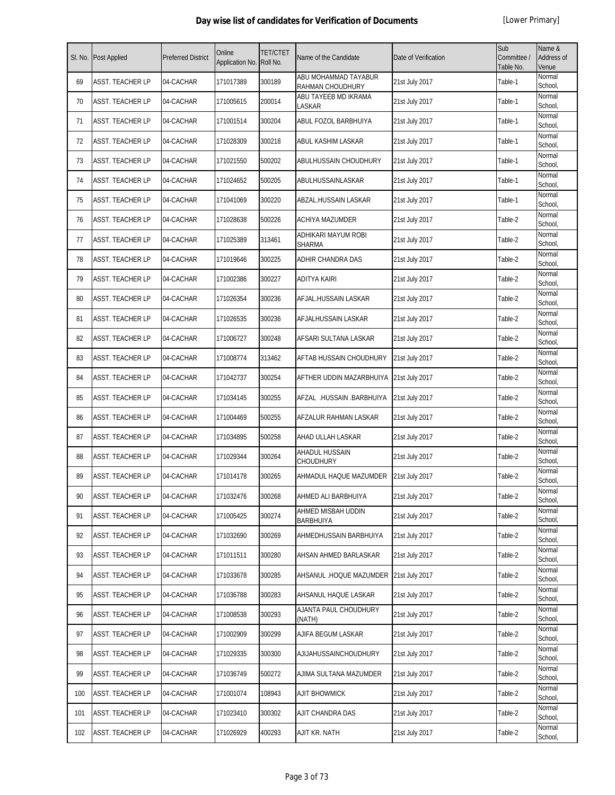|     | SI. No. Post Applied    | <b>Preferred District</b> | Online<br>Application No. Roll No. | <b>TET/CTET</b> | Name of the Candidate                    | Date of Verification | Sub<br>Committee /<br>Table No. | Name &<br>Address of<br>Venue |
|-----|-------------------------|---------------------------|------------------------------------|-----------------|------------------------------------------|----------------------|---------------------------------|-------------------------------|
| 69  | <b>ASST. TEACHER LP</b> | 04-CACHAR                 | 171017389                          | 300189          | ABU MOHAMMAD TAYABUR<br>RAHMAN CHOUDHURY | 21st July 2017       | Table-1                         | Normal<br>School,             |
| 70  | <b>ASST. TEACHER LP</b> | 04-CACHAR                 | 171005615                          | 200014          | ABU TAYEEB MD IKRAMA<br>LASKAR           | 21st July 2017       | Table-1                         | Normal<br>School,             |
| 71  | <b>ASST. TEACHER LP</b> | 04-CACHAR                 | 171001514                          | 300204          | ABUL FOZOL BARBHUIYA                     | 21st July 2017       | Table-1                         | Normal<br>School,             |
| 72  | <b>ASST. TEACHER LP</b> | 04-CACHAR                 | 171028309                          | 300218          | ABUL KASHIM LASKAR                       | 21st July 2017       | Table-1                         | Normal<br>School,             |
| 73  | ASST. TEACHER LP        | 04-CACHAR                 | 171021550                          | 500202          | <b>ABULHUSSAIN CHOUDHURY</b>             | 21st July 2017       | Table-1                         | Normal<br>School,             |
| 74  | <b>ASST. TEACHER LP</b> | 04-CACHAR                 | 171024652                          | 500205          | ABULHUSSAINLASKAR                        | 21st July 2017       | Table-1                         | Normal<br>School,             |
| 75  | ASST. TEACHER LP        | 04-CACHAR                 | 171041069                          | 300220          | ABZAL.HUSSAIN LASKAR                     | 21st July 2017       | Table-1                         | Normal<br>School,             |
| 76  | <b>ASST. TEACHER LP</b> | 04-CACHAR                 | 171028638                          | 500226          | ACHIYA MAZUMDER                          | 21st July 2017       | Table-2                         | Normal<br>School,             |
| 77  | ASST. TEACHER LP        | 04-CACHAR                 | 171025389                          | 313461          | ADHIKARI MAYUM ROBI<br><b>SHARMA</b>     | 21st July 2017       | Table-2                         | Normal<br>School,             |
| 78  | ASST. TEACHER LP        | 04-CACHAR                 | 171019646                          | 300225          | ADHIR CHANDRA DAS                        | 21st July 2017       | Table-2                         | Normal<br>School,             |
| 79  | <b>ASST. TEACHER LP</b> | 04-CACHAR                 | 171002386                          | 300227          | <b>ADITYA KAIRI</b>                      | 21st July 2017       | Table-2                         | Normal<br>School,             |
| 80  | <b>ASST. TEACHER LP</b> | 04-CACHAR                 | 171026354                          | 300236          | AFJAL.HUSSAIN LASKAR                     | 21st July 2017       | Table-2                         | Normal<br>School,             |
| 81  | <b>ASST. TEACHER LP</b> | 04-CACHAR                 | 171026535                          | 300236          | AFJALHUSSAIN LASKAR                      | 21st July 2017       | Table-2                         | Normal<br>School,             |
| 82  | ASST. TEACHER LP        | 04-CACHAR                 | 171006727                          | 300248          | AFSARI SULTANA LASKAR                    | 21st July 2017       | Table-2                         | Normal<br>School,             |
| 83  | <b>ASST. TEACHER LP</b> | 04-CACHAR                 | 171008774                          | 313462          | AFTAB HUSSAIN CHOUDHURY                  | 21st July 2017       | Table-2                         | Normal<br>School,             |
| 84  | ASST. TEACHER LP        | 04-CACHAR                 | 171042737                          | 300254          | AFTHER UDDIN MAZARBHUIYA                 | 21st July 2017       | Table-2                         | Normal<br>School,             |
| 85  | ASST. TEACHER LP        | 04-CACHAR                 | 171034145                          | 300255          | AFZAL .HUSSAIN .BARBHUIYA                | 21st July 2017       | Table-2                         | Normal<br>School,             |
| 86  | ASST. TEACHER LP        | 04-CACHAR                 | 171004469                          | 500255          | AFZALUR RAHMAN LASKAR                    | 21st July 2017       | Table-2                         | Normal<br>School,             |
| 87  | <b>ASST. TEACHER LP</b> | 04-CACHAR                 | 171034895                          | 500258          | AHAD ULLAH LASKAR                        | 21st July 2017       | Table-2                         | Normal<br>School,             |
| 88  | <b>ASST. TEACHER LP</b> | 04-CACHAR                 | 171029344                          | 300264          | <b>AHADUL HUSSAIN</b><br>CHOUDHURY       | 21st July 2017       | Table-2                         | Normal<br>School,             |
| 89  | ASST. TEACHER LP        | 04-CACHAR                 | 171014178                          | 300265          | AHMADUL HAQUE MAZUMDER                   | 21st July 2017       | Table-2                         | Normal<br>School,             |
| 90  | <b>ASST. TEACHER LP</b> | 04-CACHAR                 | 171032476                          | 300268          | AHMED ALI BARBHUIYA                      | 21st July 2017       | Table-2                         | Normal<br>School,             |
| 91  | <b>ASST. TEACHER LP</b> | 04-CACHAR                 | 171005425                          | 300274          | AHMED MISBAH UDDIN<br><b>BARBHUIYA</b>   | 21st July 2017       | Table-2                         | Normal<br>School,             |
| 92  | <b>ASST. TEACHER LP</b> | 04-CACHAR                 | 171032690                          | 300269          | AHMEDHUSSAIN BARBHUIYA                   | 21st July 2017       | Table-2                         | Normal<br>School,             |
| 93  | ASST. TEACHER LP        | 04-CACHAR                 | 171011511                          | 300280          | AHSAN AHMED BARLASKAR                    | 21st July 2017       | Table-2                         | Normal<br>School,             |
| 94  | <b>ASST. TEACHER LP</b> | 04-CACHAR                 | 171033678                          | 300285          | AHSANUL .HOQUE MAZUMDER                  | 21st July 2017       | Table-2                         | Normal<br>School,             |
| 95  | <b>ASST. TEACHER LP</b> | 04-CACHAR                 | 171036788                          | 300283          | AHSANUL HAQUE LASKAR                     | 21st July 2017       | Table-2                         | Normal<br>School,             |
| 96  | ASST. TEACHER LP        | 04-CACHAR                 | 171008538                          | 300293          | AJANTA PAUL CHOUDHURY<br>(NATH)          | 21st July 2017       | Table-2                         | Normal<br>School,             |
| 97  | <b>ASST. TEACHER LP</b> | 04-CACHAR                 | 171002909                          | 300299          | AJIFA BEGUM LASKAR                       | 21st July 2017       | Table-2                         | Normal<br>School,             |
| 98  | <b>ASST. TEACHER LP</b> | 04-CACHAR                 | 171029335                          | 300300          | AJIJAHUSSAINCHOUDHURY                    | 21st July 2017       | Table-2                         | Normal<br>School,             |
| 99  | <b>ASST. TEACHER LP</b> | 04-CACHAR                 | 171036749                          | 500272          | AJIMA SULTANA MAZUMDER                   | 21st July 2017       | Table-2                         | Normal<br>School,             |
| 100 | ASST. TEACHER LP        | 04-CACHAR                 | 171001074                          | 108943          | <b>AJIT BHOWMICK</b>                     | 21st July 2017       | Table-2                         | Normal<br>School,             |
| 101 | <b>ASST. TEACHER LP</b> | 04-CACHAR                 | 171023410                          | 300302          | AJIT CHANDRA DAS                         | 21st July 2017       | Table-2                         | Normal<br>School,             |
| 102 | ASST. TEACHER LP        | 04-CACHAR                 | 171026929                          | 400293          | AJIT KR. NATH                            | 21st July 2017       | Table-2                         | Normal<br>School,             |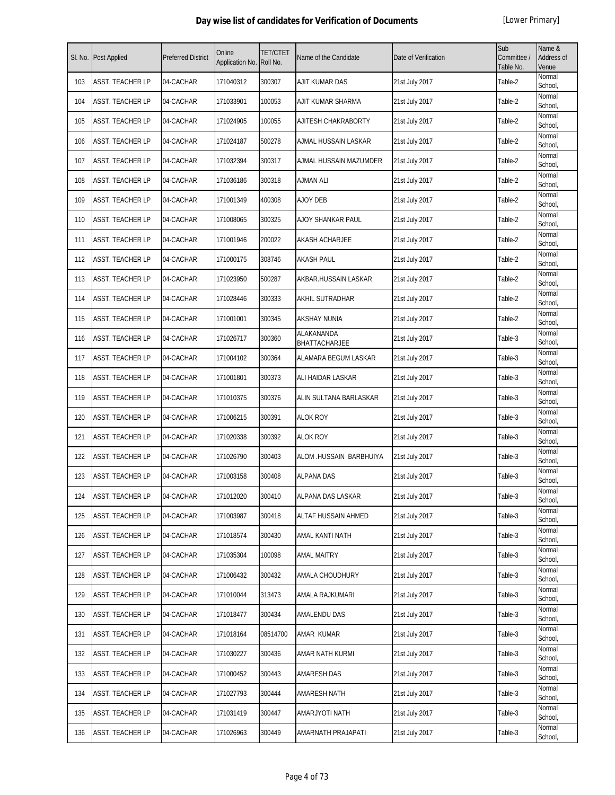|     | SI. No. Post Applied    | <b>Preferred District</b> | Online<br>Application No. | <b>TET/CTET</b><br>Roll No. | Name of the Candidate       | Date of Verification | Sub<br>Committee /<br>Table No. | Name &<br>Address of<br>Venue |
|-----|-------------------------|---------------------------|---------------------------|-----------------------------|-----------------------------|----------------------|---------------------------------|-------------------------------|
| 103 | <b>ASST. TEACHER LP</b> | 04-CACHAR                 | 171040312                 | 300307                      | AJIT KUMAR DAS              | 21st July 2017       | Table-2                         | Normal<br>School,             |
| 104 | <b>ASST. TEACHER LP</b> | 04-CACHAR                 | 171033901                 | 100053                      | AJIT KUMAR SHARMA           | 21st July 2017       | Table-2                         | Normal<br>School,             |
| 105 | ASST. TEACHER LP        | 04-CACHAR                 | 171024905                 | 100055                      | AJITESH CHAKRABORTY         | 21st July 2017       | Table-2                         | Normal<br>School,             |
| 106 | <b>ASST. TEACHER LP</b> | 04-CACHAR                 | 171024187                 | 500278                      | AJMAL HUSSAIN LASKAR        | 21st July 2017       | Table-2                         | Normal<br>School,             |
| 107 | <b>ASST. TEACHER LP</b> | 04-CACHAR                 | 171032394                 | 300317                      | AJMAL HUSSAIN MAZUMDER      | 21st July 2017       | Table-2                         | Normal<br>School,             |
| 108 | ASST. TEACHER LP        | 04-CACHAR                 | 171036186                 | 300318                      | <b>AJMAN ALI</b>            | 21st July 2017       | Table-2                         | Normal<br>School,             |
| 109 | ASST. TEACHER LP        | 04-CACHAR                 | 171001349                 | 400308                      | <b>AJOY DEB</b>             | 21st July 2017       | Table-2                         | Normal<br>School,             |
| 110 | <b>ASST. TEACHER LP</b> | 04-CACHAR                 | 171008065                 | 300325                      | AJOY SHANKAR PAUL           | 21st July 2017       | Table-2                         | Normal<br>School,             |
| 111 | <b>ASST. TEACHER LP</b> | 04-CACHAR                 | 171001946                 | 200022                      | <b>AKASH ACHARJEE</b>       | 21st July 2017       | Table-2                         | Normal<br>School,             |
| 112 | <b>ASST. TEACHER LP</b> | 04-CACHAR                 | 171000175                 | 308746                      | <b>AKASH PAUL</b>           | 21st July 2017       | Table-2                         | Normal<br>School,             |
| 113 | <b>ASST. TEACHER LP</b> | 04-CACHAR                 | 171023950                 | 500287                      | AKBAR.HUSSAIN LASKAR        | 21st July 2017       | Table-2                         | Normal<br>School,             |
| 114 | <b>ASST. TEACHER LP</b> | 04-CACHAR                 | 171028446                 | 300333                      | <b>AKHIL SUTRADHAR</b>      | 21st July 2017       | Table-2                         | Normal<br>School,             |
| 115 | <b>ASST. TEACHER LP</b> | 04-CACHAR                 | 171001001                 | 300345                      | <b>AKSHAY NUNIA</b>         | 21st July 2017       | Table-2                         | Normal<br>School,             |
| 116 | <b>ASST. TEACHER LP</b> | 04-CACHAR                 | 171026717                 | 300360                      | ALAKANANDA<br>BHATTACHARJEE | 21st July 2017       | Table-3                         | Normal<br>School,             |
| 117 | <b>ASST. TEACHER LP</b> | 04-CACHAR                 | 171004102                 | 300364                      | ALAMARA BEGUM LASKAR        | 21st July 2017       | Table-3                         | Normal<br>School,             |
| 118 | ASST. TEACHER LP        | 04-CACHAR                 | 171001801                 | 300373                      | ALI HAIDAR LASKAR           | 21st July 2017       | Table-3                         | Normal<br>School,             |
| 119 | <b>ASST. TEACHER LP</b> | 04-CACHAR                 | 171010375                 | 300376                      | ALIN SULTANA BARLASKAR      | 21st July 2017       | Table-3                         | Normal<br>School,             |
| 120 | ASST. TEACHER LP        | 04-CACHAR                 | 171006215                 | 300391                      | <b>ALOK ROY</b>             | 21st July 2017       | Table-3                         | Normal<br>School,             |
| 121 | <b>ASST. TEACHER LP</b> | 04-CACHAR                 | 171020338                 | 300392                      | <b>ALOK ROY</b>             | 21st July 2017       | Table-3                         | Normal<br>School,             |
| 122 | <b>ASST. TEACHER LP</b> | 04-CACHAR                 | 171026790                 | 300403                      | ALOM HUSSAIN BARBHUIYA      | 21st July 2017       | Table-3                         | Normal<br>School,             |
| 123 | ASST. TEACHER LP        | 04-CACHAR                 | 171003158                 | 300408                      | <b>ALPANA DAS</b>           | 21st July 2017       | Table-3                         | Normal<br>School,             |
| 124 | <b>ASST. TEACHER LP</b> | 04-CACHAR                 | 171012020                 | 300410                      | ALPANA DAS LASKAR           | 21st July 2017       | Table-3                         | Normal<br>School,             |
| 125 | <b>ASST. TEACHER LP</b> | 04-CACHAR                 | 171003987                 | 300418                      | ALTAF HUSSAIN AHMED         | 21st July 2017       | Table-3                         | Normal<br>School,             |
| 126 | <b>ASST. TEACHER LP</b> | 04-CACHAR                 | 171018574                 | 300430                      | AMAL KANTI NATH             | 21st July 2017       | Table-3                         | Normal<br>School,             |
| 127 | ASST. TEACHER LP        | 04-CACHAR                 | 171035304                 | 100098                      | AMAL MAITRY                 | 21st July 2017       | Table-3                         | Normal<br>School,             |
| 128 | <b>ASST. TEACHER LP</b> | 04-CACHAR                 | 171006432                 | 300432                      | AMALA CHOUDHURY             | 21st July 2017       | Table-3                         | Normal<br>School,             |
| 129 | <b>ASST. TEACHER LP</b> | 04-CACHAR                 | 171010044                 | 313473                      | AMALA RAJKUMARI             | 21st July 2017       | Table-3                         | Normal<br>School,             |
| 130 | <b>ASST. TEACHER LP</b> | 04-CACHAR                 | 171018477                 | 300434                      | <b>AMALENDU DAS</b>         | 21st July 2017       | Table-3                         | Normal<br>School,             |
| 131 | <b>ASST. TEACHER LP</b> | 04-CACHAR                 | 171018164                 | 08514700                    | AMAR KUMAR                  | 21st July 2017       | Table-3                         | Normal<br>School,             |
| 132 | <b>ASST. TEACHER LP</b> | 04-CACHAR                 | 171030227                 | 300436                      | AMAR NATH KURMI             | 21st July 2017       | Table-3                         | Normal<br>School,             |
| 133 | ASST. TEACHER LP        | 04-CACHAR                 | 171000452                 | 300443                      | <b>AMARESH DAS</b>          | 21st July 2017       | Table-3                         | Normal<br>School,             |
| 134 | ASST. TEACHER LP        | 04-CACHAR                 | 171027793                 | 300444                      | AMARESH NATH                | 21st July 2017       | Table-3                         | Normal<br>School,             |
| 135 | <b>ASST. TEACHER LP</b> | 04-CACHAR                 | 171031419                 | 300447                      | AMARJYOTI NATH              | 21st July 2017       | Table-3                         | Normal<br>School,             |
| 136 | ASST. TEACHER LP        | 04-CACHAR                 | 171026963                 | 300449                      | AMARNATH PRAJAPATI          | 21st July 2017       | Table-3                         | Normal<br>School,             |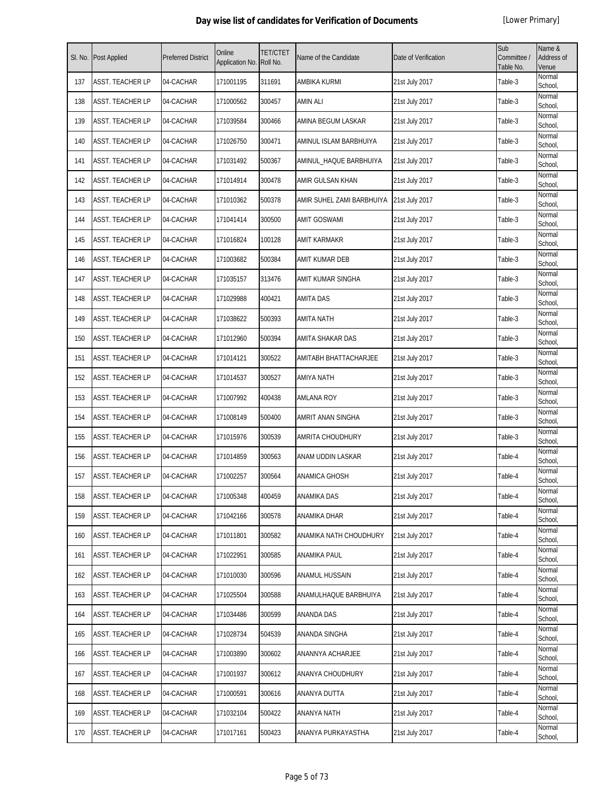|     | Sl. No. Post Applied    | <b>Preferred District</b> | Online<br>Application No. | <b>TET/CTET</b><br>Roll No. | Name of the Candidate     | Date of Verification | Sub<br>Committee /<br>Table No. | Name &<br>Address of<br>Venue |
|-----|-------------------------|---------------------------|---------------------------|-----------------------------|---------------------------|----------------------|---------------------------------|-------------------------------|
| 137 | ASST. TEACHER LP        | 04-CACHAR                 | 171001195                 | 311691                      | AMBIKA KURMI              | 21st July 2017       | Table-3                         | Normal<br>School,             |
| 138 | <b>ASST. TEACHER LP</b> | 04-CACHAR                 | 171000562                 | 300457                      | <b>AMIN ALI</b>           | 21st July 2017       | Table-3                         | Normal<br>School,             |
| 139 | <b>ASST. TEACHER LP</b> | 04-CACHAR                 | 171039584                 | 300466                      | AMINA BEGUM LASKAR        | 21st July 2017       | Table-3                         | Normal<br>School,             |
| 140 | <b>ASST. TEACHER LP</b> | 04-CACHAR                 | 171026750                 | 300471                      | AMINUL ISLAM BARBHUIYA    | 21st July 2017       | Table-3                         | Normal<br>School,             |
| 141 | <b>ASST. TEACHER LP</b> | 04-CACHAR                 | 171031492                 | 500367                      | AMINUL_HAQUE BARBHUIYA    | 21st July 2017       | Table-3                         | Normal<br>School,             |
| 142 | <b>ASST. TEACHER LP</b> | 04-CACHAR                 | 171014914                 | 300478                      | AMIR GULSAN KHAN          | 21st July 2017       | Table-3                         | Normal<br>School,             |
| 143 | <b>ASST. TEACHER LP</b> | 04-CACHAR                 | 171010362                 | 500378                      | AMIR SUHEL ZAMI BARBHUIYA | 21st July 2017       | Table-3                         | Normal<br>School,             |
| 144 | <b>ASST. TEACHER LP</b> | 04-CACHAR                 | 171041414                 | 300500                      | <b>AMIT GOSWAMI</b>       | 21st July 2017       | Table-3                         | Normal<br>School,             |
| 145 | ASST. TEACHER LP        | 04-CACHAR                 | 171016824                 | 100128                      | <b>AMIT KARMAKR</b>       | 21st July 2017       | Table-3                         | Normal<br>School,             |
| 146 | <b>ASST. TEACHER LP</b> | 04-CACHAR                 | 171003682                 | 500384                      | AMIT KUMAR DEB            | 21st July 2017       | Table-3                         | Normal<br>School,             |
| 147 | <b>ASST. TEACHER LP</b> | 04-CACHAR                 | 171035157                 | 313476                      | AMIT KUMAR SINGHA         | 21st July 2017       | Table-3                         | Normal<br>School,             |
| 148 | <b>ASST. TEACHER LP</b> | 04-CACHAR                 | 171029988                 | 400421                      | <b>AMITA DAS</b>          | 21st July 2017       | Table-3                         | Normal<br>School,             |
| 149 | <b>ASST. TEACHER LP</b> | 04-CACHAR                 | 171038622                 | 500393                      | <b>AMITA NATH</b>         | 21st July 2017       | Table-3                         | Normal<br>School,             |
| 150 | <b>ASST. TEACHER LP</b> | 04-CACHAR                 | 171012960                 | 500394                      | AMITA SHAKAR DAS          | 21st July 2017       | Table-3                         | Normal<br>School,             |
| 151 | <b>ASST. TEACHER LP</b> | 04-CACHAR                 | 171014121                 | 300522                      | AMITABH BHATTACHARJEE     | 21st July 2017       | Table-3                         | Normal<br>School,             |
| 152 | ASST. TEACHER LP        | 04-CACHAR                 | 171014537                 | 300527                      | <b>AMIYA NATH</b>         | 21st July 2017       | Table-3                         | Normal<br>School,             |
| 153 | ASST. TEACHER LP        | 04-CACHAR                 | 171007992                 | 400438                      | <b>AMLANA ROY</b>         | 21st July 2017       | Table-3                         | Normal<br>School,             |
| 154 | ASST. TEACHER LP        | 04-CACHAR                 | 171008149                 | 500400                      | AMRIT ANAN SINGHA         | 21st July 2017       | Table-3                         | Normal<br>School,             |
| 155 | <b>ASST. TEACHER LP</b> | 04-CACHAR                 | 171015976                 | 300539                      | AMRITA CHOUDHURY          | 21st July 2017       | Table-3                         | Normal<br>School,             |
| 156 | <b>ASST. TEACHER LP</b> | 04-CACHAR                 | 171014859                 | 300563                      | ANAM UDDIN LASKAR         | 21st July 2017       | Table-4                         | Normal<br>School,             |
| 157 | <b>ASST. TEACHER LP</b> | 04-CACHAR                 | 171002257                 | 300564                      | ANAMICA GHOSH             | 21st July 2017       | Table-4                         | Normal<br>School,             |
| 158 | ASST. TEACHER LP        | 04-CACHAR                 | 171005348                 | 400459                      | <b>ANAMIKA DAS</b>        | 21st July 2017       | Table-4                         | Normal<br>School,             |
| 159 | <b>ASST. TEACHER LP</b> | 04-CACHAR                 | 171042166                 | 300578                      | ANAMIKA DHAR              | 21st July 2017       | Table-4                         | Normal<br>School,             |
| 160 | <b>ASST. TEACHER LP</b> | 04-CACHAR                 | 171011801                 | 300582                      | ANAMIKA NATH CHOUDHURY    | 21st July 2017       | Table-4                         | Normal<br>School,             |
| 161 | ASST. TEACHER LP        | 04-CACHAR                 | 171022951                 | 300585                      | ANAMIKA PAUL              | 21st July 2017       | Table-4                         | Normal<br>School,             |
| 162 | <b>ASST. TEACHER LP</b> | 04-CACHAR                 | 171010030                 | 300596                      | ANAMUL HUSSAIN            | 21st July 2017       | Table-4                         | Normal<br>School,             |
| 163 | <b>ASST. TEACHER LP</b> | 04-CACHAR                 | 171025504                 | 300588                      | ANAMULHAQUE BARBHUIYA     | 21st July 2017       | Table-4                         | Normal<br>School,             |
| 164 | <b>ASST. TEACHER LP</b> | 04-CACHAR                 | 171034486                 | 300599                      | ANANDA DAS                | 21st July 2017       | Table-4                         | Normal<br>School,             |
| 165 | ASST. TEACHER LP        | 04-CACHAR                 | 171028734                 | 504539                      | ANANDA SINGHA             | 21st July 2017       | Table-4                         | Normal<br>School,             |
| 166 | <b>ASST. TEACHER LP</b> | 04-CACHAR                 | 171003890                 | 300602                      | ANANNYA ACHARJEE          | 21st July 2017       | Table-4                         | Normal<br>School,             |
| 167 | <b>ASST. TEACHER LP</b> | 04-CACHAR                 | 171001937                 | 300612                      | ANANYA CHOUDHURY          | 21st July 2017       | Table-4                         | Normal<br>School,             |
| 168 | ASST. TEACHER LP        | 04-CACHAR                 | 171000591                 | 300616                      | ANANYA DUTTA              | 21st July 2017       | Table-4                         | Normal<br>School,             |
| 169 | <b>ASST. TEACHER LP</b> | 04-CACHAR                 | 171032104                 | 500422                      | ANANYA NATH               | 21st July 2017       | Table-4                         | Normal<br>School,             |
| 170 | <b>ASST. TEACHER LP</b> | 04-CACHAR                 | 171017161                 | 500423                      | ANANYA PURKAYASTHA        | 21st July 2017       | Table-4                         | Normal<br>School,             |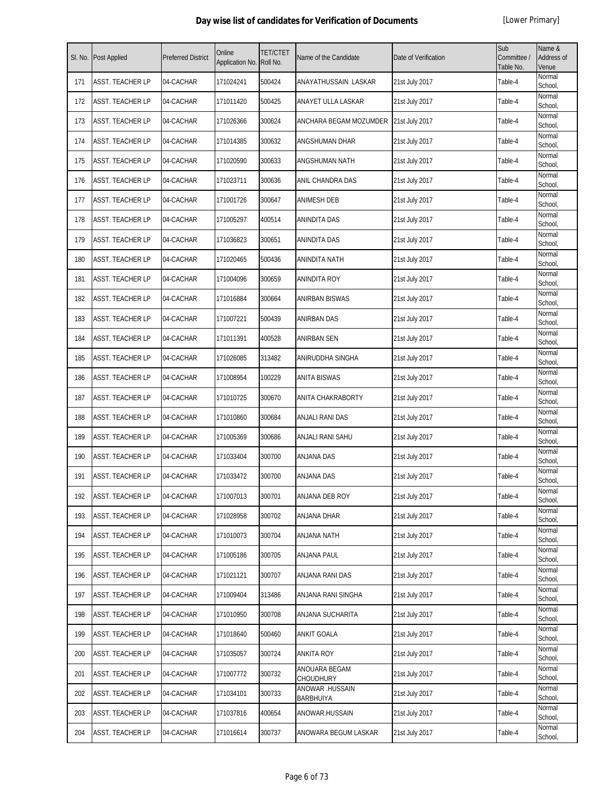| SI. No. | <b>Post Applied</b>     | <b>Preferred District</b> | Online<br>Application No. | <b>TET/CTET</b><br>Roll No. | Name of the Candidate               | Date of Verification | Sub<br>Committee /<br>Table No. | Name &<br>Address of<br>Venue |
|---------|-------------------------|---------------------------|---------------------------|-----------------------------|-------------------------------------|----------------------|---------------------------------|-------------------------------|
| 171     | <b>ASST. TEACHER LP</b> | 04-CACHAR                 | 171024241                 | 500424                      | ANAYATHUSSAIN LASKAR                | 21st July 2017       | Table-4                         | Normal<br>School,             |
| 172     | ASST. TEACHER LP        | 04-CACHAR                 | 171011420                 | 500425                      | ANAYET ULLA LASKAR                  | 21st July 2017       | Table-4                         | Normal<br>School,             |
| 173     | ASST. TEACHER LP        | 04-CACHAR                 | 171026366                 | 300624                      | ANCHARA BEGAM MOZUMDER              | 21st July 2017       | Table-4                         | Normal<br>School,             |
| 174     | ASST. TEACHER LP        | 04-CACHAR                 | 171014385                 | 300632                      | ANGSHUMAN DHAR                      | 21st July 2017       | Table-4                         | Normal<br>School,             |
| 175     | ASST. TEACHER LP        | 04-CACHAR                 | 171020590                 | 300633                      | ANGSHUMAN NATH                      | 21st July 2017       | Table-4                         | Normal<br>School,             |
| 176     | ASST. TEACHER LP        | 04-CACHAR                 | 171023711                 | 300636                      | ANIL CHANDRA DAS                    | 21st July 2017       | Table-4                         | Normal<br>School,             |
| 177     | ASST. TEACHER LP        | 04-CACHAR                 | 171001726                 | 300647                      | <b>ANIMESH DEB</b>                  | 21st July 2017       | Table-4                         | Normal<br>School,             |
| 178     | ASST. TEACHER LP        | 04-CACHAR                 | 171005297                 | 400514                      | <b>ANINDITA DAS</b>                 | 21st July 2017       | Table-4                         | Normal<br>School,             |
| 179     | ASST. TEACHER LP        | 04-CACHAR                 | 171036823                 | 300651                      | <b>ANINDITA DAS</b>                 | 21st July 2017       | Table-4                         | Normal<br>School,             |
| 180     | ASST. TEACHER LP        | 04-CACHAR                 | 171020465                 | 500436                      | <b>ANINDITA NATH</b>                | 21st July 2017       | Table-4                         | Normal<br>School,             |
| 181     | ASST. TEACHER LP        | 04-CACHAR                 | 171004096                 | 300659                      | <b>ANINDITA ROY</b>                 | 21st July 2017       | Table-4                         | Normal<br>School,             |
| 182     | ASST. TEACHER LP        | 04-CACHAR                 | 171016884                 | 300664                      | <b>ANIRBAN BISWAS</b>               | 21st July 2017       | Table-4                         | Normal<br>School,             |
| 183     | <b>ASST. TEACHER LP</b> | 04-CACHAR                 | 171007221                 | 500439                      | <b>ANIRBAN DAS</b>                  | 21st July 2017       | Table-4                         | Normal<br>School,             |
| 184     | ASST. TEACHER LP        | 04-CACHAR                 | 171011391                 | 400528                      | ANIRBAN SEN                         | 21st July 2017       | Table-4                         | Normal<br>School,             |
| 185     | ASST. TEACHER LP        | 04-CACHAR                 | 171026085                 | 313482                      | ANIRUDDHA SINGHA                    | 21st July 2017       | Table-4                         | Normal<br>School,             |
| 186     | ASST. TEACHER LP        | 04-CACHAR                 | 171008954                 | 100229                      | <b>ANITA BISWAS</b>                 | 21st July 2017       | Table-4                         | Normal<br>School,             |
| 187     | ASST. TEACHER LP        | 04-CACHAR                 | 171010725                 | 300670                      | ANITA CHAKRABORTY                   | 21st July 2017       | Table-4                         | Normal<br>School,             |
| 188     | ASST. TEACHER LP        | 04-CACHAR                 | 171010860                 | 300684                      | ANJALI RANI DAS                     | 21st July 2017       | Table-4                         | Normal<br>School,             |
| 189     | <b>ASST. TEACHER LP</b> | 04-CACHAR                 | 171005369                 | 300686                      | ANJALI RANI SAHU                    | 21st July 2017       | Table-4                         | Normal<br>School,             |
| 190     | ASST. TEACHER LP        | 04-CACHAR                 | 171033404                 | 300700                      | <b>ANJANA DAS</b>                   | 21st July 2017       | Table-4                         | Normal<br>School,             |
| 191     | ASST. TEACHER LP        | 04-CACHAR                 | 171033472                 | 300700                      | <b>ANJANA DAS</b>                   | 21st July 2017       | Table-4                         | Normal<br>School,             |
| 192     | <b>ASST. TEACHER LP</b> | 04-CACHAR                 | 171007013                 | 300701                      | <b>ANJANA DEB ROY</b>               | 21st July 2017       | Table-4                         | Normal<br>School,             |
| 193     | ASST. TEACHER LP        | 04-CACHAR                 | 171028958                 | 300702                      | ANJANA DHAR                         | 21st July 2017       | Table-4                         | Normal<br>School,             |
| 194     | ASST. TEACHER LP        | 04-CACHAR                 | 171010073                 | 300704                      | <b>ANJANA NATH</b>                  | 21st July 2017       | Table-4                         | Normal<br>School,             |
| 195     | ASST. TEACHER LP        | 04-CACHAR                 | 171005186                 | 300705                      | ANJANA PAUL                         | 21st July 2017       | Table-4                         | Normal<br>School,             |
| 196     | ASST. TEACHER LP        | 04-CACHAR                 | 171021121                 | 300707                      | ANJANA RANI DAS                     | 21st July 2017       | Table-4                         | Normal<br>School,             |
| 197     | ASST. TEACHER LP        | 04-CACHAR                 | 171009404                 | 313486                      | ANJANA RANI SINGHA                  | 21st July 2017       | Table-4                         | Normal<br>School,             |
| 198     | ASST. TEACHER LP        | 04-CACHAR                 | 171010950                 | 300708                      | ANJANA SUCHARITA                    | 21st July 2017       | Table-4                         | Normal<br>School,             |
| 199     | ASST. TEACHER LP        | 04-CACHAR                 | 171018640                 | 500460                      | <b>ANKIT GOALA</b>                  | 21st July 2017       | Table-4                         | Normal<br>School,             |
| 200     | ASST. TEACHER LP        | 04-CACHAR                 | 171035057                 | 300724                      | <b>ANKITA ROY</b>                   | 21st July 2017       | Table-4                         | Normal<br>School,             |
| 201     | ASST. TEACHER LP        | 04-CACHAR                 | 171007772                 | 300732                      | ANOUARA BEGAM<br><b>CHOUDHURY</b>   | 21st July 2017       | Table-4                         | Normal<br>School,             |
| 202     | ASST. TEACHER LP        | 04-CACHAR                 | 171034101                 | 300733                      | ANOWAR .HUSSAIN<br><b>BARBHUIYA</b> | 21st July 2017       | Table-4                         | Normal<br>School,             |
| 203     | ASST. TEACHER LP        | 04-CACHAR                 | 171037816                 | 400654                      | ANOWAR.HUSSAIN                      | 21st July 2017       | Table-4                         | Normal<br>School,             |
| 204     | <b>ASST. TEACHER LP</b> | 04-CACHAR                 | 171016614                 | 300737                      | ANOWARA BEGUM LASKAR                | 21st July 2017       | Table-4                         | Normal<br>School,             |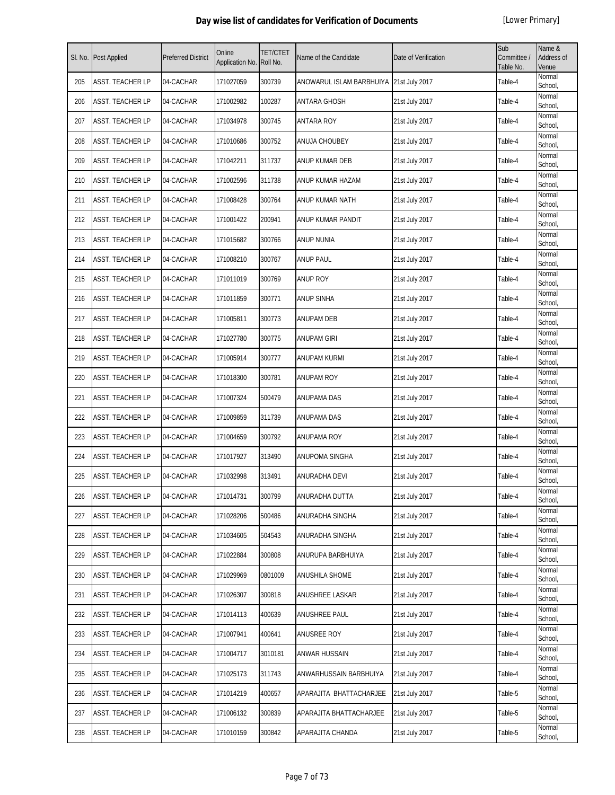| SI. No. | <b>Post Applied</b>     | <b>Preferred District</b> | Online<br>Application No. | <b>TET/CTET</b><br>Roll No. | Name of the Candidate                     | Date of Verification | Sub<br>Committee /<br>Table No. | Name &<br>Address of<br>Venue |
|---------|-------------------------|---------------------------|---------------------------|-----------------------------|-------------------------------------------|----------------------|---------------------------------|-------------------------------|
| 205     | <b>ASST. TEACHER LP</b> | 04-CACHAR                 | 171027059                 | 300739                      | ANOWARUL ISLAM BARBHUIYA   21st July 2017 |                      | Table-4                         | Normal<br>School,             |
| 206     | <b>ASST. TEACHER LP</b> | 04-CACHAR                 | 171002982                 | 100287                      | ANTARA GHOSH                              | 21st July 2017       | Table-4                         | Normal<br>School,             |
| 207     | <b>ASST. TEACHER LP</b> | 04-CACHAR                 | 171034978                 | 300745                      | <b>ANTARA ROY</b>                         | 21st July 2017       | Table-4                         | Normal<br>School,             |
| 208     | <b>ASST. TEACHER LP</b> | 04-CACHAR                 | 171010686                 | 300752                      | <b>ANUJA CHOUBEY</b>                      | 21st July 2017       | Table-4                         | Normal<br>School,             |
| 209     | <b>ASST. TEACHER LP</b> | 04-CACHAR                 | 171042211                 | 311737                      | ANUP KUMAR DEB                            | 21st July 2017       | Table-4                         | Normal<br>School,             |
| 210     | <b>ASST. TEACHER LP</b> | 04-CACHAR                 | 171002596                 | 311738                      | ANUP KUMAR HAZAM                          | 21st July 2017       | Table-4                         | Normal<br>School,             |
| 211     | <b>ASST. TEACHER LP</b> | 04-CACHAR                 | 171008428                 | 300764                      | ANUP KUMAR NATH                           | 21st July 2017       | Table-4                         | Normal<br>School,             |
| 212     | <b>ASST. TEACHER LP</b> | 04-CACHAR                 | 171001422                 | 200941                      | ANUP KUMAR PANDIT                         | 21st July 2017       | Table-4                         | Normal<br>School,             |
| 213     | <b>ASST. TEACHER LP</b> | 04-CACHAR                 | 171015682                 | 300766                      | <b>ANUP NUNIA</b>                         | 21st July 2017       | Table-4                         | Normal<br>School,             |
| 214     | <b>ASST. TEACHER LP</b> | 04-CACHAR                 | 171008210                 | 300767                      | ANUP PAUL                                 | 21st July 2017       | Table-4                         | Normal<br>School,             |
| 215     | <b>ASST. TEACHER LP</b> | 04-CACHAR                 | 171011019                 | 300769                      | <b>ANUP ROY</b>                           | 21st July 2017       | Table-4                         | Normal<br>School,             |
| 216     | <b>ASST. TEACHER LP</b> | 04-CACHAR                 | 171011859                 | 300771                      | <b>ANUP SINHA</b>                         | 21st July 2017       | Table-4                         | Normal<br>School,             |
| 217     | <b>ASST. TEACHER LP</b> | 04-CACHAR                 | 171005811                 | 300773                      | ANUPAM DEB                                | 21st July 2017       | Table-4                         | Normal<br>School,             |
| 218     | <b>ASST. TEACHER LP</b> | 04-CACHAR                 | 171027780                 | 300775                      | <b>ANUPAM GIRI</b>                        | 21st July 2017       | Table-4                         | Normal<br>School,             |
| 219     | <b>ASST. TEACHER LP</b> | 04-CACHAR                 | 171005914                 | 300777                      | <b>ANUPAM KURMI</b>                       | 21st July 2017       | Table-4                         | Normal<br>School,             |
| 220     | <b>ASST. TEACHER LP</b> | 04-CACHAR                 | 171018300                 | 300781                      | <b>ANUPAM ROY</b>                         | 21st July 2017       | Table-4                         | Normal<br>School,             |
| 221     | <b>ASST. TEACHER LP</b> | 04-CACHAR                 | 171007324                 | 500479                      | <b>ANUPAMA DAS</b>                        | 21st July 2017       | Table-4                         | Normal<br>School,             |
| 222     | <b>ASST. TEACHER LP</b> | 04-CACHAR                 | 171009859                 | 311739                      | <b>ANUPAMA DAS</b>                        | 21st July 2017       | Table-4                         | Normal<br>School,             |
| 223     | <b>ASST. TEACHER LP</b> | 04-CACHAR                 | 171004659                 | 300792                      | <b>ANUPAMA ROY</b>                        | 21st July 2017       | Table-4                         | Normal<br>School,             |
| 224     | <b>ASST. TEACHER LP</b> | 04-CACHAR                 | 171017927                 | 313490                      | ANUPOMA SINGHA                            | 21st July 2017       | Table-4                         | Normal<br>School,             |
| 225     | ASST. TEACHER LP        | 04-CACHAR                 | 171032998                 | 313491                      | ANURADHA DEVI                             | 21st July 2017       | Table-4                         | Normal<br>School,             |
| 226     | <b>ASST. TEACHER LP</b> | 04-CACHAR                 | 171014731                 | 300799                      | ANURADHA DUTTA                            | 21st July 2017       | Table-4                         | Normal<br>School,             |
| 227     | <b>ASST. TEACHER LP</b> | 04-CACHAR                 | 171028206                 | 500486                      | ANURADHA SINGHA                           | 21st July 2017       | Table-4                         | Normal<br>School,             |
| 228     | <b>ASST. TEACHER LP</b> | 04-CACHAR                 | 171034605                 | 504543                      | ANURADHA SINGHA                           | 21st July 2017       | Table-4                         | Normal<br>School,             |
| 229     | <b>ASST. TEACHER LP</b> | 04-CACHAR                 | 171022884                 | 300808                      | ANURUPA BARBHUIYA                         | 21st July 2017       | Table-4                         | Normal<br>School,             |
| 230     | <b>ASST. TEACHER LP</b> | 04-CACHAR                 | 171029969                 | 0801009                     | ANUSHILA SHOME                            | 21st July 2017       | Table-4                         | Normal<br>School,             |
| 231     | <b>ASST. TEACHER LP</b> | 04-CACHAR                 | 171026307                 | 300818                      | ANUSHREE LASKAR                           | 21st July 2017       | Table-4                         | Normal<br>School,             |
| 232     | <b>ASST. TEACHER LP</b> | 04-CACHAR                 | 171014113                 | 400639                      | ANUSHREE PAUL                             | 21st July 2017       | Table-4                         | Normal<br>School,             |
| 233     | <b>ASST. TEACHER LP</b> | 04-CACHAR                 | 171007941                 | 400641                      | ANUSREE ROY                               | 21st July 2017       | Table-4                         | Normal<br>School,             |
| 234     | <b>ASST. TEACHER LP</b> | 04-CACHAR                 | 171004717                 | 3010181                     | ANWAR HUSSAIN                             | 21st July 2017       | Table-4                         | Normal<br>School,             |
| 235     | <b>ASST. TEACHER LP</b> | 04-CACHAR                 | 171025173                 | 311743                      | ANWARHUSSAIN BARBHUIYA                    | 21st July 2017       | Table-4                         | Normal<br>School,             |
| 236     | <b>ASST. TEACHER LP</b> | 04-CACHAR                 | 171014219                 | 400657                      | APARAJITA BHATTACHARJEE                   | 21st July 2017       | Table-5                         | Normal<br>School,             |
| 237     | <b>ASST. TEACHER LP</b> | 04-CACHAR                 | 171006132                 | 300839                      | APARAJITA BHATTACHARJEE                   | 21st July 2017       | Table-5                         | Normal<br>School,             |
| 238     | <b>ASST. TEACHER LP</b> | 04-CACHAR                 | 171010159                 | 300842                      | APARAJITA CHANDA                          | 21st July 2017       | Table-5                         | Normal<br>School,             |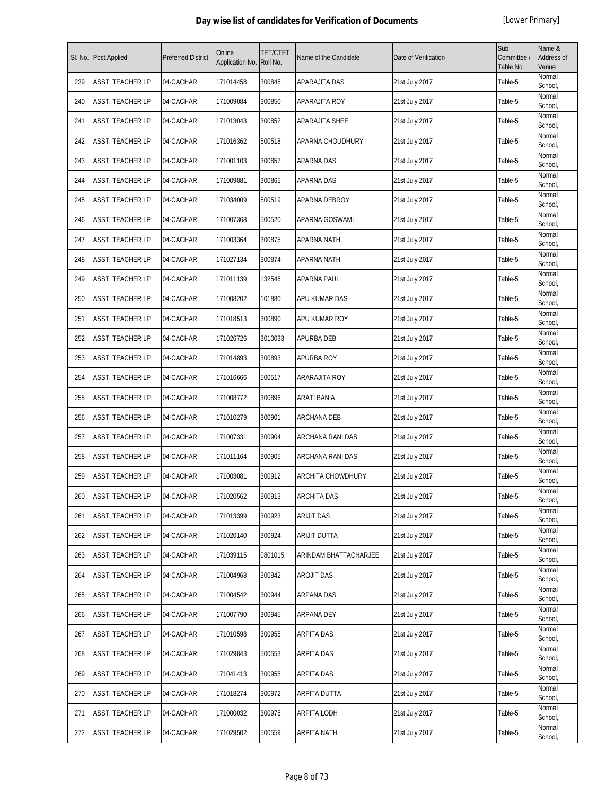| SI. No. | Post Applied            | <b>Preferred District</b> | Online<br>Application No. | <b>TET/CTET</b><br>Roll No. | Name of the Candidate | Date of Verification | Sub<br>Committee /<br>Table No. | Name &<br>Address of<br>Venue |
|---------|-------------------------|---------------------------|---------------------------|-----------------------------|-----------------------|----------------------|---------------------------------|-------------------------------|
| 239     | ASST. TEACHER LP        | 04-CACHAR                 | 171014458                 | 300845                      | APARAJITA DAS         | 21st July 2017       | Table-5                         | Normal<br>School,             |
| 240     | ASST. TEACHER LP        | 04-CACHAR                 | 171009084                 | 300850                      | APARAJITA ROY         | 21st July 2017       | Table-5                         | Normal<br>School,             |
| 241     | ASST. TEACHER LP        | 04-CACHAR                 | 171013043                 | 300852                      | APARAJITA SHEE        | 21st July 2017       | Table-5                         | Normal<br>School,             |
| 242     | <b>ASST. TEACHER LP</b> | 04-CACHAR                 | 171016362                 | 500518                      | APARNA CHOUDHURY      | 21st July 2017       | Table-5                         | Normal<br>School,             |
| 243     | ASST. TEACHER LP        | 04-CACHAR                 | 171001103                 | 300857                      | <b>APARNA DAS</b>     | 21st July 2017       | Table-5                         | Normal<br>School,             |
| 244     | ASST. TEACHER LP        | 04-CACHAR                 | 171009881                 | 300865                      | <b>APARNA DAS</b>     | 21st July 2017       | Table-5                         | Normal<br>School,             |
| 245     | ASST. TEACHER LP        | 04-CACHAR                 | 171034009                 | 500519                      | APARNA DEBROY         | 21st July 2017       | Table-5                         | Normal<br>School,             |
| 246     | ASST. TEACHER LP        | 04-CACHAR                 | 171007368                 | 500520                      | APARNA GOSWAMI        | 21st July 2017       | Table-5                         | Normal<br>School,             |
| 247     | ASST. TEACHER LP        | 04-CACHAR                 | 171003364                 | 300875                      | <b>APARNA NATH</b>    | 21st July 2017       | Table-5                         | Normal<br>School,             |
| 248     | ASST. TEACHER LP        | 04-CACHAR                 | 171027134                 | 300874                      | APARNA NATH           | 21st July 2017       | Table-5                         | Normal<br>School,             |
| 249     | ASST. TEACHER LP        | 04-CACHAR                 | 171011139                 | 132546                      | APARNA PAUL           | 21st July 2017       | Table-5                         | Normal<br>School,             |
| 250     | ASST. TEACHER LP        | 04-CACHAR                 | 171008202                 | 101880                      | APU KUMAR DAS         | 21st July 2017       | Table-5                         | Normal<br>School,             |
| 251     | ASST. TEACHER LP        | 04-CACHAR                 | 171018513                 | 300890                      | APU KUMAR ROY         | 21st July 2017       | Table-5                         | Normal<br>School,             |
| 252     | ASST. TEACHER LP        | 04-CACHAR                 | 171026726                 | 3010033                     | APURBA DEB            | 21st July 2017       | Table-5                         | Normal<br>School,             |
| 253     | ASST. TEACHER LP        | 04-CACHAR                 | 171014893                 | 300893                      | <b>APURBA ROY</b>     | 21st July 2017       | Table-5                         | Normal<br>School,             |
| 254     | ASST. TEACHER LP        | 04-CACHAR                 | 171016666                 | 500517                      | ARARAJITA ROY         | 21st July 2017       | Table-5                         | Normal<br>School,             |
| 255     | ASST. TEACHER LP        | 04-CACHAR                 | 171008772                 | 300896                      | ARATI BANIA           | 21st July 2017       | Table-5                         | Normal<br>School,             |
| 256     | ASST. TEACHER LP        | 04-CACHAR                 | 171010279                 | 300901                      | <b>ARCHANA DEB</b>    | 21st July 2017       | Table-5                         | Normal<br>School,             |
| 257     | ASST. TEACHER LP        | 04-CACHAR                 | 171007331                 | 300904                      | ARCHANA RANI DAS      | 21st July 2017       | Table-5                         | Normal<br>School,             |
| 258     | ASST. TEACHER LP        | 04-CACHAR                 | 171011164                 | 300905                      | ARCHANA RANI DAS      | 21st July 2017       | Table-5                         | Normal<br>School,             |
| 259     | ASST. TEACHER LP        | 04-CACHAR                 | 171003081                 | 300912                      | ARCHITA CHOWDHURY     | 21st July 2017       | Table-5                         | Normal<br>School,             |
| 260     | <b>ASST. TEACHER LP</b> | 04-CACHAR                 | 171020562                 | 300913                      | <b>ARCHITA DAS</b>    | 21st July 2017       | Table-5                         | Normal<br>School,             |
| 261     | ASST. TEACHER LP        | 04-CACHAR                 | 171013399                 | 300923                      | <b>ARIJIT DAS</b>     | 21st July 2017       | Table-5                         | Normal<br>School,             |
| 262     | ASST. TEACHER LP        | 04-CACHAR                 | 171020140                 | 300924                      | ARIJIT DUTTA          | 21st July 2017       | Table-5                         | Normal<br>School,             |
| 263     | ASST. TEACHER LP        | 04-CACHAR                 | 171039115                 | 0801015                     | ARINDAM BHATTACHARJEE | 21st July 2017       | Table-5                         | Normal<br>School,             |
| 264     | ASST. TEACHER LP        | 04-CACHAR                 | 171004968                 | 300942                      | <b>AROJIT DAS</b>     | 21st July 2017       | Table-5                         | Normal<br>School,             |
| 265     | ASST. TEACHER LP        | 04-CACHAR                 | 171004542                 | 300944                      | ARPANA DAS            | 21st July 2017       | Table-5                         | Normal<br>School,             |
| 266     | ASST. TEACHER LP        | 04-CACHAR                 | 171007790                 | 300945                      | ARPANA DEY            | 21st July 2017       | Table-5                         | Normal<br>School,             |
| 267     | ASST. TEACHER LP        | 04-CACHAR                 | 171010598                 | 300955                      | ARPITA DAS            | 21st July 2017       | Table-5                         | Normal<br>School,             |
| 268     | ASST. TEACHER LP        | 04-CACHAR                 | 171029843                 | 500553                      | ARPITA DAS            | 21st July 2017       | Table-5                         | Normal<br>School,             |
| 269     | ASST. TEACHER LP        | 04-CACHAR                 | 171041413                 | 300958                      | ARPITA DAS            | 21st July 2017       | Table-5                         | Normal<br>School,             |
| 270     | ASST. TEACHER LP        | 04-CACHAR                 | 171018274                 | 300972                      | ARPITA DUTTA          | 21st July 2017       | Table-5                         | Normal<br>School,             |
| 271     | ASST. TEACHER LP        | 04-CACHAR                 | 171000032                 | 300975                      | ARPITA LODH           | 21st July 2017       | Table-5                         | Normal<br>School,             |
| 272     | ASST. TEACHER LP        | 04-CACHAR                 | 171029502                 | 500559                      | <b>ARPITA NATH</b>    | 21st July 2017       | Table-5                         | Normal<br>School,             |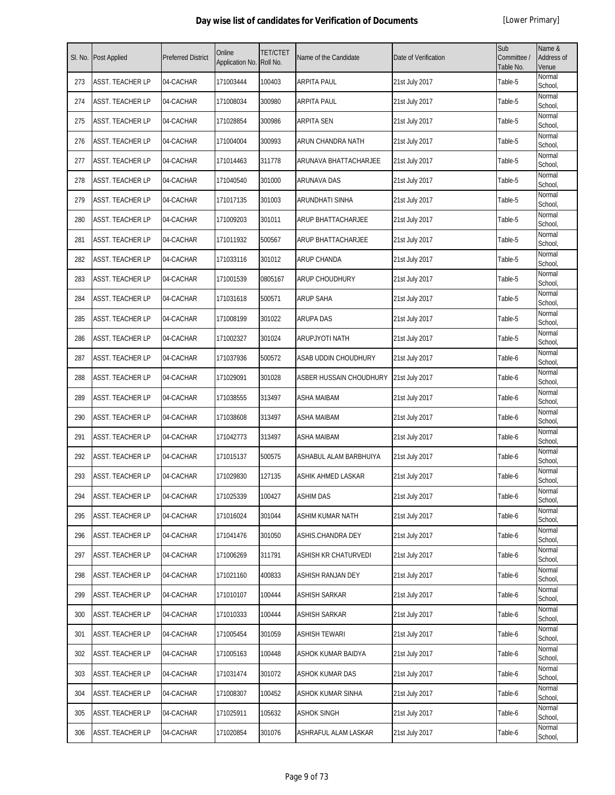| SI. No. | <b>Post Applied</b> | <b>Preferred District</b> | Online<br>Application No. | <b>TET/CTET</b><br>Roll No. | Name of the Candidate   | Date of Verification | Sub<br>Committee /<br>Table No. | Name &<br><b>Address of</b><br>Venue |
|---------|---------------------|---------------------------|---------------------------|-----------------------------|-------------------------|----------------------|---------------------------------|--------------------------------------|
| 273     | ASST. TEACHER LP    | 04-CACHAR                 | 171003444                 | 100403                      | <b>ARPITA PAUL</b>      | 21st July 2017       | Table-5                         | Normal<br>School,                    |
| 274     | ASST. TEACHER LP    | 04-CACHAR                 | 171008034                 | 300980                      | <b>ARPITA PAUL</b>      | 21st July 2017       | Table-5                         | Normal<br>School,                    |
| 275     | ASST. TEACHER LP    | 04-CACHAR                 | 171028854                 | 300986                      | <b>ARPITA SEN</b>       | 21st July 2017       | Table-5                         | Normal<br>School,                    |
| 276     | ASST. TEACHER LP    | 04-CACHAR                 | 171004004                 | 300993                      | ARUN CHANDRA NATH       | 21st July 2017       | Table-5                         | Normal<br>School,                    |
| 277     | ASST. TEACHER LP    | 04-CACHAR                 | 171014463                 | 311778                      | ARUNAVA BHATTACHARJEE   | 21st July 2017       | Table-5                         | Normal<br>School,                    |
| 278     | ASST. TEACHER LP    | 04-CACHAR                 | 171040540                 | 301000                      | ARUNAVA DAS             | 21st July 2017       | Table-5                         | Normal<br>School,                    |
| 279     | ASST. TEACHER LP    | 04-CACHAR                 | 171017135                 | 301003                      | ARUNDHATI SINHA         | 21st July 2017       | Table-5                         | Normal<br>School,                    |
| 280     | ASST. TEACHER LP    | 04-CACHAR                 | 171009203                 | 301011                      | ARUP BHATTACHARJEE      | 21st July 2017       | Table-5                         | Normal<br>School,                    |
| 281     | ASST. TEACHER LP    | 04-CACHAR                 | 171011932                 | 500567                      | ARUP BHATTACHARJEE      | 21st July 2017       | Table-5                         | Normal<br>School,                    |
| 282     | ASST. TEACHER LP    | 04-CACHAR                 | 171033116                 | 301012                      | ARUP CHANDA             | 21st July 2017       | Table-5                         | Normal<br>School,                    |
| 283     | ASST. TEACHER LP    | 04-CACHAR                 | 171001539                 | 0805167                     | ARUP CHOUDHURY          | 21st July 2017       | Table-5                         | Normal<br>School,                    |
| 284     | ASST. TEACHER LP    | 04-CACHAR                 | 171031618                 | 500571                      | <b>ARUP SAHA</b>        | 21st July 2017       | Table-5                         | Normal<br>School,                    |
| 285     | ASST. TEACHER LP    | 04-CACHAR                 | 171008199                 | 301022                      | <b>ARUPA DAS</b>        | 21st July 2017       | Table-5                         | Normal<br>School,                    |
| 286     | ASST. TEACHER LP    | 04-CACHAR                 | 171002327                 | 301024                      | <b>ARUPJYOTI NATH</b>   | 21st July 2017       | Table-5                         | Normal<br>School,                    |
| 287     | ASST. TEACHER LP    | 04-CACHAR                 | 171037936                 | 500572                      | ASAB UDDIN CHOUDHURY    | 21st July 2017       | Table-6                         | Normal<br>School,                    |
| 288     | ASST. TEACHER LP    | 04-CACHAR                 | 171029091                 | 301028                      | ASBER HUSSAIN CHOUDHURY | 21st July 2017       | Table-6                         | Normal<br>School,                    |
| 289     | ASST. TEACHER LP    | 04-CACHAR                 | 171038555                 | 313497                      | ASHA MAIBAM             | 21st July 2017       | Table-6                         | Normal<br>School,                    |
| 290     | ASST. TEACHER LP    | 04-CACHAR                 | 171038608                 | 313497                      | <b>ASHA MAIBAM</b>      | 21st July 2017       | Table-6                         | Normal<br>School,                    |
| 291     | ASST. TEACHER LP    | 04-CACHAR                 | 171042773                 | 313497                      | <b>ASHA MAIBAM</b>      | 21st July 2017       | Table-6                         | Normal<br>School,                    |
| 292     | ASST. TEACHER LP    | 04-CACHAR                 | 171015137                 | 500575                      | ASHABUL ALAM BARBHUIYA  | 21st July 2017       | Table-6                         | Normal<br>School,                    |
| 293     | ASST. TEACHER LP    | 04-CACHAR                 | 171029830                 | 127135                      | ASHIK AHMED LASKAR      | 21st July 2017       | Table-6                         | Normal<br>School,                    |
| 294     | ASST. TEACHER LP    | 04-CACHAR                 | 171025339                 | 100427                      | <b>ASHIM DAS</b>        | 21st July 2017       | Table-6                         | Normal<br>School,                    |
| 295     | ASST. TEACHER LP    | 04-CACHAR                 | 171016024                 | 301044                      | <b>ASHIM KUMAR NATH</b> | 21st July 2017       | Table-6                         | Normal<br>School,                    |
| 296     | ASST. TEACHER LP    | 04-CACHAR                 | 171041476                 | 301050                      | ASHIS.CHANDRA DEY       | 21st July 2017       | Table-6                         | Normal<br>School,                    |
| 297     | ASST. TEACHER LP    | 04-CACHAR                 | 171006269                 | 311791                      | ASHISH KR CHATURVEDI    | 21st July 2017       | Table-6                         | Normal<br>School,                    |
| 298     | ASST. TEACHER LP    | 04-CACHAR                 | 171021160                 | 400833                      | ASHISH RANJAN DEY       | 21st July 2017       | Table-6                         | Normal<br>School,                    |
| 299     | ASST. TEACHER LP    | 04-CACHAR                 | 171010107                 | 100444                      | <b>ASHISH SARKAR</b>    | 21st July 2017       | Table-6                         | Normal<br>School,                    |
| 300     | ASST. TEACHER LP    | 04-CACHAR                 | 171010333                 | 100444                      | ASHISH SARKAR           | 21st July 2017       | Table-6                         | Normal<br>School,                    |
| 301     | ASST. TEACHER LP    | 04-CACHAR                 | 171005454                 | 301059                      | <b>ASHISH TEWARI</b>    | 21st July 2017       | Table-6                         | Normal<br>School,                    |
| 302     | ASST. TEACHER LP    | 04-CACHAR                 | 171005163                 | 100448                      | ASHOK KUMAR BAIDYA      | 21st July 2017       | Table-6                         | Normal<br>School,                    |
| 303     | ASST. TEACHER LP    | 04-CACHAR                 | 171031474                 | 301072                      | ASHOK KUMAR DAS         | 21st July 2017       | Table-6                         | Normal<br>School,                    |
| 304     | ASST. TEACHER LP    | 04-CACHAR                 | 171008307                 | 100452                      | ASHOK KUMAR SINHA       | 21st July 2017       | Table-6                         | Normal<br>School,                    |
| 305     | ASST. TEACHER LP    | 04-CACHAR                 | 171025911                 | 105632                      | <b>ASHOK SINGH</b>      | 21st July 2017       | Table-6                         | Normal<br>School,                    |
| 306     | ASST. TEACHER LP    | 04-CACHAR                 | 171020854                 | 301076                      | ASHRAFUL ALAM LASKAR    | 21st July 2017       | Table-6                         | Normal<br>School,                    |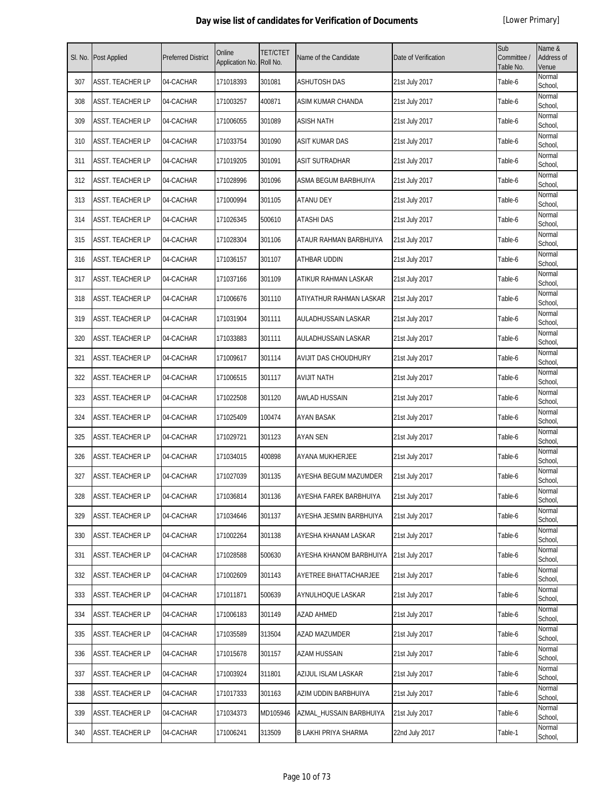| SI. No. | Post Applied            | <b>Preferred District</b> | Online<br>Application No. | <b>TET/CTET</b><br>Roll No. | Name of the Candidate   | Date of Verification | Sub<br>Committee /<br>Table No. | Name &<br>Address of<br>Venue |
|---------|-------------------------|---------------------------|---------------------------|-----------------------------|-------------------------|----------------------|---------------------------------|-------------------------------|
| 307     | ASST. TEACHER LP        | 04-CACHAR                 | 171018393                 | 301081                      | <b>ASHUTOSH DAS</b>     | 21st July 2017       | Table-6                         | Normal<br>School,             |
| 308     | ASST. TEACHER LP        | 04-CACHAR                 | 171003257                 | 400871                      | ASIM KUMAR CHANDA       | 21st July 2017       | Table-6                         | Normal<br>School,             |
| 309     | ASST. TEACHER LP        | 04-CACHAR                 | 171006055                 | 301089                      | <b>ASISH NATH</b>       | 21st July 2017       | Table-6                         | Normal<br>School,             |
| 310     | ASST. TEACHER LP        | 04-CACHAR                 | 171033754                 | 301090                      | <b>ASIT KUMAR DAS</b>   | 21st July 2017       | Table-6                         | Normal<br>School,             |
| 311     | ASST. TEACHER LP        | 04-CACHAR                 | 171019205                 | 301091                      | <b>ASIT SUTRADHAR</b>   | 21st July 2017       | Table-6                         | Normal<br>School,             |
| 312     | ASST. TEACHER LP        | 04-CACHAR                 | 171028996                 | 301096                      | ASMA BEGUM BARBHUIYA    | 21st July 2017       | Table-6                         | Normal<br>School,             |
| 313     | ASST. TEACHER LP        | 04-CACHAR                 | 171000994                 | 301105                      | ATANU DEY               | 21st July 2017       | Table-6                         | Normal<br>School,             |
| 314     | ASST. TEACHER LP        | 04-CACHAR                 | 171026345                 | 500610                      | ATASHI DAS              | 21st July 2017       | Table-6                         | Normal<br>School,             |
| 315     | ASST. TEACHER LP        | 04-CACHAR                 | 171028304                 | 301106                      | ATAUR RAHMAN BARBHUIYA  | 21st July 2017       | Table-6                         | Normal<br>School,             |
| 316     | ASST. TEACHER LP        | 04-CACHAR                 | 171036157                 | 301107                      | ATHBAR UDDIN            | 21st July 2017       | Table-6                         | Normal<br>School,             |
| 317     | ASST. TEACHER LP        | 04-CACHAR                 | 171037166                 | 301109                      | ATIKUR RAHMAN LASKAR    | 21st July 2017       | Table-6                         | Normal<br>School,             |
| 318     | ASST. TEACHER LP        | 04-CACHAR                 | 171006676                 | 301110                      | ATIYATHUR RAHMAN LASKAR | 21st July 2017       | Table-6                         | Normal<br>School,             |
| 319     | ASST. TEACHER LP        | 04-CACHAR                 | 171031904                 | 301111                      | AULADHUSSAIN LASKAR     | 21st July 2017       | Table-6                         | Normal<br>School,             |
| 320     | ASST. TEACHER LP        | 04-CACHAR                 | 171033883                 | 301111                      | AULADHUSSAIN LASKAR     | 21st July 2017       | Table-6                         | Normal<br>School,             |
| 321     | ASST. TEACHER LP        | 04-CACHAR                 | 171009617                 | 301114                      | AVIJIT DAS CHOUDHURY    | 21st July 2017       | Table-6                         | Normal<br>School,             |
| 322     | ASST. TEACHER LP        | 04-CACHAR                 | 171006515                 | 301117                      | <b>AVIJIT NATH</b>      | 21st July 2017       | Table-6                         | Normal<br>School,             |
| 323     | ASST. TEACHER LP        | 04-CACHAR                 | 171022508                 | 301120                      | AWLAD HUSSAIN           | 21st July 2017       | Table-6                         | Normal<br>School,             |
| 324     | ASST. TEACHER LP        | 04-CACHAR                 | 171025409                 | 100474                      | AYAN BASAK              | 21st July 2017       | Table-6                         | Normal<br>School,             |
| 325     | ASST. TEACHER LP        | 04-CACHAR                 | 171029721                 | 301123                      | <b>AYAN SEN</b>         | 21st July 2017       | Table-6                         | Normal<br>School,             |
| 326     | ASST. TEACHER LP        | 04-CACHAR                 | 171034015                 | 400898                      | AYANA MUKHERJEE         | 21st July 2017       | Table-6                         | Normal<br>School,             |
| 327     | ASST. TEACHER LP        | 04-CACHAR                 | 171027039                 | 301135                      | AYESHA BEGUM MAZUMDER   | 21st July 2017       | Table-6                         | Normal<br>School,             |
| 328     | <b>ASST. TEACHER LP</b> | 04-CACHAR                 | 171036814                 | 301136                      | AYESHA FAREK BARBHUIYA  | 21st July 2017       | Table-6                         | Normal<br>School,             |
| 329     | ASST. TEACHER LP        | 04-CACHAR                 | 171034646                 | 301137                      | AYESHA JESMIN BARBHUIYA | 21st July 2017       | Table-6                         | Normal<br>School,             |
| 330     | ASST. TEACHER LP        | 04-CACHAR                 | 171002264                 | 301138                      | AYESHA KHANAM LASKAR    | 21st July 2017       | Table-6                         | Normal<br>School,             |
| 331     | ASST. TEACHER LP        | 04-CACHAR                 | 171028588                 | 500630                      | AYESHA KHANOM BARBHUIYA | 21st July 2017       | Table-6                         | Normal<br>School,             |
| 332     | ASST. TEACHER LP        | 04-CACHAR                 | 171002609                 | 301143                      | AYETREE BHATTACHARJEE   | 21st July 2017       | Table-6                         | Normal<br>School,             |
| 333     | ASST. TEACHER LP        | 04-CACHAR                 | 171011871                 | 500639                      | AYNULHOQUE LASKAR       | 21st July 2017       | Table-6                         | Normal<br>School,             |
| 334     | ASST. TEACHER LP        | 04-CACHAR                 | 171006183                 | 301149                      | AZAD AHMED              | 21st July 2017       | Table-6                         | Normal<br>School,             |
| 335     | ASST. TEACHER LP        | 04-CACHAR                 | 171035589                 | 313504                      | AZAD MAZUMDER           | 21st July 2017       | Table-6                         | Normal<br>School,             |
| 336     | ASST. TEACHER LP        | 04-CACHAR                 | 171015678                 | 301157                      | AZAM HUSSAIN            | 21st July 2017       | Table-6                         | Normal<br>School,             |
| 337     | ASST. TEACHER LP        | 04-CACHAR                 | 171003924                 | 311801                      | AZIJUL ISLAM LASKAR     | 21st July 2017       | Table-6                         | Normal<br>School,             |
| 338     | ASST. TEACHER LP        | 04-CACHAR                 | 171017333                 | 301163                      | AZIM UDDIN BARBHUIYA    | 21st July 2017       | Table-6                         | Normal<br>School,             |
| 339     | ASST. TEACHER LP        | 04-CACHAR                 | 171034373                 | MD105946                    | AZMAL_HUSSAIN BARBHUIYA | 21st July 2017       | Table-6                         | Normal<br>School,             |
| 340     | ASST. TEACHER LP        | 04-CACHAR                 | 171006241                 | 313509                      | B LAKHI PRIYA SHARMA    | 22nd July 2017       | Table-1                         | Normal<br>School,             |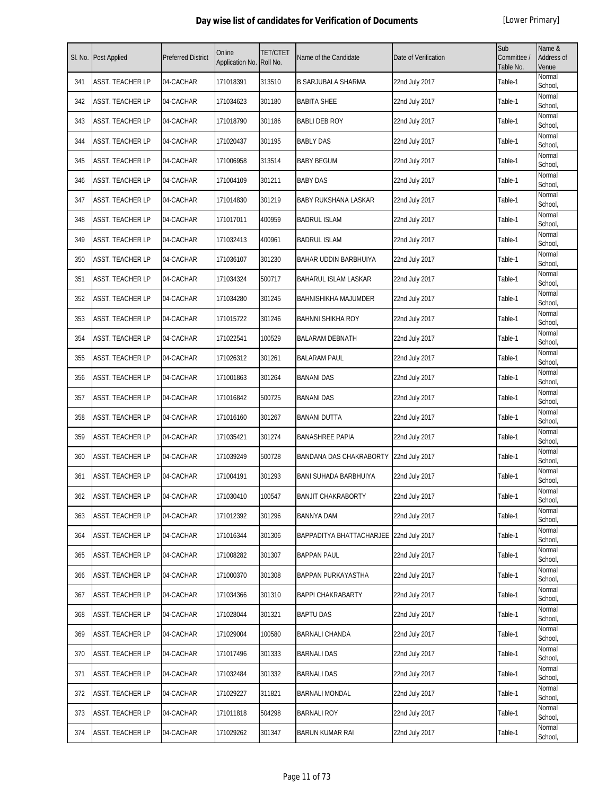| SI. No. | Post Applied            | <b>Preferred District</b> | Online<br>Application No. | <b>TET/CTET</b><br>Roll No. | Name of the Candidate                   | Date of Verification | Sub<br>Committee /<br>Table No. | Name &<br>Address of<br>Venue |
|---------|-------------------------|---------------------------|---------------------------|-----------------------------|-----------------------------------------|----------------------|---------------------------------|-------------------------------|
| 341     | <b>ASST. TEACHER LP</b> | 04-CACHAR                 | 171018391                 | 313510                      | <b>B SARJUBALA SHARMA</b>               | 22nd July 2017       | Table-1                         | Normal<br>School,             |
| 342     | ASST. TEACHER LP        | 04-CACHAR                 | 171034623                 | 301180                      | <b>BABITA SHEE</b>                      | 22nd July 2017       | Table-1                         | Normal<br>School,             |
| 343     | ASST. TEACHER LP        | 04-CACHAR                 | 171018790                 | 301186                      | <b>BABLI DEB ROY</b>                    | 22nd July 2017       | Table-1                         | Normal<br>School,             |
| 344     | ASST. TEACHER LP        | 04-CACHAR                 | 171020437                 | 301195                      | <b>BABLY DAS</b>                        | 22nd July 2017       | Table-1                         | Normal<br>School,             |
| 345     | ASST. TEACHER LP        | 04-CACHAR                 | 171006958                 | 313514                      | <b>BABY BEGUM</b>                       | 22nd July 2017       | Table-1                         | Normal<br>School,             |
| 346     | ASST. TEACHER LP        | 04-CACHAR                 | 171004109                 | 301211                      | <b>BABY DAS</b>                         | 22nd July 2017       | Table-1                         | Normal<br>School,             |
| 347     | ASST. TEACHER LP        | 04-CACHAR                 | 171014830                 | 301219                      | <b>BABY RUKSHANA LASKAR</b>             | 22nd July 2017       | Table-1                         | Normal<br>School,             |
| 348     | ASST. TEACHER LP        | 04-CACHAR                 | 171017011                 | 400959                      | <b>BADRUL ISLAM</b>                     | 22nd July 2017       | Table-1                         | Normal<br>School,             |
| 349     | ASST. TEACHER LP        | 04-CACHAR                 | 171032413                 | 400961                      | <b>BADRUL ISLAM</b>                     | 22nd July 2017       | Table-1                         | Normal<br>School,             |
| 350     | ASST. TEACHER LP        | 04-CACHAR                 | 171036107                 | 301230                      | BAHAR UDDIN BARBHUIYA                   | 22nd July 2017       | Table-1                         | Normal<br>School,             |
| 351     | ASST. TEACHER LP        | 04-CACHAR                 | 171034324                 | 500717                      | <b>BAHARUL ISLAM LASKAR</b>             | 22nd July 2017       | Table-1                         | Normal<br>School,             |
| 352     | ASST. TEACHER LP        | 04-CACHAR                 | 171034280                 | 301245                      | <b>BAHNISHIKHA MAJUMDER</b>             | 22nd July 2017       | Table-1                         | Normal<br>School,             |
| 353     | ASST. TEACHER LP        | 04-CACHAR                 | 171015722                 | 301246                      | <b>BAHNNI SHIKHA ROY</b>                | 22nd July 2017       | Table-1                         | Normal<br>School,             |
| 354     | ASST. TEACHER LP        | 04-CACHAR                 | 171022541                 | 100529                      | <b>BALARAM DEBNATH</b>                  | 22nd July 2017       | Table-1                         | Normal<br>School,             |
| 355     | ASST. TEACHER LP        | 04-CACHAR                 | 171026312                 | 301261                      | <b>BALARAM PAUL</b>                     | 22nd July 2017       | Table-1                         | Normal<br>School,             |
| 356     | ASST. TEACHER LP        | 04-CACHAR                 | 171001863                 | 301264                      | <b>BANANI DAS</b>                       | 22nd July 2017       | Table-1                         | Normal<br>School,             |
| 357     | ASST. TEACHER LP        | 04-CACHAR                 | 171016842                 | 500725                      | <b>BANANI DAS</b>                       | 22nd July 2017       | Table-1                         | Normal<br>School,             |
| 358     | ASST. TEACHER LP        | 04-CACHAR                 | 171016160                 | 301267                      | <b>BANANI DUTTA</b>                     | 22nd July 2017       | Table-1                         | Normal<br>School,             |
| 359     | <b>ASST. TEACHER LP</b> | 04-CACHAR                 | 171035421                 | 301274                      | <b>BANASHREE PAPIA</b>                  | 22nd July 2017       | Table-1                         | Normal<br>School,             |
| 360     | ASST. TEACHER LP        | 04-CACHAR                 | 171039249                 | 500728                      | BANDANA DAS CHAKRABORTY 22nd July 2017  |                      | Table-1                         | Normal<br>School,             |
| 361     | ASST. TEACHER LP        | 04-CACHAR                 | 171004191                 | 301293                      | <b>BANI SUHADA BARBHUIYA</b>            | 22nd July 2017       | Table-1                         | Normal<br>School,             |
| 362     | ASST. TEACHER LP        | 04-CACHAR                 | 171030410                 | 100547                      | <b>BANJIT CHAKRABORTY</b>               | 22nd July 2017       | Table-1                         | Normal<br>School,             |
| 363     | ASST. TEACHER LP        | 04-CACHAR                 | 171012392                 | 301296                      | <b>BANNYA DAM</b>                       | 22nd July 2017       | Table-1                         | Normal<br>School,             |
| 364     | ASST. TEACHER LP        | 04-CACHAR                 | 171016344                 | 301306                      | BAPPADITYA BHATTACHARJEE 22nd July 2017 |                      | Table-1                         | Normal<br>School,             |
| 365     | ASST. TEACHER LP        | 04-CACHAR                 | 171008282                 | 301307                      | <b>BAPPAN PAUL</b>                      | 22nd July 2017       | Table-1                         | Normal<br>School,             |
| 366     | ASST. TEACHER LP        | 04-CACHAR                 | 171000370                 | 301308                      | BAPPAN PURKAYASTHA                      | 22nd July 2017       | Table-1                         | Normal<br>School,             |
| 367     | ASST. TEACHER LP        | 04-CACHAR                 | 171034366                 | 301310                      | <b>BAPPI CHAKRABARTY</b>                | 22nd July 2017       | Table-1                         | Normal<br>School,             |
| 368     | ASST. TEACHER LP        | 04-CACHAR                 | 171028044                 | 301321                      | <b>BAPTU DAS</b>                        | 22nd July 2017       | Table-1                         | Normal<br>School,             |
| 369     | ASST. TEACHER LP        | 04-CACHAR                 | 171029004                 | 100580                      | <b>BARNALI CHANDA</b>                   | 22nd July 2017       | Table-1                         | Normal<br>School,             |
| 370     | ASST. TEACHER LP        | 04-CACHAR                 | 171017496                 | 301333                      | <b>BARNALI DAS</b>                      | 22nd July 2017       | Table-1                         | Normal<br>School,             |
| 371     | ASST. TEACHER LP        | 04-CACHAR                 | 171032484                 | 301332                      | <b>BARNALI DAS</b>                      | 22nd July 2017       | Table-1                         | Normal<br>School,             |
| 372     | ASST. TEACHER LP        | 04-CACHAR                 | 171029227                 | 311821                      | <b>BARNALI MONDAL</b>                   | 22nd July 2017       | Table-1                         | Normal<br>School,             |
| 373     | ASST. TEACHER LP        | 04-CACHAR                 | 171011818                 | 504298                      | <b>BARNALI ROY</b>                      | 22nd July 2017       | Table-1                         | Normal<br>School,             |
| 374     | ASST. TEACHER LP        | 04-CACHAR                 | 171029262                 | 301347                      | <b>BARUN KUMAR RAI</b>                  | 22nd July 2017       | Table-1                         | Normal<br>School,             |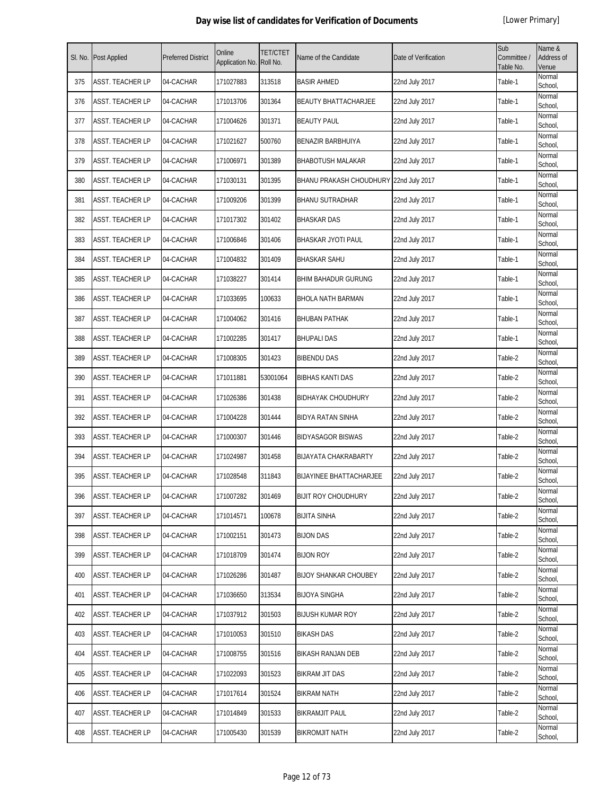| SI. No. | Post Applied            | <b>Preferred District</b> | Online<br>Application No. | TET/CTET<br>Roll No. | Name of the Candidate                  | Date of Verification | Sub<br>Committee /<br>Table No. | Name &<br>Address of<br>Venue |
|---------|-------------------------|---------------------------|---------------------------|----------------------|----------------------------------------|----------------------|---------------------------------|-------------------------------|
| 375     | ASST. TEACHER LP        | 04-CACHAR                 | 171027883                 | 313518               | <b>BASIR AHMED</b>                     | 22nd July 2017       | Table-1                         | Normal<br>School,             |
| 376     | ASST. TEACHER LP        | 04-CACHAR                 | 171013706                 | 301364               | <b>BEAUTY BHATTACHARJEE</b>            | 22nd July 2017       | Table-1                         | Normal<br>School,             |
| 377     | ASST. TEACHER LP        | 04-CACHAR                 | 171004626                 | 301371               | <b>BEAUTY PAUL</b>                     | 22nd July 2017       | Table-1                         | Normal<br>School,             |
| 378     | ASST. TEACHER LP        | 04-CACHAR                 | 171021627                 | 500760               | <b>BENAZIR BARBHUIYA</b>               | 22nd July 2017       | Table-1                         | Normal<br>School,             |
| 379     | ASST. TEACHER LP        | 04-CACHAR                 | 171006971                 | 301389               | <b>BHABOTUSH MALAKAR</b>               | 22nd July 2017       | Table-1                         | Normal<br>School,             |
| 380     | ASST. TEACHER LP        | 04-CACHAR                 | 171030131                 | 301395               | BHANU PRAKASH CHOUDHURY 22nd July 2017 |                      | Table-1                         | Normal<br>School,             |
| 381     | ASST. TEACHER LP        | 04-CACHAR                 | 171009206                 | 301399               | <b>BHANU SUTRADHAR</b>                 | 22nd July 2017       | Table-1                         | Normal<br>School,             |
| 382     | ASST. TEACHER LP        | 04-CACHAR                 | 171017302                 | 301402               | <b>BHASKAR DAS</b>                     | 22nd July 2017       | Table-1                         | Normal<br>School,             |
| 383     | ASST. TEACHER LP        | 04-CACHAR                 | 171006846                 | 301406               | BHASKAR JYOTI PAUL                     | 22nd July 2017       | Table-1                         | Normal<br>School,             |
| 384     | <b>ASST. TEACHER LP</b> | 04-CACHAR                 | 171004832                 | 301409               | <b>BHASKAR SAHU</b>                    | 22nd July 2017       | Table-1                         | Normal<br>School,             |
| 385     | ASST. TEACHER LP        | 04-CACHAR                 | 171038227                 | 301414               | <b>BHIM BAHADUR GURUNG</b>             | 22nd July 2017       | Table-1                         | Normal<br>School,             |
| 386     | ASST. TEACHER LP        | 04-CACHAR                 | 171033695                 | 100633               | <b>BHOLA NATH BARMAN</b>               | 22nd July 2017       | Table-1                         | Normal<br>School,             |
| 387     | ASST. TEACHER LP        | 04-CACHAR                 | 171004062                 | 301416               | <b>BHUBAN PATHAK</b>                   | 22nd July 2017       | Table-1                         | Normal<br>School,             |
| 388     | ASST. TEACHER LP        | 04-CACHAR                 | 171002285                 | 301417               | <b>BHUPALI DAS</b>                     | 22nd July 2017       | Table-1                         | Normal<br>School,             |
| 389     | ASST. TEACHER LP        | 04-CACHAR                 | 171008305                 | 301423               | <b>BIBENDU DAS</b>                     | 22nd July 2017       | Table-2                         | Normal<br>School,             |
| 390     | ASST. TEACHER LP        | 04-CACHAR                 | 171011881                 | 53001064             | <b>BIBHAS KANTI DAS</b>                | 22nd July 2017       | Table-2                         | Normal<br>School,             |
| 391     | ASST. TEACHER LP        | 04-CACHAR                 | 171026386                 | 301438               | <b>BIDHAYAK CHOUDHURY</b>              | 22nd July 2017       | Table-2                         | Normal<br>School,             |
| 392     | ASST. TEACHER LP        | 04-CACHAR                 | 171004228                 | 301444               | <b>BIDYA RATAN SINHA</b>               | 22nd July 2017       | Table-2                         | Normal<br>School,             |
| 393     | ASST. TEACHER LP        | 04-CACHAR                 | 171000307                 | 301446               | <b>BIDYASAGOR BISWAS</b>               | 22nd July 2017       | Table-2                         | Normal<br>School,             |
| 394     | ASST. TEACHER LP        | 04-CACHAR                 | 171024987                 | 301458               | <b>BIJAYATA CHAKRABARTY</b>            | 22nd July 2017       | Table-2                         | Normal<br>School,             |
| 395     | ASST. TEACHER LP        | 04-CACHAR                 | 171028548                 | 311843               | <b>BIJAYINEE BHATTACHARJEE</b>         | 22nd July 2017       | Table-2                         | Normal<br>School,             |
| 396     | ASST. TEACHER LP        | 04-CACHAR                 | 171007282                 | 301469               | <b>BIJIT ROY CHOUDHURY</b>             | 22nd July 2017       | Table-2                         | Normal<br>School,             |
| 397     | ASST. TEACHER LP        | 04-CACHAR                 | 171014571                 | 100678               | <b>BIJITA SINHA</b>                    | 22nd July 2017       | Table-2                         | Normal<br>School,             |
| 398     | ASST. TEACHER LP        | 04-CACHAR                 | 171002151                 | 301473               | <b>BIJON DAS</b>                       | 22nd July 2017       | Table-2                         | Normal<br>School,             |
| 399     | ASST. TEACHER LP        | 04-CACHAR                 | 171018709                 | 301474               | <b>BIJON ROY</b>                       | 22nd July 2017       | Table-2                         | Normal<br>School,             |
| 400     | ASST. TEACHER LP        | 04-CACHAR                 | 171026286                 | 301487               | <b>BIJOY SHANKAR CHOUBEY</b>           | 22nd July 2017       | Table-2                         | Normal<br>School,             |
| 401     | ASST. TEACHER LP        | 04-CACHAR                 | 171036650                 | 313534               | <b>BIJOYA SINGHA</b>                   | 22nd July 2017       | Table-2                         | Normal<br>School,             |
| 402     | ASST. TEACHER LP        | 04-CACHAR                 | 171037912                 | 301503               | <b>BIJUSH KUMAR ROY</b>                | 22nd July 2017       | Table-2                         | Normal<br>School,             |
| 403     | ASST. TEACHER LP        | 04-CACHAR                 | 171010053                 | 301510               | <b>BIKASH DAS</b>                      | 22nd July 2017       | Table-2                         | Normal<br>School,             |
| 404     | ASST. TEACHER LP        | 04-CACHAR                 | 171008755                 | 301516               | <b>BIKASH RANJAN DEB</b>               | 22nd July 2017       | Table-2                         | Normal<br>School,             |
| 405     | ASST. TEACHER LP        | 04-CACHAR                 | 171022093                 | 301523               | <b>BIKRAM JIT DAS</b>                  | 22nd July 2017       | Table-2                         | Normal<br>School,             |
| 406     | ASST. TEACHER LP        | 04-CACHAR                 | 171017614                 | 301524               | <b>BIKRAM NATH</b>                     | 22nd July 2017       | Table-2                         | Normal<br>School,             |
| 407     | ASST. TEACHER LP        | 04-CACHAR                 | 171014849                 | 301533               | <b>BIKRAMJIT PAUL</b>                  | 22nd July 2017       | Table-2                         | Normal<br>School,             |
| 408     | ASST. TEACHER LP        | 04-CACHAR                 | 171005430                 | 301539               | <b>BIKROMJIT NATH</b>                  | 22nd July 2017       | Table-2                         | Normal<br>School,             |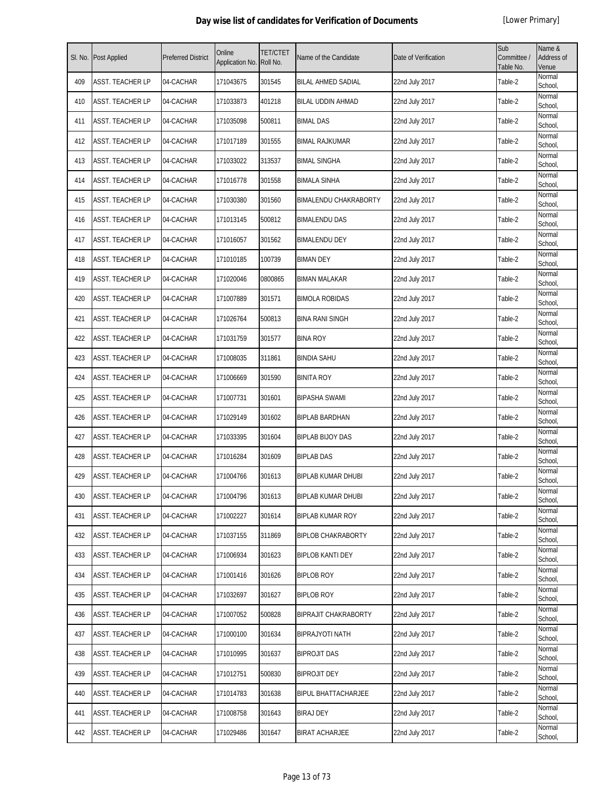| SI. No. | <b>Post Applied</b> | <b>Preferred District</b> | Online<br>Application No. | <b>TET/CTET</b><br>Roll No. | Name of the Candidate        | Date of Verification | Sub<br>Committee /<br>Table No. | Name &<br>Address of<br>Venue |
|---------|---------------------|---------------------------|---------------------------|-----------------------------|------------------------------|----------------------|---------------------------------|-------------------------------|
| 409     | ASST. TEACHER LP    | 04-CACHAR                 | 171043675                 | 301545                      | <b>BILAL AHMED SADIAL</b>    | 22nd July 2017       | Table-2                         | Normal<br>School,             |
| 410     | ASST. TEACHER LP    | 04-CACHAR                 | 171033873                 | 401218                      | <b>BILAL UDDIN AHMAD</b>     | 22nd July 2017       | Table-2                         | Normal<br>School,             |
| 411     | ASST. TEACHER LP    | 04-CACHAR                 | 171035098                 | 500811                      | <b>BIMAL DAS</b>             | 22nd July 2017       | Table-2                         | Normal<br>School,             |
| 412     | ASST. TEACHER LP    | 04-CACHAR                 | 171017189                 | 301555                      | <b>BIMAL RAJKUMAR</b>        | 22nd July 2017       | Table-2                         | Normal<br>School,             |
| 413     | ASST. TEACHER LP    | 04-CACHAR                 | 171033022                 | 313537                      | <b>BIMAL SINGHA</b>          | 22nd July 2017       | Table-2                         | Normal<br>School,             |
| 414     | ASST. TEACHER LP    | 04-CACHAR                 | 171016778                 | 301558                      | <b>BIMALA SINHA</b>          | 22nd July 2017       | Table-2                         | Normal<br>School,             |
| 415     | ASST. TEACHER LP    | 04-CACHAR                 | 171030380                 | 301560                      | <b>BIMALENDU CHAKRABORTY</b> | 22nd July 2017       | Table-2                         | Normal<br>School,             |
| 416     | ASST. TEACHER LP    | 04-CACHAR                 | 171013145                 | 500812                      | <b>BIMALENDU DAS</b>         | 22nd July 2017       | Table-2                         | Normal<br>School,             |
| 417     | ASST. TEACHER LP    | 04-CACHAR                 | 171016057                 | 301562                      | <b>BIMALENDU DEY</b>         | 22nd July 2017       | Table-2                         | Normal<br>School,             |
| 418     | ASST. TEACHER LP    | 04-CACHAR                 | 171010185                 | 100739                      | <b>BIMAN DEY</b>             | 22nd July 2017       | Table-2                         | Normal<br>School,             |
| 419     | ASST. TEACHER LP    | 04-CACHAR                 | 171020046                 | 0800865                     | <b>BIMAN MALAKAR</b>         | 22nd July 2017       | Table-2                         | Normal<br>School,             |
| 420     | ASST. TEACHER LP    | 04-CACHAR                 | 171007889                 | 301571                      | <b>BIMOLA ROBIDAS</b>        | 22nd July 2017       | Table-2                         | Normal<br>School,             |
| 421     | ASST. TEACHER LP    | 04-CACHAR                 | 171026764                 | 500813                      | <b>BINA RANI SINGH</b>       | 22nd July 2017       | Table-2                         | Normal<br>School,             |
| 422     | ASST. TEACHER LP    | 04-CACHAR                 | 171031759                 | 301577                      | <b>BINA ROY</b>              | 22nd July 2017       | Table-2                         | Normal<br>School,             |
| 423     | ASST. TEACHER LP    | 04-CACHAR                 | 171008035                 | 311861                      | <b>BINDIA SAHU</b>           | 22nd July 2017       | Table-2                         | Normal<br>School,             |
| 424     | ASST. TEACHER LP    | 04-CACHAR                 | 171006669                 | 301590                      | <b>BINITA ROY</b>            | 22nd July 2017       | Table-2                         | Normal<br>School,             |
| 425     | ASST. TEACHER LP    | 04-CACHAR                 | 171007731                 | 301601                      | <b>BIPASHA SWAMI</b>         | 22nd July 2017       | Table-2                         | Normal<br>School,             |
| 426     | ASST. TEACHER LP    | 04-CACHAR                 | 171029149                 | 301602                      | BIPLAB BARDHAN               | 22nd July 2017       | Table-2                         | Normal<br>School,             |
| 427     | ASST. TEACHER LP    | 04-CACHAR                 | 171033395                 | 301604                      | <b>BIPLAB BIJOY DAS</b>      | 22nd July 2017       | Table-2                         | Normal<br>School,             |
| 428     | ASST. TEACHER LP    | 04-CACHAR                 | 171016284                 | 301609                      | <b>BIPLAB DAS</b>            | 22nd July 2017       | Table-2                         | Normal<br>School,             |
| 429     | ASST. TEACHER LP    | 04-CACHAR                 | 171004766                 | 301613                      | <b>BIPLAB KUMAR DHUBI</b>    | 22nd July 2017       | Table-2                         | Normal<br>School,             |
| 430     | ASST. TEACHER LP    | 04-CACHAR                 | 171004796                 | 301613                      | <b>BIPLAB KUMAR DHUBI</b>    | 22nd July 2017       | Table-2                         | Normal<br>School,             |
| 431     | ASST. TEACHER LP    | 04-CACHAR                 | 171002227                 | 301614                      | <b>BIPLAB KUMAR ROY</b>      | 22nd July 2017       | Table-2                         | Normal<br>School,             |
| 432     | ASST. TEACHER LP    | 04-CACHAR                 | 171037155                 | 311869                      | <b>BIPLOB CHAKRABORTY</b>    | 22nd July 2017       | Table-2                         | Normal<br>School,             |
| 433     | ASST. TEACHER LP    | 04-CACHAR                 | 171006934                 | 301623                      | <b>BIPLOB KANTI DEY</b>      | 22nd July 2017       | Table-2                         | Normal<br>School,             |
| 434     | ASST. TEACHER LP    | 04-CACHAR                 | 171001416                 | 301626                      | <b>BIPLOB ROY</b>            | 22nd July 2017       | Table-2                         | Normal<br>School,             |
| 435     | ASST. TEACHER LP    | 04-CACHAR                 | 171032697                 | 301627                      | <b>BIPLOB ROY</b>            | 22nd July 2017       | Table-2                         | Normal<br>School,             |
| 436     | ASST. TEACHER LP    | 04-CACHAR                 | 171007052                 | 500828                      | <b>BIPRAJIT CHAKRABORTY</b>  | 22nd July 2017       | Table-2                         | Normal<br>School,             |
| 437     | ASST. TEACHER LP    | 04-CACHAR                 | 171000100                 | 301634                      | <b>BIPRAJYOTI NATH</b>       | 22nd July 2017       | Table-2                         | Normal<br>School,             |
| 438     | ASST. TEACHER LP    | 04-CACHAR                 | 171010995                 | 301637                      | <b>BIPROJIT DAS</b>          | 22nd July 2017       | Table-2                         | Normal<br>School,             |
| 439     | ASST. TEACHER LP    | 04-CACHAR                 | 171012751                 | 500830                      | <b>BIPROJIT DEY</b>          | 22nd July 2017       | Table-2                         | Normal<br>School,             |
| 440     | ASST. TEACHER LP    | 04-CACHAR                 | 171014783                 | 301638                      | <b>BIPUL BHATTACHARJEE</b>   | 22nd July 2017       | Table-2                         | Normal<br>School,             |
| 441     | ASST. TEACHER LP    | 04-CACHAR                 | 171008758                 | 301643                      | <b>BIRAJ DEY</b>             | 22nd July 2017       | Table-2                         | Normal<br>School,             |
| 442     | ASST. TEACHER LP    | 04-CACHAR                 | 171029486                 | 301647                      | <b>BIRAT ACHARJEE</b>        | 22nd July 2017       | Table-2                         | Normal<br>School,             |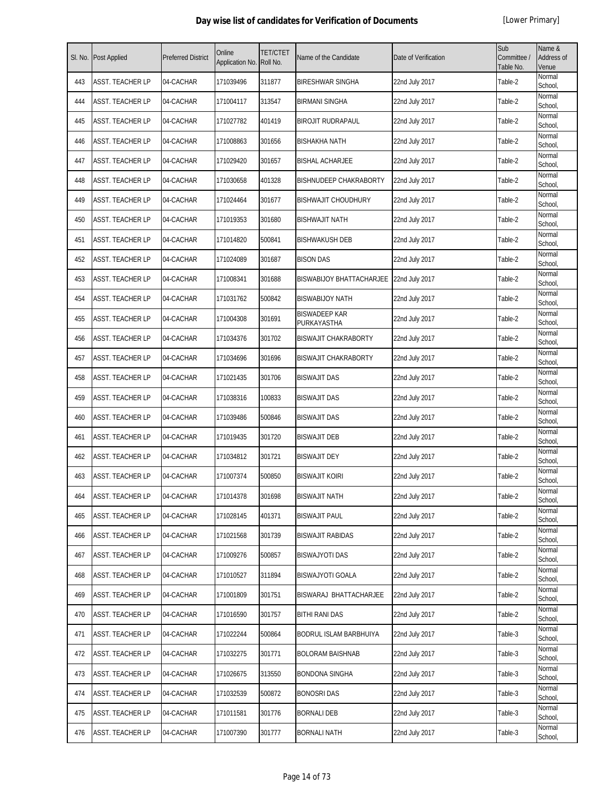| SI. No. | Post Applied     | <b>Preferred District</b> | Online<br>Application No. | <b>TET/CTET</b><br>Roll No. | Name of the Candidate               | Date of Verification | Sub<br>Committee /<br>Table No. | Name &<br>Address of<br>Venue |
|---------|------------------|---------------------------|---------------------------|-----------------------------|-------------------------------------|----------------------|---------------------------------|-------------------------------|
| 443     | ASST. TEACHER LP | 04-CACHAR                 | 171039496                 | 311877                      | <b>BIRESHWAR SINGHA</b>             | 22nd July 2017       | Table-2                         | Normal<br>School,             |
| 444     | ASST. TEACHER LP | 04-CACHAR                 | 171004117                 | 313547                      | <b>BIRMANI SINGHA</b>               | 22nd July 2017       | Table-2                         | Normal<br>School,             |
| 445     | ASST. TEACHER LP | 04-CACHAR                 | 171027782                 | 401419                      | <b>BIROJIT RUDRAPAUL</b>            | 22nd July 2017       | Table-2                         | Normal<br>School,             |
| 446     | ASST. TEACHER LP | 04-CACHAR                 | 171008863                 | 301656                      | <b>BISHAKHA NATH</b>                | 22nd July 2017       | Table-2                         | Normal<br>School,             |
| 447     | ASST. TEACHER LP | 04-CACHAR                 | 171029420                 | 301657                      | <b>BISHAL ACHARJEE</b>              | 22nd July 2017       | Table-2                         | Normal<br>School,             |
| 448     | ASST. TEACHER LP | 04-CACHAR                 | 171030658                 | 401328                      | <b>BISHNUDEEP CHAKRABORTY</b>       | 22nd July 2017       | Table-2                         | Normal<br>School,             |
| 449     | ASST. TEACHER LP | 04-CACHAR                 | 171024464                 | 301677                      | <b>BISHWAJIT CHOUDHURY</b>          | 22nd July 2017       | Table-2                         | Normal<br>School,             |
| 450     | ASST. TEACHER LP | 04-CACHAR                 | 171019353                 | 301680                      | <b>BISHWAJIT NATH</b>               | 22nd July 2017       | Table-2                         | Normal<br>School,             |
| 451     | ASST. TEACHER LP | 04-CACHAR                 | 171014820                 | 500841                      | <b>BISHWAKUSH DEB</b>               | 22nd July 2017       | Table-2                         | Normal<br>School,             |
| 452     | ASST. TEACHER LP | 04-CACHAR                 | 171024089                 | 301687                      | <b>BISON DAS</b>                    | 22nd July 2017       | Table-2                         | Normal<br>School,             |
| 453     | ASST. TEACHER LP | 04-CACHAR                 | 171008341                 | 301688                      | <b>BISWABIJOY BHATTACHARJEE</b>     | 22nd July 2017       | Table-2                         | Normal<br>School,             |
| 454     | ASST. TEACHER LP | 04-CACHAR                 | 171031762                 | 500842                      | <b>BISWABIJOY NATH</b>              | 22nd July 2017       | Table-2                         | Normal<br>School,             |
| 455     | ASST. TEACHER LP | 04-CACHAR                 | 171004308                 | 301691                      | <b>BISWADEEP KAR</b><br>PURKAYASTHA | 22nd July 2017       | Table-2                         | Normal<br>School.             |
| 456     | ASST. TEACHER LP | 04-CACHAR                 | 171034376                 | 301702                      | <b>BISWAJIT CHAKRABORTY</b>         | 22nd July 2017       | Table-2                         | Normal<br>School,             |
| 457     | ASST. TEACHER LP | 04-CACHAR                 | 171034696                 | 301696                      | <b>BISWAJIT CHAKRABORTY</b>         | 22nd July 2017       | Table-2                         | Normal<br>School,             |
| 458     | ASST. TEACHER LP | 04-CACHAR                 | 171021435                 | 301706                      | <b>BISWAJIT DAS</b>                 | 22nd July 2017       | Table-2                         | Normal<br>School,             |
| 459     | ASST. TEACHER LP | 04-CACHAR                 | 171038316                 | 100833                      | <b>BISWAJIT DAS</b>                 | 22nd July 2017       | Table-2                         | Normal<br>School,             |
| 460     | ASST. TEACHER LP | 04-CACHAR                 | 171039486                 | 500846                      | <b>BISWAJIT DAS</b>                 | 22nd July 2017       | Table-2                         | Normal<br>School,             |
| 461     | ASST. TEACHER LP | 04-CACHAR                 | 171019435                 | 301720                      | <b>BISWAJIT DEB</b>                 | 22nd July 2017       | Table-2                         | Normal<br>School,             |
| 462     | ASST. TEACHER LP | 04-CACHAR                 | 171034812                 | 301721                      | <b>BISWAJIT DEY</b>                 | 22nd July 2017       | Table-2                         | Normal<br>School,             |
| 463     | ASST. TEACHER LP | 04-CACHAR                 | 171007374                 | 500850                      | <b>BISWAJIT KOIRI</b>               | 22nd July 2017       | Table-2                         | Normal<br>School,             |
| 464     | ASST. TEACHER LP | 04-CACHAR                 | 171014378                 | 301698                      | <b>BISWAJIT NATH</b>                | 22nd July 2017       | Table-2                         | Normal<br>School,             |
| 465     | ASST. TEACHER LP | 04-CACHAR                 | 171028145                 | 401371                      | <b>BISWAJIT PAUL</b>                | 22nd July 2017       | Table-2                         | Normal<br>School,             |
| 466     | ASST. TEACHER LP | 04-CACHAR                 | 171021568                 | 301739                      | <b>BISWAJIT RABIDAS</b>             | 22nd July 2017       | Table-2                         | Normal<br>School,             |
| 467     | ASST. TEACHER LP | 04-CACHAR                 | 171009276                 | 500857                      | <b>BISWAJYOTI DAS</b>               | 22nd July 2017       | Table-2                         | Normal<br>School,             |
| 468     | ASST. TEACHER LP | 04-CACHAR                 | 171010527                 | 311894                      | <b>BISWAJYOTI GOALA</b>             | 22nd July 2017       | Table-2                         | Normal<br>School,             |
| 469     | ASST. TEACHER LP | 04-CACHAR                 | 171001809                 | 301751                      | BISWARAJ BHATTACHARJEE              | 22nd July 2017       | Table-2                         | Normal<br>School,             |
| 470     | ASST. TEACHER LP | 04-CACHAR                 | 171016590                 | 301757                      | <b>BITHI RANI DAS</b>               | 22nd July 2017       | Table-2                         | Normal<br>School,             |
| 471     | ASST. TEACHER LP | 04-CACHAR                 | 171022244                 | 500864                      | BODRUL ISLAM BARBHUIYA              | 22nd July 2017       | Table-3                         | Normal<br>School,             |
| 472     | ASST. TEACHER LP | 04-CACHAR                 | 171032275                 | 301771                      | <b>BOLORAM BAISHNAB</b>             | 22nd July 2017       | Table-3                         | Normal<br>School,             |
| 473     | ASST. TEACHER LP | 04-CACHAR                 | 171026675                 | 313550                      | <b>BONDONA SINGHA</b>               | 22nd July 2017       | Table-3                         | Normal<br>School,             |
| 474     | ASST. TEACHER LP | 04-CACHAR                 | 171032539                 | 500872                      | <b>BONOSRI DAS</b>                  | 22nd July 2017       | Table-3                         | Normal<br>School,             |
| 475     | ASST. TEACHER LP | 04-CACHAR                 | 171011581                 | 301776                      | <b>BORNALI DEB</b>                  | 22nd July 2017       | Table-3                         | Normal<br>School,             |
| 476     | ASST. TEACHER LP | 04-CACHAR                 | 171007390                 | 301777                      | <b>BORNALI NATH</b>                 | 22nd July 2017       | Table-3                         | Normal<br>School,             |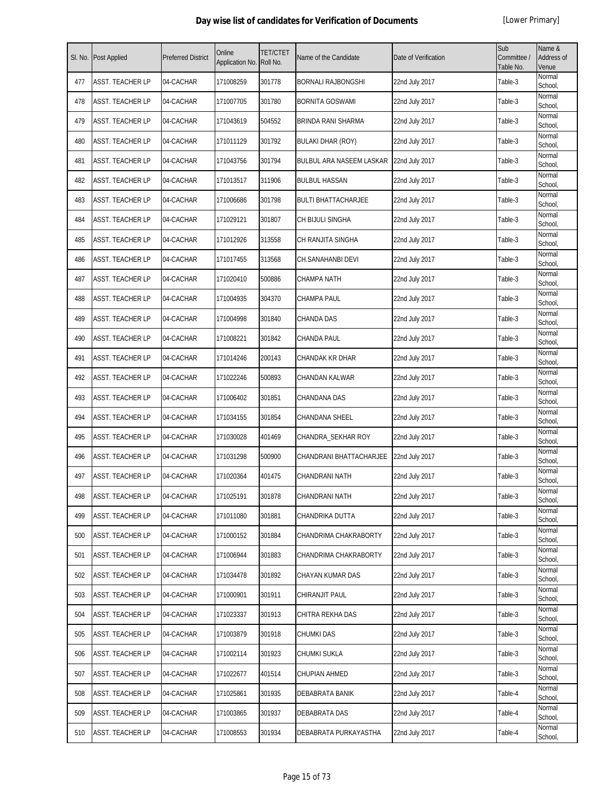| SI. No. | Post Applied            | <b>Preferred District</b> | Online<br>Application No. | <b>TET/CTET</b><br>Roll No. | Name of the Candidate           | Date of Verification | Sub<br>Committee /<br>Table No. | Name &<br>Address of<br>Venue |
|---------|-------------------------|---------------------------|---------------------------|-----------------------------|---------------------------------|----------------------|---------------------------------|-------------------------------|
| 477     | ASST. TEACHER LP        | 04-CACHAR                 | 171008259                 | 301778                      | BORNALI RAJBONGSHI              | 22nd July 2017       | Table-3                         | Normal<br>School,             |
| 478     | ASST. TEACHER LP        | 04-CACHAR                 | 171007705                 | 301780                      | <b>BORNITA GOSWAMI</b>          | 22nd July 2017       | Table-3                         | Normal<br>School,             |
| 479     | ASST. TEACHER LP        | 04-CACHAR                 | 171043619                 | 504552                      | BRINDA RANI SHARMA              | 22nd July 2017       | Table-3                         | Normal<br>School,             |
| 480     | ASST. TEACHER LP        | 04-CACHAR                 | 171011129                 | 301792                      | <b>BULAKI DHAR (ROY)</b>        | 22nd July 2017       | Table-3                         | Normal<br>School,             |
| 481     | ASST. TEACHER LP        | 04-CACHAR                 | 171043756                 | 301794                      | <b>BULBUL ARA NASEEM LASKAR</b> | 22nd July 2017       | Table-3                         | Normal<br>School,             |
| 482     | ASST. TEACHER LP        | 04-CACHAR                 | 171013517                 | 311906                      | <b>BULBUL HASSAN</b>            | 22nd July 2017       | Table-3                         | Normal<br>School,             |
| 483     | ASST. TEACHER LP        | 04-CACHAR                 | 171006686                 | 301798                      | <b>BULTI BHATTACHARJEE</b>      | 22nd July 2017       | Table-3                         | Normal<br>School,             |
| 484     | ASST. TEACHER LP        | 04-CACHAR                 | 171029121                 | 301807                      | CH BIJULI SINGHA                | 22nd July 2017       | Table-3                         | Normal<br>School,             |
| 485     | ASST. TEACHER LP        | 04-CACHAR                 | 171012926                 | 313558                      | CH RANJITA SINGHA               | 22nd July 2017       | Table-3                         | Normal<br>School,             |
| 486     | ASST. TEACHER LP        | 04-CACHAR                 | 171017455                 | 313568                      | CH.SANAHANBI DEVI               | 22nd July 2017       | Table-3                         | Normal<br>School,             |
| 487     | ASST. TEACHER LP        | 04-CACHAR                 | 171020410                 | 500886                      | CHAMPA NATH                     | 22nd July 2017       | Table-3                         | Normal<br>School,             |
| 488     | ASST. TEACHER LP        | 04-CACHAR                 | 171004935                 | 304370                      | CHAMPA PAUL                     | 22nd July 2017       | Table-3                         | Normal<br>School,             |
| 489     | ASST. TEACHER LP        | 04-CACHAR                 | 171004998                 | 301840                      | CHANDA DAS                      | 22nd July 2017       | Table-3                         | Normal<br>School,             |
| 490     | ASST. TEACHER LP        | 04-CACHAR                 | 171008221                 | 301842                      | CHANDA PAUL                     | 22nd July 2017       | Table-3                         | Normal<br>School,             |
| 491     | ASST. TEACHER LP        | 04-CACHAR                 | 171014246                 | 200143                      | CHANDAK KR DHAR                 | 22nd July 2017       | Table-3                         | Normal<br>School,             |
| 492     | ASST. TEACHER LP        | 04-CACHAR                 | 171022246                 | 500893                      | CHANDAN KALWAR                  | 22nd July 2017       | Table-3                         | Normal<br>School,             |
| 493     | ASST. TEACHER LP        | 04-CACHAR                 | 171006402                 | 301851                      | CHANDANA DAS                    | 22nd July 2017       | Table-3                         | Normal<br>School,             |
| 494     | ASST. TEACHER LP        | 04-CACHAR                 | 171034155                 | 301854                      | CHANDANA SHEEL                  | 22nd July 2017       | Table-3                         | Normal<br>School,             |
| 495     | ASST. TEACHER LP        | 04-CACHAR                 | 171030028                 | 401469                      | CHANDRA_SEKHAR ROY              | 22nd July 2017       | Table-3                         | Normal<br>School,             |
| 496     | ASST. TEACHER LP        | 04-CACHAR                 | 171031298                 | 500900                      | CHANDRANI BHATTACHARJEE         | 22nd July 2017       | Table-3                         | Normal<br>School,             |
| 497     | ASST. TEACHER LP        | 04-CACHAR                 | 171020364                 | 401475                      | CHANDRANI NATH                  | 22nd July 2017       | Table-3                         | Normal<br>School,             |
| 498     | <b>ASST. TEACHER LP</b> | 04-CACHAR                 | 171025191                 | 301878                      | CHANDRANI NATH                  | 22nd July 2017       | Table-3                         | Normal<br>School,             |
| 499     | ASST. TEACHER LP        | 04-CACHAR                 | 171011080                 | 301881                      | CHANDRIKA DUTTA                 | 22nd July 2017       | Table-3                         | Normal<br>School,             |
| 500     | ASST. TEACHER LP        | 04-CACHAR                 | 171000152                 | 301884                      | CHANDRIMA CHAKRABORTY           | 22nd July 2017       | Table-3                         | Normal<br>School.             |
| 501     | ASST. TEACHER LP        | 04-CACHAR                 | 171006944                 | 301883                      | CHANDRIMA CHAKRABORTY           | 22nd July 2017       | Table-3                         | Normal<br>School,             |
| 502     | ASST. TEACHER LP        | 04-CACHAR                 | 171034478                 | 301892                      | CHAYAN KUMAR DAS                | 22nd July 2017       | Table-3                         | Normal<br>School,             |
| 503     | ASST. TEACHER LP        | 04-CACHAR                 | 171000901                 | 301911                      | CHIRANJIT PAUL                  | 22nd July 2017       | Table-3                         | Normal<br>School,             |
| 504     | ASST. TEACHER LP        | 04-CACHAR                 | 171023337                 | 301913                      | CHITRA REKHA DAS                | 22nd July 2017       | Table-3                         | Normal<br>School,             |
| 505     | ASST. TEACHER LP        | 04-CACHAR                 | 171003879                 | 301918                      | CHUMKI DAS                      | 22nd July 2017       | Table-3                         | Normal<br>School,             |
| 506     | ASST. TEACHER LP        | 04-CACHAR                 | 171002114                 | 301923                      | CHUMKI SUKLA                    | 22nd July 2017       | Table-3                         | Normal<br>School,             |
| 507     | ASST. TEACHER LP        | 04-CACHAR                 | 171022677                 | 401514                      | CHUPIAN AHMED                   | 22nd July 2017       | Table-3                         | Normal<br>School,             |
| 508     | ASST. TEACHER LP        | 04-CACHAR                 | 171025861                 | 301935                      | DEBABRATA BANIK                 | 22nd July 2017       | Table-4                         | Normal<br>School,             |
| 509     | ASST. TEACHER LP        | 04-CACHAR                 | 171003865                 | 301937                      | DEBABRATA DAS                   | 22nd July 2017       | Table-4                         | Normal<br>School,             |
| 510     | ASST. TEACHER LP        | 04-CACHAR                 | 171008553                 | 301934                      | DEBABRATA PURKAYASTHA           | 22nd July 2017       | Table-4                         | Normal<br>School,             |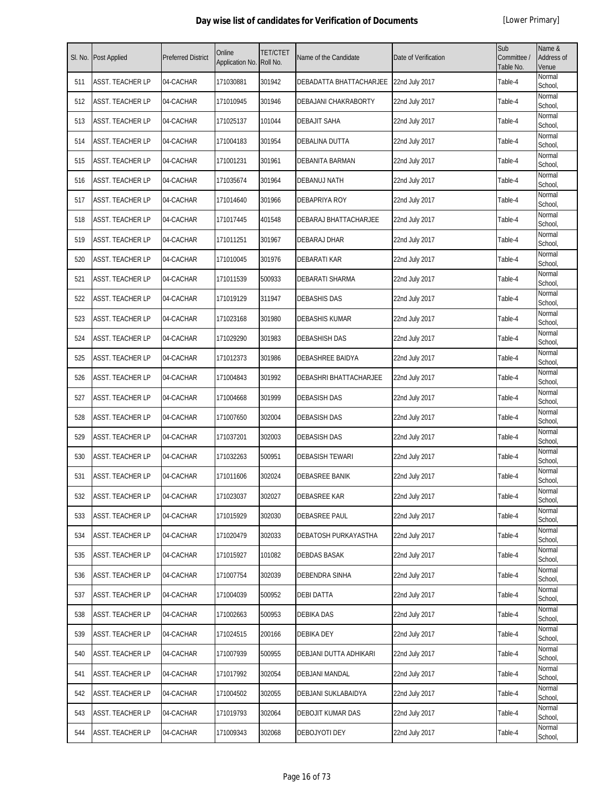| SI. No. | Post Applied            | <b>Preferred District</b> | Online<br>Application No. | <b>TET/CTET</b><br>Roll No. | Name of the Candidate   | Date of Verification | Sub<br>Committee /<br>Table No. | Name &<br>Address of<br>Venue |
|---------|-------------------------|---------------------------|---------------------------|-----------------------------|-------------------------|----------------------|---------------------------------|-------------------------------|
| 511     | <b>ASST. TEACHER LP</b> | 04-CACHAR                 | 171030881                 | 301942                      | DEBADATTA BHATTACHARJEE | 22nd July 2017       | Table-4                         | Normal<br>School,             |
| 512     | ASST. TEACHER LP        | 04-CACHAR                 | 171010945                 | 301946                      | DEBAJANI CHAKRABORTY    | 22nd July 2017       | Table-4                         | Normal<br>School,             |
| 513     | ASST. TEACHER LP        | 04-CACHAR                 | 171025137                 | 101044                      | <b>DEBAJIT SAHA</b>     | 22nd July 2017       | Table-4                         | Normal<br>School,             |
| 514     | ASST. TEACHER LP        | 04-CACHAR                 | 171004183                 | 301954                      | DEBALINA DUTTA          | 22nd July 2017       | Table-4                         | Normal<br>School,             |
| 515     | ASST. TEACHER LP        | 04-CACHAR                 | 171001231                 | 301961                      | DEBANITA BARMAN         | 22nd July 2017       | Table-4                         | Normal<br>School,             |
| 516     | ASST. TEACHER LP        | 04-CACHAR                 | 171035674                 | 301964                      | DEBANUJ NATH            | 22nd July 2017       | Table-4                         | Normal<br>School,             |
| 517     | ASST. TEACHER LP        | 04-CACHAR                 | 171014640                 | 301966                      | DEBAPRIYA ROY           | 22nd July 2017       | Table-4                         | Normal<br>School,             |
| 518     | ASST. TEACHER LP        | 04-CACHAR                 | 171017445                 | 401548                      | DEBARAJ BHATTACHARJEE   | 22nd July 2017       | Table-4                         | Normal<br>School,             |
| 519     | ASST. TEACHER LP        | 04-CACHAR                 | 171011251                 | 301967                      | DEBARAJ DHAR            | 22nd July 2017       | Table-4                         | Normal<br>School,             |
| 520     | ASST. TEACHER LP        | 04-CACHAR                 | 171010045                 | 301976                      | <b>DEBARATI KAR</b>     | 22nd July 2017       | Table-4                         | Normal<br>School,             |
| 521     | ASST. TEACHER LP        | 04-CACHAR                 | 171011539                 | 500933                      | DEBARATI SHARMA         | 22nd July 2017       | Table-4                         | Normal<br>School,             |
| 522     | ASST. TEACHER LP        | 04-CACHAR                 | 171019129                 | 311947                      | <b>DEBASHIS DAS</b>     | 22nd July 2017       | Table-4                         | Normal<br>School,             |
| 523     | ASST. TEACHER LP        | 04-CACHAR                 | 171023168                 | 301980                      | <b>DEBASHIS KUMAR</b>   | 22nd July 2017       | Table-4                         | Normal<br>School,             |
| 524     | ASST. TEACHER LP        | 04-CACHAR                 | 171029290                 | 301983                      | DEBASHISH DAS           | 22nd July 2017       | Table-4                         | Normal<br>School,             |
| 525     | ASST. TEACHER LP        | 04-CACHAR                 | 171012373                 | 301986                      | DEBASHREE BAIDYA        | 22nd July 2017       | Table-4                         | Normal<br>School,             |
| 526     | ASST. TEACHER LP        | 04-CACHAR                 | 171004843                 | 301992                      | DEBASHRI BHATTACHARJEE  | 22nd July 2017       | Table-4                         | Normal<br>School,             |
| 527     | ASST. TEACHER LP        | 04-CACHAR                 | 171004668                 | 301999                      | <b>DEBASISH DAS</b>     | 22nd July 2017       | Table-4                         | Normal<br>School,             |
| 528     | ASST. TEACHER LP        | 04-CACHAR                 | 171007650                 | 302004                      | <b>DEBASISH DAS</b>     | 22nd July 2017       | Table-4                         | Normal<br>School,             |
| 529     | <b>ASST. TEACHER LP</b> | 04-CACHAR                 | 171037201                 | 302003                      | <b>DEBASISH DAS</b>     | 22nd July 2017       | Table-4                         | Normal<br>School,             |
| 530     | ASST. TEACHER LP        | 04-CACHAR                 | 171032263                 | 500951                      | <b>DEBASISH TEWARI</b>  | 22nd July 2017       | Table-4                         | Normal<br>School,             |
| 531     | ASST. TEACHER LP        | 04-CACHAR                 | 171011606                 | 302024                      | DEBASREE BANIK          | 22nd July 2017       | Table-4                         | Normal<br>School,             |
| 532     | ASST. TEACHER LP        | 04-CACHAR                 | 171023037                 | 302027                      | <b>DEBASREE KAR</b>     | 22nd July 2017       | Table-4                         | Normal<br>School,             |
| 533     | ASST. TEACHER LP        | 04-CACHAR                 | 171015929                 | 302030                      | <b>DEBASREE PAUL</b>    | 22nd July 2017       | Table-4                         | Normal<br>School,             |
| 534     | ASST. TEACHER LP        | 04-CACHAR                 | 171020479                 | 302033                      | DEBATOSH PURKAYASTHA    | 22nd July 2017       | Table-4                         | Normal<br>School,             |
| 535     | ASST. TEACHER LP        | 04-CACHAR                 | 171015927                 | 101082                      | DEBDAS BASAK            | 22nd July 2017       | Table-4                         | Normal<br>School,             |
| 536     | ASST. TEACHER LP        | 04-CACHAR                 | 171007754                 | 302039                      | <b>DEBENDRA SINHA</b>   | 22nd July 2017       | Table-4                         | Normal<br>School,             |
| 537     | ASST. TEACHER LP        | 04-CACHAR                 | 171004039                 | 500952                      | <b>DEBI DATTA</b>       | 22nd July 2017       | Table-4                         | Normal<br>School,             |
| 538     | ASST. TEACHER LP        | 04-CACHAR                 | 171002663                 | 500953                      | <b>DEBIKA DAS</b>       | 22nd July 2017       | Table-4                         | Normal<br>School,             |
| 539     | ASST. TEACHER LP        | 04-CACHAR                 | 171024515                 | 200166                      | DEBIKA DEY              | 22nd July 2017       | Table-4                         | Normal<br>School,             |
| 540     | ASST. TEACHER LP        | 04-CACHAR                 | 171007939                 | 500955                      | DEBJANI DUTTA ADHIKARI  | 22nd July 2017       | Table-4                         | Normal<br>School,             |
| 541     | ASST. TEACHER LP        | 04-CACHAR                 | 171017992                 | 302054                      | <b>DEBJANI MANDAL</b>   | 22nd July 2017       | Table-4                         | Normal<br>School,             |
| 542     | ASST. TEACHER LP        | 04-CACHAR                 | 171004502                 | 302055                      | DEBJANI SUKLABAIDYA     | 22nd July 2017       | Table-4                         | Normal<br>School,             |
| 543     | ASST. TEACHER LP        | 04-CACHAR                 | 171019793                 | 302064                      | DEBOJIT KUMAR DAS       | 22nd July 2017       | Table-4                         | Normal<br>School,             |
| 544     | ASST. TEACHER LP        | 04-CACHAR                 | 171009343                 | 302068                      | DEBOJYOTI DEY           | 22nd July 2017       | Table-4                         | Normal<br>School,             |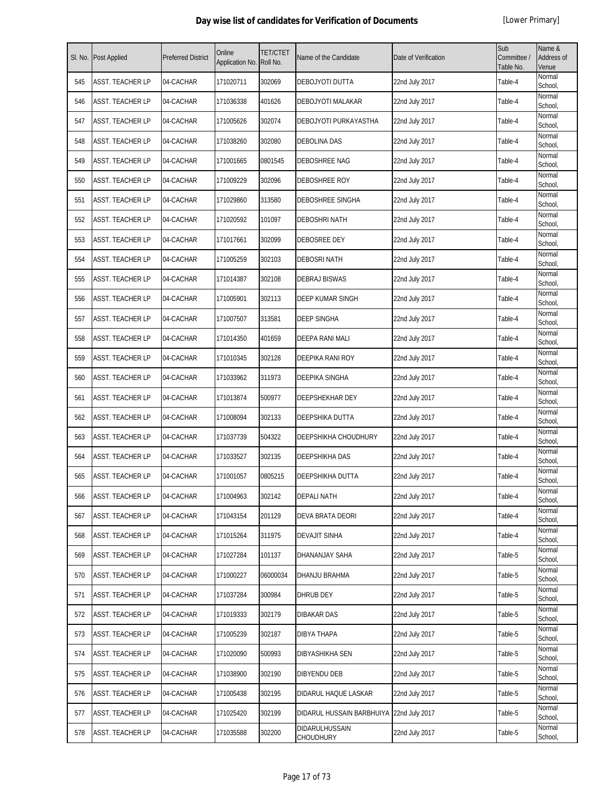| SI. No. | Post Applied     | <b>Preferred District</b> | Online<br>Application No. | <b>TET/CTET</b><br>Roll No. | Name of the Candidate                    | Date of Verification | Sub<br>Committee /<br>Table No. | Name &<br>Address of<br>Venue |
|---------|------------------|---------------------------|---------------------------|-----------------------------|------------------------------------------|----------------------|---------------------------------|-------------------------------|
| 545     | ASST. TEACHER LP | 04-CACHAR                 | 171020711                 | 302069                      | DEBOJYOTI DUTTA                          | 22nd July 2017       | Table-4                         | Normal<br>School,             |
| 546     | ASST. TEACHER LP | 04-CACHAR                 | 171036338                 | 401626                      | DEBOJYOTI MALAKAR                        | 22nd July 2017       | Table-4                         | Normal<br>School,             |
| 547     | ASST. TEACHER LP | 04-CACHAR                 | 171005626                 | 302074                      | DEBOJYOTI PURKAYASTHA                    | 22nd July 2017       | Table-4                         | Normal<br>School,             |
| 548     | ASST. TEACHER LP | 04-CACHAR                 | 171038260                 | 302080                      | <b>DEBOLINA DAS</b>                      | 22nd July 2017       | Table-4                         | Normal<br>School,             |
| 549     | ASST. TEACHER LP | 04-CACHAR                 | 171001665                 | 0801545                     | DEBOSHREE NAG                            | 22nd July 2017       | Table-4                         | Normal<br>School,             |
| 550     | ASST. TEACHER LP | 04-CACHAR                 | 171009229                 | 302096                      | DEBOSHREE ROY                            | 22nd July 2017       | Table-4                         | Normal<br>School,             |
| 551     | ASST. TEACHER LP | 04-CACHAR                 | 171029860                 | 313580                      | DEBOSHREE SINGHA                         | 22nd July 2017       | Table-4                         | Normal<br>School,             |
| 552     | ASST. TEACHER LP | 04-CACHAR                 | 171020592                 | 101097                      | <b>DEBOSHRI NATH</b>                     | 22nd July 2017       | Table-4                         | Normal<br>School,             |
| 553     | ASST. TEACHER LP | 04-CACHAR                 | 171017661                 | 302099                      | <b>DEBOSREE DEY</b>                      | 22nd July 2017       | Table-4                         | Normal<br>School,             |
| 554     | ASST. TEACHER LP | 04-CACHAR                 | 171005259                 | 302103                      | <b>DEBOSRI NATH</b>                      | 22nd July 2017       | Table-4                         | Normal<br>School,             |
| 555     | ASST. TEACHER LP | 04-CACHAR                 | 171014387                 | 302108                      | <b>DEBRAJ BISWAS</b>                     | 22nd July 2017       | Table-4                         | Normal<br>School,             |
| 556     | ASST. TEACHER LP | 04-CACHAR                 | 171005901                 | 302113                      | <b>DEEP KUMAR SINGH</b>                  | 22nd July 2017       | Table-4                         | Normal<br>School,             |
| 557     | ASST. TEACHER LP | 04-CACHAR                 | 171007507                 | 313581                      | <b>DEEP SINGHA</b>                       | 22nd July 2017       | Table-4                         | Normal<br>School,             |
| 558     | ASST. TEACHER LP | 04-CACHAR                 | 171014350                 | 401659                      | DEEPA RANI MALI                          | 22nd July 2017       | Table-4                         | Normal<br>School,             |
| 559     | ASST. TEACHER LP | 04-CACHAR                 | 171010345                 | 302128                      | DEEPIKA RANI ROY                         | 22nd July 2017       | Table-4                         | Normal<br>School,             |
| 560     | ASST. TEACHER LP | 04-CACHAR                 | 171033962                 | 311973                      | <b>DEEPIKA SINGHA</b>                    | 22nd July 2017       | Table-4                         | Normal<br>School,             |
| 561     | ASST. TEACHER LP | 04-CACHAR                 | 171013874                 | 500977                      | DEEPSHEKHAR DEY                          | 22nd July 2017       | Table-4                         | Normal<br>School,             |
| 562     | ASST. TEACHER LP | 04-CACHAR                 | 171008094                 | 302133                      | DEEPSHIKA DUTTA                          | 22nd July 2017       | Table-4                         | Normal<br>School,             |
| 563     | ASST. TEACHER LP | 04-CACHAR                 | 171037739                 | 504322                      | DEEPSHIKHA CHOUDHURY                     | 22nd July 2017       | Table-4                         | Normal<br>School,             |
| 564     | ASST. TEACHER LP | 04-CACHAR                 | 171033527                 | 302135                      | <b>DEEPSHIKHA DAS</b>                    | 22nd July 2017       | Table-4                         | Normal<br>School,             |
| 565     | ASST. TEACHER LP | 04-CACHAR                 | 171001057                 | 0805215                     | DEEPSHIKHA DUTTA                         | 22nd July 2017       | Table-4                         | Normal<br>School,             |
| 566     | ASST. TEACHER LP | 04-CACHAR                 | 171004963                 | 302142                      | <b>DEPALI NATH</b>                       | 22nd July 2017       | Table-4                         | Normal<br>School,             |
| 567     | ASST. TEACHER LP | 04-CACHAR                 | 171043154                 | 201129                      | <b>DEVA BRATA DEORI</b>                  | 22nd July 2017       | Table-4                         | Normal<br>School,             |
| 568     | ASST. TEACHER LP | 04-CACHAR                 | 171015264                 | 311975                      | <b>DEVAJIT SINHA</b>                     | 22nd July 2017       | Table-4                         | Normal<br>School,             |
| 569     | ASST. TEACHER LP | 04-CACHAR                 | 171027284                 | 101137                      | DHANANJAY SAHA                           | 22nd July 2017       | Table-5                         | Normal<br>School,             |
| 570     | ASST. TEACHER LP | 04-CACHAR                 | 171000227                 | 06000034                    | DHANJU BRAHMA                            | 22nd July 2017       | Table-5                         | Normal<br>School,             |
| 571     | ASST. TEACHER LP | 04-CACHAR                 | 171037284                 | 300984                      | <b>DHRUB DEY</b>                         | 22nd July 2017       | Table-5                         | Normal<br>School,             |
| 572     | ASST. TEACHER LP | 04-CACHAR                 | 171019333                 | 302179                      | <b>DIBAKAR DAS</b>                       | 22nd July 2017       | Table-5                         | Normal<br>School,             |
| 573     | ASST. TEACHER LP | 04-CACHAR                 | 171005239                 | 302187                      | DIBYA THAPA                              | 22nd July 2017       | Table-5                         | Normal<br>School,             |
| 574     | ASST. TEACHER LP | 04-CACHAR                 | 171020090                 | 500993                      | DIBYASHIKHA SEN                          | 22nd July 2017       | Table-5                         | Normal<br>School,             |
| 575     | ASST. TEACHER LP | 04-CACHAR                 | 171038900                 | 302190                      | <b>DIBYENDU DEB</b>                      | 22nd July 2017       | Table-5                         | Normal<br>School,             |
| 576     | ASST. TEACHER LP | 04-CACHAR                 | 171005438                 | 302195                      | DIDARUL HAQUE LASKAR                     | 22nd July 2017       | Table-5                         | Normal<br>School,             |
| 577     | ASST. TEACHER LP | 04-CACHAR                 | 171025420                 | 302199                      | DIDARUL HUSSAIN BARBHUIYA 22nd July 2017 |                      | Table-5                         | Normal<br>School,             |
| 578     | ASST. TEACHER LP | 04-CACHAR                 | 171035588                 | 302200                      | DIDARULHUSSAIN<br>CHOUDHURY              | 22nd July 2017       | Table-5                         | Normal<br>School,             |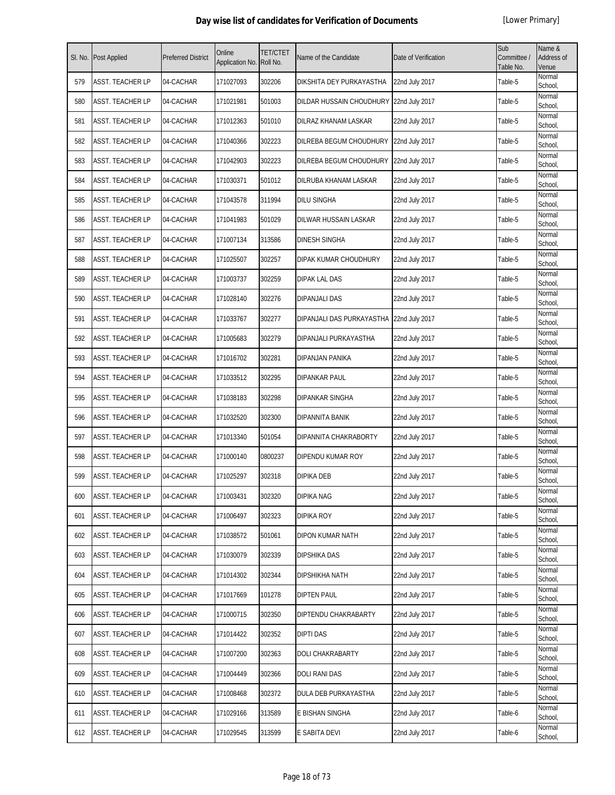| SI. No. | Post Applied            | <b>Preferred District</b> | Online<br>Application No. | <b>TET/CTET</b><br>Roll No. | Name of the Candidate                    | Date of Verification | Sub<br>Committee /<br>Table No. | Name &<br>Address of<br>Venue |
|---------|-------------------------|---------------------------|---------------------------|-----------------------------|------------------------------------------|----------------------|---------------------------------|-------------------------------|
| 579     | ASST. TEACHER LP        | 04-CACHAR                 | 171027093                 | 302206                      | DIKSHITA DEY PURKAYASTHA                 | 22nd July 2017       | Table-5                         | Normal<br>School,             |
| 580     | ASST. TEACHER LP        | 04-CACHAR                 | 171021981                 | 501003                      | DILDAR HUSSAIN CHOUDHURY 22nd July 2017  |                      | Table-5                         | Normal<br>School,             |
| 581     | ASST. TEACHER LP        | 04-CACHAR                 | 171012363                 | 501010                      | DILRAZ KHANAM LASKAR                     | 22nd July 2017       | Table-5                         | Normal<br>School,             |
| 582     | <b>ASST. TEACHER LP</b> | 04-CACHAR                 | 171040366                 | 302223                      | DILREBA BEGUM CHOUDHURY                  | 22nd July 2017       | Table-5                         | Normal<br>School,             |
| 583     | ASST. TEACHER LP        | 04-CACHAR                 | 171042903                 | 302223                      | DILREBA BEGUM CHOUDHURY                  | 22nd July 2017       | Table-5                         | Normal<br>School,             |
| 584     | ASST. TEACHER LP        | 04-CACHAR                 | 171030371                 | 501012                      | DILRUBA KHANAM LASKAR                    | 22nd July 2017       | Table-5                         | Normal<br>School,             |
| 585     | ASST. TEACHER LP        | 04-CACHAR                 | 171043578                 | 311994                      | DILU SINGHA                              | 22nd July 2017       | Table-5                         | Normal<br>School,             |
| 586     | ASST. TEACHER LP        | 04-CACHAR                 | 171041983                 | 501029                      | DILWAR HUSSAIN LASKAR                    | 22nd July 2017       | Table-5                         | Normal<br>School,             |
| 587     | ASST. TEACHER LP        | 04-CACHAR                 | 171007134                 | 313586                      | <b>DINESH SINGHA</b>                     | 22nd July 2017       | Table-5                         | Normal<br>School,             |
| 588     | ASST. TEACHER LP        | 04-CACHAR                 | 171025507                 | 302257                      | DIPAK KUMAR CHOUDHURY                    | 22nd July 2017       | Table-5                         | Normal<br>School,             |
| 589     | ASST. TEACHER LP        | 04-CACHAR                 | 171003737                 | 302259                      | DIPAK LAL DAS                            | 22nd July 2017       | Table-5                         | Normal<br>School,             |
| 590     | ASST. TEACHER LP        | 04-CACHAR                 | 171028140                 | 302276                      | DIPANJALI DAS                            | 22nd July 2017       | Table-5                         | Normal<br>School,             |
| 591     | ASST. TEACHER LP        | 04-CACHAR                 | 171033767                 | 302277                      | DIPANJALI DAS PURKAYASTHA 22nd July 2017 |                      | Table-5                         | Normal<br>School,             |
| 592     | ASST. TEACHER LP        | 04-CACHAR                 | 171005683                 | 302279                      | DIPANJALI PURKAYASTHA                    | 22nd July 2017       | Table-5                         | Normal<br>School,             |
| 593     | ASST. TEACHER LP        | 04-CACHAR                 | 171016702                 | 302281                      | DIPANJAN PANIKA                          | 22nd July 2017       | Table-5                         | Normal<br>School,             |
| 594     | ASST. TEACHER LP        | 04-CACHAR                 | 171033512                 | 302295                      | DIPANKAR PAUL                            | 22nd July 2017       | Table-5                         | Normal<br>School,             |
| 595     | ASST. TEACHER LP        | 04-CACHAR                 | 171038183                 | 302298                      | DIPANKAR SINGHA                          | 22nd July 2017       | Table-5                         | Normal<br>School,             |
| 596     | ASST. TEACHER LP        | 04-CACHAR                 | 171032520                 | 302300                      | DIPANNITA BANIK                          | 22nd July 2017       | Table-5                         | Normal<br>School,             |
| 597     | ASST. TEACHER LP        | 04-CACHAR                 | 171013340                 | 501054                      | DIPANNITA CHAKRABORTY                    | 22nd July 2017       | Table-5                         | Normal<br>School,             |
| 598     | ASST. TEACHER LP        | 04-CACHAR                 | 171000140                 | 0800237                     | DIPENDU KUMAR ROY                        | 22nd July 2017       | Table-5                         | Normal<br>School,             |
| 599     | ASST. TEACHER LP        | 04-CACHAR                 | 171025297                 | 302318                      | DIPIKA DEB                               | 22nd July 2017       | Table-5                         | Normal<br>School,             |
| 600     | <b>ASST. TEACHER LP</b> | 04-CACHAR                 | 171003431                 | 302320                      | <b>DIPIKA NAG</b>                        | 22nd July 2017       | Table-5                         | Normal<br>School,             |
| 601     | ASST. TEACHER LP        | 04-CACHAR                 | 171006497                 | 302323                      | <b>DIPIKA ROY</b>                        | 22nd July 2017       | Table-5                         | Normal<br>School,             |
| 602     | ASST. TEACHER LP        | 04-CACHAR                 | 171038572                 | 501061                      | DIPON KUMAR NATH                         | 22nd July 2017       | Table-5                         | Normal<br>School.             |
| 603     | ASST. TEACHER LP        | 04-CACHAR                 | 171030079                 | 302339                      | DIPSHIKA DAS                             | 22nd July 2017       | Table-5                         | Normal<br>School,             |
| 604     | ASST. TEACHER LP        | 04-CACHAR                 | 171014302                 | 302344                      | DIPSHIKHA NATH                           | 22nd July 2017       | Table-5                         | Normal<br>School,             |
| 605     | ASST. TEACHER LP        | 04-CACHAR                 | 171017669                 | 101278                      | <b>DIPTEN PAUL</b>                       | 22nd July 2017       | Table-5                         | Normal<br>School,             |
| 606     | ASST. TEACHER LP        | 04-CACHAR                 | 171000715                 | 302350                      | DIPTENDU CHAKRABARTY                     | 22nd July 2017       | Table-5                         | Normal<br>School,             |
| 607     | ASST. TEACHER LP        | 04-CACHAR                 | 171014422                 | 302352                      | <b>DIPTI DAS</b>                         | 22nd July 2017       | Table-5                         | Normal<br>School,             |
| 608     | ASST. TEACHER LP        | 04-CACHAR                 | 171007200                 | 302363                      | DOLI CHAKRABARTY                         | 22nd July 2017       | Table-5                         | Normal<br>School,             |
| 609     | ASST. TEACHER LP        | 04-CACHAR                 | 171004449                 | 302366                      | DOLI RANI DAS                            | 22nd July 2017       | Table-5                         | Normal<br>School,             |
| 610     | ASST. TEACHER LP        | 04-CACHAR                 | 171008468                 | 302372                      | DULA DEB PURKAYASTHA                     | 22nd July 2017       | Table-5                         | Normal<br>School,             |
| 611     | ASST. TEACHER LP        | 04-CACHAR                 | 171029166                 | 313589                      | E BISHAN SINGHA                          | 22nd July 2017       | Table-6                         | Normal<br>School,             |
| 612     | ASST. TEACHER LP        | 04-CACHAR                 | 171029545                 | 313599                      | E SABITA DEVI                            | 22nd July 2017       | Table-6                         | Normal<br>School,             |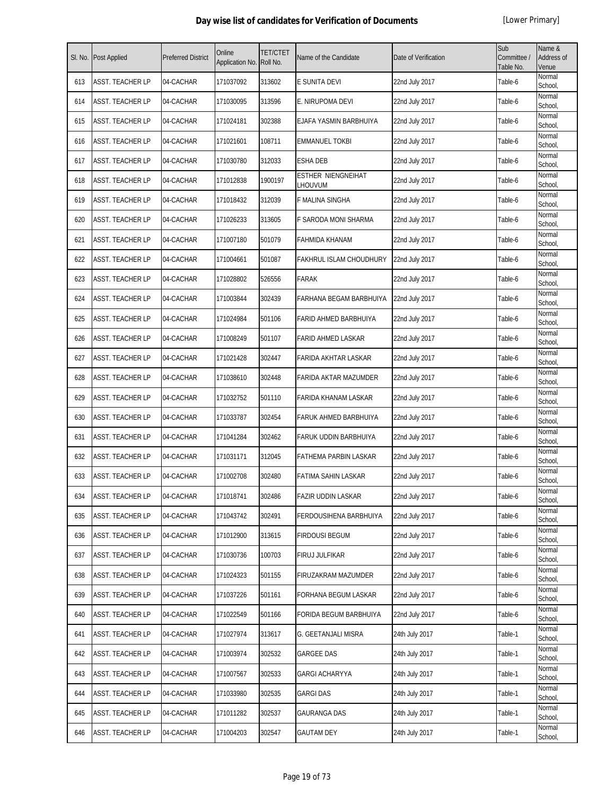| SI. No. | <b>Post Applied</b>     | <b>Preferred District</b> | Online<br>Application No. | TET/CTET<br>Roll No. | Name of the Candidate                | Date of Verification | Sub<br>Committee /<br>Table No. | Name &<br>Address of<br>Venue |
|---------|-------------------------|---------------------------|---------------------------|----------------------|--------------------------------------|----------------------|---------------------------------|-------------------------------|
| 613     | <b>ASST. TEACHER LP</b> | 04-CACHAR                 | 171037092                 | 313602               | E SUNITA DEVI                        | 22nd July 2017       | Table-6                         | Normal<br>School,             |
| 614     | ASST. TEACHER LP        | 04-CACHAR                 | 171030095                 | 313596               | E. NIRUPOMA DEVI                     | 22nd July 2017       | Table-6                         | Normal<br>School,             |
| 615     | <b>ASST. TEACHER LP</b> | 04-CACHAR                 | 171024181                 | 302388               | EJAFA YASMIN BARBHUIYA               | 22nd July 2017       | Table-6                         | Normal<br>School,             |
| 616     | <b>ASST. TEACHER LP</b> | 04-CACHAR                 | 171021601                 | 108711               | <b>EMMANUEL TOKBI</b>                | 22nd July 2017       | Table-6                         | Normal<br>School,             |
| 617     | <b>ASST. TEACHER LP</b> | 04-CACHAR                 | 171030780                 | 312033               | <b>ESHA DEB</b>                      | 22nd July 2017       | Table-6                         | Normal<br>School,             |
| 618     | ASST. TEACHER LP        | 04-CACHAR                 | 171012838                 | 1900197              | <b>ESTHER NIENGNEIHAT</b><br>LHOUVUM | 22nd July 2017       | Table-6                         | Normal<br>School,             |
| 619     | <b>ASST. TEACHER LP</b> | 04-CACHAR                 | 171018432                 | 312039               | F MALINA SINGHA                      | 22nd July 2017       | Table-6                         | Normal<br>School,             |
| 620     | <b>ASST. TEACHER LP</b> | 04-CACHAR                 | 171026233                 | 313605               | F SARODA MONI SHARMA                 | 22nd July 2017       | Table-6                         | Normal<br>School,             |
| 621     | <b>ASST. TEACHER LP</b> | 04-CACHAR                 | 171007180                 | 501079               | <b>FAHMIDA KHANAM</b>                | 22nd July 2017       | Table-6                         | Normal<br>School,             |
| 622     | <b>ASST. TEACHER LP</b> | 04-CACHAR                 | 171004661                 | 501087               | <b>FAKHRUL ISLAM CHOUDHURY</b>       | 22nd July 2017       | Table-6                         | Normal<br>School,             |
| 623     | <b>ASST. TEACHER LP</b> | 04-CACHAR                 | 171028802                 | 526556               | <b>FARAK</b>                         | 22nd July 2017       | Table-6                         | Normal<br>School,             |
| 624     | <b>ASST. TEACHER LP</b> | 04-CACHAR                 | 171003844                 | 302439               | FARHANA BEGAM BARBHUIYA              | 22nd July 2017       | Table-6                         | Normal<br>School,             |
| 625     | ASST. TEACHER LP        | 04-CACHAR                 | 171024984                 | 501106               | FARID AHMED BARBHUIYA                | 22nd July 2017       | Table-6                         | Normal<br>School,             |
| 626     | ASST. TEACHER LP        | 04-CACHAR                 | 171008249                 | 501107               | <b>FARID AHMED LASKAR</b>            | 22nd July 2017       | Table-6                         | Normal<br>School,             |
| 627     | ASST. TEACHER LP        | 04-CACHAR                 | 171021428                 | 302447               | FARIDA AKHTAR LASKAR                 | 22nd July 2017       | Table-6                         | Normal<br>School,             |
| 628     | <b>ASST. TEACHER LP</b> | 04-CACHAR                 | 171038610                 | 302448               | FARIDA AKTAR MAZUMDER                | 22nd July 2017       | Table-6                         | Normal<br>School,             |
| 629     | ASST. TEACHER LP        | 04-CACHAR                 | 171032752                 | 501110               | FARIDA KHANAM LASKAR                 | 22nd July 2017       | Table-6                         | Normal<br>School,             |
| 630     | ASST. TEACHER LP        | 04-CACHAR                 | 171033787                 | 302454               | FARUK AHMED BARBHUIYA                | 22nd July 2017       | Table-6                         | Normal<br>School,             |
| 631     | <b>ASST. TEACHER LP</b> | 04-CACHAR                 | 171041284                 | 302462               | FARUK UDDIN BARBHUIYA                | 22nd July 2017       | Table-6                         | Normal<br>School,             |
| 632     | <b>ASST. TEACHER LP</b> | 04-CACHAR                 | 171031171                 | 312045               | FATHEMA PARBIN LASKAR                | 22nd July 2017       | Table-6                         | Normal<br>School,             |
| 633     | ASST. TEACHER LP        | 04-CACHAR                 | 171002708                 | 302480               | FATIMA SAHIN LASKAR                  | 22nd July 2017       | Table-6                         | Normal<br>School,             |
| 634     | ASST. TEACHER LP        | 04-CACHAR                 | 171018741                 | 302486               | <b>FAZIR UDDIN LASKAR</b>            | 22nd July 2017       | Table-6                         | Normal<br>School,             |
| 635     | <b>ASST. TEACHER LP</b> | 04-CACHAR                 | 171043742                 | 302491               | FERDOUSIHENA BARBHUIYA               | 22nd July 2017       | Table-6                         | Normal<br>School,             |
| 636     | <b>ASST. TEACHER LP</b> | 04-CACHAR                 | 171012900                 | 313615               | <b>FIRDOUSI BEGUM</b>                | 22nd July 2017       | Table-6                         | Normal<br>School,             |
| 637     | <b>ASST. TEACHER LP</b> | 04-CACHAR                 | 171030736                 | 100703               | FIRUJ JULFIKAR                       | 22nd July 2017       | Table-6                         | Normal<br>School,             |
| 638     | <b>ASST. TEACHER LP</b> | 04-CACHAR                 | 171024323                 | 501155               | FIRUZAKRAM MAZUMDER                  | 22nd July 2017       | Table-6                         | Normal<br>School,             |
| 639     | <b>ASST. TEACHER LP</b> | 04-CACHAR                 | 171037226                 | 501161               | FORHANA BEGUM LASKAR                 | 22nd July 2017       | Table-6                         | Normal<br>School,             |
| 640     | <b>ASST. TEACHER LP</b> | 04-CACHAR                 | 171022549                 | 501166               | FORIDA BEGUM BARBHUIYA               | 22nd July 2017       | Table-6                         | Normal<br>School,             |
| 641     | <b>ASST. TEACHER LP</b> | 04-CACHAR                 | 171027974                 | 313617               | G. GEETANJALI MISRA                  | 24th July 2017       | Table-1                         | Normal<br>School,             |
| 642     | <b>ASST. TEACHER LP</b> | 04-CACHAR                 | 171003974                 | 302532               | <b>GARGEE DAS</b>                    | 24th July 2017       | Table-1                         | Normal<br>School,             |
| 643     | ASST. TEACHER LP        | 04-CACHAR                 | 171007567                 | 302533               | GARGI ACHARYYA                       | 24th July 2017       | Table-1                         | Normal<br>School,             |
| 644     | <b>ASST. TEACHER LP</b> | 04-CACHAR                 | 171033980                 | 302535               | <b>GARGI DAS</b>                     | 24th July 2017       | Table-1                         | Normal<br>School,             |
| 645     | <b>ASST. TEACHER LP</b> | 04-CACHAR                 | 171011282                 | 302537               | <b>GAURANGA DAS</b>                  | 24th July 2017       | Table-1                         | Normal<br>School,             |
| 646     | ASST. TEACHER LP        | 04-CACHAR                 | 171004203                 | 302547               | <b>GAUTAM DEY</b>                    | 24th July 2017       | Table-1                         | Normal<br>School,             |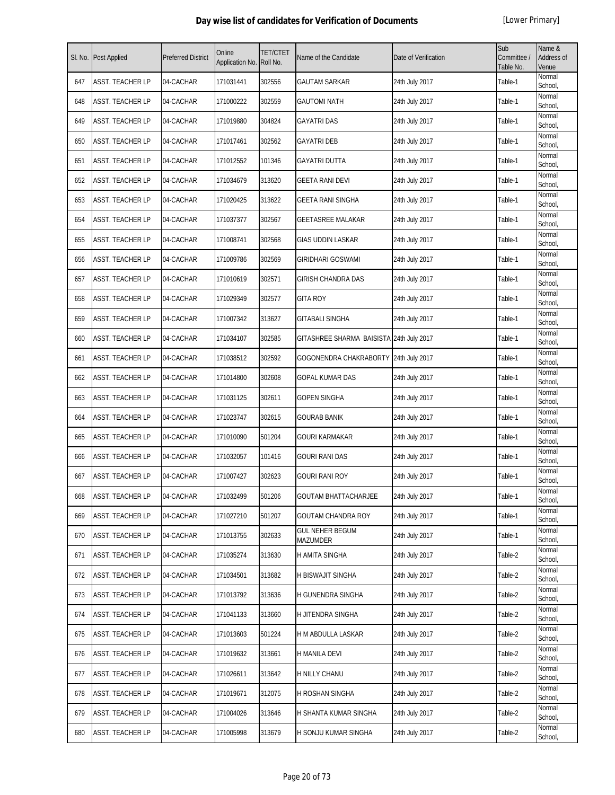| SI. No. | Post Applied     | <b>Preferred District</b> | Online<br>Application No. | <b>TET/CTET</b><br>Roll No. | Name of the Candidate                    | Date of Verification | Sub<br>Committee /<br>Table No. | Name &<br>Address of<br>Venue |
|---------|------------------|---------------------------|---------------------------|-----------------------------|------------------------------------------|----------------------|---------------------------------|-------------------------------|
| 647     | ASST. TEACHER LP | 04-CACHAR                 | 171031441                 | 302556                      | <b>GAUTAM SARKAR</b>                     | 24th July 2017       | Table-1                         | Normal<br>School,             |
| 648     | ASST. TEACHER LP | 04-CACHAR                 | 171000222                 | 302559                      | <b>GAUTOMI NATH</b>                      | 24th July 2017       | Table-1                         | Normal<br>School,             |
| 649     | ASST. TEACHER LP | 04-CACHAR                 | 171019880                 | 304824                      | <b>GAYATRI DAS</b>                       | 24th July 2017       | Table-1                         | Normal<br>School,             |
| 650     | ASST. TEACHER LP | 04-CACHAR                 | 171017461                 | 302562                      | <b>GAYATRI DEB</b>                       | 24th July 2017       | Table-1                         | Normal<br>School,             |
| 651     | ASST. TEACHER LP | 04-CACHAR                 | 171012552                 | 101346                      | <b>GAYATRI DUTTA</b>                     | 24th July 2017       | Table-1                         | Normal<br>School,             |
| 652     | ASST. TEACHER LP | 04-CACHAR                 | 171034679                 | 313620                      | GEETA RANI DEVI                          | 24th July 2017       | Table-1                         | Normal<br>School,             |
| 653     | ASST. TEACHER LP | 04-CACHAR                 | 171020425                 | 313622                      | GEETA RANI SINGHA                        | 24th July 2017       | Table-1                         | Normal<br>School,             |
| 654     | ASST. TEACHER LP | 04-CACHAR                 | 171037377                 | 302567                      | <b>GEETASREE MALAKAR</b>                 | 24th July 2017       | Table-1                         | Normal<br>School,             |
| 655     | ASST. TEACHER LP | 04-CACHAR                 | 171008741                 | 302568                      | <b>GIAS UDDIN LASKAR</b>                 | 24th July 2017       | Table-1                         | Normal<br>School,             |
| 656     | ASST. TEACHER LP | 04-CACHAR                 | 171009786                 | 302569                      | <b>GIRIDHARI GOSWAMI</b>                 | 24th July 2017       | Table-1                         | Normal<br>School,             |
| 657     | ASST. TEACHER LP | 04-CACHAR                 | 171010619                 | 302571                      | GIRISH CHANDRA DAS                       | 24th July 2017       | Table-1                         | Normal<br>School,             |
| 658     | ASST. TEACHER LP | 04-CACHAR                 | 171029349                 | 302577                      | <b>GITA ROY</b>                          | 24th July 2017       | Table-1                         | Normal<br>School,             |
| 659     | ASST. TEACHER LP | 04-CACHAR                 | 171007342                 | 313627                      | <b>GITABALI SINGHA</b>                   | 24th July 2017       | Table-1                         | Normal<br>School.             |
| 660     | ASST. TEACHER LP | 04-CACHAR                 | 171034107                 | 302585                      | GITASHREE SHARMA BAISISTA 24th July 2017 |                      | Table-1                         | Normal<br>School,             |
| 661     | ASST. TEACHER LP | 04-CACHAR                 | 171038512                 | 302592                      | GOGONENDRA CHAKRABORTY 24th July 2017    |                      | Table-1                         | Normal<br>School,             |
| 662     | ASST. TEACHER LP | 04-CACHAR                 | 171014800                 | 302608                      | GOPAL KUMAR DAS                          | 24th July 2017       | Table-1                         | Normal<br>School,             |
| 663     | ASST. TEACHER LP | 04-CACHAR                 | 171031125                 | 302611                      | <b>GOPEN SINGHA</b>                      | 24th July 2017       | Table-1                         | Normal<br>School,             |
| 664     | ASST. TEACHER LP | 04-CACHAR                 | 171023747                 | 302615                      | <b>GOURAB BANIK</b>                      | 24th July 2017       | Table-1                         | Normal<br>School,             |
| 665     | ASST. TEACHER LP | 04-CACHAR                 | 171010090                 | 501204                      | GOURI KARMAKAR                           | 24th July 2017       | Table-1                         | Normal<br>School,             |
| 666     | ASST. TEACHER LP | 04-CACHAR                 | 171032057                 | 101416                      | GOURI RANI DAS                           | 24th July 2017       | Table-1                         | Normal<br>School,             |
| 667     | ASST. TEACHER LP | 04-CACHAR                 | 171007427                 | 302623                      | GOURI RANI ROY                           | 24th July 2017       | Table-1                         | Normal<br>School,             |
| 668     | ASST. TEACHER LP | 04-CACHAR                 | 171032499                 | 501206                      | GOUTAM BHATTACHARJEE                     | 24th July 2017       | Table-1                         | Normal<br>School,             |
| 669     | ASST. TEACHER LP | 04-CACHAR                 | 171027210                 | 501207                      | <b>GOUTAM CHANDRA ROY</b>                | 24th July 2017       | Table-1                         | Normal<br>School,             |
| 670     | ASST. TEACHER LP | 04-CACHAR                 | 171013755                 | 302633                      | <b>GUL NEHER BEGUM</b><br>MAZUMDER       | 24th July 2017       | Table-1                         | Normal<br>School,             |
| 671     | ASST. TEACHER LP | 04-CACHAR                 | 171035274                 | 313630                      | H AMITA SINGHA                           | 24th July 2017       | Table-2                         | Normal<br>School,             |
| 672     | ASST. TEACHER LP | 04-CACHAR                 | 171034501                 | 313682                      | H BISWAJIT SINGHA                        | 24th July 2017       | Table-2                         | Normal<br>School,             |
| 673     | ASST. TEACHER LP | 04-CACHAR                 | 171013792                 | 313636                      | H GUNENDRA SINGHA                        | 24th July 2017       | Table-2                         | Normal<br>School,             |
| 674     | ASST. TEACHER LP | 04-CACHAR                 | 171041133                 | 313660                      | H JITENDRA SINGHA                        | 24th July 2017       | Table-2                         | Normal<br>School,             |
| 675     | ASST. TEACHER LP | 04-CACHAR                 | 171013603                 | 501224                      | H M ABDULLA LASKAR                       | 24th July 2017       | Table-2                         | Normal<br>School,             |
| 676     | ASST. TEACHER LP | 04-CACHAR                 | 171019632                 | 313661                      | H MANILA DEVI                            | 24th July 2017       | Table-2                         | Normal<br>School,             |
| 677     | ASST. TEACHER LP | 04-CACHAR                 | 171026611                 | 313642                      | H NILLY CHANU                            | 24th July 2017       | Table-2                         | Normal<br>School,             |
| 678     | ASST. TEACHER LP | 04-CACHAR                 | 171019671                 | 312075                      | H ROSHAN SINGHA                          | 24th July 2017       | Table-2                         | Normal<br>School,             |
| 679     | ASST. TEACHER LP | 04-CACHAR                 | 171004026                 | 313646                      | H SHANTA KUMAR SINGHA                    | 24th July 2017       | Table-2                         | Normal<br>School,             |
| 680     | ASST. TEACHER LP | 04-CACHAR                 | 171005998                 | 313679                      | H SONJU KUMAR SINGHA                     | 24th July 2017       | Table-2                         | Normal<br>School,             |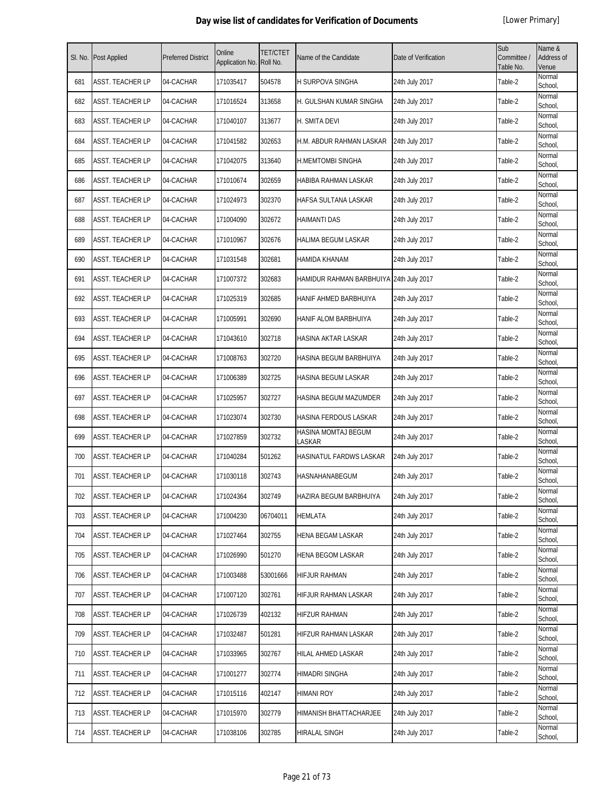| SI. No. | Post Applied            | <b>Preferred District</b> | Online<br>Application No. | <b>TET/CTET</b><br>Roll No. | Name of the Candidate                   | Date of Verification | Sub<br>Committee /<br>Table No. | Name &<br>Address of<br>Venue |
|---------|-------------------------|---------------------------|---------------------------|-----------------------------|-----------------------------------------|----------------------|---------------------------------|-------------------------------|
| 681     | ASST. TEACHER LP        | 04-CACHAR                 | 171035417                 | 504578                      | H SURPOVA SINGHA                        | 24th July 2017       | Table-2                         | Normal<br>School,             |
| 682     | ASST. TEACHER LP        | 04-CACHAR                 | 171016524                 | 313658                      | H. GULSHAN KUMAR SINGHA                 | 24th July 2017       | Table-2                         | Normal<br>School,             |
| 683     | ASST. TEACHER LP        | 04-CACHAR                 | 171040107                 | 313677                      | H. SMITA DEVI                           | 24th July 2017       | Table-2                         | Normal<br>School,             |
| 684     | <b>ASST. TEACHER LP</b> | 04-CACHAR                 | 171041582                 | 302653                      | H.M. ABDUR RAHMAN LASKAR                | 24th July 2017       | Table-2                         | Normal<br>School,             |
| 685     | ASST. TEACHER LP        | 04-CACHAR                 | 171042075                 | 313640                      | <b>H.MEMTOMBI SINGHA</b>                | 24th July 2017       | Table-2                         | Normal<br>School,             |
| 686     | ASST. TEACHER LP        | 04-CACHAR                 | 171010674                 | 302659                      | HABIBA RAHMAN LASKAR                    | 24th July 2017       | Table-2                         | Normal<br>School,             |
| 687     | ASST. TEACHER LP        | 04-CACHAR                 | 171024973                 | 302370                      | HAFSA SULTANA LASKAR                    | 24th July 2017       | Table-2                         | Normal<br>School,             |
| 688     | ASST. TEACHER LP        | 04-CACHAR                 | 171004090                 | 302672                      | <b>HAIMANTI DAS</b>                     | 24th July 2017       | Table-2                         | Normal<br>School,             |
| 689     | ASST. TEACHER LP        | 04-CACHAR                 | 171010967                 | 302676                      | <b>HALIMA BEGUM LASKAR</b>              | 24th July 2017       | Table-2                         | Normal<br>School,             |
| 690     | ASST. TEACHER LP        | 04-CACHAR                 | 171031548                 | 302681                      | HAMIDA KHANAM                           | 24th July 2017       | Table-2                         | Normal<br>School,             |
| 691     | ASST. TEACHER LP        | 04-CACHAR                 | 171007372                 | 302683                      | HAMIDUR RAHMAN BARBHUIYA 24th July 2017 |                      | Table-2                         | Normal<br>School,             |
| 692     | ASST. TEACHER LP        | 04-CACHAR                 | 171025319                 | 302685                      | HANIF AHMED BARBHUIYA                   | 24th July 2017       | Table-2                         | Normal<br>School,             |
| 693     | ASST. TEACHER LP        | 04-CACHAR                 | 171005991                 | 302690                      | HANIF ALOM BARBHUIYA                    | 24th July 2017       | Table-2                         | Normal<br>School,             |
| 694     | ASST. TEACHER LP        | 04-CACHAR                 | 171043610                 | 302718                      | HASINA AKTAR LASKAR                     | 24th July 2017       | Table-2                         | Normal<br>School,             |
| 695     | ASST. TEACHER LP        | 04-CACHAR                 | 171008763                 | 302720                      | HASINA BEGUM BARBHUIYA                  | 24th July 2017       | Table-2                         | Normal<br>School,             |
| 696     | ASST. TEACHER LP        | 04-CACHAR                 | 171006389                 | 302725                      | HASINA BEGUM LASKAR                     | 24th July 2017       | Table-2                         | Normal<br>School,             |
| 697     | ASST. TEACHER LP        | 04-CACHAR                 | 171025957                 | 302727                      | HASINA BEGUM MAZUMDER                   | 24th July 2017       | Table-2                         | Normal<br>School,             |
| 698     | ASST. TEACHER LP        | 04-CACHAR                 | 171023074                 | 302730                      | HASINA FERDOUS LASKAR                   | 24th July 2017       | Table-2                         | Normal<br>School,             |
| 699     | ASST. TEACHER LP        | 04-CACHAR                 | 171027859                 | 302732                      | HASINA MOMTAJ BEGUM<br>LASKAR           | 24th July 2017       | Table-2                         | Normal<br>School,             |
| 700     | ASST. TEACHER LP        | 04-CACHAR                 | 171040284                 | 501262                      | HASINATUL FARDWS LASKAR                 | 24th July 2017       | Table-2                         | Normal<br>School,             |
| 701     | ASST. TEACHER LP        | 04-CACHAR                 | 171030118                 | 302743                      | HASNAHANABEGUM                          | 24th July 2017       | Table-2                         | Normal<br>School,             |
| 702     | <b>ASST. TEACHER LP</b> | 04-CACHAR                 | 171024364                 | 302749                      | HAZIRA BEGUM BARBHUIYA                  | 24th July 2017       | Table-2                         | Normal<br>School,             |
| 703     | ASST. TEACHER LP        | 04-CACHAR                 | 171004230                 | 06704011                    | <b>HEMLATA</b>                          | 24th July 2017       | Table-2                         | Normal<br>School,             |
| 704     | ASST. TEACHER LP        | 04-CACHAR                 | 171027464                 | 302755                      | HENA BEGAM LASKAR                       | 24th July 2017       | Table-2                         | Normal<br>School,             |
| 705     | ASST. TEACHER LP        | 04-CACHAR                 | 171026990                 | 501270                      | <b>HENA BEGOM LASKAR</b>                | 24th July 2017       | Table-2                         | Normal<br>School,             |
| 706     | ASST. TEACHER LP        | 04-CACHAR                 | 171003488                 | 53001666                    | HIFJUR RAHMAN                           | 24th July 2017       | Table-2                         | Normal<br>School,             |
| 707     | ASST. TEACHER LP        | 04-CACHAR                 | 171007120                 | 302761                      | HIFJUR RAHMAN LASKAR                    | 24th July 2017       | Table-2                         | Normal<br>School,             |
| 708     | ASST. TEACHER LP        | 04-CACHAR                 | 171026739                 | 402132                      | HIFZUR RAHMAN                           | 24th July 2017       | Table-2                         | Normal<br>School,             |
| 709     | ASST. TEACHER LP        | 04-CACHAR                 | 171032487                 | 501281                      | HIFZUR RAHMAN LASKAR                    | 24th July 2017       | Table-2                         | Normal<br>School,             |
| 710     | ASST. TEACHER LP        | 04-CACHAR                 | 171033965                 | 302767                      | HILAL AHMED LASKAR                      | 24th July 2017       | Table-2                         | Normal<br>School,             |
| 711     | ASST. TEACHER LP        | 04-CACHAR                 | 171001277                 | 302774                      | HIMADRI SINGHA                          | 24th July 2017       | Table-2                         | Normal<br>School,             |
| 712     | ASST. TEACHER LP        | 04-CACHAR                 | 171015116                 | 402147                      | HIMANI ROY                              | 24th July 2017       | Table-2                         | Normal<br>School,             |
| 713     | ASST. TEACHER LP        | 04-CACHAR                 | 171015970                 | 302779                      | HIMANISH BHATTACHARJEE                  | 24th July 2017       | Table-2                         | Normal<br>School,             |
| 714     | ASST. TEACHER LP        | 04-CACHAR                 | 171038106                 | 302785                      | <b>HIRALAL SINGH</b>                    | 24th July 2017       | Table-2                         | Normal<br>School,             |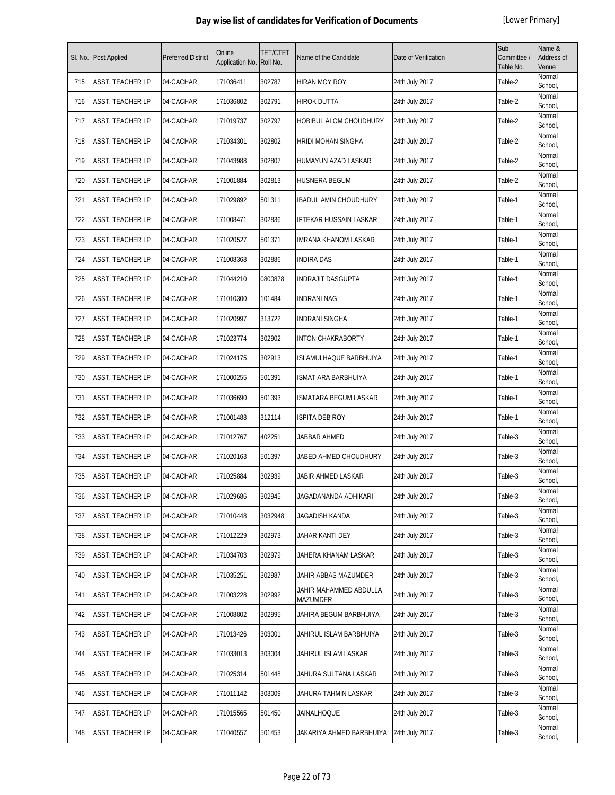| SI. No. | Post Applied     | <b>Preferred District</b> | Online<br>Application No. | <b>TET/CTET</b><br>Roll No. | Name of the Candidate                     | Date of Verification | Sub<br>Committee /<br>Table No. | Name &<br>Address of<br>Venue |
|---------|------------------|---------------------------|---------------------------|-----------------------------|-------------------------------------------|----------------------|---------------------------------|-------------------------------|
| 715     | ASST. TEACHER LP | 04-CACHAR                 | 171036411                 | 302787                      | <b>HIRAN MOY ROY</b>                      | 24th July 2017       | Table-2                         | Normal<br>School,             |
| 716     | ASST. TEACHER LP | 04-CACHAR                 | 171036802                 | 302791                      | <b>HIROK DUTTA</b>                        | 24th July 2017       | Table-2                         | Normal<br>School,             |
| 717     | ASST. TEACHER LP | 04-CACHAR                 | 171019737                 | 302797                      | HOBIBUL ALOM CHOUDHURY                    | 24th July 2017       | Table-2                         | Normal<br>School,             |
| 718     | ASST. TEACHER LP | 04-CACHAR                 | 171034301                 | 302802                      | <b>HRIDI MOHAN SINGHA</b>                 | 24th July 2017       | Table-2                         | Normal<br>School,             |
| 719     | ASST. TEACHER LP | 04-CACHAR                 | 171043988                 | 302807                      | HUMAYUN AZAD LASKAR                       | 24th July 2017       | Table-2                         | Normal<br>School,             |
| 720     | ASST. TEACHER LP | 04-CACHAR                 | 171001884                 | 302813                      | HUSNERA BEGUM                             | 24th July 2017       | Table-2                         | Normal<br>School,             |
| 721     | ASST. TEACHER LP | 04-CACHAR                 | 171029892                 | 501311                      | IBADUL AMIN CHOUDHURY                     | 24th July 2017       | Table-1                         | Normal<br>School,             |
| 722     | ASST. TEACHER LP | 04-CACHAR                 | 171008471                 | 302836                      | IFTEKAR HUSSAIN LASKAR                    | 24th July 2017       | Table-1                         | Normal<br>School,             |
| 723     | ASST. TEACHER LP | 04-CACHAR                 | 171020527                 | 501371                      | <b>IMRANA KHANOM LASKAR</b>               | 24th July 2017       | Table-1                         | Normal<br>School,             |
| 724     | ASST. TEACHER LP | 04-CACHAR                 | 171008368                 | 302886                      | <b>INDIRA DAS</b>                         | 24th July 2017       | Table-1                         | Normal<br>School,             |
| 725     | ASST. TEACHER LP | 04-CACHAR                 | 171044210                 | 0800878                     | <b>INDRAJIT DASGUPTA</b>                  | 24th July 2017       | Table-1                         | Normal<br>School.             |
| 726     | ASST. TEACHER LP | 04-CACHAR                 | 171010300                 | 101484                      | <b>INDRANI NAG</b>                        | 24th July 2017       | Table-1                         | Normal<br>School,             |
| 727     | ASST. TEACHER LP | 04-CACHAR                 | 171020997                 | 313722                      | <b>INDRANI SINGHA</b>                     | 24th July 2017       | Table-1                         | Normal<br>School,             |
| 728     | ASST. TEACHER LP | 04-CACHAR                 | 171023774                 | 302902                      | <b>INTON CHAKRABORTY</b>                  | 24th July 2017       | Table-1                         | Normal<br>School,             |
| 729     | ASST. TEACHER LP | 04-CACHAR                 | 171024175                 | 302913                      | ISLAMULHAQUE BARBHUIYA                    | 24th July 2017       | Table-1                         | Normal<br>School,             |
| 730     | ASST. TEACHER LP | 04-CACHAR                 | 171000255                 | 501391                      | ISMAT ARA BARBHUIYA                       | 24th July 2017       | Table-1                         | Normal<br>School,             |
| 731     | ASST. TEACHER LP | 04-CACHAR                 | 171036690                 | 501393                      | ISMATARA BEGUM LASKAR                     | 24th July 2017       | Table-1                         | Normal<br>School,             |
| 732     | ASST. TEACHER LP | 04-CACHAR                 | 171001488                 | 312114                      | ISPITA DEB ROY                            | 24th July 2017       | Table-1                         | Normal<br>School,             |
| 733     | ASST. TEACHER LP | 04-CACHAR                 | 171012767                 | 402251                      | JABBAR AHMED                              | 24th July 2017       | Table-3                         | Normal<br>School,             |
| 734     | ASST. TEACHER LP | 04-CACHAR                 | 171020163                 | 501397                      | JABED AHMED CHOUDHURY                     | 24th July 2017       | Table-3                         | Normal<br>School,             |
| 735     | ASST. TEACHER LP | 04-CACHAR                 | 171025884                 | 302939                      | JABIR AHMED LASKAR                        | 24th July 2017       | Table-3                         | Normal<br>School,             |
| 736     | ASST. TEACHER LP | 04-CACHAR                 | 171029686                 | 302945                      | JAGADANANDA ADHIKARI                      | 24th July 2017       | Table-3                         | Normal<br>School,             |
| 737     | ASST. TEACHER LP | 04-CACHAR                 | 171010448                 | 3032948                     | JAGADISH KANDA                            | 24th July 2017       | Table-3                         | Normal<br>School,             |
| 738     | ASST. TEACHER LP | 04-CACHAR                 | 171012229                 | 302973                      | JAHAR KANTI DEY                           | 24th July 2017       | Table-3                         | Normal<br>School,             |
| 739     | ASST. TEACHER LP | 04-CACHAR                 | 171034703                 | 302979                      | JAHERA KHANAM LASKAR                      | 24th July 2017       | Table-3                         | Normal<br>School,             |
| 740     | ASST. TEACHER LP | 04-CACHAR                 | 171035251                 | 302987                      | JAHIR ABBAS MAZUMDER                      | 24th July 2017       | Table-3                         | Normal<br>School,             |
| 741     | ASST. TEACHER LP | 04-CACHAR                 | 171003228                 | 302992                      | JAHIR MAHAMMED ABDULLA<br><b>MAZUMDER</b> | 24th July 2017       | Table-3                         | Normal<br>School,             |
| 742     | ASST. TEACHER LP | 04-CACHAR                 | 171008802                 | 302995                      | JAHIRA BEGUM BARBHUIYA                    | 24th July 2017       | Table-3                         | Normal<br>School,             |
| 743     | ASST. TEACHER LP | 04-CACHAR                 | 171013426                 | 303001                      | JAHIRUL ISLAM BARBHUIYA                   | 24th July 2017       | Table-3                         | Normal<br>School,             |
| 744     | ASST. TEACHER LP | 04-CACHAR                 | 171033013                 | 303004                      | JAHIRUL ISLAM LASKAR                      | 24th July 2017       | Table-3                         | Normal<br>School,             |
| 745     | ASST. TEACHER LP | 04-CACHAR                 | 171025314                 | 501448                      | JAHURA SULTANA LASKAR                     | 24th July 2017       | Table-3                         | Normal<br>School,             |
| 746     | ASST. TEACHER LP | 04-CACHAR                 | 171011142                 | 303009                      | JAHURA TAHMIN LASKAR                      | 24th July 2017       | Table-3                         | Normal<br>School,             |
| 747     | ASST. TEACHER LP | 04-CACHAR                 | 171015565                 | 501450                      | JAINALHOQUE                               | 24th July 2017       | Table-3                         | Normal<br>School,             |
| 748     | ASST. TEACHER LP | 04-CACHAR                 | 171040557                 | 501453                      | JAKARIYA AHMED BARBHUIYA                  | 24th July 2017       | Table-3                         | Normal<br>School,             |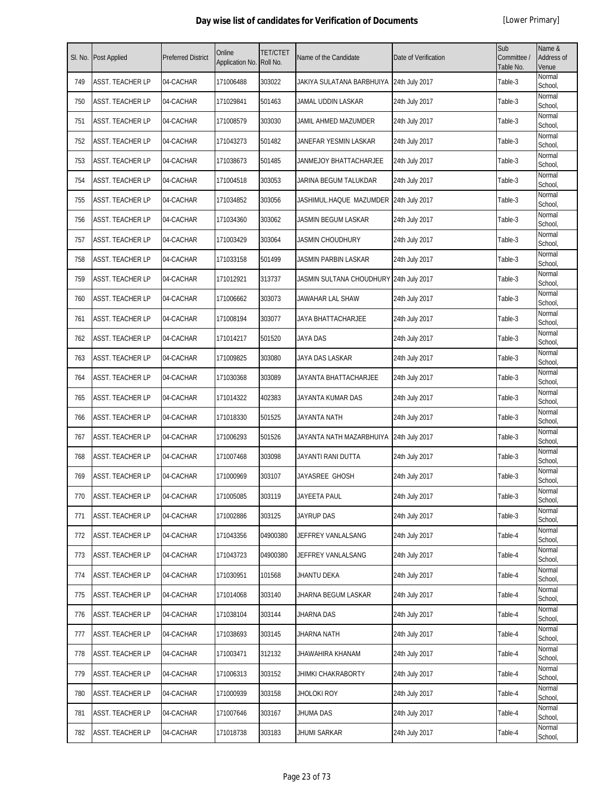| SI. No. | Post Applied     | <b>Preferred District</b> | Online<br>Application No. | <b>TET/CTET</b><br>Roll No. | Name of the Candidate                    | Date of Verification | Sub<br>Committee /<br>Table No. | Name &<br>Address of<br>Venue |
|---------|------------------|---------------------------|---------------------------|-----------------------------|------------------------------------------|----------------------|---------------------------------|-------------------------------|
| 749     | ASST. TEACHER LP | 04-CACHAR                 | 171006488                 | 303022                      | JAKIYA SULATANA BARBHUIYA 24th July 2017 |                      | Table-3                         | Normal<br>School,             |
| 750     | ASST. TEACHER LP | 04-CACHAR                 | 171029841                 | 501463                      | JAMAL UDDIN LASKAR                       | 24th July 2017       | Table-3                         | Normal<br>School,             |
| 751     | ASST. TEACHER LP | 04-CACHAR                 | 171008579                 | 303030                      | JAMIL AHMED MAZUMDER                     | 24th July 2017       | Table-3                         | Normal<br>School,             |
| 752     | ASST. TEACHER LP | 04-CACHAR                 | 171043273                 | 501482                      | JANEFAR YESMIN LASKAR                    | 24th July 2017       | Table-3                         | Normal<br>School,             |
| 753     | ASST. TEACHER LP | 04-CACHAR                 | 171038673                 | 501485                      | JANMEJOY BHATTACHARJEE                   | 24th July 2017       | Table-3                         | Normal<br>School,             |
| 754     | ASST. TEACHER LP | 04-CACHAR                 | 171004518                 | 303053                      | JARINA BEGUM TALUKDAR                    | 24th July 2017       | Table-3                         | Normal<br>School,             |
| 755     | ASST. TEACHER LP | 04-CACHAR                 | 171034852                 | 303056                      | JASHIMUL.HAQUE MAZUMDER 24th July 2017   |                      | Table-3                         | Normal<br>School,             |
| 756     | ASST. TEACHER LP | 04-CACHAR                 | 171034360                 | 303062                      | JASMIN BEGUM LASKAR                      | 24th July 2017       | Table-3                         | Normal<br>School,             |
| 757     | ASST. TEACHER LP | 04-CACHAR                 | 171003429                 | 303064                      | <b>JASMIN CHOUDHURY</b>                  | 24th July 2017       | Table-3                         | Normal<br>School,             |
| 758     | ASST. TEACHER LP | 04-CACHAR                 | 171033158                 | 501499                      | JASMIN PARBIN LASKAR                     | 24th July 2017       | Table-3                         | Normal<br>School,             |
| 759     | ASST. TEACHER LP | 04-CACHAR                 | 171012921                 | 313737                      | JASMIN SULTANA CHOUDHURY 24th July 2017  |                      | Table-3                         | Normal<br>School,             |
| 760     | ASST. TEACHER LP | 04-CACHAR                 | 171006662                 | 303073                      | JAWAHAR LAL SHAW                         | 24th July 2017       | Table-3                         | Normal<br>School,             |
| 761     | ASST. TEACHER LP | 04-CACHAR                 | 171008194                 | 303077                      | JAYA BHATTACHARJEE                       | 24th July 2017       | Table-3                         | Normal<br>School.             |
| 762     | ASST. TEACHER LP | 04-CACHAR                 | 171014217                 | 501520                      | JAYA DAS                                 | 24th July 2017       | Table-3                         | Normal<br>School,             |
| 763     | ASST. TEACHER LP | 04-CACHAR                 | 171009825                 | 303080                      | JAYA DAS LASKAR                          | 24th July 2017       | Table-3                         | Normal<br>School,             |
| 764     | ASST. TEACHER LP | 04-CACHAR                 | 171030368                 | 303089                      | JAYANTA BHATTACHARJEE                    | 24th July 2017       | Table-3                         | Normal<br>School,             |
| 765     | ASST. TEACHER LP | 04-CACHAR                 | 171014322                 | 402383                      | JAYANTA KUMAR DAS                        | 24th July 2017       | Table-3                         | Normal<br>School,             |
| 766     | ASST. TEACHER LP | 04-CACHAR                 | 171018330                 | 501525                      | JAYANTA NATH                             | 24th July 2017       | Table-3                         | Normal<br>School,             |
| 767     | ASST. TEACHER LP | 04-CACHAR                 | 171006293                 | 501526                      | JAYANTA NATH MAZARBHUIYA 24th July 2017  |                      | Table-3                         | Normal<br>School,             |
| 768     | ASST. TEACHER LP | 04-CACHAR                 | 171007468                 | 303098                      | JAYANTI RANI DUTTA                       | 24th July 2017       | Table-3                         | Normal<br>School,             |
| 769     | ASST. TEACHER LP | 04-CACHAR                 | 171000969                 | 303107                      | JAYASREE GHOSH                           | 24th July 2017       | Table-3                         | Normal<br>School,             |
| 770     | ASST. TEACHER LP | 04-CACHAR                 | 171005085                 | 303119                      | <b>JAYEETA PAUL</b>                      | 24th July 2017       | Table-3                         | Normal<br>School,             |
| 771     | ASST. TEACHER LP | 04-CACHAR                 | 171002886                 | 303125                      | JAYRUP DAS                               | 24th July 2017       | Table-3                         | Normal<br>School,             |
| 772     | ASST. TEACHER LP | 04-CACHAR                 | 171043356                 | 04900380                    | JEFFREY VANLALSANG                       | 24th July 2017       | Table-4                         | Normal<br>School,             |
| 773     | ASST. TEACHER LP | 04-CACHAR                 | 171043723                 | 04900380                    | JEFFREY VANLALSANG                       | 24th July 2017       | Table-4                         | Normal<br>School,             |
| 774     | ASST. TEACHER LP | 04-CACHAR                 | 171030951                 | 101568                      | <b>JHANTU DEKA</b>                       | 24th July 2017       | Table-4                         | Normal<br>School,             |
| 775     | ASST. TEACHER LP | 04-CACHAR                 | 171014068                 | 303140                      | JHARNA BEGUM LASKAR                      | 24th July 2017       | Table-4                         | Normal<br>School,             |
| 776     | ASST. TEACHER LP | 04-CACHAR                 | 171038104                 | 303144                      | JHARNA DAS                               | 24th July 2017       | Table-4                         | Normal<br>School,             |
| 777     | ASST. TEACHER LP | 04-CACHAR                 | 171038693                 | 303145                      | JHARNA NATH                              | 24th July 2017       | Table-4                         | Normal<br>School,             |
| 778     | ASST. TEACHER LP | 04-CACHAR                 | 171003471                 | 312132                      | JHAWAHIRA KHANAM                         | 24th July 2017       | Table-4                         | Normal<br>School,             |
| 779     | ASST. TEACHER LP | 04-CACHAR                 | 171006313                 | 303152                      | JHIMKI CHAKRABORTY                       | 24th July 2017       | Table-4                         | Normal<br>School,             |
| 780     | ASST. TEACHER LP | 04-CACHAR                 | 171000939                 | 303158                      | JHOLOKI ROY                              | 24th July 2017       | Table-4                         | Normal<br>School,             |
| 781     | ASST. TEACHER LP | 04-CACHAR                 | 171007646                 | 303167                      | JHUMA DAS                                | 24th July 2017       | Table-4                         | Normal<br>School,             |
| 782     | ASST. TEACHER LP | 04-CACHAR                 | 171018738                 | 303183                      | <b>JHUMI SARKAR</b>                      | 24th July 2017       | Table-4                         | Normal<br>School,             |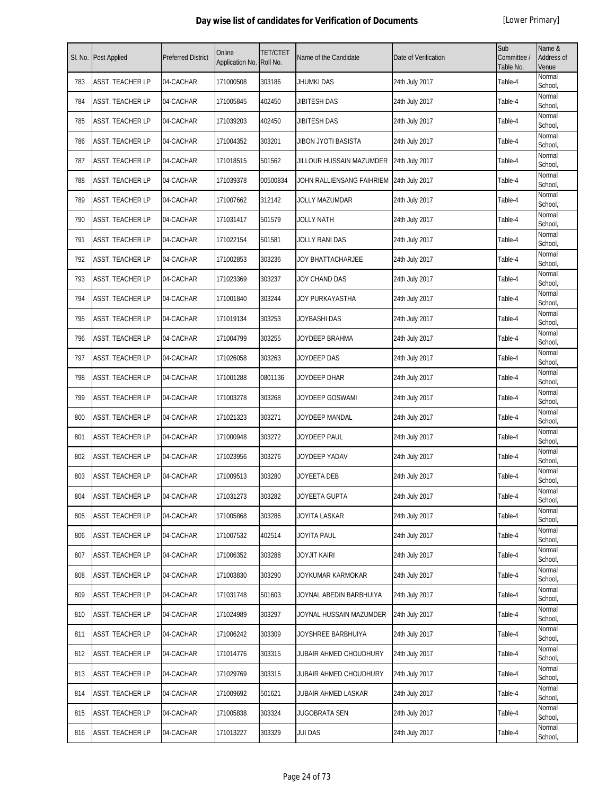| SI. No. | Post Applied            | <b>Preferred District</b> | Online<br>Application No. | <b>TET/CTET</b><br>Roll No. | Name of the Candidate     | Date of Verification | Sub<br>Committee /<br>Table No. | Name &<br>Address of<br>Venue |
|---------|-------------------------|---------------------------|---------------------------|-----------------------------|---------------------------|----------------------|---------------------------------|-------------------------------|
| 783     | ASST. TEACHER LP        | 04-CACHAR                 | 171000508                 | 303186                      | JHUMKI DAS                | 24th July 2017       | Table-4                         | Normal<br>School,             |
| 784     | ASST. TEACHER LP        | 04-CACHAR                 | 171005845                 | 402450                      | JIBITESH DAS              | 24th July 2017       | Table-4                         | Normal<br>School,             |
| 785     | ASST. TEACHER LP        | 04-CACHAR                 | 171039203                 | 402450                      | JIBITESH DAS              | 24th July 2017       | Table-4                         | Normal<br>School,             |
| 786     | <b>ASST. TEACHER LP</b> | 04-CACHAR                 | 171004352                 | 303201                      | JIBON JYOTI BASISTA       | 24th July 2017       | Table-4                         | Normal<br>School,             |
| 787     | ASST. TEACHER LP        | 04-CACHAR                 | 171018515                 | 501562                      | JILLOUR HUSSAIN MAZUMDER  | 24th July 2017       | Table-4                         | Normal<br>School,             |
| 788     | ASST. TEACHER LP        | 04-CACHAR                 | 171039378                 | 00500834                    | JOHN RALLIENSANG FAIHRIEM | 24th July 2017       | Table-4                         | Normal<br>School,             |
| 789     | ASST. TEACHER LP        | 04-CACHAR                 | 171007662                 | 312142                      | JOLLY MAZUMDAR            | 24th July 2017       | Table-4                         | Normal<br>School,             |
| 790     | ASST. TEACHER LP        | 04-CACHAR                 | 171031417                 | 501579                      | JOLLY NATH                | 24th July 2017       | Table-4                         | Normal<br>School,             |
| 791     | ASST. TEACHER LP        | 04-CACHAR                 | 171022154                 | 501581                      | JOLLY RANI DAS            | 24th July 2017       | Table-4                         | Normal<br>School,             |
| 792     | <b>ASST. TEACHER LP</b> | 04-CACHAR                 | 171002853                 | 303236                      | JOY BHATTACHARJEE         | 24th July 2017       | Table-4                         | Normal<br>School.             |
| 793     | ASST. TEACHER LP        | 04-CACHAR                 | 171023369                 | 303237                      | JOY CHAND DAS             | 24th July 2017       | Table-4                         | Normal<br>School,             |
| 794     | ASST. TEACHER LP        | 04-CACHAR                 | 171001840                 | 303244                      | JOY PURKAYASTHA           | 24th July 2017       | Table-4                         | Normal<br>School,             |
| 795     | ASST. TEACHER LP        | 04-CACHAR                 | 171019134                 | 303253                      | JOYBASHI DAS              | 24th July 2017       | Table-4                         | Normal<br>School,             |
| 796     | ASST. TEACHER LP        | 04-CACHAR                 | 171004799                 | 303255                      | JOYDEEP BRAHMA            | 24th July 2017       | Table-4                         | Normal<br>School,             |
| 797     | ASST. TEACHER LP        | 04-CACHAR                 | 171026058                 | 303263                      | JOYDEEP DAS               | 24th July 2017       | Table-4                         | Normal<br>School,             |
| 798     | ASST. TEACHER LP        | 04-CACHAR                 | 171001288                 | 0801136                     | JOYDEEP DHAR              | 24th July 2017       | Table-4                         | Normal<br>School,             |
| 799     | ASST. TEACHER LP        | 04-CACHAR                 | 171003278                 | 303268                      | JOYDEEP GOSWAMI           | 24th July 2017       | Table-4                         | Normal<br>School,             |
| 800     | ASST. TEACHER LP        | 04-CACHAR                 | 171021323                 | 303271                      | JOYDEEP MANDAL            | 24th July 2017       | Table-4                         | Normal<br>School,             |
| 801     | ASST. TEACHER LP        | 04-CACHAR                 | 171000948                 | 303272                      | JOYDEEP PAUL              | 24th July 2017       | Table-4                         | Normal<br>School,             |
| 802     | ASST. TEACHER LP        | 04-CACHAR                 | 171023956                 | 303276                      | JOYDEEP YADAV             | 24th July 2017       | Table-4                         | Normal<br>School,             |
| 803     | ASST. TEACHER LP        | 04-CACHAR                 | 171009513                 | 303280                      | JOYEETA DEB               | 24th July 2017       | Table-4                         | Normal<br>School.             |
| 804     | <b>ASST. TEACHER LP</b> | 04-CACHAR                 | 171031273                 | 303282                      | JOYEETA GUPTA             | 24th July 2017       | Table-4                         | Normal<br>School,             |
| 805     | ASST. TEACHER LP        | 04-CACHAR                 | 171005868                 | 303286                      | JOYITA LASKAR             | 24th July 2017       | Table-4                         | Normal<br>School,             |
| 806     | ASST. TEACHER LP        | 04-CACHAR                 | 171007532                 | 402514                      | JOYITA PAUL               | 24th July 2017       | Table-4                         | Normal<br>School,             |
| 807     | ASST. TEACHER LP        | 04-CACHAR                 | 171006352                 | 303288                      | JOYJIT KAIRI              | 24th July 2017       | Table-4                         | Normal<br>School,             |
| 808     | ASST. TEACHER LP        | 04-CACHAR                 | 171003830                 | 303290                      | JOYKUMAR KARMOKAR         | 24th July 2017       | Table-4                         | Normal<br>School,             |
| 809     | ASST. TEACHER LP        | 04-CACHAR                 | 171031748                 | 501603                      | JOYNAL ABEDIN BARBHUIYA   | 24th July 2017       | Table-4                         | Normal<br>School,             |
| 810     | ASST. TEACHER LP        | 04-CACHAR                 | 171024989                 | 303297                      | JOYNAL HUSSAIN MAZUMDER   | 24th July 2017       | Table-4                         | Normal<br>School,             |
| 811     | ASST. TEACHER LP        | 04-CACHAR                 | 171006242                 | 303309                      | JOYSHREE BARBHUIYA        | 24th July 2017       | Table-4                         | Normal<br>School,             |
| 812     | ASST. TEACHER LP        | 04-CACHAR                 | 171014776                 | 303315                      | JUBAIR AHMED CHOUDHURY    | 24th July 2017       | Table-4                         | Normal<br>School,             |
| 813     | ASST. TEACHER LP        | 04-CACHAR                 | 171029769                 | 303315                      | JUBAIR AHMED CHOUDHURY    | 24th July 2017       | Table-4                         | Normal<br>School,             |
| 814     | ASST. TEACHER LP        | 04-CACHAR                 | 171009692                 | 501621                      | JUBAIR AHMED LASKAR       | 24th July 2017       | Table-4                         | Normal<br>School,             |
| 815     | ASST. TEACHER LP        | 04-CACHAR                 | 171005838                 | 303324                      | JUGOBRATA SEN             | 24th July 2017       | Table-4                         | Normal<br>School,             |
| 816     | ASST. TEACHER LP        | 04-CACHAR                 | 171013227                 | 303329                      | <b>JUI DAS</b>            | 24th July 2017       | Table-4                         | Normal<br>School,             |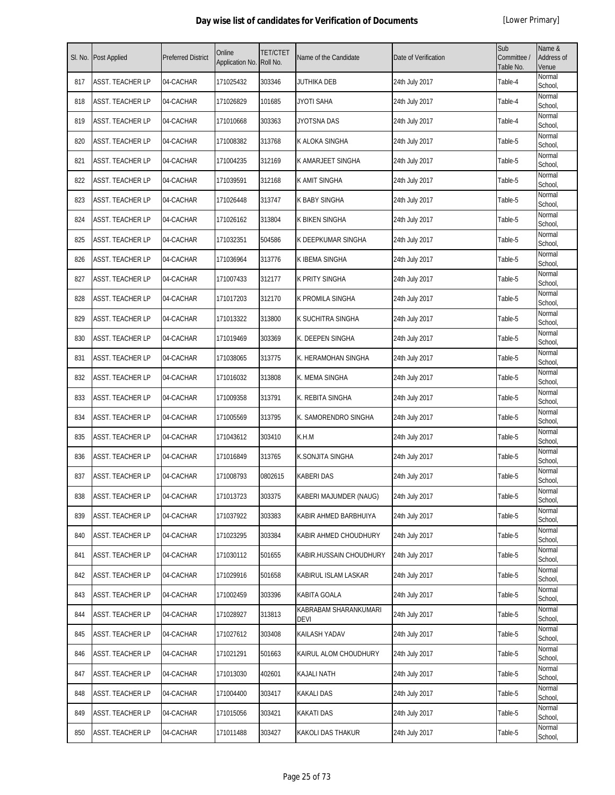| SI. No. | Post Applied            | <b>Preferred District</b> | Online<br>Application No. | <b>TET/CTET</b><br>Roll No. | Name of the Candidate         | Date of Verification | Sub<br>Committee /<br>Table No. | Name &<br>Address of<br>Venue |
|---------|-------------------------|---------------------------|---------------------------|-----------------------------|-------------------------------|----------------------|---------------------------------|-------------------------------|
| 817     | <b>ASST. TEACHER LP</b> | 04-CACHAR                 | 171025432                 | 303346                      | JUTHIKA DEB                   | 24th July 2017       | Table-4                         | Normal<br>School,             |
| 818     | <b>ASST. TEACHER LP</b> | 04-CACHAR                 | 171026829                 | 101685                      | JYOTI SAHA                    | 24th July 2017       | Table-4                         | Normal<br>School,             |
| 819     | ASST. TEACHER LP        | 04-CACHAR                 | 171010668                 | 303363                      | JYOTSNA DAS                   | 24th July 2017       | Table-4                         | Normal<br>School,             |
| 820     | ASST. TEACHER LP        | 04-CACHAR                 | 171008382                 | 313768                      | K ALOKA SINGHA                | 24th July 2017       | Table-5                         | Normal<br>School,             |
| 821     | ASST. TEACHER LP        | 04-CACHAR                 | 171004235                 | 312169                      | K AMARJEET SINGHA             | 24th July 2017       | Table-5                         | Normal<br>School,             |
| 822     | ASST. TEACHER LP        | 04-CACHAR                 | 171039591                 | 312168                      | K AMIT SINGHA                 | 24th July 2017       | Table-5                         | Normal<br>School,             |
| 823     | ASST. TEACHER LP        | 04-CACHAR                 | 171026448                 | 313747                      | <b>K BABY SINGHA</b>          | 24th July 2017       | Table-5                         | Normal<br>School,             |
| 824     | ASST. TEACHER LP        | 04-CACHAR                 | 171026162                 | 313804                      | <b>K BIKEN SINGHA</b>         | 24th July 2017       | Table-5                         | Normal<br>School,             |
| 825     | ASST. TEACHER LP        | 04-CACHAR                 | 171032351                 | 504586                      | K DEEPKUMAR SINGHA            | 24th July 2017       | Table-5                         | Normal<br>School,             |
| 826     | ASST. TEACHER LP        | 04-CACHAR                 | 171036964                 | 313776                      | K IBEMA SINGHA                | 24th July 2017       | Table-5                         | Normal<br>School,             |
| 827     | ASST. TEACHER LP        | 04-CACHAR                 | 171007433                 | 312177                      | <b>K PRITY SINGHA</b>         | 24th July 2017       | Table-5                         | Normal<br>School,             |
| 828     | ASST. TEACHER LP        | 04-CACHAR                 | 171017203                 | 312170                      | K PROMILA SINGHA              | 24th July 2017       | Table-5                         | Normal<br>School,             |
| 829     | ASST. TEACHER LP        | 04-CACHAR                 | 171013322                 | 313800                      | K SUCHITRA SINGHA             | 24th July 2017       | Table-5                         | Normal<br>School,             |
| 830     | ASST. TEACHER LP        | 04-CACHAR                 | 171019469                 | 303369                      | K. DEEPEN SINGHA              | 24th July 2017       | Table-5                         | Normal<br>School,             |
| 831     | ASST. TEACHER LP        | 04-CACHAR                 | 171038065                 | 313775                      | K. HERAMOHAN SINGHA           | 24th July 2017       | Table-5                         | Normal<br>School,             |
| 832     | ASST. TEACHER LP        | 04-CACHAR                 | 171016032                 | 313808                      | K. MEMA SINGHA                | 24th July 2017       | Table-5                         | Normal<br>School,             |
| 833     | ASST. TEACHER LP        | 04-CACHAR                 | 171009358                 | 313791                      | K. REBITA SINGHA              | 24th July 2017       | Table-5                         | Normal<br>School,             |
| 834     | ASST. TEACHER LP        | 04-CACHAR                 | 171005569                 | 313795                      | K. SAMORENDRO SINGHA          | 24th July 2017       | Table-5                         | Normal<br>School,             |
| 835     | ASST. TEACHER LP        | 04-CACHAR                 | 171043612                 | 303410                      | K.H.M                         | 24th July 2017       | Table-5                         | Normal<br>School,             |
| 836     | <b>ASST. TEACHER LP</b> | 04-CACHAR                 | 171016849                 | 313765                      | K.SONJITA SINGHA              | 24th July 2017       | Table-5                         | Normal<br>School,             |
| 837     | ASST. TEACHER LP        | 04-CACHAR                 | 171008793                 | 0802615                     | <b>KABERI DAS</b>             | 24th July 2017       | Table-5                         | Normal<br>School,             |
| 838     | ASST. TEACHER LP        | 04-CACHAR                 | 171013723                 | 303375                      | KABERI MAJUMDER (NAUG)        | 24th July 2017       | Table-5                         | Normal<br>School,             |
| 839     | ASST. TEACHER LP        | 04-CACHAR                 | 171037922                 | 303383                      | KABIR AHMED BARBHUIYA         | 24th July 2017       | Table-5                         | Normal<br>School,             |
| 840     | ASST. TEACHER LP        | 04-CACHAR                 | 171023295                 | 303384                      | KABIR AHMED CHOUDHURY         | 24th July 2017       | Table-5                         | Normal<br>School,             |
| 841     | ASST. TEACHER LP        | 04-CACHAR                 | 171030112                 | 501655                      | KABIR.HUSSAIN CHOUDHURY       | 24th July 2017       | Table-5                         | Normal<br>School,             |
| 842     | ASST. TEACHER LP        | 04-CACHAR                 | 171029916                 | 501658                      | KABIRUL ISLAM LASKAR          | 24th July 2017       | Table-5                         | Normal<br>School,             |
| 843     | ASST. TEACHER LP        | 04-CACHAR                 | 171002459                 | 303396                      | KABITA GOALA                  | 24th July 2017       | Table-5                         | Normal<br>School,             |
| 844     | ASST. TEACHER LP        | 04-CACHAR                 | 171028927                 | 313813                      | KABRABAM SHARANKUMARI<br>DEVI | 24th July 2017       | Table-5                         | Normal<br>School,             |
| 845     | ASST. TEACHER LP        | 04-CACHAR                 | 171027612                 | 303408                      | KAILASH YADAV                 | 24th July 2017       | Table-5                         | Normal<br>School,             |
| 846     | ASST. TEACHER LP        | 04-CACHAR                 | 171021291                 | 501663                      | KAIRUL ALOM CHOUDHURY         | 24th July 2017       | Table-5                         | Normal<br>School,             |
| 847     | ASST. TEACHER LP        | 04-CACHAR                 | 171013030                 | 402601                      | KAJALI NATH                   | 24th July 2017       | Table-5                         | Normal<br>School,             |
| 848     | ASST. TEACHER LP        | 04-CACHAR                 | 171004400                 | 303417                      | <b>KAKALI DAS</b>             | 24th July 2017       | Table-5                         | Normal<br>School,             |
| 849     | ASST. TEACHER LP        | 04-CACHAR                 | 171015056                 | 303421                      | <b>KAKATI DAS</b>             | 24th July 2017       | Table-5                         | Normal<br>School,             |
| 850     | ASST. TEACHER LP        | 04-CACHAR                 | 171011488                 | 303427                      | <b>KAKOLI DAS THAKUR</b>      | 24th July 2017       | Table-5                         | Normal<br>School,             |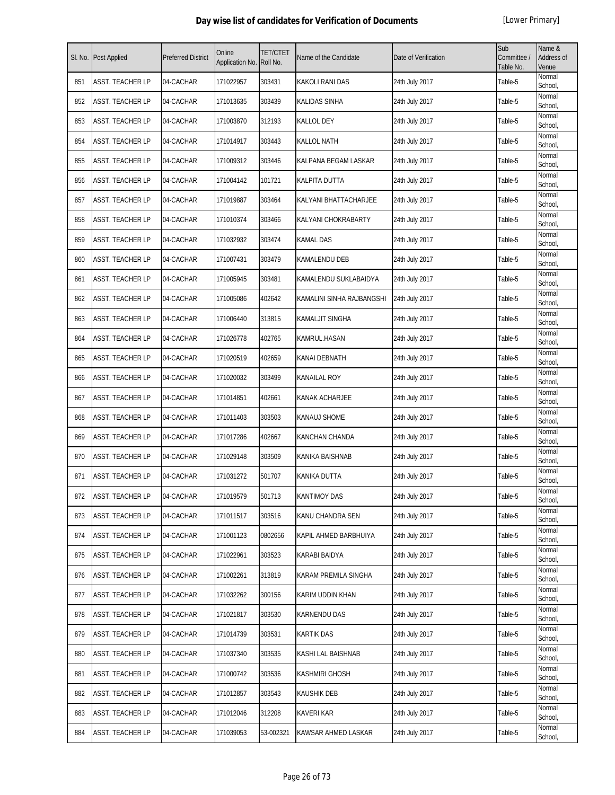| SI. No. | <b>Post Applied</b>     | <b>Preferred District</b> | Online<br>Application No. | <b>TET/CTET</b><br>Roll No. | Name of the Candidate     | Date of Verification | Sub<br>Committee /<br>Table No. | Name &<br>Address of<br>Venue |
|---------|-------------------------|---------------------------|---------------------------|-----------------------------|---------------------------|----------------------|---------------------------------|-------------------------------|
| 851     | <b>ASST. TEACHER LP</b> | 04-CACHAR                 | 171022957                 | 303431                      | <b>KAKOLI RANI DAS</b>    | 24th July 2017       | Table-5                         | Normal<br>School,             |
| 852     | ASST. TEACHER LP        | 04-CACHAR                 | 171013635                 | 303439                      | KALIDAS SINHA             | 24th July 2017       | Table-5                         | Normal<br>School,             |
| 853     | ASST. TEACHER LP        | 04-CACHAR                 | 171003870                 | 312193                      | <b>KALLOL DEY</b>         | 24th July 2017       | Table-5                         | Normal<br>School,             |
| 854     | ASST. TEACHER LP        | 04-CACHAR                 | 171014917                 | 303443                      | <b>KALLOL NATH</b>        | 24th July 2017       | Table-5                         | Normal<br>School,             |
| 855     | <b>ASST. TEACHER LP</b> | 04-CACHAR                 | 171009312                 | 303446                      | KALPANA BEGAM LASKAR      | 24th July 2017       | Table-5                         | Normal<br>School,             |
| 856     | ASST. TEACHER LP        | 04-CACHAR                 | 171004142                 | 101721                      | KALPITA DUTTA             | 24th July 2017       | Table-5                         | Normal<br>School,             |
| 857     | ASST. TEACHER LP        | 04-CACHAR                 | 171019887                 | 303464                      | KALYANI BHATTACHARJEE     | 24th July 2017       | Table-5                         | Normal<br>School,             |
| 858     | ASST. TEACHER LP        | 04-CACHAR                 | 171010374                 | 303466                      | KALYANI CHOKRABARTY       | 24th July 2017       | Table-5                         | Normal<br>School,             |
| 859     | ASST. TEACHER LP        | 04-CACHAR                 | 171032932                 | 303474                      | <b>KAMAL DAS</b>          | 24th July 2017       | Table-5                         | Normal<br>School,             |
| 860     | ASST. TEACHER LP        | 04-CACHAR                 | 171007431                 | 303479                      | KAMALENDU DEB             | 24th July 2017       | Table-5                         | Normal<br>School,             |
| 861     | <b>ASST. TEACHER LP</b> | 04-CACHAR                 | 171005945                 | 303481                      | KAMALENDU SUKLABAIDYA     | 24th July 2017       | Table-5                         | Normal<br>School,             |
| 862     | ASST. TEACHER LP        | 04-CACHAR                 | 171005086                 | 402642                      | KAMALINI SINHA RAJBANGSHI | 24th July 2017       | Table-5                         | Normal<br>School,             |
| 863     | ASST. TEACHER LP        | 04-CACHAR                 | 171006440                 | 313815                      | <b>KAMALJIT SINGHA</b>    | 24th July 2017       | Table-5                         | Normal<br>School,             |
| 864     | <b>ASST. TEACHER LP</b> | 04-CACHAR                 | 171026778                 | 402765                      | KAMRUL.HASAN              | 24th July 2017       | Table-5                         | Normal<br>School,             |
| 865     | ASST. TEACHER LP        | 04-CACHAR                 | 171020519                 | 402659                      | <b>KANAI DEBNATH</b>      | 24th July 2017       | Table-5                         | Normal<br>School,             |
| 866     | ASST. TEACHER LP        | 04-CACHAR                 | 171020032                 | 303499                      | <b>KANAILAL ROY</b>       | 24th July 2017       | Table-5                         | Normal<br>School,             |
| 867     | ASST. TEACHER LP        | 04-CACHAR                 | 171014851                 | 402661                      | KANAK ACHARJEE            | 24th July 2017       | Table-5                         | Normal<br>School,             |
| 868     | ASST. TEACHER LP        | 04-CACHAR                 | 171011403                 | 303503                      | <b>KANAUJ SHOME</b>       | 24th July 2017       | Table-5                         | Normal<br>School,             |
| 869     | <b>ASST. TEACHER LP</b> | 04-CACHAR                 | 171017286                 | 402667                      | <b>KANCHAN CHANDA</b>     | 24th July 2017       | Table-5                         | Normal<br>School,             |
| 870     | ASST. TEACHER LP        | 04-CACHAR                 | 171029148                 | 303509                      | KANIKA BAISHNAB           | 24th July 2017       | Table-5                         | Normal<br>School,             |
| 871     | ASST. TEACHER LP        | 04-CACHAR                 | 171031272                 | 501707                      | KANIKA DUTTA              | 24th July 2017       | Table-5                         | Normal<br>School,             |
| 872     | <b>ASST. TEACHER LP</b> | 04-CACHAR                 | 171019579                 | 501713                      | <b>KANTIMOY DAS</b>       | 24th July 2017       | Table-5                         | Normal<br>School,             |
| 873     | <b>ASST. TEACHER LP</b> | 04-CACHAR                 | 171011517                 | 303516                      | KANU CHANDRA SEN          | 24th July 2017       | Table-5                         | Normal<br>School,             |
| 874     | ASST. TEACHER LP        | 04-CACHAR                 | 171001123                 | 0802656                     | KAPIL AHMED BARBHUIYA     | 24th July 2017       | Table-5                         | Normal<br>School.             |
| 875     | <b>ASST. TEACHER LP</b> | 04-CACHAR                 | 171022961                 | 303523                      | KARABI BAIDYA             | 24th July 2017       | Table-5                         | Normal<br>School,             |
| 876     | <b>ASST. TEACHER LP</b> | 04-CACHAR                 | 171002261                 | 313819                      | KARAM PREMILA SINGHA      | 24th July 2017       | Table-5                         | Normal<br>School,             |
| 877     | <b>ASST. TEACHER LP</b> | 04-CACHAR                 | 171032262                 | 300156                      | KARIM UDDIN KHAN          | 24th July 2017       | Table-5                         | Normal<br>School,             |
| 878     | <b>ASST. TEACHER LP</b> | 04-CACHAR                 | 171021817                 | 303530                      | <b>KARNENDU DAS</b>       | 24th July 2017       | Table-5                         | Normal<br>School,             |
| 879     | <b>ASST. TEACHER LP</b> | 04-CACHAR                 | 171014739                 | 303531                      | <b>KARTIK DAS</b>         | 24th July 2017       | Table-5                         | Normal<br>School,             |
| 880     | <b>ASST. TEACHER LP</b> | 04-CACHAR                 | 171037340                 | 303535                      | KASHI LAL BAISHNAB        | 24th July 2017       | Table-5                         | Normal<br>School,             |
| 881     | <b>ASST. TEACHER LP</b> | 04-CACHAR                 | 171000742                 | 303536                      | <b>KASHMIRI GHOSH</b>     | 24th July 2017       | Table-5                         | Normal<br>School,             |
| 882     | <b>ASST. TEACHER LP</b> | 04-CACHAR                 | 171012857                 | 303543                      | <b>KAUSHIK DEB</b>        | 24th July 2017       | Table-5                         | Normal<br>School,             |
| 883     | ASST. TEACHER LP        | 04-CACHAR                 | 171012046                 | 312208                      | <b>KAVERI KAR</b>         | 24th July 2017       | Table-5                         | Normal<br>School,             |
| 884     | ASST. TEACHER LP        | 04-CACHAR                 | 171039053                 | 53-002321                   | KAWSAR AHMED LASKAR       | 24th July 2017       | Table-5                         | Normal<br>School,             |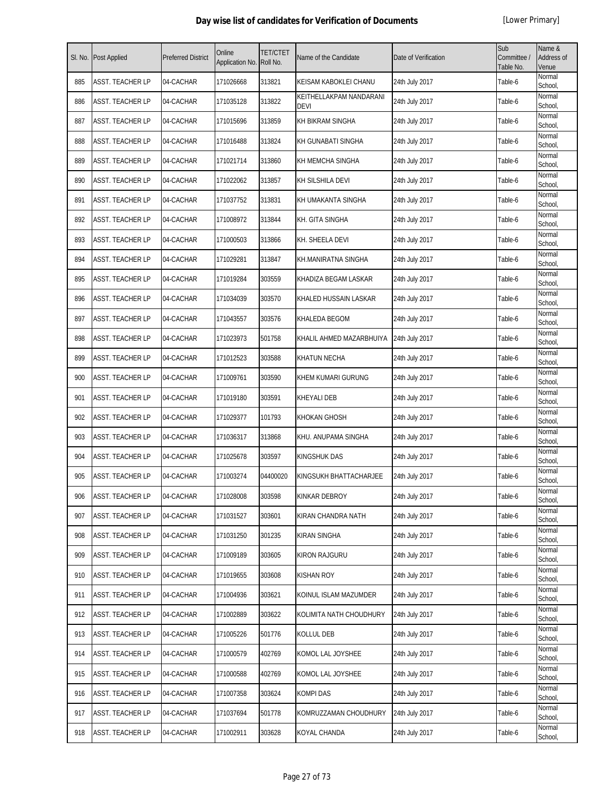| SI. No. | Post Applied            | <b>Preferred District</b> | Online<br>Application No. | <b>TET/CTET</b><br>Roll No. | Name of the Candidate                  | Date of Verification | Sub<br>Committee /<br>Table No. | Name &<br>Address of<br>Venue |
|---------|-------------------------|---------------------------|---------------------------|-----------------------------|----------------------------------------|----------------------|---------------------------------|-------------------------------|
| 885     | <b>ASST. TEACHER LP</b> | 04-CACHAR                 | 171026668                 | 313821                      | KEISAM KABOKLEI CHANU                  | 24th July 2017       | Table-6                         | Normal<br>School,             |
| 886     | ASST. TEACHER LP        | 04-CACHAR                 | 171035128                 | 313822                      | KEITHELLAKPAM NANDARANI<br><b>DEVI</b> | 24th July 2017       | Table-6                         | Normal<br>School,             |
| 887     | ASST. TEACHER LP        | 04-CACHAR                 | 171015696                 | 313859                      | KH BIKRAM SINGHA                       | 24th July 2017       | Table-6                         | Normal<br>School,             |
| 888     | ASST. TEACHER LP        | 04-CACHAR                 | 171016488                 | 313824                      | KH GUNABATI SINGHA                     | 24th July 2017       | Table-6                         | Normal<br>School,             |
| 889     | ASST. TEACHER LP        | 04-CACHAR                 | 171021714                 | 313860                      | KH MEMCHA SINGHA                       | 24th July 2017       | Table-6                         | Normal<br>School,             |
| 890     | ASST. TEACHER LP        | 04-CACHAR                 | 171022062                 | 313857                      | KH SILSHILA DEVI                       | 24th July 2017       | Table-6                         | Normal<br>School,             |
| 891     | ASST. TEACHER LP        | 04-CACHAR                 | 171037752                 | 313831                      | KH UMAKANTA SINGHA                     | 24th July 2017       | Table-6                         | Normal<br>School,             |
| 892     | ASST. TEACHER LP        | 04-CACHAR                 | 171008972                 | 313844                      | KH. GITA SINGHA                        | 24th July 2017       | Table-6                         | Normal<br>School,             |
| 893     | ASST. TEACHER LP        | 04-CACHAR                 | 171000503                 | 313866                      | KH. SHEELA DEVI                        | 24th July 2017       | Table-6                         | Normal<br>School,             |
| 894     | ASST. TEACHER LP        | 04-CACHAR                 | 171029281                 | 313847                      | KH.MANIRATNA SINGHA                    | 24th July 2017       | Table-6                         | Normal<br>School,             |
| 895     | ASST. TEACHER LP        | 04-CACHAR                 | 171019284                 | 303559                      | KHADIZA BEGAM LASKAR                   | 24th July 2017       | Table-6                         | Normal<br>School,             |
| 896     | ASST. TEACHER LP        | 04-CACHAR                 | 171034039                 | 303570                      | KHALED HUSSAIN LASKAR                  | 24th July 2017       | Table-6                         | Normal<br>School,             |
| 897     | ASST. TEACHER LP        | 04-CACHAR                 | 171043557                 | 303576                      | KHALEDA BEGOM                          | 24th July 2017       | Table-6                         | Normal<br>School,             |
| 898     | ASST. TEACHER LP        | 04-CACHAR                 | 171023973                 | 501758                      | KHALIL AHMED MAZARBHUIYA               | 24th July 2017       | Table-6                         | Normal<br>School,             |
| 899     | ASST. TEACHER LP        | 04-CACHAR                 | 171012523                 | 303588                      | <b>KHATUN NECHA</b>                    | 24th July 2017       | Table-6                         | Normal<br>School,             |
| 900     | ASST. TEACHER LP        | 04-CACHAR                 | 171009761                 | 303590                      | KHEM KUMARI GURUNG                     | 24th July 2017       | Table-6                         | Normal<br>School,             |
| 901     | ASST. TEACHER LP        | 04-CACHAR                 | 171019180                 | 303591                      | KHEYALI DEB                            | 24th July 2017       | Table-6                         | Normal<br>School,             |
| 902     | ASST. TEACHER LP        | 04-CACHAR                 | 171029377                 | 101793                      | <b>KHOKAN GHOSH</b>                    | 24th July 2017       | Table-6                         | Normal<br>School,             |
| 903     | <b>ASST. TEACHER LP</b> | 04-CACHAR                 | 171036317                 | 313868                      | KHU. ANUPAMA SINGHA                    | 24th July 2017       | Table-6                         | Normal<br>School,             |
| 904     | ASST. TEACHER LP        | 04-CACHAR                 | 171025678                 | 303597                      | <b>KINGSHUK DAS</b>                    | 24th July 2017       | Table-6                         | Normal<br>School,             |
| 905     | ASST. TEACHER LP        | 04-CACHAR                 | 171003274                 | 04400020                    | KINGSUKH BHATTACHARJEE                 | 24th July 2017       | Table-6                         | Normal<br>School,             |
| 906     | ASST. TEACHER LP        | 04-CACHAR                 | 171028008                 | 303598                      | KINKAR DEBROY                          | 24th July 2017       | Table-6                         | Normal<br>School,             |
| 907     | ASST. TEACHER LP        | 04-CACHAR                 | 171031527                 | 303601                      | KIRAN CHANDRA NATH                     | 24th July 2017       | Table-6                         | Normal<br>School,             |
| 908     | ASST. TEACHER LP        | 04-CACHAR                 | 171031250                 | 301235                      | KIRAN SINGHA                           | 24th July 2017       | Table-6                         | Normal<br>School,             |
| 909     | ASST. TEACHER LP        | 04-CACHAR                 | 171009189                 | 303605                      | KIRON RAJGURU                          | 24th July 2017       | Table-6                         | Normal<br>School,             |
| 910     | ASST. TEACHER LP        | 04-CACHAR                 | 171019655                 | 303608                      | <b>KISHAN ROY</b>                      | 24th July 2017       | Table-6                         | Normal<br>School,             |
| 911     | ASST. TEACHER LP        | 04-CACHAR                 | 171004936                 | 303621                      | KOINUL ISLAM MAZUMDER                  | 24th July 2017       | Table-6                         | Normal<br>School,             |
| 912     | ASST. TEACHER LP        | 04-CACHAR                 | 171002889                 | 303622                      | KOLIMITA NATH CHOUDHURY                | 24th July 2017       | Table-6                         | Normal<br>School,             |
| 913     | ASST. TEACHER LP        | 04-CACHAR                 | 171005226                 | 501776                      | KOLLUL DEB                             | 24th July 2017       | Table-6                         | Normal<br>School,             |
| 914     | ASST. TEACHER LP        | 04-CACHAR                 | 171000579                 | 402769                      | KOMOL LAL JOYSHEE                      | 24th July 2017       | Table-6                         | Normal<br>School,             |
| 915     | ASST. TEACHER LP        | 04-CACHAR                 | 171000588                 | 402769                      | KOMOL LAL JOYSHEE                      | 24th July 2017       | Table-6                         | Normal<br>School,             |
| 916     | ASST. TEACHER LP        | 04-CACHAR                 | 171007358                 | 303624                      | <b>KOMPI DAS</b>                       | 24th July 2017       | Table-6                         | Normal<br>School,             |
| 917     | ASST. TEACHER LP        | 04-CACHAR                 | 171037694                 | 501778                      | KOMRUZZAMAN CHOUDHURY                  | 24th July 2017       | Table-6                         | Normal<br>School,             |
| 918     | ASST. TEACHER LP        | 04-CACHAR                 | 171002911                 | 303628                      | KOYAL CHANDA                           | 24th July 2017       | Table-6                         | Normal<br>School,             |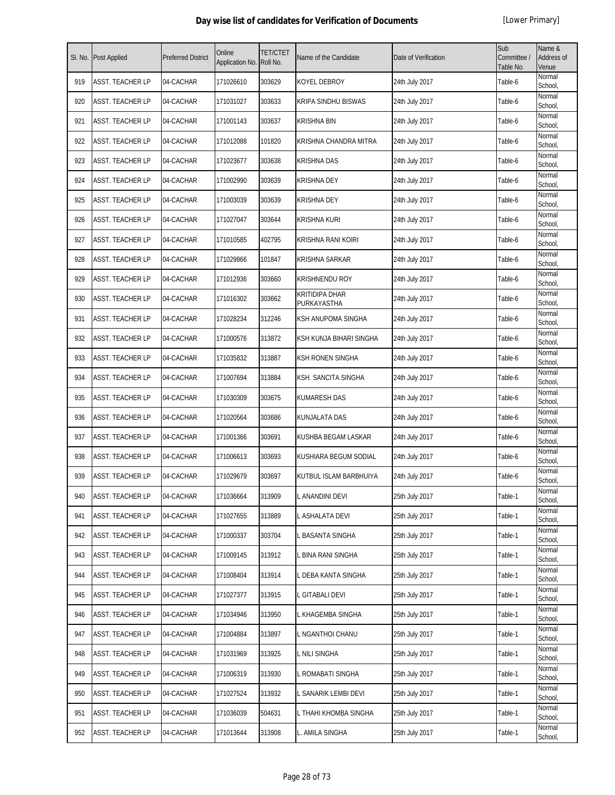| SI. No. | <b>Post Applied</b>     | <b>Preferred District</b> | Online<br>Application No. | <b>TET/CTET</b><br>Roll No. | Name of the Candidate                | Date of Verification | Sub<br>Committee /<br>Table No. | Name &<br>Address of<br>Venue |
|---------|-------------------------|---------------------------|---------------------------|-----------------------------|--------------------------------------|----------------------|---------------------------------|-------------------------------|
| 919     | <b>ASST. TEACHER LP</b> | 04-CACHAR                 | 171026610                 | 303629                      | <b>KOYEL DEBROY</b>                  | 24th July 2017       | Table-6                         | Normal<br>School,             |
| 920     | ASST. TEACHER LP        | 04-CACHAR                 | 171031027                 | 303633                      | <b>KRIPA SINDHU BISWAS</b>           | 24th July 2017       | Table-6                         | Normal<br>School,             |
| 921     | ASST. TEACHER LP        | 04-CACHAR                 | 171001143                 | 303637                      | KRISHNA BIN                          | 24th July 2017       | Table-6                         | Normal<br>School,             |
| 922     | ASST. TEACHER LP        | 04-CACHAR                 | 171012088                 | 101820                      | KRISHNA CHANDRA MITRA                | 24th July 2017       | Table-6                         | Normal<br>School,             |
| 923     | ASST. TEACHER LP        | 04-CACHAR                 | 171023677                 | 303638                      | <b>KRISHNA DAS</b>                   | 24th July 2017       | Table-6                         | Normal<br>School,             |
| 924     | ASST. TEACHER LP        | 04-CACHAR                 | 171002990                 | 303639                      | <b>KRISHNA DEY</b>                   | 24th July 2017       | Table-6                         | Normal<br>School,             |
| 925     | ASST. TEACHER LP        | 04-CACHAR                 | 171003039                 | 303639                      | <b>KRISHNA DEY</b>                   | 24th July 2017       | Table-6                         | Normal<br>School,             |
| 926     | ASST. TEACHER LP        | 04-CACHAR                 | 171027047                 | 303644                      | <b>KRISHNA KURI</b>                  | 24th July 2017       | Table-6                         | Normal<br>School,             |
| 927     | ASST. TEACHER LP        | 04-CACHAR                 | 171010585                 | 402795                      | KRISHNA RANI KOIRI                   | 24th July 2017       | Table-6                         | Normal<br>School,             |
| 928     | ASST. TEACHER LP        | 04-CACHAR                 | 171029866                 | 101847                      | KRISHNA SARKAR                       | 24th July 2017       | Table-6                         | Normal<br>School,             |
| 929     | ASST. TEACHER LP        | 04-CACHAR                 | 171012936                 | 303660                      | <b>KRISHNENDU ROY</b>                | 24th July 2017       | Table-6                         | Normal<br>School,             |
| 930     | ASST. TEACHER LP        | 04-CACHAR                 | 171016302                 | 303662                      | <b>KRITIDIPA DHAR</b><br>PURKAYASTHA | 24th July 2017       | Table-6                         | Normal<br>School,             |
| 931     | ASST. TEACHER LP        | 04-CACHAR                 | 171028234                 | 312246                      | KSH ANUPOMA SINGHA                   | 24th July 2017       | Table-6                         | Normal<br>School,             |
| 932     | ASST. TEACHER LP        | 04-CACHAR                 | 171000576                 | 313872                      | KSH KUNJA BIHARI SINGHA              | 24th July 2017       | Table-6                         | Normal<br>School,             |
| 933     | ASST. TEACHER LP        | 04-CACHAR                 | 171035832                 | 313887                      | <b>KSH RONEN SINGHA</b>              | 24th July 2017       | Table-6                         | Normal<br>School,             |
| 934     | ASST. TEACHER LP        | 04-CACHAR                 | 171007694                 | 313884                      | <b>KSH. SANCITA SINGHA</b>           | 24th July 2017       | Table-6                         | Normal<br>School,             |
| 935     | ASST. TEACHER LP        | 04-CACHAR                 | 171030309                 | 303675                      | KUMARESH DAS                         | 24th July 2017       | Table-6                         | Normal<br>School,             |
| 936     | ASST. TEACHER LP        | 04-CACHAR                 | 171020564                 | 303686                      | KUNJALATA DAS                        | 24th July 2017       | Table-6                         | Normal<br>School,             |
| 937     | ASST. TEACHER LP        | 04-CACHAR                 | 171001366                 | 303691                      | KUSHBA BEGAM LASKAR                  | 24th July 2017       | Table-6                         | Normal<br>School.             |
| 938     | ASST. TEACHER LP        | 04-CACHAR                 | 171006613                 | 303693                      | KUSHIARA BEGUM SODIAL                | 24th July 2017       | Table-6                         | Normal<br>School,             |
| 939     | ASST. TEACHER LP        | 04-CACHAR                 | 171029679                 | 303697                      | KUTBUL ISLAM BARBHUIYA               | 24th July 2017       | Table-6                         | Normal<br>School,             |
| 940     | <b>ASST. TEACHER LP</b> | 04-CACHAR                 | 171036664                 | 313909                      | L ANANDINI DEVI                      | 25th July 2017       | Table-1                         | Normal<br>School,             |
| 941     | ASST. TEACHER LP        | 04-CACHAR                 | 171027655                 | 313889                      | L ASHALATA DEVI                      | 25th July 2017       | Table-1                         | Normal<br>School,             |
| 942     | ASST. TEACHER LP        | 04-CACHAR                 | 171000337                 | 303704                      | L BASANTA SINGHA                     | 25th July 2017       | Table-1                         | Normal<br>School,             |
| 943     | ASST. TEACHER LP        | 04-CACHAR                 | 171009145                 | 313912                      | L BINA RANI SINGHA                   | 25th July 2017       | Table-1                         | Normal<br>School,             |
| 944     | ASST. TEACHER LP        | 04-CACHAR                 | 171008404                 | 313914                      | L DEBA KANTA SINGHA                  | 25th July 2017       | Table-1                         | Normal<br>School,             |
| 945     | ASST. TEACHER LP        | 04-CACHAR                 | 171027377                 | 313915                      | L GITABALI DEVI                      | 25th July 2017       | Table-1                         | Normal<br>School,             |
| 946     | ASST. TEACHER LP        | 04-CACHAR                 | 171034946                 | 313950                      | L KHAGEMBA SINGHA                    | 25th July 2017       | Table-1                         | Normal<br>School,             |
| 947     | ASST. TEACHER LP        | 04-CACHAR                 | 171004884                 | 313897                      | L NGANTHOI CHANU                     | 25th July 2017       | Table-1                         | Normal<br>School,             |
| 948     | ASST. TEACHER LP        | 04-CACHAR                 | 171031969                 | 313925                      | L NILI SINGHA                        | 25th July 2017       | Table-1                         | Normal<br>School,             |
| 949     | ASST. TEACHER LP        | 04-CACHAR                 | 171006319                 | 313930                      | L ROMABATI SINGHA                    | 25th July 2017       | Table-1                         | Normal<br>School,             |
| 950     | ASST. TEACHER LP        | 04-CACHAR                 | 171027524                 | 313932                      | SANARIK LEMBI DEVI                   | 25th July 2017       | Table-1                         | Normal<br>School,             |
| 951     | ASST. TEACHER LP        | 04-CACHAR                 | 171036039                 | 504631                      | L THAHI KHOMBA SINGHA                | 25th July 2017       | Table-1                         | Normal<br>School,             |
| 952     | ASST. TEACHER LP        | 04-CACHAR                 | 171013644                 | 313908                      | L. AMILA SINGHA                      | 25th July 2017       | Table-1                         | Normal<br>School,             |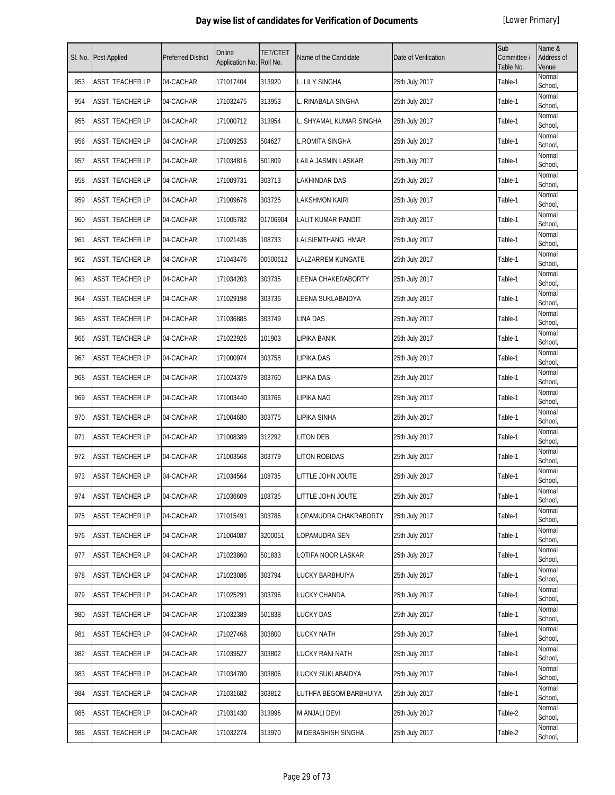| SI. No. | <b>Post Applied</b>     | <b>Preferred District</b> | Online<br>Application No. | TET/CTET<br>Roll No. | Name of the Candidate   | Date of Verification | Sub<br>Committee /<br>Table No. | Name &<br>Address of<br>Venue |
|---------|-------------------------|---------------------------|---------------------------|----------------------|-------------------------|----------------------|---------------------------------|-------------------------------|
| 953     | <b>ASST. TEACHER LP</b> | 04-CACHAR                 | 171017404                 | 313920               | L. LILY SINGHA          | 25th July 2017       | Table-1                         | Normal<br>School,             |
| 954     | ASST. TEACHER LP        | 04-CACHAR                 | 171032475                 | 313953               | L. RINABALA SINGHA      | 25th July 2017       | Table-1                         | Normal<br>School,             |
| 955     | <b>ASST. TEACHER LP</b> | 04-CACHAR                 | 171000712                 | 313954               | L. SHYAMAL KUMAR SINGHA | 25th July 2017       | Table-1                         | Normal<br>School,             |
| 956     | ASST. TEACHER LP        | 04-CACHAR                 | 171009253                 | 504627               | <b>L.ROMITA SINGHA</b>  | 25th July 2017       | Table-1                         | Normal<br>School,             |
| 957     | <b>ASST. TEACHER LP</b> | 04-CACHAR                 | 171034816                 | 501809               | LAILA JASMIN LASKAR     | 25th July 2017       | Table-1                         | Normal<br>School,             |
| 958     | ASST. TEACHER LP        | 04-CACHAR                 | 171009731                 | 303713               | LAKHINDAR DAS           | 25th July 2017       | Table-1                         | Normal<br>School,             |
| 959     | <b>ASST. TEACHER LP</b> | 04-CACHAR                 | 171009678                 | 303725               | <b>LAKSHMON KAIRI</b>   | 25th July 2017       | Table-1                         | Normal<br>School,             |
| 960     | <b>ASST. TEACHER LP</b> | 04-CACHAR                 | 171005782                 | 01706904             | LALIT KUMAR PANDIT      | 25th July 2017       | Table-1                         | Normal<br>School,             |
| 961     | <b>ASST. TEACHER LP</b> | 04-CACHAR                 | 171021436                 | 108733               | LALSIEMTHANG HMAR       | 25th July 2017       | Table-1                         | Normal<br>School,             |
| 962     | ASST. TEACHER LP        | 04-CACHAR                 | 171043476                 | 00500612             | LALZARREM KUNGATE       | 25th July 2017       | Table-1                         | Normal<br>School,             |
| 963     | ASST. TEACHER LP        | 04-CACHAR                 | 171034203                 | 303735               | LEENA CHAKERABORTY      | 25th July 2017       | Table-1                         | Normal<br>School,             |
| 964     | ASST. TEACHER LP        | 04-CACHAR                 | 171029198                 | 303736               | LEENA SUKLABAIDYA       | 25th July 2017       | Table-1                         | Normal<br>School,             |
| 965     | ASST. TEACHER LP        | 04-CACHAR                 | 171036885                 | 303749               | <b>LINA DAS</b>         | 25th July 2017       | Table-1                         | Normal<br>School,             |
| 966     | ASST. TEACHER LP        | 04-CACHAR                 | 171022926                 | 101903               | LIPIKA BANIK            | 25th July 2017       | Table-1                         | Normal<br>School,             |
| 967     | ASST. TEACHER LP        | 04-CACHAR                 | 171000974                 | 303758               | LIPIKA DAS              | 25th July 2017       | Table-1                         | Normal<br>School,             |
| 968     | <b>ASST. TEACHER LP</b> | 04-CACHAR                 | 171024379                 | 303760               | LIPIKA DAS              | 25th July 2017       | Table-1                         | Normal<br>School,             |
| 969     | ASST. TEACHER LP        | 04-CACHAR                 | 171003440                 | 303766               | LIPIKA NAG              | 25th July 2017       | Table-1                         | Normal<br>School,             |
| 970     | ASST. TEACHER LP        | 04-CACHAR                 | 171004680                 | 303775               | <b>LIPIKA SINHA</b>     | 25th July 2017       | Table-1                         | Normal<br>School,             |
| 971     | <b>ASST. TEACHER LP</b> | 04-CACHAR                 | 171008389                 | 312292               | <b>LITON DEB</b>        | 25th July 2017       | Table-1                         | Normal<br>School,             |
| 972     | <b>ASST. TEACHER LP</b> | 04-CACHAR                 | 171003568                 | 303779               | <b>LITON ROBIDAS</b>    | 25th July 2017       | Table-1                         | Normal<br>School,             |
| 973     | ASST. TEACHER LP        | 04-CACHAR                 | 171034564                 | 108735               | LITTLE JOHN JOUTE       | 25th July 2017       | Table-1                         | Normal<br>School,             |
| 974     | <b>ASST. TEACHER LP</b> | 04-CACHAR                 | 171036609                 | 108735               | LITTLE JOHN JOUTE       | 25th July 2017       | Table-1                         | Normal<br>School,             |
| 975     | <b>ASST. TEACHER LP</b> | 04-CACHAR                 | 171015491                 | 303786               | LOPAMUDRA CHAKRABORTY   | 25th July 2017       | Table-1                         | Normal<br>School,             |
| 976     | <b>ASST. TEACHER LP</b> | 04-CACHAR                 | 171004087                 | 3200051              | LOPAMUDRA SEN           | 25th July 2017       | Table-1                         | Normal<br>School,             |
| 977     | <b>ASST. TEACHER LP</b> | 04-CACHAR                 | 171023860                 | 501833               | LOTIFA NOOR LASKAR      | 25th July 2017       | Table-1                         | Normal<br>School,             |
| 978     | <b>ASST. TEACHER LP</b> | 04-CACHAR                 | 171023086                 | 303794               | LUCKY BARBHUIYA         | 25th July 2017       | Table-1                         | Normal<br>School,             |
| 979     | <b>ASST. TEACHER LP</b> | 04-CACHAR                 | 171025291                 | 303796               | <b>LUCKY CHANDA</b>     | 25th July 2017       | Table-1                         | Normal<br>School,             |
| 980     | <b>ASST. TEACHER LP</b> | 04-CACHAR                 | 171032389                 | 501838               | <b>LUCKY DAS</b>        | 25th July 2017       | Table-1                         | Normal<br>School,             |
| 981     | <b>ASST. TEACHER LP</b> | 04-CACHAR                 | 171027468                 | 303800               | <b>LUCKY NATH</b>       | 25th July 2017       | Table-1                         | Normal<br>School,             |
| 982     | ASST. TEACHER LP        | 04-CACHAR                 | 171039527                 | 303802               | <b>LUCKY RANI NATH</b>  | 25th July 2017       | Table-1                         | Normal<br>School,             |
| 983     | ASST. TEACHER LP        | 04-CACHAR                 | 171034780                 | 303806               | LUCKY SUKLABAIDYA       | 25th July 2017       | Table-1                         | Normal<br>School,             |
| 984     | <b>ASST. TEACHER LP</b> | 04-CACHAR                 | 171031682                 | 303812               | LUTHFA BEGOM BARBHUIYA  | 25th July 2017       | Table-1                         | Normal<br>School,             |
| 985     | <b>ASST. TEACHER LP</b> | 04-CACHAR                 | 171031430                 | 313996               | M ANJALI DEVI           | 25th July 2017       | Table-2                         | Normal<br>School,             |
| 986     | ASST. TEACHER LP        | 04-CACHAR                 | 171032274                 | 313970               | M DEBASHISH SINGHA      | 25th July 2017       | Table-2                         | Normal<br>School,             |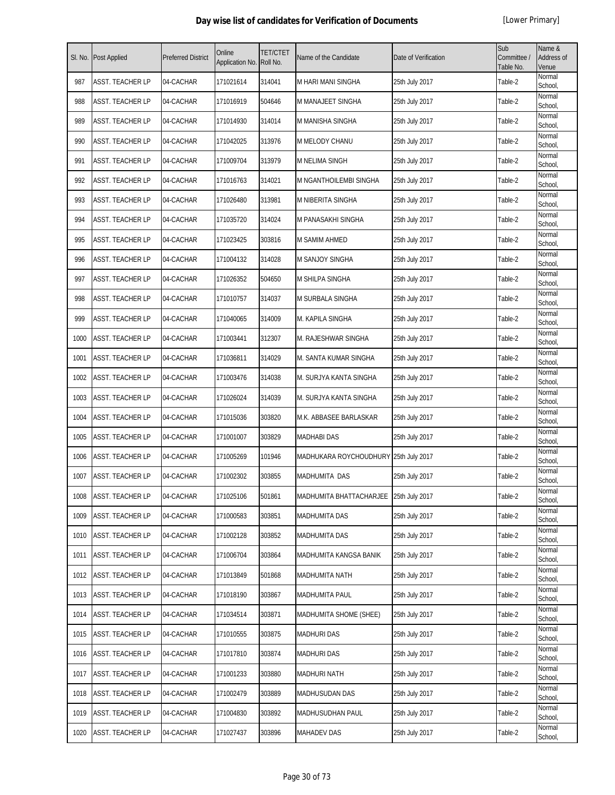| SI. No. | Post Applied            | <b>Preferred District</b> | Online<br>Application No. | <b>TET/CTET</b><br>Roll No. | Name of the Candidate                  | Date of Verification | Sub<br>Committee /<br>Table No. | Name &<br><b>Address of</b><br>Venue |
|---------|-------------------------|---------------------------|---------------------------|-----------------------------|----------------------------------------|----------------------|---------------------------------|--------------------------------------|
| 987     | ASST. TEACHER LP        | 04-CACHAR                 | 171021614                 | 314041                      | M HARI MANI SINGHA                     | 25th July 2017       | Table-2                         | Normal<br>School,                    |
| 988     | ASST. TEACHER LP        | 04-CACHAR                 | 171016919                 | 504646                      | M MANAJEET SINGHA                      | 25th July 2017       | Table-2                         | Normal<br>School,                    |
| 989     | ASST. TEACHER LP        | 04-CACHAR                 | 171014930                 | 314014                      | M MANISHA SINGHA                       | 25th July 2017       | Table-2                         | Normal<br>School,                    |
| 990     | ASST. TEACHER LP        | 04-CACHAR                 | 171042025                 | 313976                      | M MELODY CHANU                         | 25th July 2017       | Table-2                         | Normal<br>School,                    |
| 991     | ASST. TEACHER LP        | 04-CACHAR                 | 171009704                 | 313979                      | M NELIMA SINGH                         | 25th July 2017       | Table-2                         | Normal<br>School,                    |
| 992     | ASST. TEACHER LP        | 04-CACHAR                 | 171016763                 | 314021                      | M NGANTHOILEMBI SINGHA                 | 25th July 2017       | Table-2                         | Normal<br>School,                    |
| 993     | ASST. TEACHER LP        | 04-CACHAR                 | 171026480                 | 313981                      | M NIBERITA SINGHA                      | 25th July 2017       | Table-2                         | Normal<br>School,                    |
| 994     | ASST. TEACHER LP        | 04-CACHAR                 | 171035720                 | 314024                      | M PANASAKHI SINGHA                     | 25th July 2017       | Table-2                         | Normal<br>School,                    |
| 995     | ASST. TEACHER LP        | 04-CACHAR                 | 171023425                 | 303816                      | <b>M SAMIM AHMED</b>                   | 25th July 2017       | Table-2                         | Normal<br>School,                    |
| 996     | <b>ASST. TEACHER LP</b> | 04-CACHAR                 | 171004132                 | 314028                      | <b>M SANJOY SINGHA</b>                 | 25th July 2017       | Table-2                         | Normal<br>School,                    |
| 997     | ASST. TEACHER LP        | 04-CACHAR                 | 171026352                 | 504650                      | <b>M SHILPA SINGHA</b>                 | 25th July 2017       | Table-2                         | Normal<br>School.                    |
| 998     | ASST. TEACHER LP        | 04-CACHAR                 | 171010757                 | 314037                      | M SURBALA SINGHA                       | 25th July 2017       | Table-2                         | Normal<br>School,                    |
| 999     | ASST. TEACHER LP        | 04-CACHAR                 | 171040065                 | 314009                      | M. KAPILA SINGHA                       | 25th July 2017       | Table-2                         | Normal<br>School,                    |
| 1000    | ASST. TEACHER LP        | 04-CACHAR                 | 171003441                 | 312307                      | M. RAJESHWAR SINGHA                    | 25th July 2017       | Table-2                         | Normal<br>School,                    |
| 1001    | ASST. TEACHER LP        | 04-CACHAR                 | 171036811                 | 314029                      | M. SANTA KUMAR SINGHA                  | 25th July 2017       | Table-2                         | Normal<br>School,                    |
| 1002    | ASST. TEACHER LP        | 04-CACHAR                 | 171003476                 | 314038                      | M. SURJYA KANTA SINGHA                 | 25th July 2017       | Table-2                         | Normal<br>School,                    |
| 1003    | ASST. TEACHER LP        | 04-CACHAR                 | 171026024                 | 314039                      | M. SURJYA KANTA SINGHA                 | 25th July 2017       | Table-2                         | Normal<br>School,                    |
| 1004    | ASST. TEACHER LP        | 04-CACHAR                 | 171015036                 | 303820                      | M.K. ABBASEE BARLASKAR                 | 25th July 2017       | Table-2                         | Normal<br>School,                    |
| 1005    | ASST. TEACHER LP        | 04-CACHAR                 | 171001007                 | 303829                      | <b>MADHABI DAS</b>                     | 25th July 2017       | Table-2                         | Normal<br>School,                    |
| 1006    | ASST. TEACHER LP        | 04-CACHAR                 | 171005269                 | 101946                      | MADHUKARA ROYCHOUDHURY 25th July 2017  |                      | Table-2                         | Normal<br>School,                    |
| 1007    | ASST. TEACHER LP        | 04-CACHAR                 | 171002302                 | 303855                      | <b>MADHUMITA DAS</b>                   | 25th July 2017       | Table-2                         | Normal<br>School,                    |
| 1008    | ASST. TEACHER LP        | 04-CACHAR                 | 171025106                 | 501861                      | MADHUMITA BHATTACHARJEE 25th July 2017 |                      | Table-2                         | Normal<br>School,                    |
| 1009    | <b>ASST. TEACHER LP</b> | 04-CACHAR                 | 171000583                 | 303851                      | MADHUMITA DAS                          | 25th July 2017       | Table-2                         | Normal<br>School,                    |
| 1010    | <b>ASST. TEACHER LP</b> | 04-CACHAR                 | 171002128                 | 303852                      | MADHUMITA DAS                          | 25th July 2017       | Table-2                         | Normal<br>School,                    |
| 1011    | <b>ASST. TEACHER LP</b> | 04-CACHAR                 | 171006704                 | 303864                      | MADHUMITA KANGSA BANIK                 | 25th July 2017       | Table-2                         | Normal<br>School,                    |
| 1012    | ASST. TEACHER LP        | 04-CACHAR                 | 171013849                 | 501868                      | <b>MADHUMITA NATH</b>                  | 25th July 2017       | Table-2                         | Normal<br>School,                    |
| 1013    | ASST. TEACHER LP        | 04-CACHAR                 | 171018190                 | 303867                      | MADHUMITA PAUL                         | 25th July 2017       | Table-2                         | Normal<br>School,                    |
| 1014    | ASST. TEACHER LP        | 04-CACHAR                 | 171034514                 | 303871                      | MADHUMITA SHOME (SHEE)                 | 25th July 2017       | Table-2                         | Normal<br>School,                    |
| 1015    | ASST. TEACHER LP        | 04-CACHAR                 | 171010555                 | 303875                      | <b>MADHURI DAS</b>                     | 25th July 2017       | Table-2                         | Normal<br>School,                    |
| 1016    | ASST. TEACHER LP        | 04-CACHAR                 | 171017810                 | 303874                      | <b>MADHURI DAS</b>                     | 25th July 2017       | Table-2                         | Normal<br>School,                    |
| 1017    | ASST. TEACHER LP        | 04-CACHAR                 | 171001233                 | 303880                      | <b>MADHURI NATH</b>                    | 25th July 2017       | Table-2                         | Normal<br>School,                    |
| 1018    | ASST. TEACHER LP        | 04-CACHAR                 | 171002479                 | 303889                      | <b>MADHUSUDAN DAS</b>                  | 25th July 2017       | Table-2                         | Normal<br>School,                    |
| 1019    | ASST. TEACHER LP        | 04-CACHAR                 | 171004830                 | 303892                      | <b>MADHUSUDHAN PAUL</b>                | 25th July 2017       | Table-2                         | Normal<br>School,                    |
| 1020    | ASST. TEACHER LP        | 04-CACHAR                 | 171027437                 | 303896                      | <b>MAHADEV DAS</b>                     | 25th July 2017       | Table-2                         | Normal<br>School,                    |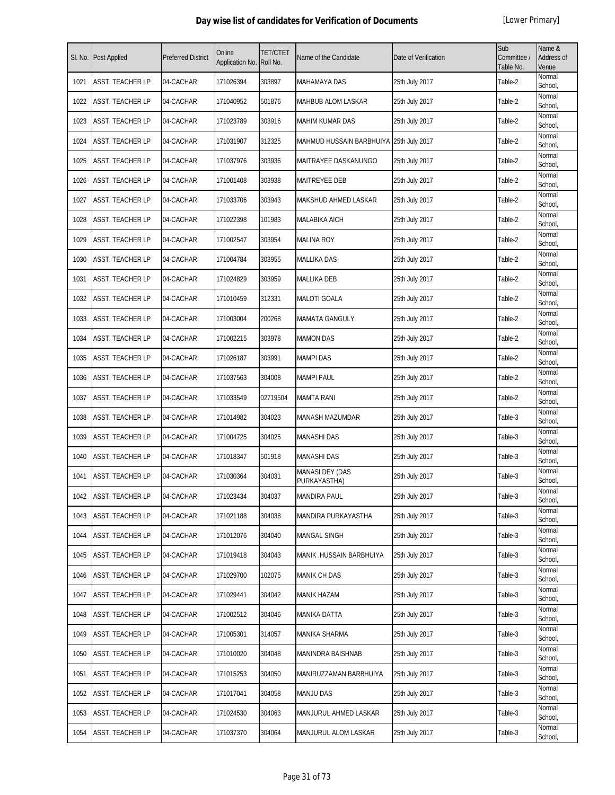| SI. No. | Post Applied            | <b>Preferred District</b> | Online<br>Application No. | TET/CTET<br>Roll No. | Name of the Candidate                   | Date of Verification | Sub<br>Committee /<br>Table No. | Name &<br>Address of<br>Venue |
|---------|-------------------------|---------------------------|---------------------------|----------------------|-----------------------------------------|----------------------|---------------------------------|-------------------------------|
| 1021    | ASST. TEACHER LP        | 04-CACHAR                 | 171026394                 | 303897               | <b>MAHAMAYA DAS</b>                     | 25th July 2017       | Table-2                         | Normal<br>School,             |
| 1022    | ASST. TEACHER LP        | 04-CACHAR                 | 171040952                 | 501876               | MAHBUB ALOM LASKAR                      | 25th July 2017       | Table-2                         | Normal<br>School,             |
| 1023    | ASST. TEACHER LP        | 04-CACHAR                 | 171023789                 | 303916               | MAHIM KUMAR DAS                         | 25th July 2017       | Table-2                         | Normal<br>School,             |
| 1024    | ASST. TEACHER LP        | 04-CACHAR                 | 171031907                 | 312325               | MAHMUD HUSSAIN BARBHUIYA 25th July 2017 |                      | Table-2                         | Normal<br>School,             |
| 1025    | ASST. TEACHER LP        | 04-CACHAR                 | 171037976                 | 303936               | MAITRAYEE DASKANUNGO                    | 25th July 2017       | Table-2                         | Normal<br>School,             |
| 1026    | ASST. TEACHER LP        | 04-CACHAR                 | 171001408                 | 303938               | MAITREYEE DEB                           | 25th July 2017       | Table-2                         | Normal<br>School,             |
| 1027    | ASST. TEACHER LP        | 04-CACHAR                 | 171033706                 | 303943               | MAKSHUD AHMED LASKAR                    | 25th July 2017       | Table-2                         | Normal<br>School,             |
| 1028    | ASST. TEACHER LP        | 04-CACHAR                 | 171022398                 | 101983               | MALABIKA AICH                           | 25th July 2017       | Table-2                         | Normal<br>School,             |
| 1029    | ASST. TEACHER LP        | 04-CACHAR                 | 171002547                 | 303954               | <b>MALINA ROY</b>                       | 25th July 2017       | Table-2                         | Normal<br>School,             |
| 1030    | <b>ASST. TEACHER LP</b> | 04-CACHAR                 | 171004784                 | 303955               | <b>MALLIKA DAS</b>                      | 25th July 2017       | Table-2                         | Normal<br>School,             |
| 1031    | ASST. TEACHER LP        | 04-CACHAR                 | 171024829                 | 303959               | <b>MALLIKA DEB</b>                      | 25th July 2017       | Table-2                         | Normal<br>School,             |
| 1032    | ASST. TEACHER LP        | 04-CACHAR                 | 171010459                 | 312331               | <b>MALOTI GOALA</b>                     | 25th July 2017       | Table-2                         | Normal<br>School,             |
| 1033    | ASST. TEACHER LP        | 04-CACHAR                 | 171003004                 | 200268               | <b>MAMATA GANGULY</b>                   | 25th July 2017       | Table-2                         | Normal<br>School,             |
| 1034    | ASST. TEACHER LP        | 04-CACHAR                 | 171002215                 | 303978               | <b>MAMON DAS</b>                        | 25th July 2017       | Table-2                         | Normal<br>School,             |
| 1035    | ASST. TEACHER LP        | 04-CACHAR                 | 171026187                 | 303991               | <b>MAMPI DAS</b>                        | 25th July 2017       | Table-2                         | Normal<br>School,             |
| 1036    | ASST. TEACHER LP        | 04-CACHAR                 | 171037563                 | 304008               | <b>MAMPI PAUL</b>                       | 25th July 2017       | Table-2                         | Normal<br>School,             |
| 1037    | ASST. TEACHER LP        | 04-CACHAR                 | 171033549                 | 02719504             | <b>MAMTA RANI</b>                       | 25th July 2017       | Table-2                         | Normal<br>School,             |
| 1038    | ASST. TEACHER LP        | 04-CACHAR                 | 171014982                 | 304023               | <b>MANASH MAZUMDAR</b>                  | 25th July 2017       | Table-3                         | Normal<br>School,             |
| 1039    | <b>ASST. TEACHER LP</b> | 04-CACHAR                 | 171004725                 | 304025               | <b>MANASHI DAS</b>                      | 25th July 2017       | Table-3                         | Normal<br>School,             |
| 1040    | ASST. TEACHER LP        | 04-CACHAR                 | 171018347                 | 501918               | MANASHI DAS                             | 25th July 2017       | Table-3                         | Normal<br>School,             |
| 1041    | ASST. TEACHER LP        | 04-CACHAR                 | 171030364                 | 304031               | <b>MANASI DEY (DAS</b><br>PURKAYASTHA)  | 25th July 2017       | Table-3                         | Normal<br>School,             |
| 1042    | ASST. TEACHER LP        | 04-CACHAR                 | 171023434                 | 304037               | MANDIRA PAUL                            | 25th July 2017       | Table-3                         | Normal<br>School,             |
| 1043    | ASST. TEACHER LP        | 04-CACHAR                 | 171021188                 | 304038               | MANDIRA PURKAYASTHA                     | 25th July 2017       | Table-3                         | Normal<br>School,             |
| 1044    | ASST. TEACHER LP        | 04-CACHAR                 | 171012076                 | 304040               | MANGAL SINGH                            | 25th July 2017       | Table-3                         | Normal<br>School,             |
| 1045    | ASST. TEACHER LP        | 04-CACHAR                 | 171019418                 | 304043               | MANIK .HUSSAIN BARBHUIYA                | 25th July 2017       | Table-3                         | Normal<br>School,             |
| 1046    | ASST. TEACHER LP        | 04-CACHAR                 | 171029700                 | 102075               | <b>MANIK CH DAS</b>                     | 25th July 2017       | Table-3                         | Normal<br>School,             |
| 1047    | ASST. TEACHER LP        | 04-CACHAR                 | 171029441                 | 304042               | MANIK HAZAM                             | 25th July 2017       | Table-3                         | Normal<br>School,             |
| 1048    | ASST. TEACHER LP        | 04-CACHAR                 | 171002512                 | 304046               | MANIKA DATTA                            | 25th July 2017       | Table-3                         | Normal<br>School,             |
| 1049    | ASST. TEACHER LP        | 04-CACHAR                 | 171005301                 | 314057               | MANIKA SHARMA                           | 25th July 2017       | Table-3                         | Normal<br>School,             |
| 1050    | ASST. TEACHER LP        | 04-CACHAR                 | 171010020                 | 304048               | MANINDRA BAISHNAB                       | 25th July 2017       | Table-3                         | Normal<br>School,             |
| 1051    | ASST. TEACHER LP        | 04-CACHAR                 | 171015253                 | 304050               | MANIRUZZAMAN BARBHUIYA                  | 25th July 2017       | Table-3                         | Normal<br>School,             |
| 1052    | ASST. TEACHER LP        | 04-CACHAR                 | 171017041                 | 304058               | <b>MANJU DAS</b>                        | 25th July 2017       | Table-3                         | Normal<br>School,             |
| 1053    | ASST. TEACHER LP        | 04-CACHAR                 | 171024530                 | 304063               | MANJURUL AHMED LASKAR                   | 25th July 2017       | Table-3                         | Normal<br>School,             |
| 1054    | ASST. TEACHER LP        | 04-CACHAR                 | 171037370                 | 304064               | MANJURUL ALOM LASKAR                    | 25th July 2017       | Table-3                         | Normal<br>School,             |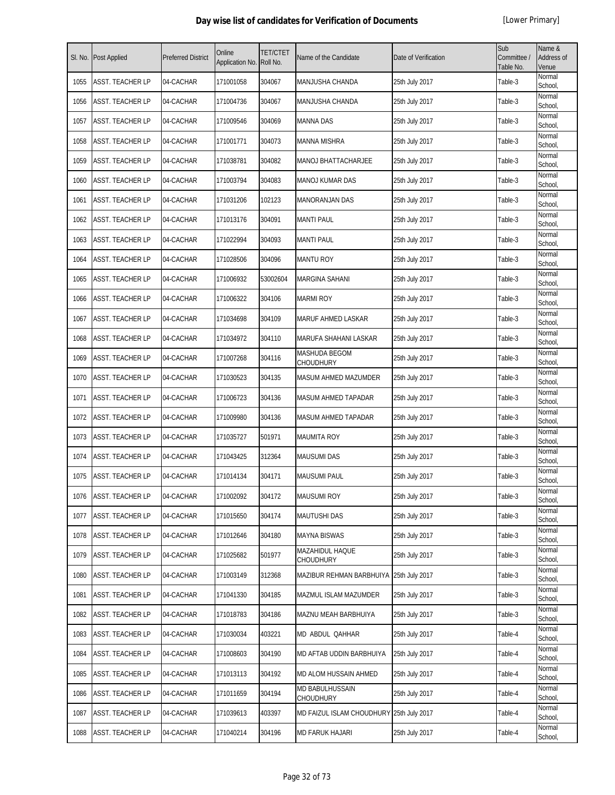| SI. No. | Post Applied            | <b>Preferred District</b> | Online<br>Application No. | <b>TET/CTET</b><br>Roll No. | Name of the Candidate                    | Date of Verification | Sub<br>Committee /<br>Table No. | Name &<br>Address of<br>Venue |
|---------|-------------------------|---------------------------|---------------------------|-----------------------------|------------------------------------------|----------------------|---------------------------------|-------------------------------|
| 1055    | <b>ASST. TEACHER LP</b> | 04-CACHAR                 | 171001058                 | 304067                      | MANJUSHA CHANDA                          | 25th July 2017       | Table-3                         | Normal<br>School,             |
| 1056    | <b>ASST. TEACHER LP</b> | 04-CACHAR                 | 171004736                 | 304067                      | MANJUSHA CHANDA                          | 25th July 2017       | Table-3                         | Normal<br>School,             |
| 1057    | ASST. TEACHER LP        | 04-CACHAR                 | 171009546                 | 304069                      | <b>MANNA DAS</b>                         | 25th July 2017       | Table-3                         | Normal<br>School,             |
| 1058    | ASST. TEACHER LP        | 04-CACHAR                 | 171001771                 | 304073                      | <b>MANNA MISHRA</b>                      | 25th July 2017       | Table-3                         | Normal<br>School,             |
| 1059    | ASST. TEACHER LP        | 04-CACHAR                 | 171038781                 | 304082                      | MANOJ BHATTACHARJEE                      | 25th July 2017       | Table-3                         | Normal<br>School,             |
| 1060    | ASST. TEACHER LP        | 04-CACHAR                 | 171003794                 | 304083                      | MANOJ KUMAR DAS                          | 25th July 2017       | Table-3                         | Normal<br>School,             |
| 1061    | ASST. TEACHER LP        | 04-CACHAR                 | 171031206                 | 102123                      | MANORANJAN DAS                           | 25th July 2017       | Table-3                         | Normal<br>School,             |
| 1062    | ASST. TEACHER LP        | 04-CACHAR                 | 171013176                 | 304091                      | <b>MANTI PAUL</b>                        | 25th July 2017       | Table-3                         | Normal<br>School,             |
| 1063    | ASST. TEACHER LP        | 04-CACHAR                 | 171022994                 | 304093                      | <b>MANTI PAUL</b>                        | 25th July 2017       | Table-3                         | Normal<br>School,             |
| 1064    | ASST. TEACHER LP        | 04-CACHAR                 | 171028506                 | 304096                      | <b>MANTU ROY</b>                         | 25th July 2017       | Table-3                         | Normal<br>School,             |
| 1065    | <b>ASST. TEACHER LP</b> | 04-CACHAR                 | 171006932                 | 53002604                    | <b>MARGINA SAHANI</b>                    | 25th July 2017       | Table-3                         | Normal<br>School,             |
| 1066    | <b>ASST. TEACHER LP</b> | 04-CACHAR                 | 171006322                 | 304106                      | <b>MARMI ROY</b>                         | 25th July 2017       | Table-3                         | Normal<br>School,             |
| 1067    | ASST. TEACHER LP        | 04-CACHAR                 | 171034698                 | 304109                      | MARUF AHMED LASKAR                       | 25th July 2017       | Table-3                         | Normal<br>School,             |
| 1068    | ASST. TEACHER LP        | 04-CACHAR                 | 171034972                 | 304110                      | MARUFA SHAHANI LASKAR                    | 25th July 2017       | Table-3                         | Normal<br>School,             |
| 1069    | ASST. TEACHER LP        | 04-CACHAR                 | 171007268                 | 304116                      | MASHUDA BEGOM<br>CHOUDHURY               | 25th July 2017       | Table-3                         | Normal<br>School,             |
| 1070    | ASST. TEACHER LP        | 04-CACHAR                 | 171030523                 | 304135                      | MASUM AHMED MAZUMDER                     | 25th July 2017       | Table-3                         | Normal<br>School,             |
| 1071    | ASST. TEACHER LP        | 04-CACHAR                 | 171006723                 | 304136                      | MASUM AHMED TAPADAR                      | 25th July 2017       | Table-3                         | Normal<br>School,             |
| 1072    | ASST. TEACHER LP        | 04-CACHAR                 | 171009980                 | 304136                      | MASUM AHMED TAPADAR                      | 25th July 2017       | Table-3                         | Normal<br>School,             |
| 1073    | ASST. TEACHER LP        | 04-CACHAR                 | 171035727                 | 501971                      | <b>MAUMITA ROY</b>                       | 25th July 2017       | Table-3                         | Normal<br>School,             |
| 1074    | <b>ASST. TEACHER LP</b> | 04-CACHAR                 | 171043425                 | 312364                      | <b>MAUSUMI DAS</b>                       | 25th July 2017       | Table-3                         | Normal<br>School,             |
| 1075    | ASST. TEACHER LP        | 04-CACHAR                 | 171014134                 | 304171                      | <b>MAUSUMI PAUL</b>                      | 25th July 2017       | Table-3                         | Normal<br>School,             |
| 1076    | ASST. TEACHER LP        | 04-CACHAR                 | 171002092                 | 304172                      | <b>MAUSUMI ROY</b>                       | 25th July 2017       | Table-3                         | Normal<br>School,             |
| 1077    | ASST. TEACHER LP        | 04-CACHAR                 | 171015650                 | 304174                      | <b>MAUTUSHI DAS</b>                      | 25th July 2017       | Table-3                         | Normal<br>School,             |
| 1078    | ASST. TEACHER LP        | 04-CACHAR                 | 171012646                 | 304180                      | MAYNA BISWAS                             | 25th July 2017       | Table-3                         | Normal<br>School,             |
| 1079    | ASST. TEACHER LP        | 04-CACHAR                 | 171025682                 | 501977                      | MAZAHIDUL HAQUE<br>CHOUDHURY             | 25th July 2017       | Table-3                         | Normal<br>School,             |
| 1080    | ASST. TEACHER LP        | 04-CACHAR                 | 171003149                 | 312368                      | MAZIBUR REHMAN BARBHUIYA                 | 25th July 2017       | Table-3                         | Normal<br>School,             |
| 1081    | ASST. TEACHER LP        | 04-CACHAR                 | 171041330                 | 304185                      | MAZMUL ISLAM MAZUMDER                    | 25th July 2017       | Table-3                         | Normal<br>School,             |
| 1082    | ASST. TEACHER LP        | 04-CACHAR                 | 171018783                 | 304186                      | MAZNU MEAH BARBHUIYA                     | 25th July 2017       | Table-3                         | Normal<br>School,             |
| 1083    | ASST. TEACHER LP        | 04-CACHAR                 | 171030034                 | 403221                      | MD ABDUL QAHHAR                          | 25th July 2017       | Table-4                         | Normal<br>School,             |
| 1084    | ASST. TEACHER LP        | 04-CACHAR                 | 171008603                 | 304190                      | MD AFTAB UDDIN BARBHUIYA                 | 25th July 2017       | Table-4                         | Normal<br>School,             |
| 1085    | ASST. TEACHER LP        | 04-CACHAR                 | 171013113                 | 304192                      | MD ALOM HUSSAIN AHMED                    | 25th July 2017       | Table-4                         | Normal<br>School,             |
| 1086    | ASST. TEACHER LP        | 04-CACHAR                 | 171011659                 | 304194                      | MD BABULHUSSAIN<br>CHOUDHURY             | 25th July 2017       | Table-4                         | Normal<br>School,             |
| 1087    | ASST. TEACHER LP        | 04-CACHAR                 | 171039613                 | 403397                      | MD FAIZUL ISLAM CHOUDHURY 25th July 2017 |                      | Table-4                         | Normal<br>School,             |
| 1088    | ASST. TEACHER LP        | 04-CACHAR                 | 171040214                 | 304196                      | <b>MD FARUK HAJARI</b>                   | 25th July 2017       | Table-4                         | Normal<br>School,             |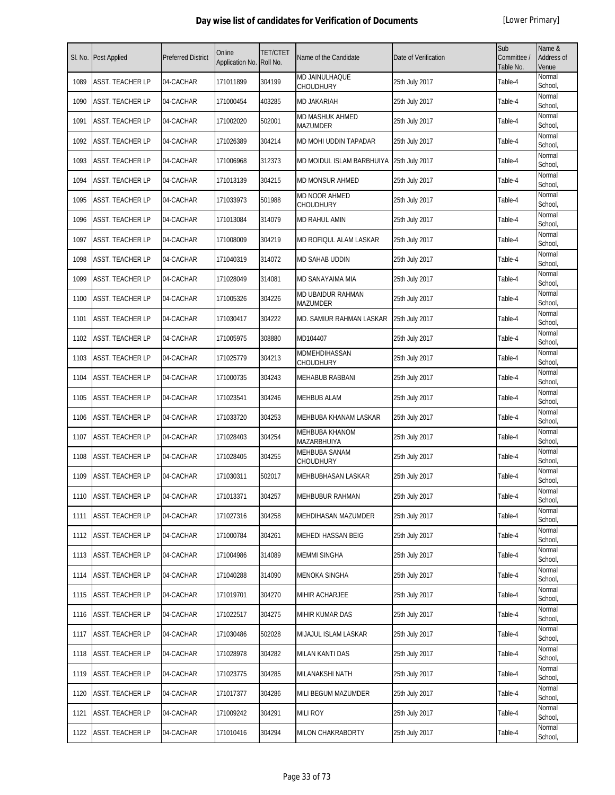| SI. No. | Post Applied            | <b>Preferred District</b> | Online<br>Application No. | <b>TET/CTET</b><br>Roll No. | Name of the Candidate                       | Date of Verification | Sub<br>Committee /<br>Table No. | Name &<br>Address of<br>Venue |
|---------|-------------------------|---------------------------|---------------------------|-----------------------------|---------------------------------------------|----------------------|---------------------------------|-------------------------------|
| 1089    | <b>ASST. TEACHER LP</b> | 04-CACHAR                 | 171011899                 | 304199                      | MD JAINULHAQUE<br><b>CHOUDHURY</b>          | 25th July 2017       | Table-4                         | Normal<br>School,             |
| 1090    | <b>ASST. TEACHER LP</b> | 04-CACHAR                 | 171000454                 | 403285                      | <b>MD JAKARIAH</b>                          | 25th July 2017       | Table-4                         | Normal<br>School,             |
| 1091    | ASST. TEACHER LP        | 04-CACHAR                 | 171002020                 | 502001                      | MD MASHUK AHMED<br>MAZUMDER                 | 25th July 2017       | Table-4                         | Normal<br>School,             |
| 1092    | ASST. TEACHER LP        | 04-CACHAR                 | 171026389                 | 304214                      | MD MOHI UDDIN TAPADAR                       | 25th July 2017       | Table-4                         | Normal<br>School,             |
| 1093    | ASST. TEACHER LP        | 04-CACHAR                 | 171006968                 | 312373                      | MD MOIDUL ISLAM BARBHUIYA 25th July 2017    |                      | Table-4                         | Normal<br>School,             |
| 1094    | ASST. TEACHER LP        | 04-CACHAR                 | 171013139                 | 304215                      | <b>MD MONSUR AHMED</b>                      | 25th July 2017       | Table-4                         | Normal<br>School,             |
| 1095    | ASST. TEACHER LP        | 04-CACHAR                 | 171033973                 | 501988                      | MD NOOR AHMED<br>CHOUDHURY                  | 25th July 2017       | Table-4                         | Normal<br>School,             |
| 1096    | ASST. TEACHER LP        | 04-CACHAR                 | 171013084                 | 314079                      | MD RAHUL AMIN                               | 25th July 2017       | Table-4                         | Normal<br>School,             |
| 1097    | ASST. TEACHER LP        | 04-CACHAR                 | 171008009                 | 304219                      | MD ROFIQUL ALAM LASKAR                      | 25th July 2017       | Table-4                         | Normal<br>School,             |
| 1098    | ASST. TEACHER LP        | 04-CACHAR                 | 171040319                 | 314072                      | MD SAHAB UDDIN                              | 25th July 2017       | Table-4                         | Normal<br>School,             |
| 1099    | <b>ASST. TEACHER LP</b> | 04-CACHAR                 | 171028049                 | 314081                      | MD SANAYAIMA MIA                            | 25th July 2017       | Table-4                         | Normal<br>School,             |
| 1100    | ASST. TEACHER LP        | 04-CACHAR                 | 171005326                 | 304226                      | <b>MD UBAIDUR RAHMAN</b><br><b>MAZUMDER</b> | 25th July 2017       | Table-4                         | Normal<br>School,             |
| 1101    | ASST. TEACHER LP        | 04-CACHAR                 | 171030417                 | 304222                      | MD. SAMIUR RAHMAN LASKAR                    | 25th July 2017       | Table-4                         | Normal<br>School,             |
| 1102    | ASST. TEACHER LP        | 04-CACHAR                 | 171005975                 | 308880                      | MD104407                                    | 25th July 2017       | Table-4                         | Normal<br>School,             |
| 1103    | ASST. TEACHER LP        | 04-CACHAR                 | 171025779                 | 304213                      | MDMEHDIHASSAN<br>CHOUDHURY                  | 25th July 2017       | Table-4                         | Normal<br>School,             |
| 1104    | ASST. TEACHER LP        | 04-CACHAR                 | 171000735                 | 304243                      | MEHABUB RABBANI                             | 25th July 2017       | Table-4                         | Normal<br>School,             |
| 1105    | ASST. TEACHER LP        | 04-CACHAR                 | 171023541                 | 304246                      | <b>MEHBUB ALAM</b>                          | 25th July 2017       | Table-4                         | Normal<br>School,             |
| 1106    | ASST. TEACHER LP        | 04-CACHAR                 | 171033720                 | 304253                      | MEHBUBA KHANAM LASKAR                       | 25th July 2017       | Table-4                         | Normal<br>School,             |
| 1107    | <b>ASST. TEACHER LP</b> | 04-CACHAR                 | 171028403                 | 304254                      | <b>MEHBUBA KHANOM</b><br>MAZARBHUIYA        | 25th July 2017       | Table-4                         | Normal<br>School,             |
| 1108    | ASST. TEACHER LP        | 04-CACHAR                 | 171028405                 | 304255                      | <b>MEHBUBA SANAM</b><br>CHOUDHURY           | 25th July 2017       | Table-4                         | Normal<br>School,             |
| 1109    | ASST. TEACHER LP        | 04-CACHAR                 | 171030311                 | 502017                      | MEHBUBHASAN LASKAR                          | 25th July 2017       | Table-4                         | Normal<br>School,             |
| 1110    | ASST. TEACHER LP        | 04-CACHAR                 | 171013371                 | 304257                      | MEHBUBUR RAHMAN                             | 25th July 2017       | Table-4                         | Normal<br>School,             |
| 1111    | ASST. TEACHER LP        | 04-CACHAR                 | 171027316                 | 304258                      | MEHDIHASAN MAZUMDER                         | 25th July 2017       | Table-4                         | Normal<br>School,             |
| 1112    | ASST. TEACHER LP        | 04-CACHAR                 | 171000784                 | 304261                      | <b>MEHEDI HASSAN BEIG</b>                   | 25th July 2017       | Table-4                         | Normal<br>School,             |
| 1113    | ASST. TEACHER LP        | 04-CACHAR                 | 171004986                 | 314089                      | <b>MEMMI SINGHA</b>                         | 25th July 2017       | Table-4                         | Normal<br>School,             |
| 1114    | ASST. TEACHER LP        | 04-CACHAR                 | 171040288                 | 314090                      | MENOKA SINGHA                               | 25th July 2017       | Table-4                         | Normal<br>School,             |
| 1115    | ASST. TEACHER LP        | 04-CACHAR                 | 171019701                 | 304270                      | MIHIR ACHARJEE                              | 25th July 2017       | Table-4                         | Normal<br>School,             |
| 1116    | ASST. TEACHER LP        | 04-CACHAR                 | 171022517                 | 304275                      | MIHIR KUMAR DAS                             | 25th July 2017       | Table-4                         | Normal<br>School,             |
| 1117    | ASST. TEACHER LP        | 04-CACHAR                 | 171030486                 | 502028                      | MIJAJUL ISLAM LASKAR                        | 25th July 2017       | Table-4                         | Normal<br>School,             |
| 1118    | ASST. TEACHER LP        | 04-CACHAR                 | 171028978                 | 304282                      | MILAN KANTI DAS                             | 25th July 2017       | Table-4                         | Normal<br>School,             |
| 1119    | ASST. TEACHER LP        | 04-CACHAR                 | 171023775                 | 304285                      | MILANAKSHI NATH                             | 25th July 2017       | Table-4                         | Normal<br>School,             |
| 1120    | ASST. TEACHER LP        | 04-CACHAR                 | 171017377                 | 304286                      | MILI BEGUM MAZUMDER                         | 25th July 2017       | Table-4                         | Normal<br>School,             |
| 1121    | ASST. TEACHER LP        | 04-CACHAR                 | 171009242                 | 304291                      | <b>MILI ROY</b>                             | 25th July 2017       | Table-4                         | Normal<br>School,             |
| 1122    | ASST. TEACHER LP        | 04-CACHAR                 | 171010416                 | 304294                      | MILON CHAKRABORTY                           | 25th July 2017       | Table-4                         | Normal<br>School,             |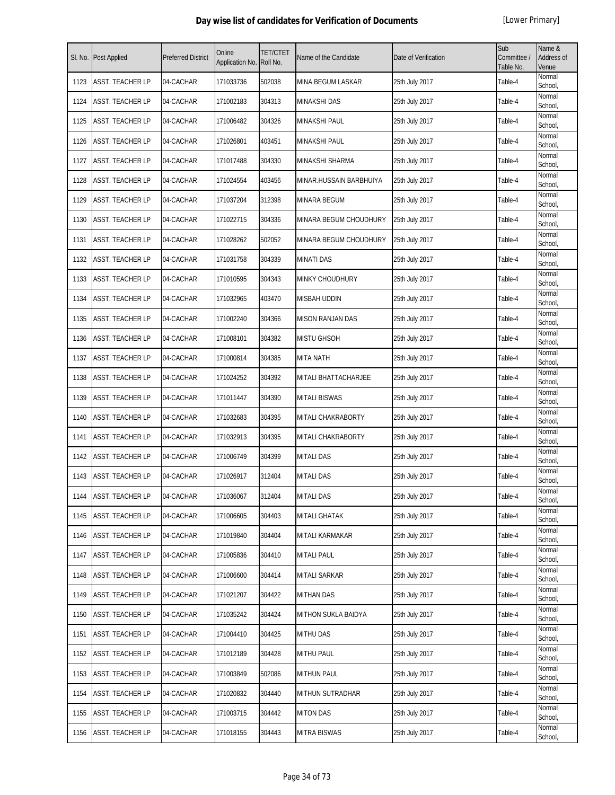| SI. No. | <b>Post Applied</b>     | <b>Preferred District</b> | Online<br>Application No. | <b>TET/CTET</b><br>Roll No. | Name of the Candidate   | Date of Verification | Sub<br>Committee /<br>Table No. | Name &<br>Address of<br>Venue |
|---------|-------------------------|---------------------------|---------------------------|-----------------------------|-------------------------|----------------------|---------------------------------|-------------------------------|
| 1123    | <b>ASST. TEACHER LP</b> | 04-CACHAR                 | 171033736                 | 502038                      | MINA BEGUM LASKAR       | 25th July 2017       | Table-4                         | Normal<br>School,             |
| 1124    | <b>ASST. TEACHER LP</b> | 04-CACHAR                 | 171002183                 | 304313                      | <b>MINAKSHI DAS</b>     | 25th July 2017       | Table-4                         | Normal<br>School,             |
| 1125    | <b>ASST. TEACHER LP</b> | 04-CACHAR                 | 171006482                 | 304326                      | <b>MINAKSHI PAUL</b>    | 25th July 2017       | Table-4                         | Normal<br>School,             |
| 1126    | <b>ASST. TEACHER LP</b> | 04-CACHAR                 | 171026801                 | 403451                      | MINAKSHI PAUL           | 25th July 2017       | Table-4                         | Normal<br>School,             |
| 1127    | <b>ASST. TEACHER LP</b> | 04-CACHAR                 | 171017488                 | 304330                      | MINAKSHI SHARMA         | 25th July 2017       | Table-4                         | Normal<br>School,             |
| 1128    | ASST. TEACHER LP        | 04-CACHAR                 | 171024554                 | 403456                      | MINAR.HUSSAIN BARBHUIYA | 25th July 2017       | Table-4                         | Normal<br>School,             |
| 1129    | ASST. TEACHER LP        | 04-CACHAR                 | 171037204                 | 312398                      | MINARA BEGUM            | 25th July 2017       | Table-4                         | Normal<br>School,             |
| 1130    | <b>ASST. TEACHER LP</b> | 04-CACHAR                 | 171022715                 | 304336                      | MINARA BEGUM CHOUDHURY  | 25th July 2017       | Table-4                         | Normal<br>School,             |
| 1131    | <b>ASST. TEACHER LP</b> | 04-CACHAR                 | 171028262                 | 502052                      | MINARA BEGUM CHOUDHURY  | 25th July 2017       | Table-4                         | Normal<br>School,             |
| 1132    | <b>ASST. TEACHER LP</b> | 04-CACHAR                 | 171031758                 | 304339                      | <b>MINATI DAS</b>       | 25th July 2017       | Table-4                         | Normal<br>School,             |
| 1133    | <b>ASST. TEACHER LP</b> | 04-CACHAR                 | 171010595                 | 304343                      | MINKY CHOUDHURY         | 25th July 2017       | Table-4                         | Normal<br>School,             |
| 1134    | <b>ASST. TEACHER LP</b> | 04-CACHAR                 | 171032965                 | 403470                      | <b>MISBAH UDDIN</b>     | 25th July 2017       | Table-4                         | Normal<br>School,             |
| 1135    | <b>ASST. TEACHER LP</b> | 04-CACHAR                 | 171002240                 | 304366                      | <b>MISON RANJAN DAS</b> | 25th July 2017       | Table-4                         | Normal<br>School,             |
| 1136    | <b>ASST. TEACHER LP</b> | 04-CACHAR                 | 171008101                 | 304382                      | <b>MISTU GHSOH</b>      | 25th July 2017       | Table-4                         | Normal<br>School,             |
| 1137    | <b>ASST. TEACHER LP</b> | 04-CACHAR                 | 171000814                 | 304385                      | <b>MITA NATH</b>        | 25th July 2017       | Table-4                         | Normal<br>School,             |
| 1138    | <b>ASST. TEACHER LP</b> | 04-CACHAR                 | 171024252                 | 304392                      | MITALI BHATTACHARJEE    | 25th July 2017       | Table-4                         | Normal<br>School,             |
| 1139    | <b>ASST. TEACHER LP</b> | 04-CACHAR                 | 171011447                 | 304390                      | <b>MITALI BISWAS</b>    | 25th July 2017       | Table-4                         | Normal<br>School,             |
| 1140    | ASST. TEACHER LP        | 04-CACHAR                 | 171032683                 | 304395                      | MITALI CHAKRABORTY      | 25th July 2017       | Table-4                         | Normal<br>School,             |
| 1141    | <b>ASST. TEACHER LP</b> | 04-CACHAR                 | 171032913                 | 304395                      | MITALI CHAKRABORTY      | 25th July 2017       | Table-4                         | Normal<br>School,             |
| 1142    | <b>ASST. TEACHER LP</b> | 04-CACHAR                 | 171006749                 | 304399                      | <b>MITALI DAS</b>       | 25th July 2017       | Table-4                         | Normal<br>School,             |
| 1143    | ASST. TEACHER LP        | 04-CACHAR                 | 171026917                 | 312404                      | <b>MITALI DAS</b>       | 25th July 2017       | Table-4                         | Normal<br>School,             |
| 1144    | ASST. TEACHER LP        | 04-CACHAR                 | 171036067                 | 312404                      | <b>MITALI DAS</b>       | 25th July 2017       | Table-4                         | Normal<br>School,             |
| 1145    | <b>ASST. TEACHER LP</b> | 04-CACHAR                 | 171006605                 | 304403                      | <b>MITALI GHATAK</b>    | 25th July 2017       | Table-4                         | Normal<br>School,             |
| 1146    | <b>ASST. TEACHER LP</b> | 04-CACHAR                 | 171019840                 | 304404                      | MITALI KARMAKAR         | 25th July 2017       | Table-4                         | Normal<br>School,             |
| 1147    | <b>ASST. TEACHER LP</b> | 04-CACHAR                 | 171005836                 | 304410                      | <b>MITALI PAUL</b>      | 25th July 2017       | Table-4                         | Normal<br>School,             |
| 1148    | <b>ASST. TEACHER LP</b> | 04-CACHAR                 | 171006600                 | 304414                      | MITALI SARKAR           | 25th July 2017       | Table-4                         | Normal<br>School,             |
| 1149    | <b>ASST. TEACHER LP</b> | 04-CACHAR                 | 171021207                 | 304422                      | <b>MITHAN DAS</b>       | 25th July 2017       | Table-4                         | Normal<br>School,             |
| 1150    | <b>ASST. TEACHER LP</b> | 04-CACHAR                 | 171035242                 | 304424                      | MITHON SUKLA BAIDYA     | 25th July 2017       | Table-4                         | Normal<br>School,             |
| 1151    | <b>ASST. TEACHER LP</b> | 04-CACHAR                 | 171004410                 | 304425                      | <b>MITHU DAS</b>        | 25th July 2017       | Table-4                         | Normal<br>School,             |
| 1152    | <b>ASST. TEACHER LP</b> | 04-CACHAR                 | 171012189                 | 304428                      | <b>MITHU PAUL</b>       | 25th July 2017       | Table-4                         | Normal<br>School,             |
| 1153    | <b>ASST. TEACHER LP</b> | 04-CACHAR                 | 171003849                 | 502086                      | <b>MITHUN PAUL</b>      | 25th July 2017       | Table-4                         | Normal<br>School,             |
| 1154    | <b>ASST. TEACHER LP</b> | 04-CACHAR                 | 171020832                 | 304440                      | MITHUN SUTRADHAR        | 25th July 2017       | Table-4                         | Normal<br>School,             |
| 1155    | <b>ASST. TEACHER LP</b> | 04-CACHAR                 | 171003715                 | 304442                      | <b>MITON DAS</b>        | 25th July 2017       | Table-4                         | Normal<br>School,             |
| 1156    | <b>ASST. TEACHER LP</b> | 04-CACHAR                 | 171018155                 | 304443                      | <b>MITRA BISWAS</b>     | 25th July 2017       | Table-4                         | Normal<br>School,             |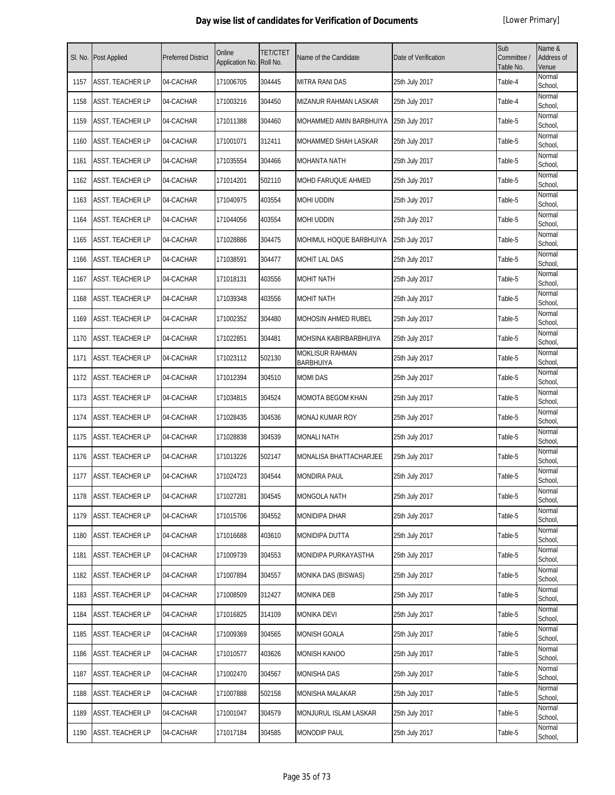| SI. No. | Post Applied            | <b>Preferred District</b> | Online<br>Application No. | <b>TET/CTET</b><br>Roll No. | Name of the Candidate                      | Date of Verification | Sub<br>Committee /<br>Table No. | Name &<br><b>Address of</b><br>Venue |
|---------|-------------------------|---------------------------|---------------------------|-----------------------------|--------------------------------------------|----------------------|---------------------------------|--------------------------------------|
| 1157    | <b>ASST. TEACHER LP</b> | 04-CACHAR                 | 171006705                 | 304445                      | <b>MITRA RANI DAS</b>                      | 25th July 2017       | Table-4                         | Normal<br>School,                    |
| 1158    | ASST. TEACHER LP        | 04-CACHAR                 | 171003216                 | 304450                      | MIZANUR RAHMAN LASKAR                      | 25th July 2017       | Table-4                         | Normal<br>School,                    |
| 1159    | ASST. TEACHER LP        | 04-CACHAR                 | 171011388                 | 304460                      | MOHAMMED AMIN BARBHUIYA                    | 25th July 2017       | Table-5                         | Normal<br>School,                    |
| 1160    | ASST. TEACHER LP        | 04-CACHAR                 | 171001071                 | 312411                      | MOHAMMED SHAH LASKAR                       | 25th July 2017       | Table-5                         | Normal<br>School,                    |
| 1161    | ASST. TEACHER LP        | 04-CACHAR                 | 171035554                 | 304466                      | <b>MOHANTA NATH</b>                        | 25th July 2017       | Table-5                         | Normal<br>School,                    |
| 1162    | ASST. TEACHER LP        | 04-CACHAR                 | 171014201                 | 502110                      | MOHD FARUQUE AHMED                         | 25th July 2017       | Table-5                         | Normal<br>School,                    |
| 1163    | ASST. TEACHER LP        | 04-CACHAR                 | 171040975                 | 403554                      | <b>MOHI UDDIN</b>                          | 25th July 2017       | Table-5                         | Normal<br>School,                    |
| 1164    | ASST. TEACHER LP        | 04-CACHAR                 | 171044056                 | 403554                      | <b>MOHI UDDIN</b>                          | 25th July 2017       | Table-5                         | Normal<br>School,                    |
| 1165    | ASST. TEACHER LP        | 04-CACHAR                 | 171028886                 | 304475                      | MOHIMUL HOQUE BARBHUIYA                    | 25th July 2017       | Table-5                         | Normal<br>School,                    |
| 1166    | <b>ASST. TEACHER LP</b> | 04-CACHAR                 | 171038591                 | 304477                      | <b>MOHIT LAL DAS</b>                       | 25th July 2017       | Table-5                         | Normal<br>School,                    |
| 1167    | ASST. TEACHER LP        | 04-CACHAR                 | 171018131                 | 403556                      | <b>MOHIT NATH</b>                          | 25th July 2017       | Table-5                         | Normal<br>School,                    |
| 1168    | ASST. TEACHER LP        | 04-CACHAR                 | 171039348                 | 403556                      | <b>MOHIT NATH</b>                          | 25th July 2017       | Table-5                         | Normal<br>School,                    |
| 1169    | ASST. TEACHER LP        | 04-CACHAR                 | 171002352                 | 304480                      | MOHOSIN AHMED RUBEL                        | 25th July 2017       | Table-5                         | Normal<br>School,                    |
| 1170    | ASST. TEACHER LP        | 04-CACHAR                 | 171022851                 | 304481                      | MOHSINA KABIRBARBHUIYA                     | 25th July 2017       | Table-5                         | Normal<br>School,                    |
| 1171    | ASST. TEACHER LP        | 04-CACHAR                 | 171023112                 | 502130                      | <b>MOKLISUR RAHMAN</b><br><b>BARBHUIYA</b> | 25th July 2017       | Table-5                         | Normal<br>School,                    |
| 1172    | ASST. TEACHER LP        | 04-CACHAR                 | 171012394                 | 304510                      | <b>MOMI DAS</b>                            | 25th July 2017       | Table-5                         | Normal<br>School,                    |
| 1173    | ASST. TEACHER LP        | 04-CACHAR                 | 171034815                 | 304524                      | MOMOTA BEGOM KHAN                          | 25th July 2017       | Table-5                         | Normal<br>School,                    |
| 1174    | ASST. TEACHER LP        | 04-CACHAR                 | 171028435                 | 304536                      | <b>MONAJ KUMAR ROY</b>                     | 25th July 2017       | Table-5                         | Normal<br>School,                    |
| 1175    | ASST. TEACHER LP        | 04-CACHAR                 | 171028838                 | 304539                      | <b>MONALI NATH</b>                         | 25th July 2017       | Table-5                         | Normal<br>School,                    |
| 1176    | ASST. TEACHER LP        | 04-CACHAR                 | 171013226                 | 502147                      | MONALISA BHATTACHARJEE                     | 25th July 2017       | Table-5                         | Normal<br>School,                    |
| 1177    | ASST. TEACHER LP        | 04-CACHAR                 | 171024723                 | 304544                      | <b>MONDIRA PAUL</b>                        | 25th July 2017       | Table-5                         | Normal<br>School,                    |
| 1178    | ASST. TEACHER LP        | 04-CACHAR                 | 171027281                 | 304545                      | <b>MONGOLA NATH</b>                        | 25th July 2017       | Table-5                         | Normal<br>School,                    |
| 1179    | <b>ASST. TEACHER LP</b> | 04-CACHAR                 | 171015706                 | 304552                      | <b>MONIDIPA DHAR</b>                       | 25th July 2017       | Table-5                         | Normal<br>School,                    |
| 1180    | ASST. TEACHER LP        | 04-CACHAR                 | 171016688                 | 403610                      | <b>MONIDIPA DUTTA</b>                      | 25th July 2017       | Table-5                         | Normal<br>School,                    |
| 1181    | ASST. TEACHER LP        | 04-CACHAR                 | 171009739                 | 304553                      | MONIDIPA PURKAYASTHA                       | 25th July 2017       | Table-5                         | Normal<br>School,                    |
| 1182    | ASST. TEACHER LP        | 04-CACHAR                 | 171007894                 | 304557                      | MONIKA DAS (BISWAS)                        | 25th July 2017       | Table-5                         | Normal<br>School,                    |
| 1183    | ASST. TEACHER LP        | 04-CACHAR                 | 171008509                 | 312427                      | <b>MONIKA DEB</b>                          | 25th July 2017       | Table-5                         | Normal<br>School,                    |
| 1184    | ASST. TEACHER LP        | 04-CACHAR                 | 171016825                 | 314109                      | <b>MONIKA DEVI</b>                         | 25th July 2017       | Table-5                         | Normal<br>School,                    |
| 1185    | ASST. TEACHER LP        | 04-CACHAR                 | 171009369                 | 304565                      | <b>MONISH GOALA</b>                        | 25th July 2017       | Table-5                         | Normal<br>School,                    |
| 1186    | ASST. TEACHER LP        | 04-CACHAR                 | 171010577                 | 403626                      | <b>MONISH KANOO</b>                        | 25th July 2017       | Table-5                         | Normal<br>School,                    |
| 1187    | ASST. TEACHER LP        | 04-CACHAR                 | 171002470                 | 304567                      | <b>MONISHA DAS</b>                         | 25th July 2017       | Table-5                         | Normal<br>School,                    |
| 1188    | ASST. TEACHER LP        | 04-CACHAR                 | 171007888                 | 502158                      | <b>MONISHA MALAKAR</b>                     | 25th July 2017       | Table-5                         | Normal<br>School,                    |
| 1189    | ASST. TEACHER LP        | 04-CACHAR                 | 171001047                 | 304579                      | MONJURUL ISLAM LASKAR                      | 25th July 2017       | Table-5                         | Normal<br>School,                    |
| 1190    | ASST. TEACHER LP        | 04-CACHAR                 | 171017184                 | 304585                      | <b>MONODIP PAUL</b>                        | 25th July 2017       | Table-5                         | Normal<br>School,                    |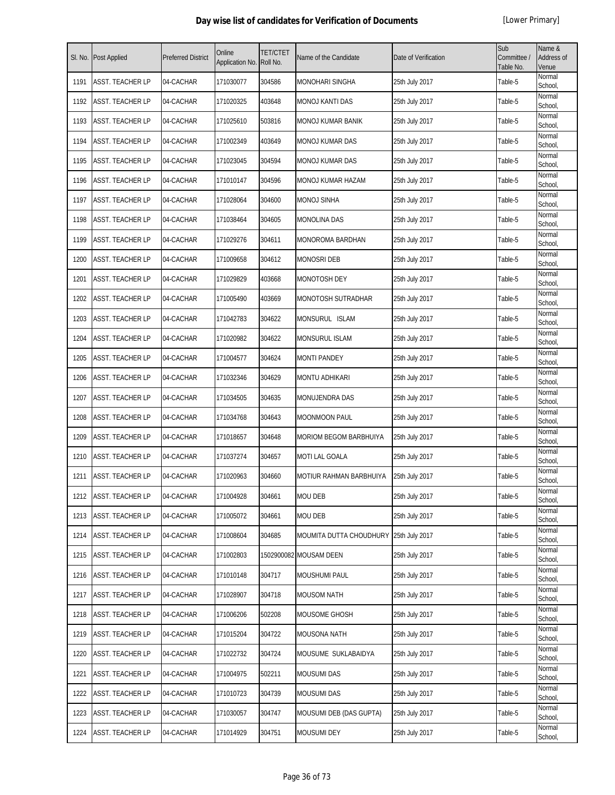| SI. No. | Post Applied            | <b>Preferred District</b> | Online<br>Application No. | TET/CTET<br>Roll No. | Name of the Candidate         | Date of Verification | Sub<br>Committee /<br>Table No. | Name &<br><b>Address of</b><br>Venue |
|---------|-------------------------|---------------------------|---------------------------|----------------------|-------------------------------|----------------------|---------------------------------|--------------------------------------|
| 1191    | <b>ASST. TEACHER LP</b> | 04-CACHAR                 | 171030077                 | 304586               | <b>MONOHARI SINGHA</b>        | 25th July 2017       | Table-5                         | Normal<br>School,                    |
| 1192    | ASST. TEACHER LP        | 04-CACHAR                 | 171020325                 | 403648               | <b>MONOJ KANTI DAS</b>        | 25th July 2017       | Table-5                         | Normal<br>School,                    |
| 1193    | ASST. TEACHER LP        | 04-CACHAR                 | 171025610                 | 503816               | <b>MONOJ KUMAR BANIK</b>      | 25th July 2017       | Table-5                         | Normal<br>School,                    |
| 1194    | ASST. TEACHER LP        | 04-CACHAR                 | 171002349                 | 403649               | <b>MONOJ KUMAR DAS</b>        | 25th July 2017       | Table-5                         | Normal<br>School,                    |
| 1195    | ASST. TEACHER LP        | 04-CACHAR                 | 171023045                 | 304594               | <b>MONOJ KUMAR DAS</b>        | 25th July 2017       | Table-5                         | Normal<br>School,                    |
| 1196    | ASST. TEACHER LP        | 04-CACHAR                 | 171010147                 | 304596               | MONOJ KUMAR HAZAM             | 25th July 2017       | Table-5                         | Normal<br>School,                    |
| 1197    | ASST. TEACHER LP        | 04-CACHAR                 | 171028064                 | 304600               | <b>MONOJ SINHA</b>            | 25th July 2017       | Table-5                         | Normal<br>School,                    |
| 1198    | ASST. TEACHER LP        | 04-CACHAR                 | 171038464                 | 304605               | MONOLINA DAS                  | 25th July 2017       | Table-5                         | Normal<br>School,                    |
| 1199    | ASST. TEACHER LP        | 04-CACHAR                 | 171029276                 | 304611               | MONOROMA BARDHAN              | 25th July 2017       | Table-5                         | Normal<br>School,                    |
| 1200    | ASST. TEACHER LP        | 04-CACHAR                 | 171009658                 | 304612               | <b>MONOSRI DEB</b>            | 25th July 2017       | Table-5                         | Normal<br>School,                    |
| 1201    | ASST. TEACHER LP        | 04-CACHAR                 | 171029829                 | 403668               | <b>MONOTOSH DEY</b>           | 25th July 2017       | Table-5                         | Normal<br>School,                    |
| 1202    | ASST. TEACHER LP        | 04-CACHAR                 | 171005490                 | 403669               | MONOTOSH SUTRADHAR            | 25th July 2017       | Table-5                         | Normal<br>School,                    |
| 1203    | ASST. TEACHER LP        | 04-CACHAR                 | 171042783                 | 304622               | MONSURUL ISLAM                | 25th July 2017       | Table-5                         | Normal<br>School,                    |
| 1204    | ASST. TEACHER LP        | 04-CACHAR                 | 171020982                 | 304622               | <b>MONSURUL ISLAM</b>         | 25th July 2017       | Table-5                         | Normal<br>School,                    |
| 1205    | ASST. TEACHER LP        | 04-CACHAR                 | 171004577                 | 304624               | <b>MONTI PANDEY</b>           | 25th July 2017       | Table-5                         | Normal<br>School,                    |
| 1206    | ASST. TEACHER LP        | 04-CACHAR                 | 171032346                 | 304629               | MONTU ADHIKARI                | 25th July 2017       | Table-5                         | Normal<br>School,                    |
| 1207    | ASST. TEACHER LP        | 04-CACHAR                 | 171034505                 | 304635               | <b>MONUJENDRA DAS</b>         | 25th July 2017       | Table-5                         | Normal<br>School,                    |
| 1208    | ASST. TEACHER LP        | 04-CACHAR                 | 171034768                 | 304643               | <b>MOONMOON PAUL</b>          | 25th July 2017       | Table-5                         | Normal<br>School,                    |
| 1209    | ASST. TEACHER LP        | 04-CACHAR                 | 171018657                 | 304648               | <b>MORIOM BEGOM BARBHUIYA</b> | 25th July 2017       | Table-5                         | Normal<br>School,                    |
| 1210    | ASST. TEACHER LP        | 04-CACHAR                 | 171037274                 | 304657               | <b>MOTI LAL GOALA</b>         | 25th July 2017       | Table-5                         | Normal<br>School,                    |
| 1211    | ASST. TEACHER LP        | 04-CACHAR                 | 171020963                 | 304660               | MOTIUR RAHMAN BARBHUIYA       | 25th July 2017       | Table-5                         | Normal<br>School,                    |
| 1212    | <b>ASST. TEACHER LP</b> | 04-CACHAR                 | 171004928                 | 304661               | <b>MOU DEB</b>                | 25th July 2017       | Table-5                         | Normal<br>School,                    |
| 1213    | ASST. TEACHER LP        | 04-CACHAR                 | 171005072                 | 304661               | <b>MOU DEB</b>                | 25th July 2017       | Table-5                         | Normal<br>School,                    |
| 1214    | <b>ASST. TEACHER LP</b> | 04-CACHAR                 | 171008604                 | 304685               | MOUMITA DUTTA CHOUDHURY       | 25th July 2017       | Table-5                         | Normal<br>School,                    |
| 1215    | ASST. TEACHER LP        | 04-CACHAR                 | 171002803                 |                      | 1502900082 MOUSAM DEEN        | 25th July 2017       | Table-5                         | Normal<br>School,                    |
| 1216    | ASST. TEACHER LP        | 04-CACHAR                 | 171010148                 | 304717               | <b>MOUSHUMI PAUL</b>          | 25th July 2017       | Table-5                         | Normal<br>School,                    |
| 1217    | ASST. TEACHER LP        | 04-CACHAR                 | 171028907                 | 304718               | <b>MOUSOM NATH</b>            | 25th July 2017       | Table-5                         | Normal<br>School,                    |
| 1218    | ASST. TEACHER LP        | 04-CACHAR                 | 171006206                 | 502208               | MOUSOME GHOSH                 | 25th July 2017       | Table-5                         | Normal<br>School,                    |
| 1219    | ASST. TEACHER LP        | 04-CACHAR                 | 171015204                 | 304722               | <b>MOUSONA NATH</b>           | 25th July 2017       | Table-5                         | Normal<br>School,                    |
| 1220    | ASST. TEACHER LP        | 04-CACHAR                 | 171022732                 | 304724               | MOUSUME SUKLABAIDYA           | 25th July 2017       | Table-5                         | Normal<br>School,                    |
| 1221    | ASST. TEACHER LP        | 04-CACHAR                 | 171004975                 | 502211               | <b>MOUSUMI DAS</b>            | 25th July 2017       | Table-5                         | Normal<br>School,                    |
| 1222    | ASST. TEACHER LP        | 04-CACHAR                 | 171010723                 | 304739               | <b>MOUSUMI DAS</b>            | 25th July 2017       | Table-5                         | Normal<br>School,                    |
| 1223    | ASST. TEACHER LP        | 04-CACHAR                 | 171030057                 | 304747               | MOUSUMI DEB (DAS GUPTA)       | 25th July 2017       | Table-5                         | Normal<br>School,                    |
| 1224    | ASST. TEACHER LP        | 04-CACHAR                 | 171014929                 | 304751               | MOUSUMI DEY                   | 25th July 2017       | Table-5                         | Normal<br>School,                    |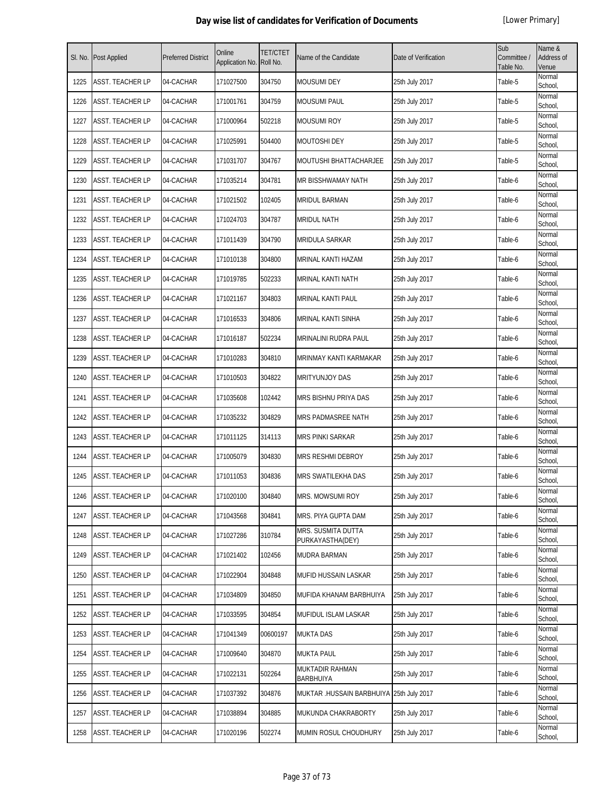| SI. No. | <b>Post Applied</b>     | <b>Preferred District</b> | Online<br>Application No. | <b>TET/CTET</b><br>Roll No. | Name of the Candidate                  | Date of Verification | Sub<br>Committee /<br>Table No. | Name &<br>Address of<br>Venue |
|---------|-------------------------|---------------------------|---------------------------|-----------------------------|----------------------------------------|----------------------|---------------------------------|-------------------------------|
| 1225    | <b>ASST. TEACHER LP</b> | 04-CACHAR                 | 171027500                 | 304750                      | <b>MOUSUMI DEY</b>                     | 25th July 2017       | Table-5                         | Normal<br>School,             |
| 1226    | ASST. TEACHER LP        | 04-CACHAR                 | 171001761                 | 304759                      | <b>MOUSUMI PAUL</b>                    | 25th July 2017       | Table-5                         | Normal<br>School,             |
| 1227    | <b>ASST. TEACHER LP</b> | 04-CACHAR                 | 171000964                 | 502218                      | <b>MOUSUMI ROY</b>                     | 25th July 2017       | Table-5                         | Normal<br>School,             |
| 1228    | ASST. TEACHER LP        | 04-CACHAR                 | 171025991                 | 504400                      | <b>MOUTOSHI DEY</b>                    | 25th July 2017       | Table-5                         | Normal<br>School,             |
| 1229    | <b>ASST. TEACHER LP</b> | 04-CACHAR                 | 171031707                 | 304767                      | MOUTUSHI BHATTACHARJEE                 | 25th July 2017       | Table-5                         | Normal<br>School,             |
| 1230    | <b>ASST. TEACHER LP</b> | 04-CACHAR                 | 171035214                 | 304781                      | MR BISSHWAMAY NATH                     | 25th July 2017       | Table-6                         | Normal<br>School,             |
| 1231    | ASST. TEACHER LP        | 04-CACHAR                 | 171021502                 | 102405                      | <b>MRIDUL BARMAN</b>                   | 25th July 2017       | Table-6                         | Normal<br>School,             |
| 1232    | ASST. TEACHER LP        | 04-CACHAR                 | 171024703                 | 304787                      | <b>MRIDUL NATH</b>                     | 25th July 2017       | Table-6                         | Normal<br>School,             |
| 1233    | ASST. TEACHER LP        | 04-CACHAR                 | 171011439                 | 304790                      | MRIDULA SARKAR                         | 25th July 2017       | Table-6                         | Normal<br>School,             |
| 1234    | <b>ASST. TEACHER LP</b> | 04-CACHAR                 | 171010138                 | 304800                      | MRINAL KANTI HAZAM                     | 25th July 2017       | Table-6                         | Normal<br>School,             |
| 1235    | <b>ASST. TEACHER LP</b> | 04-CACHAR                 | 171019785                 | 502233                      | <b>MRINAL KANTI NATH</b>               | 25th July 2017       | Table-6                         | Normal<br>School,             |
| 1236    | ASST. TEACHER LP        | 04-CACHAR                 | 171021167                 | 304803                      | <b>MRINAL KANTI PAUL</b>               | 25th July 2017       | Table-6                         | Normal<br>School,             |
| 1237    | ASST. TEACHER LP        | 04-CACHAR                 | 171016533                 | 304806                      | MRINAL KANTI SINHA                     | 25th July 2017       | Table-6                         | Normal<br>School,             |
| 1238    | <b>ASST. TEACHER LP</b> | 04-CACHAR                 | 171016187                 | 502234                      | MRINALINI RUDRA PAUL                   | 25th July 2017       | Table-6                         | Normal<br>School,             |
| 1239    | ASST. TEACHER LP        | 04-CACHAR                 | 171010283                 | 304810                      | MRINMAY KANTI KARMAKAR                 | 25th July 2017       | Table-6                         | Normal<br>School,             |
| 1240    | ASST. TEACHER LP        | 04-CACHAR                 | 171010503                 | 304822                      | <b>MRITYUNJOY DAS</b>                  | 25th July 2017       | Table-6                         | Normal<br>School,             |
| 1241    | <b>ASST. TEACHER LP</b> | 04-CACHAR                 | 171035608                 | 102442                      | MRS BISHNU PRIYA DAS                   | 25th July 2017       | Table-6                         | Normal<br>School,             |
| 1242    | ASST. TEACHER LP        | 04-CACHAR                 | 171035232                 | 304829                      | MRS PADMASREE NATH                     | 25th July 2017       | Table-6                         | Normal<br>School,             |
| 1243    | <b>ASST. TEACHER LP</b> | 04-CACHAR                 | 171011125                 | 314113                      | <b>MRS PINKI SARKAR</b>                | 25th July 2017       | Table-6                         | Normal<br>School,             |
| 1244    | <b>ASST. TEACHER LP</b> | 04-CACHAR                 | 171005079                 | 304830                      | MRS RESHMI DEBROY                      | 25th July 2017       | Table-6                         | Normal<br>School,             |
| 1245    | ASST. TEACHER LP        | 04-CACHAR                 | 171011053                 | 304836                      | <b>MRS SWATILEKHA DAS</b>              | 25th July 2017       | Table-6                         | Normal<br>School,             |
| 1246    | <b>ASST. TEACHER LP</b> | 04-CACHAR                 | 171020100                 | 304840                      | MRS. MOWSUMI ROY                       | 25th July 2017       | Table-6                         | Normal<br>School,             |
| 1247    | <b>ASST. TEACHER LP</b> | 04-CACHAR                 | 171043568                 | 304841                      | MRS. PIYA GUPTA DAM                    | 25th July 2017       | Table-6                         | Normal<br>School,             |
| 1248    | <b>ASST. TEACHER LP</b> | 04-CACHAR                 | 171027286                 | 310784                      | MRS. SUSMITA DUTTA<br>PURKAYASTHA(DEY) | 25th July 2017       | Table-6                         | Normal<br>School.             |
| 1249    | <b>ASST. TEACHER LP</b> | 04-CACHAR                 | 171021402                 | 102456                      | <b>MUDRA BARMAN</b>                    | 25th July 2017       | Table-6                         | Normal<br>School,             |
| 1250    | <b>ASST. TEACHER LP</b> | 04-CACHAR                 | 171022904                 | 304848                      | MUFID HUSSAIN LASKAR                   | 25th July 2017       | Table-6                         | Normal<br>School,             |
| 1251    | <b>ASST. TEACHER LP</b> | 04-CACHAR                 | 171034809                 | 304850                      | MUFIDA KHANAM BARBHUIYA                | 25th July 2017       | Table-6                         | Normal<br>School,             |
| 1252    | <b>ASST. TEACHER LP</b> | 04-CACHAR                 | 171033595                 | 304854                      | MUFIDUL ISLAM LASKAR                   | 25th July 2017       | Table-6                         | Normal<br>School,             |
| 1253    | <b>ASST. TEACHER LP</b> | 04-CACHAR                 | 171041349                 | 00600197                    | <b>MUKTA DAS</b>                       | 25th July 2017       | Table-6                         | Normal<br>School,             |
| 1254    | <b>ASST. TEACHER LP</b> | 04-CACHAR                 | 171009640                 | 304870                      | <b>MUKTA PAUL</b>                      | 25th July 2017       | Table-6                         | Normal<br>School,             |
| 1255    | ASST. TEACHER LP        | 04-CACHAR                 | 171022131                 | 502264                      | MUKTADIR RAHMAN<br><b>BARBHUIYA</b>    | 25th July 2017       | Table-6                         | Normal<br>School,             |
| 1256    | <b>ASST. TEACHER LP</b> | 04-CACHAR                 | 171037392                 | 304876                      | MUKTAR .HUSSAIN BARBHUIYA              | 25th July 2017       | Table-6                         | Normal<br>School,             |
| 1257    | <b>ASST. TEACHER LP</b> | 04-CACHAR                 | 171038894                 | 304885                      | MUKUNDA CHAKRABORTY                    | 25th July 2017       | Table-6                         | Normal<br>School,             |
| 1258    | ASST. TEACHER LP        | 04-CACHAR                 | 171020196                 | 502274                      | MUMIN ROSUL CHOUDHURY                  | 25th July 2017       | Table-6                         | Normal<br>School,             |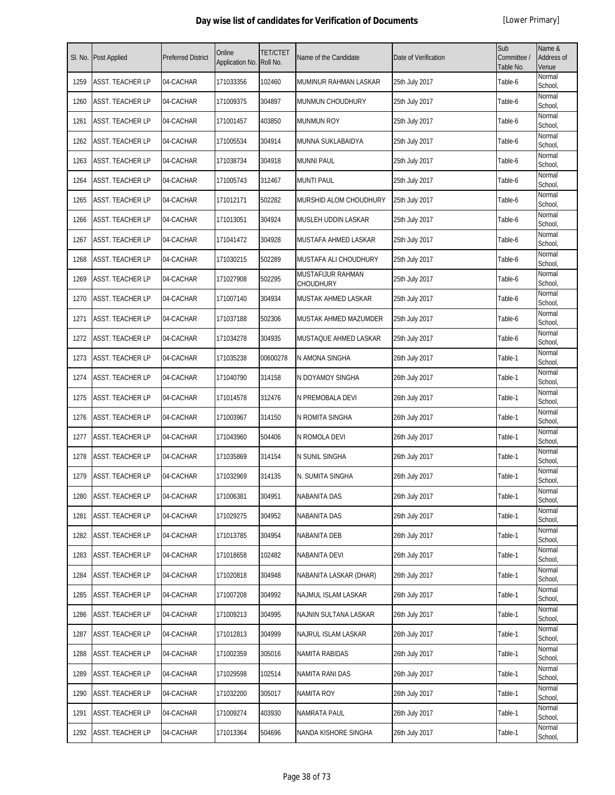| SI. No. | <b>Post Applied</b>     | <b>Preferred District</b> | Online<br>Application No. | <b>TET/CTET</b><br>Roll No. | Name of the Candidate                 | Date of Verification | Sub<br>Committee /<br>Table No. | Name &<br>Address of<br>Venue |
|---------|-------------------------|---------------------------|---------------------------|-----------------------------|---------------------------------------|----------------------|---------------------------------|-------------------------------|
| 1259    | ASST. TEACHER LP        | 04-CACHAR                 | 171033356                 | 102460                      | MUMINUR RAHMAN LASKAR                 | 25th July 2017       | Table-6                         | Normal<br>School,             |
| 1260    | ASST. TEACHER LP        | 04-CACHAR                 | 171009375                 | 304897                      | <b>MUNMUN CHOUDHURY</b>               | 25th July 2017       | Table-6                         | Normal<br>School,             |
| 1261    | ASST. TEACHER LP        | 04-CACHAR                 | 171001457                 | 403850                      | <b>MUNMUN ROY</b>                     | 25th July 2017       | Table-6                         | Normal<br>School,             |
| 1262    | ASST. TEACHER LP        | 04-CACHAR                 | 171005534                 | 304914                      | MUNNA SUKLABAIDYA                     | 25th July 2017       | Table-6                         | Normal<br>School,             |
| 1263    | ASST. TEACHER LP        | 04-CACHAR                 | 171038734                 | 304918                      | <b>MUNNI PAUL</b>                     | 25th July 2017       | Table-6                         | Normal<br>School,             |
| 1264    | ASST. TEACHER LP        | 04-CACHAR                 | 171005743                 | 312467                      | <b>MUNTI PAUL</b>                     | 25th July 2017       | Table-6                         | Normal<br>School,             |
| 1265    | ASST. TEACHER LP        | 04-CACHAR                 | 171012171                 | 502282                      | MURSHID ALOM CHOUDHURY                | 25th July 2017       | Table-6                         | Normal<br>School,             |
| 1266    | ASST. TEACHER LP        | 04-CACHAR                 | 171013051                 | 304924                      | MUSLEH UDDIN LASKAR                   | 25th July 2017       | Table-6                         | Normal<br>School,             |
| 1267    | ASST. TEACHER LP        | 04-CACHAR                 | 171041472                 | 304928                      | MUSTAFA AHMED LASKAR                  | 25th July 2017       | Table-6                         | Normal<br>School,             |
| 1268    | ASST. TEACHER LP        | 04-CACHAR                 | 171030215                 | 502289                      | MUSTAFA ALI CHOUDHURY                 | 25th July 2017       | Table-6                         | Normal<br>School,             |
| 1269    | ASST. TEACHER LP        | 04-CACHAR                 | 171027908                 | 502295                      | MUSTAFIJUR RAHMAN<br><b>CHOUDHURY</b> | 25th July 2017       | Table-6                         | Normal<br>School,             |
| 1270    | ASST. TEACHER LP        | 04-CACHAR                 | 171007140                 | 304934                      | MUSTAK AHMED LASKAR                   | 25th July 2017       | Table-6                         | Normal<br>School,             |
| 1271    | ASST. TEACHER LP        | 04-CACHAR                 | 171037188                 | 502306                      | MUSTAK AHMED MAZUMDER                 | 25th July 2017       | Table-6                         | Normal<br>School,             |
| 1272    | ASST. TEACHER LP        | 04-CACHAR                 | 171034278                 | 304935                      | MUSTAQUE AHMED LASKAR                 | 25th July 2017       | Table-6                         | Normal<br>School,             |
| 1273    | ASST. TEACHER LP        | 04-CACHAR                 | 171035238                 | 00600278                    | N AMONA SINGHA                        | 26th July 2017       | Table-1                         | Normal<br>School,             |
| 1274    | ASST. TEACHER LP        | 04-CACHAR                 | 171040790                 | 314158                      | N DOYAMOY SINGHA                      | 26th July 2017       | Table-1                         | Normal<br>School,             |
| 1275    | <b>ASST. TEACHER LP</b> | 04-CACHAR                 | 171014578                 | 312476                      | N PREMOBALA DEVI                      | 26th July 2017       | Table-1                         | Normal<br>School,             |
| 1276    | ASST. TEACHER LP        | 04-CACHAR                 | 171003967                 | 314150                      | N ROMITA SINGHA                       | 26th July 2017       | Table-1                         | Normal<br>School,             |
| 1277    | ASST. TEACHER LP        | 04-CACHAR                 | 171043960                 | 504406                      | N ROMOLA DEVI                         | 26th July 2017       | Table-1                         | Normal<br>School,             |
| 1278    | ASST. TEACHER LP        | 04-CACHAR                 | 171035869                 | 314154                      | N SUNIL SINGHA                        | 26th July 2017       | Table-1                         | Normal<br>School,             |
| 1279    | ASST. TEACHER LP        | 04-CACHAR                 | 171032969                 | 314135                      | N. SUMITA SINGHA                      | 26th July 2017       | Table-1                         | Normal<br>School,             |
| 1280    | <b>ASST. TEACHER LP</b> | 04-CACHAR                 | 171006381                 | 304951                      | <b>NABANITA DAS</b>                   | 26th July 2017       | Table-1                         | Normal<br>School,             |
| 1281    | ASST. TEACHER LP        | 04-CACHAR                 | 171029275                 | 304952                      | <b>NABANITA DAS</b>                   | 26th July 2017       | Table-1                         | Normal<br>School,             |
| 1282    | ASST. TEACHER LP        | 04-CACHAR                 | 171013785                 | 304954                      | NABANITA DEB                          | 26th July 2017       | Table-1                         | Normal<br>School,             |
| 1283    | ASST. TEACHER LP        | 04-CACHAR                 | 171018658                 | 102482                      | NABANITA DEVI                         | 26th July 2017       | Table-1                         | Normal<br>School,             |
| 1284    | ASST. TEACHER LP        | 04-CACHAR                 | 171020818                 | 304948                      | NABANITA LASKAR (DHAR)                | 26th July 2017       | Table-1                         | Normal<br>School,             |
| 1285    | ASST. TEACHER LP        | 04-CACHAR                 | 171007208                 | 304992                      | NAJMUL ISLAM LASKAR                   | 26th July 2017       | Table-1                         | Normal<br>School,             |
| 1286    | ASST. TEACHER LP        | 04-CACHAR                 | 171009213                 | 304995                      | NAJNIN SULTANA LASKAR                 | 26th July 2017       | Table-1                         | Normal<br>School,             |
| 1287    | ASST. TEACHER LP        | 04-CACHAR                 | 171012813                 | 304999                      | NAJRUL ISLAM LASKAR                   | 26th July 2017       | Table-1                         | Normal<br>School,             |
| 1288    | ASST. TEACHER LP        | 04-CACHAR                 | 171002359                 | 305016                      | <b>NAMITA RABIDAS</b>                 | 26th July 2017       | Table-1                         | Normal<br>School,             |
| 1289    | ASST. TEACHER LP        | 04-CACHAR                 | 171029598                 | 102514                      | NAMITA RANI DAS                       | 26th July 2017       | Table-1                         | Normal<br>School,             |
| 1290    | ASST. TEACHER LP        | 04-CACHAR                 | 171032200                 | 305017                      | NAMITA ROY                            | 26th July 2017       | Table-1                         | Normal<br>School,             |
| 1291    | ASST. TEACHER LP        | 04-CACHAR                 | 171009274                 | 403930                      | <b>NAMRATA PAUL</b>                   | 26th July 2017       | Table-1                         | Normal<br>School,             |
| 1292    | ASST. TEACHER LP        | 04-CACHAR                 | 171013364                 | 504696                      | NANDA KISHORE SINGHA                  | 26th July 2017       | Table-1                         | Normal<br>School,             |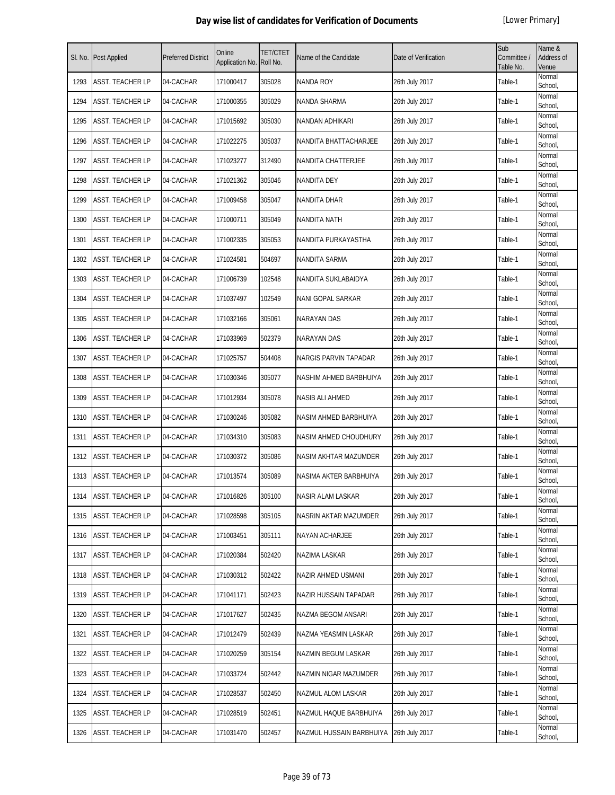| SI. No. | Post Applied            | <b>Preferred District</b> | Online<br>Application No. | <b>TET/CTET</b><br>Roll No. | Name of the Candidate    | Date of Verification | Sub<br>Committee /<br>Table No. | Name &<br>Address of<br>Venue |
|---------|-------------------------|---------------------------|---------------------------|-----------------------------|--------------------------|----------------------|---------------------------------|-------------------------------|
| 1293    | <b>ASST. TEACHER LP</b> | 04-CACHAR                 | 171000417                 | 305028                      | <b>NANDA ROY</b>         | 26th July 2017       | Table-1                         | Normal<br>School,             |
| 1294    | ASST. TEACHER LP        | 04-CACHAR                 | 171000355                 | 305029                      | NANDA SHARMA             | 26th July 2017       | Table-1                         | Normal<br>School,             |
| 1295    | ASST. TEACHER LP        | 04-CACHAR                 | 171015692                 | 305030                      | NANDAN ADHIKARI          | 26th July 2017       | Table-1                         | Normal<br>School,             |
| 1296    | ASST. TEACHER LP        | 04-CACHAR                 | 171022275                 | 305037                      | NANDITA BHATTACHARJEE    | 26th July 2017       | Table-1                         | Normal<br>School,             |
| 1297    | ASST. TEACHER LP        | 04-CACHAR                 | 171023277                 | 312490                      | NANDITA CHATTERJEE       | 26th July 2017       | Table-1                         | Normal<br>School,             |
| 1298    | ASST. TEACHER LP        | 04-CACHAR                 | 171021362                 | 305046                      | <b>NANDITA DEY</b>       | 26th July 2017       | Table-1                         | Normal<br>School,             |
| 1299    | ASST. TEACHER LP        | 04-CACHAR                 | 171009458                 | 305047                      | NANDITA DHAR             | 26th July 2017       | Table-1                         | Normal<br>School,             |
| 1300    | ASST. TEACHER LP        | 04-CACHAR                 | 171000711                 | 305049                      | NANDITA NATH             | 26th July 2017       | Table-1                         | Normal<br>School,             |
| 1301    | ASST. TEACHER LP        | 04-CACHAR                 | 171002335                 | 305053                      | NANDITA PURKAYASTHA      | 26th July 2017       | Table-1                         | Normal<br>School,             |
| 1302    | ASST. TEACHER LP        | 04-CACHAR                 | 171024581                 | 504697                      | NANDITA SARMA            | 26th July 2017       | Table-1                         | Normal<br>School,             |
| 1303    | <b>ASST. TEACHER LP</b> | 04-CACHAR                 | 171006739                 | 102548                      | NANDITA SUKLABAIDYA      | 26th July 2017       | Table-1                         | Normal<br>School,             |
| 1304    | ASST. TEACHER LP        | 04-CACHAR                 | 171037497                 | 102549                      | NANI GOPAL SARKAR        | 26th July 2017       | Table-1                         | Normal<br>School,             |
| 1305    | ASST. TEACHER LP        | 04-CACHAR                 | 171032166                 | 305061                      | <b>NARAYAN DAS</b>       | 26th July 2017       | Table-1                         | Normal<br>School,             |
| 1306    | ASST. TEACHER LP        | 04-CACHAR                 | 171033969                 | 502379                      | NARAYAN DAS              | 26th July 2017       | Table-1                         | Normal<br>School,             |
| 1307    | ASST. TEACHER LP        | 04-CACHAR                 | 171025757                 | 504408                      | NARGIS PARVIN TAPADAR    | 26th July 2017       | Table-1                         | Normal<br>School,             |
| 1308    | ASST. TEACHER LP        | 04-CACHAR                 | 171030346                 | 305077                      | NASHIM AHMED BARBHUIYA   | 26th July 2017       | Table-1                         | Normal<br>School,             |
| 1309    | ASST. TEACHER LP        | 04-CACHAR                 | 171012934                 | 305078                      | NASIB ALI AHMED          | 26th July 2017       | Table-1                         | Normal<br>School,             |
| 1310    | ASST. TEACHER LP        | 04-CACHAR                 | 171030246                 | 305082                      | NASIM AHMED BARBHUIYA    | 26th July 2017       | Table-1                         | Normal<br>School,             |
| 1311    | ASST. TEACHER LP        | 04-CACHAR                 | 171034310                 | 305083                      | NASIM AHMED CHOUDHURY    | 26th July 2017       | Table-1                         | Normal<br>School,             |
| 1312    | <b>ASST. TEACHER LP</b> | 04-CACHAR                 | 171030372                 | 305086                      | NASIM AKHTAR MAZUMDER    | 26th July 2017       | Table-1                         | Normal<br>School,             |
| 1313    | ASST. TEACHER LP        | 04-CACHAR                 | 171013574                 | 305089                      | NASIMA AKTER BARBHUIYA   | 26th July 2017       | Table-1                         | Normal<br>School,             |
| 1314    | <b>ASST. TEACHER LP</b> | 04-CACHAR                 | 171016826                 | 305100                      | NASIR ALAM LASKAR        | 26th July 2017       | Table-1                         | Normal<br>School,             |
| 1315    | ASST. TEACHER LP        | 04-CACHAR                 | 171028598                 | 305105                      | NASRIN AKTAR MAZUMDER    | 26th July 2017       | Table-1                         | Normal<br>School,             |
| 1316    | ASST. TEACHER LP        | 04-CACHAR                 | 171003451                 | 305111                      | NAYAN ACHARJEE           | 26th July 2017       | Table-1                         | Normal<br>School,             |
| 1317    | ASST. TEACHER LP        | 04-CACHAR                 | 171020384                 | 502420                      | NAZIMA LASKAR            | 26th July 2017       | Table-1                         | Normal<br>School,             |
| 1318    | ASST. TEACHER LP        | 04-CACHAR                 | 171030312                 | 502422                      | NAZIR AHMED USMANI       | 26th July 2017       | Table-1                         | Normal<br>School,             |
| 1319    | ASST. TEACHER LP        | 04-CACHAR                 | 171041171                 | 502423                      | NAZIR HUSSAIN TAPADAR    | 26th July 2017       | Table-1                         | Normal<br>School,             |
| 1320    | ASST. TEACHER LP        | 04-CACHAR                 | 171017627                 | 502435                      | NAZMA BEGOM ANSARI       | 26th July 2017       | Table-1                         | Normal<br>School,             |
| 1321    | ASST. TEACHER LP        | 04-CACHAR                 | 171012479                 | 502439                      | NAZMA YEASMIN LASKAR     | 26th July 2017       | Table-1                         | Normal<br>School,             |
| 1322    | ASST. TEACHER LP        | 04-CACHAR                 | 171020259                 | 305154                      | NAZMIN BEGUM LASKAR      | 26th July 2017       | Table-1                         | Normal<br>School,             |
| 1323    | ASST. TEACHER LP        | 04-CACHAR                 | 171033724                 | 502442                      | NAZMIN NIGAR MAZUMDER    | 26th July 2017       | Table-1                         | Normal<br>School,             |
| 1324    | ASST. TEACHER LP        | 04-CACHAR                 | 171028537                 | 502450                      | NAZMUL ALOM LASKAR       | 26th July 2017       | Table-1                         | Normal<br>School,             |
| 1325    | ASST. TEACHER LP        | 04-CACHAR                 | 171028519                 | 502451                      | NAZMUL HAQUE BARBHUIYA   | 26th July 2017       | Table-1                         | Normal<br>School,             |
| 1326    | ASST. TEACHER LP        | 04-CACHAR                 | 171031470                 | 502457                      | NAZMUL HUSSAIN BARBHUIYA | 26th July 2017       | Table-1                         | Normal<br>School,             |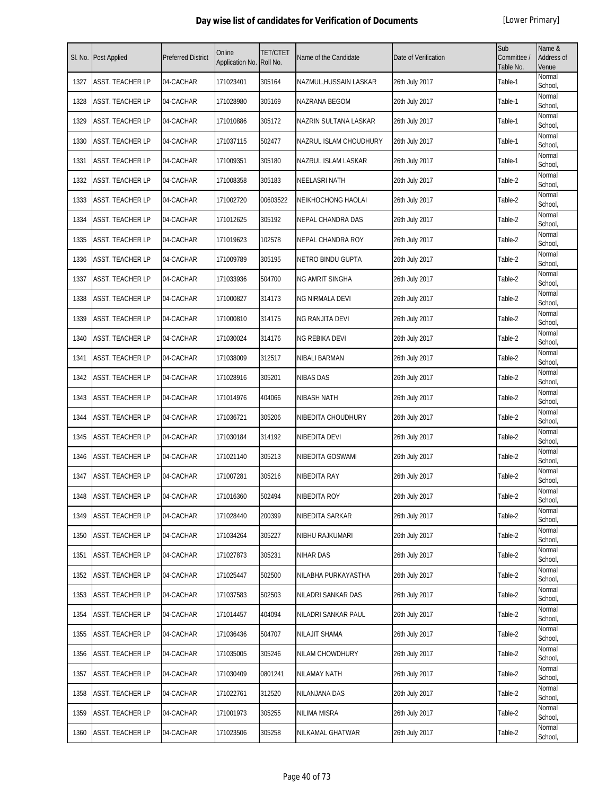| SI. No. | Post Applied            | <b>Preferred District</b> | Online<br>Application No. | <b>TET/CTET</b><br>Roll No. | Name of the Candidate     | Date of Verification | Sub<br>Committee /<br>Table No. | Name &<br><b>Address of</b><br>Venue |
|---------|-------------------------|---------------------------|---------------------------|-----------------------------|---------------------------|----------------------|---------------------------------|--------------------------------------|
| 1327    | ASST. TEACHER LP        | 04-CACHAR                 | 171023401                 | 305164                      | NAZMUL, HUSSAIN LASKAR    | 26th July 2017       | Table-1                         | Normal<br>School,                    |
| 1328    | ASST. TEACHER LP        | 04-CACHAR                 | 171028980                 | 305169                      | NAZRANA BEGOM             | 26th July 2017       | Table-1                         | Normal<br>School,                    |
| 1329    | ASST. TEACHER LP        | 04-CACHAR                 | 171010886                 | 305172                      | NAZRIN SULTANA LASKAR     | 26th July 2017       | Table-1                         | Normal<br>School,                    |
| 1330    | ASST. TEACHER LP        | 04-CACHAR                 | 171037115                 | 502477                      | NAZRUL ISLAM CHOUDHURY    | 26th July 2017       | Table-1                         | Normal<br>School,                    |
| 1331    | ASST. TEACHER LP        | 04-CACHAR                 | 171009351                 | 305180                      | NAZRUL ISLAM LASKAR       | 26th July 2017       | Table-1                         | Normal<br>School,                    |
| 1332    | ASST. TEACHER LP        | 04-CACHAR                 | 171008358                 | 305183                      | <b>NEELASRI NATH</b>      | 26th July 2017       | Table-2                         | Normal<br>School,                    |
| 1333    | ASST. TEACHER LP        | 04-CACHAR                 | 171002720                 | 00603522                    | <b>NEIKHOCHONG HAOLAI</b> | 26th July 2017       | Table-2                         | Normal<br>School,                    |
| 1334    | ASST. TEACHER LP        | 04-CACHAR                 | 171012625                 | 305192                      | NEPAL CHANDRA DAS         | 26th July 2017       | Table-2                         | Normal<br>School,                    |
| 1335    | ASST. TEACHER LP        | 04-CACHAR                 | 171019623                 | 102578                      | NEPAL CHANDRA ROY         | 26th July 2017       | Table-2                         | Normal<br>School,                    |
| 1336    | ASST. TEACHER LP        | 04-CACHAR                 | 171009789                 | 305195                      | NETRO BINDU GUPTA         | 26th July 2017       | Table-2                         | Normal<br>School,                    |
| 1337    | ASST. TEACHER LP        | 04-CACHAR                 | 171033936                 | 504700                      | NG AMRIT SINGHA           | 26th July 2017       | Table-2                         | Normal<br>School,                    |
| 1338    | ASST. TEACHER LP        | 04-CACHAR                 | 171000827                 | 314173                      | NG NIRMALA DEVI           | 26th July 2017       | Table-2                         | Normal<br>School,                    |
| 1339    | ASST. TEACHER LP        | 04-CACHAR                 | 171000810                 | 314175                      | NG RANJITA DEVI           | 26th July 2017       | Table-2                         | Normal<br>School,                    |
| 1340    | ASST. TEACHER LP        | 04-CACHAR                 | 171030024                 | 314176                      | NG REBIKA DEVI            | 26th July 2017       | Table-2                         | Normal<br>School,                    |
| 1341    | ASST. TEACHER LP        | 04-CACHAR                 | 171038009                 | 312517                      | <b>NIBALI BARMAN</b>      | 26th July 2017       | Table-2                         | Normal<br>School,                    |
| 1342    | ASST. TEACHER LP        | 04-CACHAR                 | 171028916                 | 305201                      | <b>NIBAS DAS</b>          | 26th July 2017       | Table-2                         | Normal<br>School,                    |
| 1343    | ASST. TEACHER LP        | 04-CACHAR                 | 171014976                 | 404066                      | NIBASH NATH               | 26th July 2017       | Table-2                         | Normal<br>School,                    |
| 1344    | ASST. TEACHER LP        | 04-CACHAR                 | 171036721                 | 305206                      | NIBEDITA CHOUDHURY        | 26th July 2017       | Table-2                         | Normal<br>School,                    |
| 1345    | ASST. TEACHER LP        | 04-CACHAR                 | 171030184                 | 314192                      | NIBEDITA DEVI             | 26th July 2017       | Table-2                         | Normal<br>School,                    |
| 1346    | ASST. TEACHER LP        | 04-CACHAR                 | 171021140                 | 305213                      | NIBEDITA GOSWAMI          | 26th July 2017       | Table-2                         | Normal<br>School,                    |
| 1347    | ASST. TEACHER LP        | 04-CACHAR                 | 171007281                 | 305216                      | NIBEDITA RAY              | 26th July 2017       | Table-2                         | Normal<br>School,                    |
| 1348    | ASST. TEACHER LP        | 04-CACHAR                 | 171016360                 | 502494                      | NIBEDITA ROY              | 26th July 2017       | Table-2                         | Normal<br>School,                    |
| 1349    | <b>ASST. TEACHER LP</b> | 04-CACHAR                 | 171028440                 | 200399                      | NIBEDITA SARKAR           | 26th July 2017       | Table-2                         | Normal<br>School,                    |
| 1350    | <b>ASST. TEACHER LP</b> | 04-CACHAR                 | 171034264                 | 305227                      | NIBHU RAJKUMARI           | 26th July 2017       | Table-2                         | Normal<br>School,                    |
| 1351    | ASST. TEACHER LP        | 04-CACHAR                 | 171027873                 | 305231                      | <b>NIHAR DAS</b>          | 26th July 2017       | Table-2                         | Normal<br>School,                    |
| 1352    | ASST. TEACHER LP        | 04-CACHAR                 | 171025447                 | 502500                      | NILABHA PURKAYASTHA       | 26th July 2017       | Table-2                         | Normal<br>School,                    |
| 1353    | ASST. TEACHER LP        | 04-CACHAR                 | 171037583                 | 502503                      | NILADRI SANKAR DAS        | 26th July 2017       | Table-2                         | Normal<br>School,                    |
| 1354    | ASST. TEACHER LP        | 04-CACHAR                 | 171014457                 | 404094                      | NILADRI SANKAR PAUL       | 26th July 2017       | Table-2                         | Normal<br>School,                    |
| 1355    | ASST. TEACHER LP        | 04-CACHAR                 | 171036436                 | 504707                      | <b>NILAJIT SHAMA</b>      | 26th July 2017       | Table-2                         | Normal<br>School,                    |
| 1356    | ASST. TEACHER LP        | 04-CACHAR                 | 171035005                 | 305246                      | NILAM CHOWDHURY           | 26th July 2017       | Table-2                         | Normal<br>School,                    |
| 1357    | ASST. TEACHER LP        | 04-CACHAR                 | 171030409                 | 0801241                     | NILAMAY NATH              | 26th July 2017       | Table-2                         | Normal<br>School,                    |
| 1358    | ASST. TEACHER LP        | 04-CACHAR                 | 171022761                 | 312520                      | NILANJANA DAS             | 26th July 2017       | Table-2                         | Normal<br>School,                    |
| 1359    | ASST. TEACHER LP        | 04-CACHAR                 | 171001973                 | 305255                      | NILIMA MISRA              | 26th July 2017       | Table-2                         | Normal<br>School,                    |
| 1360    | ASST. TEACHER LP        | 04-CACHAR                 | 171023506                 | 305258                      | NILKAMAL GHATWAR          | 26th July 2017       | Table-2                         | Normal<br>School,                    |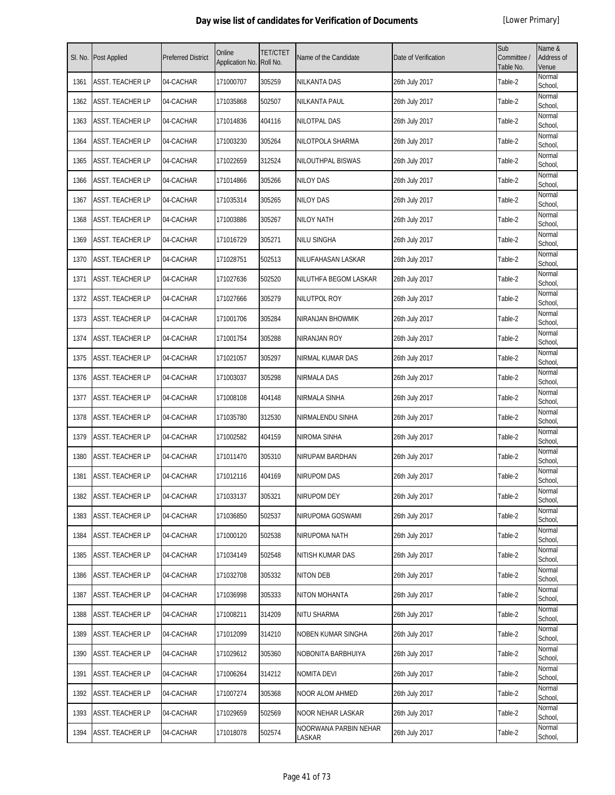| SI. No. | Post Applied            | <b>Preferred District</b> | Online<br>Application No. | TET/CTET<br>Roll No. | Name of the Candidate           | Date of Verification | Sub<br>Committee /<br>Table No. | Name &<br>Address of<br>Venue |
|---------|-------------------------|---------------------------|---------------------------|----------------------|---------------------------------|----------------------|---------------------------------|-------------------------------|
| 1361    | ASST. TEACHER LP        | 04-CACHAR                 | 171000707                 | 305259               | NILKANTA DAS                    | 26th July 2017       | Table-2                         | Normal<br>School,             |
| 1362    | ASST. TEACHER LP        | 04-CACHAR                 | 171035868                 | 502507               | NILKANTA PAUL                   | 26th July 2017       | Table-2                         | Normal<br>School,             |
| 1363    | ASST. TEACHER LP        | 04-CACHAR                 | 171014836                 | 404116               | NILOTPAL DAS                    | 26th July 2017       | Table-2                         | Normal<br>School,             |
| 1364    | ASST. TEACHER LP        | 04-CACHAR                 | 171003230                 | 305264               | NILOTPOLA SHARMA                | 26th July 2017       | Table-2                         | Normal<br>School,             |
| 1365    | ASST. TEACHER LP        | 04-CACHAR                 | 171022659                 | 312524               | NILOUTHPAL BISWAS               | 26th July 2017       | Table-2                         | Normal<br>School,             |
| 1366    | ASST. TEACHER LP        | 04-CACHAR                 | 171014866                 | 305266               | NILOY DAS                       | 26th July 2017       | Table-2                         | Normal<br>School,             |
| 1367    | ASST. TEACHER LP        | 04-CACHAR                 | 171035314                 | 305265               | <b>NILOY DAS</b>                | 26th July 2017       | Table-2                         | Normal<br>School,             |
| 1368    | ASST. TEACHER LP        | 04-CACHAR                 | 171003886                 | 305267               | <b>NILOY NATH</b>               | 26th July 2017       | Table-2                         | Normal<br>School,             |
| 1369    | ASST. TEACHER LP        | 04-CACHAR                 | 171016729                 | 305271               | NILU SINGHA                     | 26th July 2017       | Table-2                         | Normal<br>School,             |
| 1370    | <b>ASST. TEACHER LP</b> | 04-CACHAR                 | 171028751                 | 502513               | NILUFAHASAN LASKAR              | 26th July 2017       | Table-2                         | Normal<br>School,             |
| 1371    | ASST. TEACHER LP        | 04-CACHAR                 | 171027636                 | 502520               | NILUTHFA BEGOM LASKAR           | 26th July 2017       | Table-2                         | Normal<br>School,             |
| 1372    | ASST. TEACHER LP        | 04-CACHAR                 | 171027666                 | 305279               | NILUTPOL ROY                    | 26th July 2017       | Table-2                         | Normal<br>School,             |
| 1373    | ASST. TEACHER LP        | 04-CACHAR                 | 171001706                 | 305284               | NIRANJAN BHOWMIK                | 26th July 2017       | Table-2                         | Normal<br>School,             |
| 1374    | ASST. TEACHER LP        | 04-CACHAR                 | 171001754                 | 305288               | NIRANJAN ROY                    | 26th July 2017       | Table-2                         | Normal<br>School,             |
| 1375    | ASST. TEACHER LP        | 04-CACHAR                 | 171021057                 | 305297               | NIRMAL KUMAR DAS                | 26th July 2017       | Table-2                         | Normal<br>School,             |
| 1376    | ASST. TEACHER LP        | 04-CACHAR                 | 171003037                 | 305298               | NIRMALA DAS                     | 26th July 2017       | Table-2                         | Normal<br>School,             |
| 1377    | ASST. TEACHER LP        | 04-CACHAR                 | 171008108                 | 404148               | NIRMALA SINHA                   | 26th July 2017       | Table-2                         | Normal<br>School,             |
| 1378    | ASST. TEACHER LP        | 04-CACHAR                 | 171035780                 | 312530               | NIRMALENDU SINHA                | 26th July 2017       | Table-2                         | Normal<br>School,             |
| 1379    | ASST. TEACHER LP        | 04-CACHAR                 | 171002582                 | 404159               | NIROMA SINHA                    | 26th July 2017       | Table-2                         | Normal<br>School,             |
| 1380    | ASST. TEACHER LP        | 04-CACHAR                 | 171011470                 | 305310               | NIRUPAM BARDHAN                 | 26th July 2017       | Table-2                         | Normal<br>School,             |
| 1381    | ASST. TEACHER LP        | 04-CACHAR                 | 171012116                 | 404169               | NIRUPOM DAS                     | 26th July 2017       | Table-2                         | Normal<br>School,             |
| 1382    | ASST. TEACHER LP        | 04-CACHAR                 | 171033137                 | 305321               | <b>NIRUPOM DEY</b>              | 26th July 2017       | Table-2                         | Normal<br>School,             |
| 1383    | ASST. TEACHER LP        | 04-CACHAR                 | 171036850                 | 502537               | NIRUPOMA GOSWAMI                | 26th July 2017       | Table-2                         | Normal<br>School,             |
| 1384    | ASST. TEACHER LP        | 04-CACHAR                 | 171000120                 | 502538               | NIRUPOMA NATH                   | 26th July 2017       | Table-2                         | Normal<br>School,             |
| 1385    | ASST. TEACHER LP        | 04-CACHAR                 | 171034149                 | 502548               | NITISH KUMAR DAS                | 26th July 2017       | Table-2                         | Normal<br>School,             |
| 1386    | ASST. TEACHER LP        | 04-CACHAR                 | 171032708                 | 305332               | NITON DEB                       | 26th July 2017       | Table-2                         | Normal<br>School,             |
| 1387    | ASST. TEACHER LP        | 04-CACHAR                 | 171036998                 | 305333               | NITON MOHANTA                   | 26th July 2017       | Table-2                         | Normal<br>School,             |
| 1388    | ASST. TEACHER LP        | 04-CACHAR                 | 171008211                 | 314209               | NITU SHARMA                     | 26th July 2017       | Table-2                         | Normal<br>School,             |
| 1389    | ASST. TEACHER LP        | 04-CACHAR                 | 171012099                 | 314210               | NOBEN KUMAR SINGHA              | 26th July 2017       | Table-2                         | Normal<br>School,             |
| 1390    | ASST. TEACHER LP        | 04-CACHAR                 | 171029612                 | 305360               | NOBONITA BARBHUIYA              | 26th July 2017       | Table-2                         | Normal<br>School,             |
| 1391    | ASST. TEACHER LP        | 04-CACHAR                 | 171006264                 | 314212               | NOMITA DEVI                     | 26th July 2017       | Table-2                         | Normal<br>School,             |
| 1392    | ASST. TEACHER LP        | 04-CACHAR                 | 171007274                 | 305368               | NOOR ALOM AHMED                 | 26th July 2017       | Table-2                         | Normal<br>School,             |
| 1393    | ASST. TEACHER LP        | 04-CACHAR                 | 171029659                 | 502569               | NOOR NEHAR LASKAR               | 26th July 2017       | Table-2                         | Normal<br>School,             |
| 1394    | ASST. TEACHER LP        | 04-CACHAR                 | 171018078                 | 502574               | NOORWANA PARBIN NEHAR<br>LASKAR | 26th July 2017       | Table-2                         | Normal<br>School,             |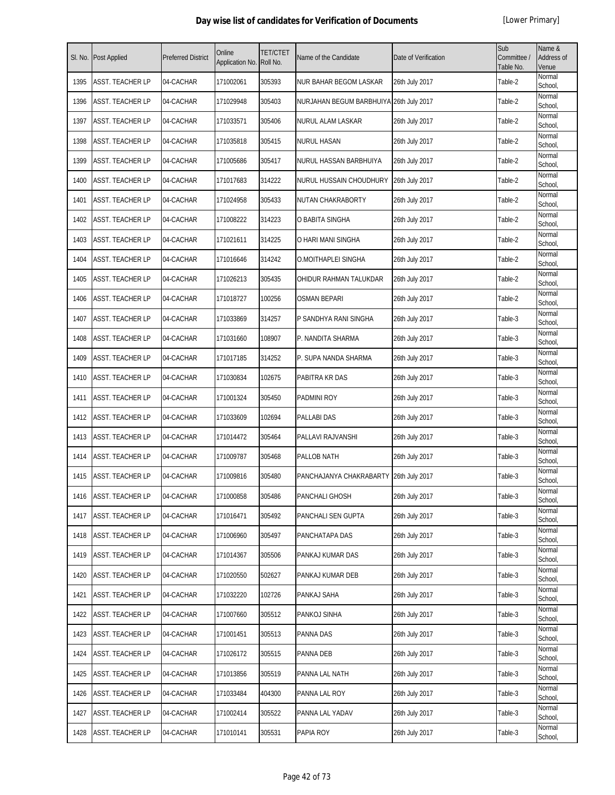| SI. No. | <b>Post Applied</b>     | <b>Preferred District</b> | Online<br>Application No. | <b>TET/CTET</b><br>Roll No. | Name of the Candidate                   | Date of Verification | Sub<br>Committee /<br>Table No. | Name &<br>Address of<br>Venue |
|---------|-------------------------|---------------------------|---------------------------|-----------------------------|-----------------------------------------|----------------------|---------------------------------|-------------------------------|
| 1395    | <b>ASST. TEACHER LP</b> | 04-CACHAR                 | 171002061                 | 305393                      | <b>NUR BAHAR BEGOM LASKAR</b>           | 26th July 2017       | Table-2                         | Normal<br>School,             |
| 1396    | ASST. TEACHER LP        | 04-CACHAR                 | 171029948                 | 305403                      | NURJAHAN BEGUM BARBHUIYA 26th July 2017 |                      | Table-2                         | Normal<br>School,             |
| 1397    | ASST. TEACHER LP        | 04-CACHAR                 | 171033571                 | 305406                      | <b>NURUL ALAM LASKAR</b>                | 26th July 2017       | Table-2                         | Normal<br>School,             |
| 1398    | ASST. TEACHER LP        | 04-CACHAR                 | 171035818                 | 305415                      | <b>NURUL HASAN</b>                      | 26th July 2017       | Table-2                         | Normal<br>School,             |
| 1399    | ASST. TEACHER LP        | 04-CACHAR                 | 171005686                 | 305417                      | NURUL HASSAN BARBHUIYA                  | 26th July 2017       | Table-2                         | Normal<br>School,             |
| 1400    | ASST. TEACHER LP        | 04-CACHAR                 | 171017683                 | 314222                      | NURUL HUSSAIN CHOUDHURY                 | 26th July 2017       | Table-2                         | Normal<br>School,             |
| 1401    | <b>ASST. TEACHER LP</b> | 04-CACHAR                 | 171024958                 | 305433                      | NUTAN CHAKRABORTY                       | 26th July 2017       | Table-2                         | Normal<br>School,             |
| 1402    | ASST. TEACHER LP        | 04-CACHAR                 | 171008222                 | 314223                      | O BABITA SINGHA                         | 26th July 2017       | Table-2                         | Normal<br>School,             |
| 1403    | ASST. TEACHER LP        | 04-CACHAR                 | 171021611                 | 314225                      | O HARI MANI SINGHA                      | 26th July 2017       | Table-2                         | Normal<br>School,             |
| 1404    | ASST. TEACHER LP        | 04-CACHAR                 | 171016646                 | 314242                      | O.MOITHAPLEI SINGHA                     | 26th July 2017       | Table-2                         | Normal<br>School,             |
| 1405    | ASST. TEACHER LP        | 04-CACHAR                 | 171026213                 | 305435                      | OHIDUR RAHMAN TALUKDAR                  | 26th July 2017       | Table-2                         | Normal<br>School,             |
| 1406    | ASST. TEACHER LP        | 04-CACHAR                 | 171018727                 | 100256                      | <b>OSMAN BEPARI</b>                     | 26th July 2017       | Table-2                         | Normal<br>School,             |
| 1407    | ASST. TEACHER LP        | 04-CACHAR                 | 171033869                 | 314257                      | P SANDHYA RANI SINGHA                   | 26th July 2017       | Table-3                         | Normal<br>School,             |
| 1408    | ASST. TEACHER LP        | 04-CACHAR                 | 171031660                 | 108907                      | P. NANDITA SHARMA                       | 26th July 2017       | Table-3                         | Normal<br>School,             |
| 1409    | ASST. TEACHER LP        | 04-CACHAR                 | 171017185                 | 314252                      | P. SUPA NANDA SHARMA                    | 26th July 2017       | Table-3                         | Normal<br>School,             |
| 1410    | ASST. TEACHER LP        | 04-CACHAR                 | 171030834                 | 102675                      | PABITRA KR DAS                          | 26th July 2017       | Table-3                         | Normal<br>School,             |
| 1411    | ASST. TEACHER LP        | 04-CACHAR                 | 171001324                 | 305450                      | PADMINI ROY                             | 26th July 2017       | Table-3                         | Normal<br>School,             |
| 1412    | ASST. TEACHER LP        | 04-CACHAR                 | 171033609                 | 102694                      | <b>PALLABI DAS</b>                      | 26th July 2017       | Table-3                         | Normal<br>School,             |
| 1413    | <b>ASST. TEACHER LP</b> | 04-CACHAR                 | 171014472                 | 305464                      | PALLAVI RAJVANSHI                       | 26th July 2017       | Table-3                         | Normal<br>School,             |
| 1414    | ASST. TEACHER LP        | 04-CACHAR                 | 171009787                 | 305468                      | PALLOB NATH                             | 26th July 2017       | Table-3                         | Normal<br>School,             |
| 1415    | ASST. TEACHER LP        | 04-CACHAR                 | 171009816                 | 305480                      | PANCHAJANYA CHAKRABARTY 26th July 2017  |                      | Table-3                         | Normal<br>School,             |
| 1416    | ASST. TEACHER LP        | 04-CACHAR                 | 171000858                 | 305486                      | PANCHALI GHOSH                          | 26th July 2017       | Table-3                         | Normal<br>School,             |
| 1417    | ASST. TEACHER LP        | 04-CACHAR                 | 171016471                 | 305492                      | PANCHALI SEN GUPTA                      | 26th July 2017       | Table-3                         | Normal<br>School,             |
| 1418    | ASST. TEACHER LP        | 04-CACHAR                 | 171006960                 | 305497                      | PANCHATAPA DAS                          | 26th July 2017       | Table-3                         | Normal<br>School,             |
| 1419    | ASST. TEACHER LP        | 04-CACHAR                 | 171014367                 | 305506                      | PANKAJ KUMAR DAS                        | 26th July 2017       | Table-3                         | Normal<br>School,             |
| 1420    | ASST. TEACHER LP        | 04-CACHAR                 | 171020550                 | 502627                      | PANKAJ KUMAR DEB                        | 26th July 2017       | Table-3                         | Normal<br>School,             |
| 1421    | ASST. TEACHER LP        | 04-CACHAR                 | 171032220                 | 102726                      | PANKAJ SAHA                             | 26th July 2017       | Table-3                         | Normal<br>School,             |
| 1422    | ASST. TEACHER LP        | 04-CACHAR                 | 171007660                 | 305512                      | PANKOJ SINHA                            | 26th July 2017       | Table-3                         | Normal<br>School,             |
| 1423    | ASST. TEACHER LP        | 04-CACHAR                 | 171001451                 | 305513                      | PANNA DAS                               | 26th July 2017       | Table-3                         | Normal<br>School,             |
| 1424    | ASST. TEACHER LP        | 04-CACHAR                 | 171026172                 | 305515                      | PANNA DEB                               | 26th July 2017       | Table-3                         | Normal<br>School,             |
| 1425    | ASST. TEACHER LP        | 04-CACHAR                 | 171013856                 | 305519                      | PANNA LAL NATH                          | 26th July 2017       | Table-3                         | Normal<br>School,             |
| 1426    | ASST. TEACHER LP        | 04-CACHAR                 | 171033484                 | 404300                      | PANNA LAL ROY                           | 26th July 2017       | Table-3                         | Normal<br>School,             |
| 1427    | ASST. TEACHER LP        | 04-CACHAR                 | 171002414                 | 305522                      | PANNA LAL YADAV                         | 26th July 2017       | Table-3                         | Normal<br>School,             |
| 1428    | ASST. TEACHER LP        | 04-CACHAR                 | 171010141                 | 305531                      | PAPIA ROY                               | 26th July 2017       | Table-3                         | Normal<br>School,             |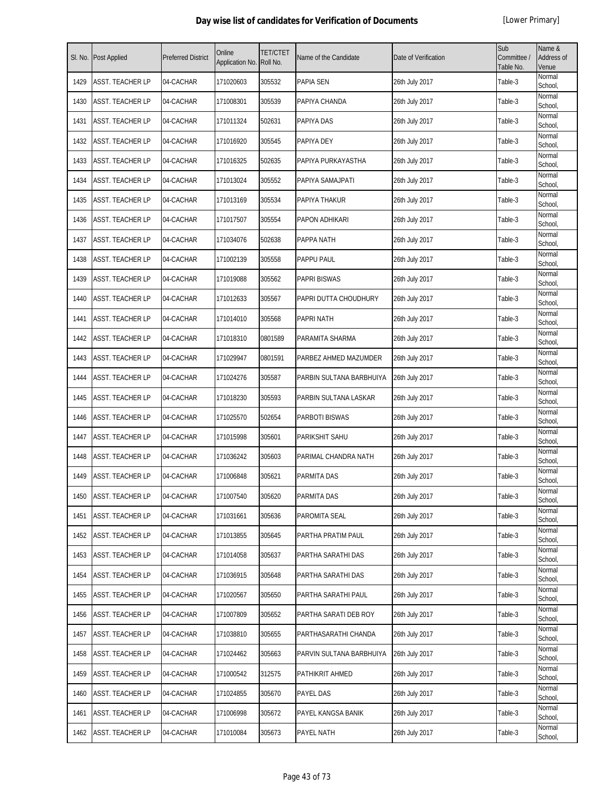| SI. No. | <b>Post Applied</b>     | <b>Preferred District</b> | Online<br>Application No. | <b>TET/CTET</b><br>Roll No. | Name of the Candidate    | Date of Verification | Sub<br>Committee /<br>Table No. | Name &<br>Address of<br>Venue |
|---------|-------------------------|---------------------------|---------------------------|-----------------------------|--------------------------|----------------------|---------------------------------|-------------------------------|
| 1429    | <b>ASST. TEACHER LP</b> | 04-CACHAR                 | 171020603                 | 305532                      | <b>PAPIA SEN</b>         | 26th July 2017       | Table-3                         | Normal<br>School,             |
| 1430    | ASST. TEACHER LP        | 04-CACHAR                 | 171008301                 | 305539                      | PAPIYA CHANDA            | 26th July 2017       | Table-3                         | Normal<br>School,             |
| 1431    | ASST. TEACHER LP        | 04-CACHAR                 | 171011324                 | 502631                      | PAPIYA DAS               | 26th July 2017       | Table-3                         | Normal<br>School,             |
| 1432    | ASST. TEACHER LP        | 04-CACHAR                 | 171016920                 | 305545                      | PAPIYA DEY               | 26th July 2017       | Table-3                         | Normal<br>School,             |
| 1433    | <b>ASST. TEACHER LP</b> | 04-CACHAR                 | 171016325                 | 502635                      | PAPIYA PURKAYASTHA       | 26th July 2017       | Table-3                         | Normal<br>School,             |
| 1434    | ASST. TEACHER LP        | 04-CACHAR                 | 171013024                 | 305552                      | PAPIYA SAMAJPATI         | 26th July 2017       | Table-3                         | Normal<br>School,             |
| 1435    | ASST. TEACHER LP        | 04-CACHAR                 | 171013169                 | 305534                      | PAPIYA THAKUR            | 26th July 2017       | Table-3                         | Normal<br>School,             |
| 1436    | ASST. TEACHER LP        | 04-CACHAR                 | 171017507                 | 305554                      | PAPON ADHIKARI           | 26th July 2017       | Table-3                         | Normal<br>School,             |
| 1437    | ASST. TEACHER LP        | 04-CACHAR                 | 171034076                 | 502638                      | PAPPA NATH               | 26th July 2017       | Table-3                         | Normal<br>School,             |
| 1438    | ASST. TEACHER LP        | 04-CACHAR                 | 171002139                 | 305558                      | PAPPU PAUL               | 26th July 2017       | Table-3                         | Normal<br>School,             |
| 1439    | ASST. TEACHER LP        | 04-CACHAR                 | 171019088                 | 305562                      | <b>PAPRI BISWAS</b>      | 26th July 2017       | Table-3                         | Normal<br>School,             |
| 1440    | ASST. TEACHER LP        | 04-CACHAR                 | 171012633                 | 305567                      | PAPRI DUTTA CHOUDHURY    | 26th July 2017       | Table-3                         | Normal<br>School,             |
| 1441    | ASST. TEACHER LP        | 04-CACHAR                 | 171014010                 | 305568                      | <b>PAPRI NATH</b>        | 26th July 2017       | Table-3                         | Normal<br>School,             |
| 1442    | ASST. TEACHER LP        | 04-CACHAR                 | 171018310                 | 0801589                     | PARAMITA SHARMA          | 26th July 2017       | Table-3                         | Normal<br>School,             |
| 1443    | ASST. TEACHER LP        | 04-CACHAR                 | 171029947                 | 0801591                     | PARBEZ AHMED MAZUMDER    | 26th July 2017       | Table-3                         | Normal<br>School,             |
| 1444    | ASST. TEACHER LP        | 04-CACHAR                 | 171024276                 | 305587                      | PARBIN SULTANA BARBHUIYA | 26th July 2017       | Table-3                         | Normal<br>School,             |
| 1445    | ASST. TEACHER LP        | 04-CACHAR                 | 171018230                 | 305593                      | PARBIN SULTANA LASKAR    | 26th July 2017       | Table-3                         | Normal<br>School,             |
| 1446    | ASST. TEACHER LP        | 04-CACHAR                 | 171025570                 | 502654                      | PARBOTI BISWAS           | 26th July 2017       | Table-3                         | Normal<br>School,             |
| 1447    | ASST. TEACHER LP        | 04-CACHAR                 | 171015998                 | 305601                      | PARIKSHIT SAHU           | 26th July 2017       | Table-3                         | Normal<br>School.             |
| 1448    | ASST. TEACHER LP        | 04-CACHAR                 | 171036242                 | 305603                      | PARIMAL CHANDRA NATH     | 26th July 2017       | Table-3                         | Normal<br>School,             |
| 1449    | ASST. TEACHER LP        | 04-CACHAR                 | 171006848                 | 305621                      | PARMITA DAS              | 26th July 2017       | Table-3                         | Normal<br>School,             |
| 1450    | <b>ASST. TEACHER LP</b> | 04-CACHAR                 | 171007540                 | 305620                      | <b>PARMITA DAS</b>       | 26th July 2017       | Table-3                         | Normal<br>School,             |
| 1451    | ASST. TEACHER LP        | 04-CACHAR                 | 171031661                 | 305636                      | PAROMITA SEAL            | 26th July 2017       | Table-3                         | Normal<br>School,             |
| 1452    | ASST. TEACHER LP        | 04-CACHAR                 | 171013855                 | 305645                      | PARTHA PRATIM PAUL       | 26th July 2017       | Table-3                         | Normal<br>School,             |
| 1453    | ASST. TEACHER LP        | 04-CACHAR                 | 171014058                 | 305637                      | PARTHA SARATHI DAS       | 26th July 2017       | Table-3                         | Normal<br>School,             |
| 1454    | ASST. TEACHER LP        | 04-CACHAR                 | 171036915                 | 305648                      | PARTHA SARATHI DAS       | 26th July 2017       | Table-3                         | Normal<br>School,             |
| 1455    | ASST. TEACHER LP        | 04-CACHAR                 | 171020567                 | 305650                      | PARTHA SARATHI PAUL      | 26th July 2017       | Table-3                         | Normal<br>School,             |
| 1456    | ASST. TEACHER LP        | 04-CACHAR                 | 171007809                 | 305652                      | PARTHA SARATI DEB ROY    | 26th July 2017       | Table-3                         | Normal<br>School,             |
| 1457    | ASST. TEACHER LP        | 04-CACHAR                 | 171038810                 | 305655                      | PARTHASARATHI CHANDA     | 26th July 2017       | Table-3                         | Normal<br>School,             |
| 1458    | ASST. TEACHER LP        | 04-CACHAR                 | 171024462                 | 305663                      | PARVIN SULTANA BARBHUIYA | 26th July 2017       | Table-3                         | Normal<br>School,             |
| 1459    | ASST. TEACHER LP        | 04-CACHAR                 | 171000542                 | 312575                      | PATHIKRIT AHMED          | 26th July 2017       | Table-3                         | Normal<br>School,             |
| 1460    | ASST. TEACHER LP        | 04-CACHAR                 | 171024855                 | 305670                      | PAYEL DAS                | 26th July 2017       | Table-3                         | Normal<br>School,             |
| 1461    | <b>ASST. TEACHER LP</b> | 04-CACHAR                 | 171006998                 | 305672                      | PAYEL KANGSA BANIK       | 26th July 2017       | Table-3                         | Normal<br>School,             |
| 1462    | <b>ASST. TEACHER LP</b> | 04-CACHAR                 | 171010084                 | 305673                      | PAYEL NATH               | 26th July 2017       | Table-3                         | Normal<br>School,             |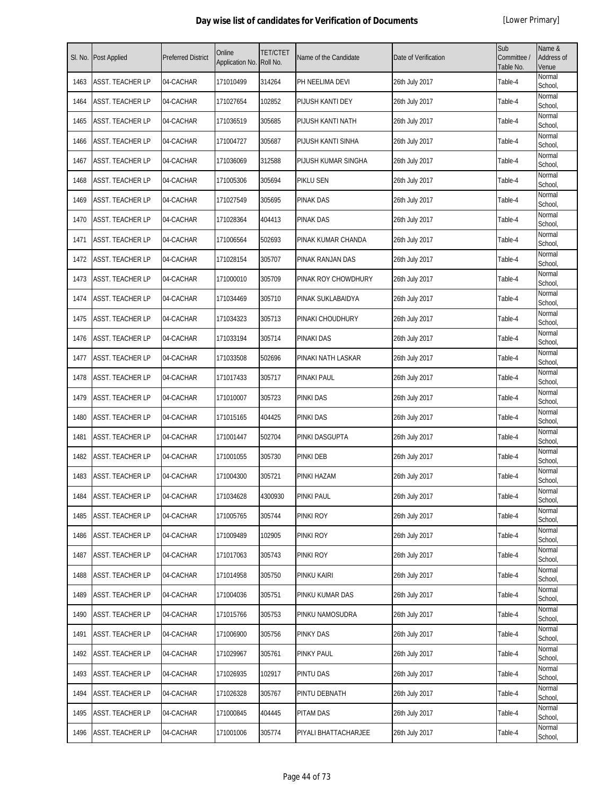| SI. No. | Post Applied            | <b>Preferred District</b> | Online<br>Application No. | TET/CTET<br>Roll No. | Name of the Candidate | Date of Verification | Sub<br>Committee /<br>Table No. | Name &<br><b>Address of</b><br>Venue |
|---------|-------------------------|---------------------------|---------------------------|----------------------|-----------------------|----------------------|---------------------------------|--------------------------------------|
| 1463    | ASST. TEACHER LP        | 04-CACHAR                 | 171010499                 | 314264               | PH NEELIMA DEVI       | 26th July 2017       | Table-4                         | Normal<br>School,                    |
| 1464    | ASST. TEACHER LP        | 04-CACHAR                 | 171027654                 | 102852               | PIJUSH KANTI DEY      | 26th July 2017       | Table-4                         | Normal<br>School,                    |
| 1465    | ASST. TEACHER LP        | 04-CACHAR                 | 171036519                 | 305685               | PIJUSH KANTI NATH     | 26th July 2017       | Table-4                         | Normal<br>School,                    |
| 1466    | ASST. TEACHER LP        | 04-CACHAR                 | 171004727                 | 305687               | PIJUSH KANTI SINHA    | 26th July 2017       | Table-4                         | Normal<br>School,                    |
| 1467    | ASST. TEACHER LP        | 04-CACHAR                 | 171036069                 | 312588               | PIJUSH KUMAR SINGHA   | 26th July 2017       | Table-4                         | Normal<br>School,                    |
| 1468    | ASST. TEACHER LP        | 04-CACHAR                 | 171005306                 | 305694               | PIKLU SEN             | 26th July 2017       | Table-4                         | Normal<br>School,                    |
| 1469    | ASST. TEACHER LP        | 04-CACHAR                 | 171027549                 | 305695               | <b>PINAK DAS</b>      | 26th July 2017       | Table-4                         | Normal<br>School,                    |
| 1470    | ASST. TEACHER LP        | 04-CACHAR                 | 171028364                 | 404413               | <b>PINAK DAS</b>      | 26th July 2017       | Table-4                         | Normal<br>School,                    |
| 1471    | ASST. TEACHER LP        | 04-CACHAR                 | 171006564                 | 502693               | PINAK KUMAR CHANDA    | 26th July 2017       | Table-4                         | Normal<br>School,                    |
| 1472    | ASST. TEACHER LP        | 04-CACHAR                 | 171028154                 | 305707               | PINAK RANJAN DAS      | 26th July 2017       | Table-4                         | Normal<br>School,                    |
| 1473    | ASST. TEACHER LP        | 04-CACHAR                 | 171000010                 | 305709               | PINAK ROY CHOWDHURY   | 26th July 2017       | Table-4                         | Normal<br>School,                    |
| 1474    | ASST. TEACHER LP        | 04-CACHAR                 | 171034469                 | 305710               | PINAK SUKLABAIDYA     | 26th July 2017       | Table-4                         | Normal<br>School,                    |
| 1475    | ASST. TEACHER LP        | 04-CACHAR                 | 171034323                 | 305713               | PINAKI CHOUDHURY      | 26th July 2017       | Table-4                         | Normal<br>School,                    |
| 1476    | ASST. TEACHER LP        | 04-CACHAR                 | 171033194                 | 305714               | PINAKI DAS            | 26th July 2017       | Table-4                         | Normal<br>School,                    |
| 1477    | ASST. TEACHER LP        | 04-CACHAR                 | 171033508                 | 502696               | PINAKI NATH LASKAR    | 26th July 2017       | Table-4                         | Normal<br>School,                    |
| 1478    | ASST. TEACHER LP        | 04-CACHAR                 | 171017433                 | 305717               | PINAKI PAUL           | 26th July 2017       | Table-4                         | Normal<br>School,                    |
| 1479    | ASST. TEACHER LP        | 04-CACHAR                 | 171010007                 | 305723               | <b>PINKI DAS</b>      | 26th July 2017       | Table-4                         | Normal<br>School,                    |
| 1480    | ASST. TEACHER LP        | 04-CACHAR                 | 171015165                 | 404425               | <b>PINKI DAS</b>      | 26th July 2017       | Table-4                         | Normal<br>School,                    |
| 1481    | ASST. TEACHER LP        | 04-CACHAR                 | 171001447                 | 502704               | PINKI DASGUPTA        | 26th July 2017       | Table-4                         | Normal<br>School,                    |
| 1482    | <b>ASST. TEACHER LP</b> | 04-CACHAR                 | 171001055                 | 305730               | <b>PINKI DEB</b>      | 26th July 2017       | Table-4                         | Normal<br>School,                    |
| 1483    | ASST. TEACHER LP        | 04-CACHAR                 | 171004300                 | 305721               | PINKI HAZAM           | 26th July 2017       | Table-4                         | Normal<br>School,                    |
| 1484    | <b>ASST. TEACHER LP</b> | 04-CACHAR                 | 171034628                 | 4300930              | <b>PINKI PAUL</b>     | 26th July 2017       | Table-4                         | Normal<br>School,                    |
| 1485    | ASST. TEACHER LP        | 04-CACHAR                 | 171005765                 | 305744               | PINKI ROY             | 26th July 2017       | Table-4                         | Normal<br>School,                    |
| 1486    | ASST. TEACHER LP        | 04-CACHAR                 | 171009489                 | 102905               | PINKI ROY             | 26th July 2017       | Table-4                         | Normal<br>School,                    |
| 1487    | ASST. TEACHER LP        | 04-CACHAR                 | 171017063                 | 305743               | PINKI ROY             | 26th July 2017       | Table-4                         | Normal<br>School,                    |
| 1488    | ASST. TEACHER LP        | 04-CACHAR                 | 171014958                 | 305750               | PINKU KAIRI           | 26th July 2017       | Table-4                         | Normal<br>School,                    |
| 1489    | ASST. TEACHER LP        | 04-CACHAR                 | 171004036                 | 305751               | PINKU KUMAR DAS       | 26th July 2017       | Table-4                         | Normal<br>School,                    |
| 1490    | ASST. TEACHER LP        | 04-CACHAR                 | 171015766                 | 305753               | PINKU NAMOSUDRA       | 26th July 2017       | Table-4                         | Normal<br>School,                    |
| 1491    | <b>ASST. TEACHER LP</b> | 04-CACHAR                 | 171006900                 | 305756               | <b>PINKY DAS</b>      | 26th July 2017       | Table-4                         | Normal<br>School,                    |
| 1492    | ASST. TEACHER LP        | 04-CACHAR                 | 171029967                 | 305761               | <b>PINKY PAUL</b>     | 26th July 2017       | Table-4                         | Normal<br>School,                    |
| 1493    | ASST. TEACHER LP        | 04-CACHAR                 | 171026935                 | 102917               | <b>PINTU DAS</b>      | 26th July 2017       | Table-4                         | Normal<br>School,                    |
| 1494    | ASST. TEACHER LP        | 04-CACHAR                 | 171026328                 | 305767               | PINTU DEBNATH         | 26th July 2017       | Table-4                         | Normal<br>School,                    |
| 1495    | ASST. TEACHER LP        | 04-CACHAR                 | 171000845                 | 404445               | <b>PITAM DAS</b>      | 26th July 2017       | Table-4                         | Normal<br>School,                    |
| 1496    | ASST. TEACHER LP        | 04-CACHAR                 | 171001006                 | 305774               | PIYALI BHATTACHARJEE  | 26th July 2017       | Table-4                         | Normal<br>School,                    |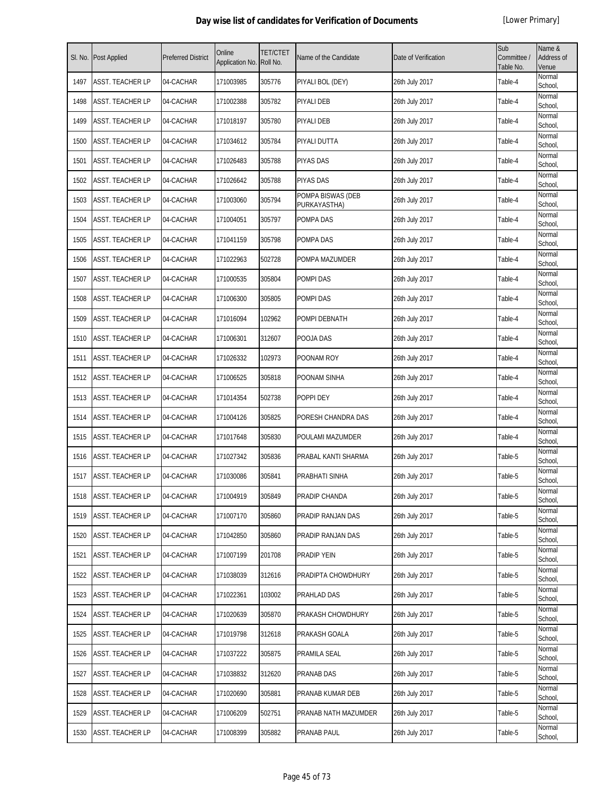| SI. No. | Post Applied            | <b>Preferred District</b> | Online<br>Application No. | <b>TET/CTET</b><br>Roll No. | Name of the Candidate             | Date of Verification | Sub<br>Committee /<br>Table No. | Name &<br>Address of<br>Venue |
|---------|-------------------------|---------------------------|---------------------------|-----------------------------|-----------------------------------|----------------------|---------------------------------|-------------------------------|
| 1497    | ASST. TEACHER LP        | 04-CACHAR                 | 171003985                 | 305776                      | PIYALI BOL (DEY)                  | 26th July 2017       | Table-4                         | Normal<br>School,             |
| 1498    | ASST. TEACHER LP        | 04-CACHAR                 | 171002388                 | 305782                      | PIYALI DEB                        | 26th July 2017       | Table-4                         | Normal<br>School,             |
| 1499    | ASST. TEACHER LP        | 04-CACHAR                 | 171018197                 | 305780                      | PIYALI DEB                        | 26th July 2017       | Table-4                         | Normal<br>School,             |
| 1500    | <b>ASST. TEACHER LP</b> | 04-CACHAR                 | 171034612                 | 305784                      | PIYALI DUTTA                      | 26th July 2017       | Table-4                         | Normal<br>School,             |
| 1501    | ASST. TEACHER LP        | 04-CACHAR                 | 171026483                 | 305788                      | <b>PIYAS DAS</b>                  | 26th July 2017       | Table-4                         | Normal<br>School,             |
| 1502    | ASST. TEACHER LP        | 04-CACHAR                 | 171026642                 | 305788                      | PIYAS DAS                         | 26th July 2017       | Table-4                         | Normal<br>School,             |
| 1503    | ASST. TEACHER LP        | 04-CACHAR                 | 171003060                 | 305794                      | POMPA BISWAS (DEB<br>PURKAYASTHA) | 26th July 2017       | Table-4                         | Normal<br>School,             |
| 1504    | ASST. TEACHER LP        | 04-CACHAR                 | 171004051                 | 305797                      | POMPA DAS                         | 26th July 2017       | Table-4                         | Normal<br>School,             |
| 1505    | <b>ASST. TEACHER LP</b> | 04-CACHAR                 | 171041159                 | 305798                      | POMPA DAS                         | 26th July 2017       | Table-4                         | Normal<br>School,             |
| 1506    | ASST. TEACHER LP        | 04-CACHAR                 | 171022963                 | 502728                      | POMPA MAZUMDER                    | 26th July 2017       | Table-4                         | Normal<br>School,             |
| 1507    | ASST. TEACHER LP        | 04-CACHAR                 | 171000535                 | 305804                      | POMPI DAS                         | 26th July 2017       | Table-4                         | Normal<br>School,             |
| 1508    | ASST. TEACHER LP        | 04-CACHAR                 | 171006300                 | 305805                      | POMPI DAS                         | 26th July 2017       | Table-4                         | Normal<br>School,             |
| 1509    | ASST. TEACHER LP        | 04-CACHAR                 | 171016094                 | 102962                      | POMPI DEBNATH                     | 26th July 2017       | Table-4                         | Normal<br>School,             |
| 1510    | ASST. TEACHER LP        | 04-CACHAR                 | 171006301                 | 312607                      | POOJA DAS                         | 26th July 2017       | Table-4                         | Normal<br>School,             |
| 1511    | ASST. TEACHER LP        | 04-CACHAR                 | 171026332                 | 102973                      | POONAM ROY                        | 26th July 2017       | Table-4                         | Normal<br>School,             |
| 1512    | ASST. TEACHER LP        | 04-CACHAR                 | 171006525                 | 305818                      | POONAM SINHA                      | 26th July 2017       | Table-4                         | Normal<br>School,             |
| 1513    | ASST. TEACHER LP        | 04-CACHAR                 | 171014354                 | 502738                      | POPPI DEY                         | 26th July 2017       | Table-4                         | Normal<br>School,             |
| 1514    | ASST. TEACHER LP        | 04-CACHAR                 | 171004126                 | 305825                      | PORESH CHANDRA DAS                | 26th July 2017       | Table-4                         | Normal<br>School,             |
| 1515    | <b>ASST. TEACHER LP</b> | 04-CACHAR                 | 171017648                 | 305830                      | POULAMI MAZUMDER                  | 26th July 2017       | Table-4                         | Normal<br>School,             |
| 1516    | ASST. TEACHER LP        | 04-CACHAR                 | 171027342                 | 305836                      | PRABAL KANTI SHARMA               | 26th July 2017       | Table-5                         | Normal<br>School,             |
| 1517    | ASST. TEACHER LP        | 04-CACHAR                 | 171030086                 | 305841                      | PRABHATI SINHA                    | 26th July 2017       | Table-5                         | Normal<br>School,             |
| 1518    | <b>ASST. TEACHER LP</b> | 04-CACHAR                 | 171004919                 | 305849                      | PRADIP CHANDA                     | 26th July 2017       | Table-5                         | Normal<br>School,             |
| 1519    | <b>ASST. TEACHER LP</b> | 04-CACHAR                 | 171007170                 | 305860                      | PRADIP RANJAN DAS                 | 26th July 2017       | Table-5                         | Normal<br>School,             |
| 1520    | ASST. TEACHER LP        | 04-CACHAR                 | 171042850                 | 305860                      | PRADIP RANJAN DAS                 | 26th July 2017       | Table-5                         | Normal<br>School,             |
| 1521    | ASST. TEACHER LP        | 04-CACHAR                 | 171007199                 | 201708                      | PRADIP YEIN                       | 26th July 2017       | Table-5                         | Normal<br>School,             |
| 1522    | ASST. TEACHER LP        | 04-CACHAR                 | 171038039                 | 312616                      | PRADIPTA CHOWDHURY                | 26th July 2017       | Table-5                         | Normal<br>School,             |
| 1523    | ASST. TEACHER LP        | 04-CACHAR                 | 171022361                 | 103002                      | PRAHLAD DAS                       | 26th July 2017       | Table-5                         | Normal<br>School,             |
| 1524    | ASST. TEACHER LP        | 04-CACHAR                 | 171020639                 | 305870                      | PRAKASH CHOWDHURY                 | 26th July 2017       | Table-5                         | Normal<br>School,             |
| 1525    | ASST. TEACHER LP        | 04-CACHAR                 | 171019798                 | 312618                      | PRAKASH GOALA                     | 26th July 2017       | Table-5                         | Normal<br>School,             |
| 1526    | ASST. TEACHER LP        | 04-CACHAR                 | 171037222                 | 305875                      | PRAMILA SEAL                      | 26th July 2017       | Table-5                         | Normal<br>School,             |
| 1527    | ASST. TEACHER LP        | 04-CACHAR                 | 171038832                 | 312620                      | PRANAB DAS                        | 26th July 2017       | Table-5                         | Normal<br>School,             |
| 1528    | ASST. TEACHER LP        | 04-CACHAR                 | 171020690                 | 305881                      | PRANAB KUMAR DEB                  | 26th July 2017       | Table-5                         | Normal<br>School,             |
| 1529    | ASST. TEACHER LP        | 04-CACHAR                 | 171006209                 | 502751                      | PRANAB NATH MAZUMDER              | 26th July 2017       | Table-5                         | Normal<br>School,             |
| 1530    | ASST. TEACHER LP        | 04-CACHAR                 | 171008399                 | 305882                      | PRANAB PAUL                       | 26th July 2017       | Table-5                         | Normal<br>School,             |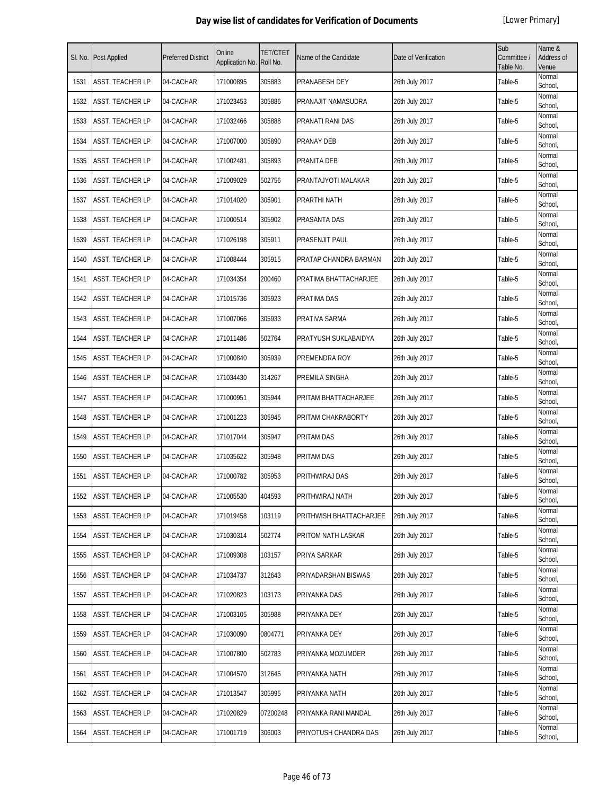| SI. No. | <b>Post Applied</b>     | <b>Preferred District</b> | Online<br>Application No. | <b>TET/CTET</b><br>Roll No. | Name of the Candidate   | Date of Verification | Sub<br>Committee /<br>Table No. | Name &<br><b>Address of</b><br>Venue |
|---------|-------------------------|---------------------------|---------------------------|-----------------------------|-------------------------|----------------------|---------------------------------|--------------------------------------|
| 1531    | <b>ASST. TEACHER LP</b> | 04-CACHAR                 | 171000895                 | 305883                      | PRANABESH DEY           | 26th July 2017       | Table-5                         | Normal<br>School,                    |
| 1532    | ASST. TEACHER LP        | 04-CACHAR                 | 171023453                 | 305886                      | PRANAJIT NAMASUDRA      | 26th July 2017       | Table-5                         | Normal<br>School,                    |
| 1533    | <b>ASST. TEACHER LP</b> | 04-CACHAR                 | 171032466                 | 305888                      | PRANATI RANI DAS        | 26th July 2017       | Table-5                         | Normal<br>School,                    |
| 1534    | <b>ASST. TEACHER LP</b> | 04-CACHAR                 | 171007000                 | 305890                      | <b>PRANAY DEB</b>       | 26th July 2017       | Table-5                         | Normal<br>School,                    |
| 1535    | <b>ASST. TEACHER LP</b> | 04-CACHAR                 | 171002481                 | 305893                      | PRANITA DEB             | 26th July 2017       | Table-5                         | Normal<br>School,                    |
| 1536    | ASST. TEACHER LP        | 04-CACHAR                 | 171009029                 | 502756                      | PRANTAJYOTI MALAKAR     | 26th July 2017       | Table-5                         | Normal<br>School,                    |
| 1537    | <b>ASST. TEACHER LP</b> | 04-CACHAR                 | 171014020                 | 305901                      | PRARTHI NATH            | 26th July 2017       | Table-5                         | Normal<br>School,                    |
| 1538    | ASST. TEACHER LP        | 04-CACHAR                 | 171000514                 | 305902                      | PRASANTA DAS            | 26th July 2017       | Table-5                         | Normal<br>School,                    |
| 1539    | ASST. TEACHER LP        | 04-CACHAR                 | 171026198                 | 305911                      | PRASENJIT PAUL          | 26th July 2017       | Table-5                         | Normal<br>School,                    |
| 1540    | <b>ASST. TEACHER LP</b> | 04-CACHAR                 | 171008444                 | 305915                      | PRATAP CHANDRA BARMAN   | 26th July 2017       | Table-5                         | Normal<br>School,                    |
| 1541    | <b>ASST. TEACHER LP</b> | 04-CACHAR                 | 171034354                 | 200460                      | PRATIMA BHATTACHARJEE   | 26th July 2017       | Table-5                         | Normal<br>School,                    |
| 1542    | <b>ASST. TEACHER LP</b> | 04-CACHAR                 | 171015736                 | 305923                      | PRATIMA DAS             | 26th July 2017       | Table-5                         | Normal<br>School,                    |
| 1543    | ASST. TEACHER LP        | 04-CACHAR                 | 171007066                 | 305933                      | PRATIVA SARMA           | 26th July 2017       | Table-5                         | Normal<br>School.                    |
| 1544    | <b>ASST. TEACHER LP</b> | 04-CACHAR                 | 171011486                 | 502764                      | PRATYUSH SUKLABAIDYA    | 26th July 2017       | Table-5                         | Normal<br>School,                    |
| 1545    | ASST. TEACHER LP        | 04-CACHAR                 | 171000840                 | 305939                      | PREMENDRA ROY           | 26th July 2017       | Table-5                         | Normal<br>School,                    |
| 1546    | ASST. TEACHER LP        | 04-CACHAR                 | 171034430                 | 314267                      | PREMILA SINGHA          | 26th July 2017       | Table-5                         | Normal<br>School,                    |
| 1547    | <b>ASST. TEACHER LP</b> | 04-CACHAR                 | 171000951                 | 305944                      | PRITAM BHATTACHARJEE    | 26th July 2017       | Table-5                         | Normal<br>School,                    |
| 1548    | <b>ASST. TEACHER LP</b> | 04-CACHAR                 | 171001223                 | 305945                      | PRITAM CHAKRABORTY      | 26th July 2017       | Table-5                         | Normal<br>School,                    |
| 1549    | ASST. TEACHER LP        | 04-CACHAR                 | 171017044                 | 305947                      | <b>PRITAM DAS</b>       | 26th July 2017       | Table-5                         | Normal<br>School,                    |
| 1550    | <b>ASST. TEACHER LP</b> | 04-CACHAR                 | 171035622                 | 305948                      | <b>PRITAM DAS</b>       | 26th July 2017       | Table-5                         | Normal<br>School,                    |
| 1551    | <b>ASST. TEACHER LP</b> | 04-CACHAR                 | 171000782                 | 305953                      | PRITHWIRAJ DAS          | 26th July 2017       | Table-5                         | Normal<br>School,                    |
| 1552    | <b>ASST. TEACHER LP</b> | 04-CACHAR                 | 171005530                 | 404593                      | PRITHWIRAJ NATH         | 26th July 2017       | Table-5                         | Normal<br>School,                    |
| 1553    | <b>ASST. TEACHER LP</b> | 04-CACHAR                 | 171019458                 | 103119                      | PRITHWISH BHATTACHARJEE | 26th July 2017       | Table-5                         | Normal<br>School,                    |
| 1554    | ASST. TEACHER LP        | 04-CACHAR                 | 171030314                 | 502774                      | PRITOM NATH LASKAR      | 26th July 2017       | Table-5                         | Normal<br>School,                    |
| 1555    | <b>ASST. TEACHER LP</b> | 04-CACHAR                 | 171009308                 | 103157                      | PRIYA SARKAR            | 26th July 2017       | Table-5                         | Normal<br>School,                    |
| 1556    | <b>ASST. TEACHER LP</b> | 04-CACHAR                 | 171034737                 | 312643                      | PRIYADARSHAN BISWAS     | 26th July 2017       | Table-5                         | Normal<br>School,                    |
| 1557    | ASST. TEACHER LP        | 04-CACHAR                 | 171020823                 | 103173                      | PRIYANKA DAS            | 26th July 2017       | Table-5                         | Normal<br>School,                    |
| 1558    | <b>ASST. TEACHER LP</b> | 04-CACHAR                 | 171003105                 | 305988                      | PRIYANKA DEY            | 26th July 2017       | Table-5                         | Normal<br>School,                    |
| 1559    | <b>ASST. TEACHER LP</b> | 04-CACHAR                 | 171030090                 | 0804771                     | PRIYANKA DEY            | 26th July 2017       | Table-5                         | Normal<br>School,                    |
| 1560    | <b>ASST. TEACHER LP</b> | 04-CACHAR                 | 171007800                 | 502783                      | PRIYANKA MOZUMDER       | 26th July 2017       | Table-5                         | Normal<br>School,                    |
| 1561    | <b>ASST. TEACHER LP</b> | 04-CACHAR                 | 171004570                 | 312645                      | PRIYANKA NATH           | 26th July 2017       | Table-5                         | Normal<br>School,                    |
| 1562    | <b>ASST. TEACHER LP</b> | 04-CACHAR                 | 171013547                 | 305995                      | PRIYANKA NATH           | 26th July 2017       | Table-5                         | Normal<br>School,                    |
| 1563    | <b>ASST. TEACHER LP</b> | 04-CACHAR                 | 171020829                 | 07200248                    | PRIYANKA RANI MANDAL    | 26th July 2017       | Table-5                         | Normal<br>School,                    |
| 1564    | <b>ASST. TEACHER LP</b> | 04-CACHAR                 | 171001719                 | 306003                      | PRIYOTUSH CHANDRA DAS   | 26th July 2017       | Table-5                         | Normal<br>School,                    |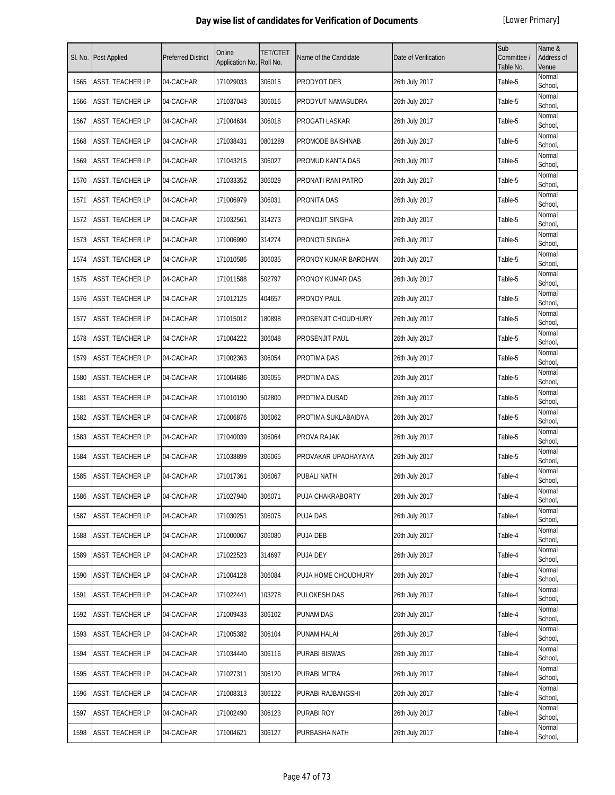| SI. No. | Post Applied            | <b>Preferred District</b> | Online<br>Application No. | TET/CTET<br>Roll No. | Name of the Candidate | Date of Verification | Sub<br>Committee /<br>Table No. | Name &<br>Address of<br>Venue |
|---------|-------------------------|---------------------------|---------------------------|----------------------|-----------------------|----------------------|---------------------------------|-------------------------------|
| 1565    | ASST. TEACHER LP        | 04-CACHAR                 | 171029033                 | 306015               | PRODYOT DEB           | 26th July 2017       | Table-5                         | Normal<br>School,             |
| 1566    | ASST. TEACHER LP        | 04-CACHAR                 | 171037043                 | 306016               | PRODYUT NAMASUDRA     | 26th July 2017       | Table-5                         | Normal<br>School,             |
| 1567    | ASST. TEACHER LP        | 04-CACHAR                 | 171004634                 | 306018               | PROGATI LASKAR        | 26th July 2017       | Table-5                         | Normal<br>School,             |
| 1568    | ASST. TEACHER LP        | 04-CACHAR                 | 171038431                 | 0801289              | PROMODE BAISHNAB      | 26th July 2017       | Table-5                         | Normal<br>School,             |
| 1569    | ASST. TEACHER LP        | 04-CACHAR                 | 171043215                 | 306027               | PROMUD KANTA DAS      | 26th July 2017       | Table-5                         | Normal<br>School,             |
| 1570    | ASST. TEACHER LP        | 04-CACHAR                 | 171033352                 | 306029               | PRONATI RANI PATRO    | 26th July 2017       | Table-5                         | Normal<br>School,             |
| 1571    | ASST. TEACHER LP        | 04-CACHAR                 | 171006979                 | 306031               | PRONITA DAS           | 26th July 2017       | Table-5                         | Normal<br>School,             |
| 1572    | ASST. TEACHER LP        | 04-CACHAR                 | 171032561                 | 314273               | PRONOJIT SINGHA       | 26th July 2017       | Table-5                         | Normal<br>School,             |
| 1573    | ASST. TEACHER LP        | 04-CACHAR                 | 171006990                 | 314274               | PRONOTI SINGHA        | 26th July 2017       | Table-5                         | Normal<br>School,             |
| 1574    | <b>ASST. TEACHER LP</b> | 04-CACHAR                 | 171010586                 | 306035               | PRONOY KUMAR BARDHAN  | 26th July 2017       | Table-5                         | Normal<br>School,             |
| 1575    | ASST. TEACHER LP        | 04-CACHAR                 | 171011588                 | 502797               | PRONOY KUMAR DAS      | 26th July 2017       | Table-5                         | Normal<br>School,             |
| 1576    | ASST. TEACHER LP        | 04-CACHAR                 | 171012125                 | 404657               | PRONOY PAUL           | 26th July 2017       | Table-5                         | Normal<br>School,             |
| 1577    | ASST. TEACHER LP        | 04-CACHAR                 | 171015012                 | 180898               | PROSENJIT CHOUDHURY   | 26th July 2017       | Table-5                         | Normal<br>School,             |
| 1578    | ASST. TEACHER LP        | 04-CACHAR                 | 171004222                 | 306048               | PROSENJIT PAUL        | 26th July 2017       | Table-5                         | Normal<br>School,             |
| 1579    | ASST. TEACHER LP        | 04-CACHAR                 | 171002363                 | 306054               | PROTIMA DAS           | 26th July 2017       | Table-5                         | Normal<br>School,             |
| 1580    | ASST. TEACHER LP        | 04-CACHAR                 | 171004686                 | 306055               | PROTIMA DAS           | 26th July 2017       | Table-5                         | Normal<br>School,             |
| 1581    | ASST. TEACHER LP        | 04-CACHAR                 | 171010190                 | 502800               | PROTIMA DUSAD         | 26th July 2017       | Table-5                         | Normal<br>School,             |
| 1582    | ASST. TEACHER LP        | 04-CACHAR                 | 171006876                 | 306062               | PROTIMA SUKLABAIDYA   | 26th July 2017       | Table-5                         | Normal<br>School,             |
| 1583    | ASST. TEACHER LP        | 04-CACHAR                 | 171040039                 | 306064               | PROVA RAJAK           | 26th July 2017       | Table-5                         | Normal<br>School,             |
| 1584    | ASST. TEACHER LP        | 04-CACHAR                 | 171038899                 | 306065               | PROVAKAR UPADHAYAYA   | 26th July 2017       | Table-5                         | Normal<br>School,             |
| 1585    | ASST. TEACHER LP        | 04-CACHAR                 | 171017361                 | 306067               | PUBALI NATH           | 26th July 2017       | Table-4                         | Normal<br>School,             |
| 1586    | ASST. TEACHER LP        | 04-CACHAR                 | 171027940                 | 306071               | PUJA CHAKRABORTY      | 26th July 2017       | Table-4                         | Normal<br>School,             |
| 1587    | ASST. TEACHER LP        | 04-CACHAR                 | 171030251                 | 306075               | PUJA DAS              | 26th July 2017       | Table-4                         | Normal<br>School,             |
| 1588    | ASST. TEACHER LP        | 04-CACHAR                 | 171000067                 | 306080               | PUJA DEB              | 26th July 2017       | Table-4                         | Normal<br>School,             |
| 1589    | ASST. TEACHER LP        | 04-CACHAR                 | 171022523                 | 314697               | PUJA DEY              | 26th July 2017       | Table-4                         | Normal<br>School,             |
| 1590    | ASST. TEACHER LP        | 04-CACHAR                 | 171004128                 | 306084               | PUJA HOME CHOUDHURY   | 26th July 2017       | Table-4                         | Normal<br>School,             |
| 1591    | ASST. TEACHER LP        | 04-CACHAR                 | 171022441                 | 103278               | PULOKESH DAS          | 26th July 2017       | Table-4                         | Normal<br>School,             |
| 1592    | ASST. TEACHER LP        | 04-CACHAR                 | 171009433                 | 306102               | PUNAM DAS             | 26th July 2017       | Table-4                         | Normal<br>School,             |
| 1593    | ASST. TEACHER LP        | 04-CACHAR                 | 171005382                 | 306104               | PUNAM HALAI           | 26th July 2017       | Table-4                         | Normal<br>School,             |
| 1594    | ASST. TEACHER LP        | 04-CACHAR                 | 171034440                 | 306116               | PURABI BISWAS         | 26th July 2017       | Table-4                         | Normal<br>School,             |
| 1595    | ASST. TEACHER LP        | 04-CACHAR                 | 171027311                 | 306120               | PURABI MITRA          | 26th July 2017       | Table-4                         | Normal<br>School,             |
| 1596    | ASST. TEACHER LP        | 04-CACHAR                 | 171008313                 | 306122               | PURABI RAJBANGSHI     | 26th July 2017       | Table-4                         | Normal<br>School,             |
| 1597    | ASST. TEACHER LP        | 04-CACHAR                 | 171002490                 | 306123               | PURABI ROY            | 26th July 2017       | Table-4                         | Normal<br>School,             |
| 1598    | ASST. TEACHER LP        | 04-CACHAR                 | 171004621                 | 306127               | PURBASHA NATH         | 26th July 2017       | Table-4                         | Normal<br>School,             |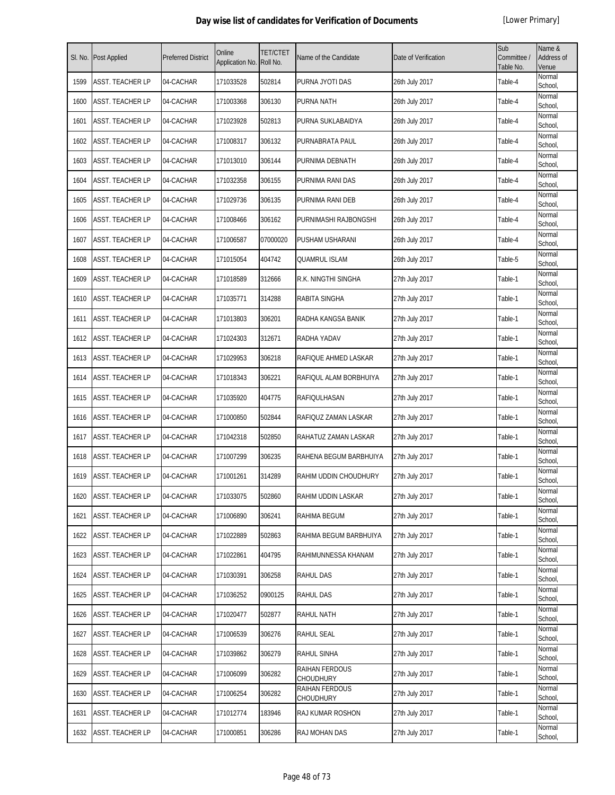| SI. No. | Post Applied            | <b>Preferred District</b> | Online<br>Application No. | <b>TET/CTET</b><br>Roll No. | Name of the Candidate       | Date of Verification | Sub<br>Committee /<br>Table No. | Name &<br>Address of<br>Venue |
|---------|-------------------------|---------------------------|---------------------------|-----------------------------|-----------------------------|----------------------|---------------------------------|-------------------------------|
| 1599    | ASST. TEACHER LP        | 04-CACHAR                 | 171033528                 | 502814                      | PURNA JYOTI DAS             | 26th July 2017       | Table-4                         | Normal<br>School,             |
| 1600    | ASST. TEACHER LP        | 04-CACHAR                 | 171003368                 | 306130                      | <b>PURNA NATH</b>           | 26th July 2017       | Table-4                         | Normal<br>School,             |
| 1601    | ASST. TEACHER LP        | 04-CACHAR                 | 171023928                 | 502813                      | PURNA SUKLABAIDYA           | 26th July 2017       | Table-4                         | Normal<br>School,             |
| 1602    | <b>ASST. TEACHER LP</b> | 04-CACHAR                 | 171008317                 | 306132                      | PURNABRATA PAUL             | 26th July 2017       | Table-4                         | Normal<br>School,             |
| 1603    | ASST. TEACHER LP        | 04-CACHAR                 | 171013010                 | 306144                      | PURNIMA DEBNATH             | 26th July 2017       | Table-4                         | Normal<br>School,             |
| 1604    | ASST. TEACHER LP        | 04-CACHAR                 | 171032358                 | 306155                      | PURNIMA RANI DAS            | 26th July 2017       | Table-4                         | Normal<br>School,             |
| 1605    | ASST. TEACHER LP        | 04-CACHAR                 | 171029736                 | 306135                      | PURNIMA RANI DEB            | 26th July 2017       | Table-4                         | Normal<br>School,             |
| 1606    | ASST. TEACHER LP        | 04-CACHAR                 | 171008466                 | 306162                      | PURNIMASHI RAJBONGSHI       | 26th July 2017       | Table-4                         | Normal<br>School,             |
| 1607    | ASST. TEACHER LP        | 04-CACHAR                 | 171006587                 | 07000020                    | PUSHAM USHARANI             | 26th July 2017       | Table-4                         | Normal<br>School,             |
| 1608    | ASST. TEACHER LP        | 04-CACHAR                 | 171015054                 | 404742                      | <b>QUAMRUL ISLAM</b>        | 26th July 2017       | Table-5                         | Normal<br>School,             |
| 1609    | ASST. TEACHER LP        | 04-CACHAR                 | 171018589                 | 312666                      | R.K. NINGTHI SINGHA         | 27th July 2017       | Table-1                         | Normal<br>School,             |
| 1610    | ASST. TEACHER LP        | 04-CACHAR                 | 171035771                 | 314288                      | RABITA SINGHA               | 27th July 2017       | Table-1                         | Normal<br>School,             |
| 1611    | ASST. TEACHER LP        | 04-CACHAR                 | 171013803                 | 306201                      | RADHA KANGSA BANIK          | 27th July 2017       | Table-1                         | Normal<br>School,             |
| 1612    | ASST. TEACHER LP        | 04-CACHAR                 | 171024303                 | 312671                      | RADHA YADAV                 | 27th July 2017       | Table-1                         | Normal<br>School,             |
| 1613    | ASST. TEACHER LP        | 04-CACHAR                 | 171029953                 | 306218                      | RAFIQUE AHMED LASKAR        | 27th July 2017       | Table-1                         | Normal<br>School,             |
| 1614    | ASST. TEACHER LP        | 04-CACHAR                 | 171018343                 | 306221                      | RAFIQUL ALAM BORBHUIYA      | 27th July 2017       | Table-1                         | Normal<br>School,             |
| 1615    | ASST. TEACHER LP        | 04-CACHAR                 | 171035920                 | 404775                      | RAFIQULHASAN                | 27th July 2017       | Table-1                         | Normal<br>School,             |
| 1616    | ASST. TEACHER LP        | 04-CACHAR                 | 171000850                 | 502844                      | RAFIQUZ ZAMAN LASKAR        | 27th July 2017       | Table-1                         | Normal<br>School,             |
| 1617    | ASST. TEACHER LP        | 04-CACHAR                 | 171042318                 | 502850                      | RAHATUZ ZAMAN LASKAR        | 27th July 2017       | Table-1                         | Normal<br>School,             |
| 1618    | ASST. TEACHER LP        | 04-CACHAR                 | 171007299                 | 306235                      | RAHENA BEGUM BARBHUIYA      | 27th July 2017       | Table-1                         | Normal<br>School,             |
| 1619    | ASST. TEACHER LP        | 04-CACHAR                 | 171001261                 | 314289                      | RAHIM UDDIN CHOUDHURY       | 27th July 2017       | Table-1                         | Normal<br>School,             |
| 1620    | <b>ASST. TEACHER LP</b> | 04-CACHAR                 | 171033075                 | 502860                      | RAHIM UDDIN LASKAR          | 27th July 2017       | Table-1                         | Normal<br>School,             |
| 1621    | ASST. TEACHER LP        | 04-CACHAR                 | 171006890                 | 306241                      | RAHIMA BEGUM                | 27th July 2017       | Table-1                         | Normal<br>School,             |
| 1622    | ASST. TEACHER LP        | 04-CACHAR                 | 171022889                 | 502863                      | RAHIMA BEGUM BARBHUIYA      | 27th July 2017       | Table-1                         | Normal<br>School,             |
| 1623    | ASST. TEACHER LP        | 04-CACHAR                 | 171022861                 | 404795                      | RAHIMUNNESSA KHANAM         | 27th July 2017       | Table-1                         | Normal<br>School,             |
| 1624    | ASST. TEACHER LP        | 04-CACHAR                 | 171030391                 | 306258                      | RAHUL DAS                   | 27th July 2017       | Table-1                         | Normal<br>School,             |
| 1625    | ASST. TEACHER LP        | 04-CACHAR                 | 171036252                 | 0900125                     | RAHUL DAS                   | 27th July 2017       | Table-1                         | Normal<br>School,             |
| 1626    | ASST. TEACHER LP        | 04-CACHAR                 | 171020477                 | 502877                      | RAHUL NATH                  | 27th July 2017       | Table-1                         | Normal<br>School,             |
| 1627    | ASST. TEACHER LP        | 04-CACHAR                 | 171006539                 | 306276                      | RAHUL SEAL                  | 27th July 2017       | Table-1                         | Normal<br>School,             |
| 1628    | ASST. TEACHER LP        | 04-CACHAR                 | 171039862                 | 306279                      | RAHUL SINHA                 | 27th July 2017       | Table-1                         | Normal<br>School,             |
| 1629    | ASST. TEACHER LP        | 04-CACHAR                 | 171006099                 | 306282                      | RAIHAN FERDOUS<br>CHOUDHURY | 27th July 2017       | Table-1                         | Normal<br>School,             |
| 1630    | ASST. TEACHER LP        | 04-CACHAR                 | 171006254                 | 306282                      | RAIHAN FERDOUS<br>CHOUDHURY | 27th July 2017       | Table-1                         | Normal<br>School,             |
| 1631    | ASST. TEACHER LP        | 04-CACHAR                 | 171012774                 | 183946                      | RAJ KUMAR ROSHON            | 27th July 2017       | Table-1                         | Normal<br>School,             |
| 1632    | ASST. TEACHER LP        | 04-CACHAR                 | 171000851                 | 306286                      | RAJ MOHAN DAS               | 27th July 2017       | Table-1                         | Normal<br>School,             |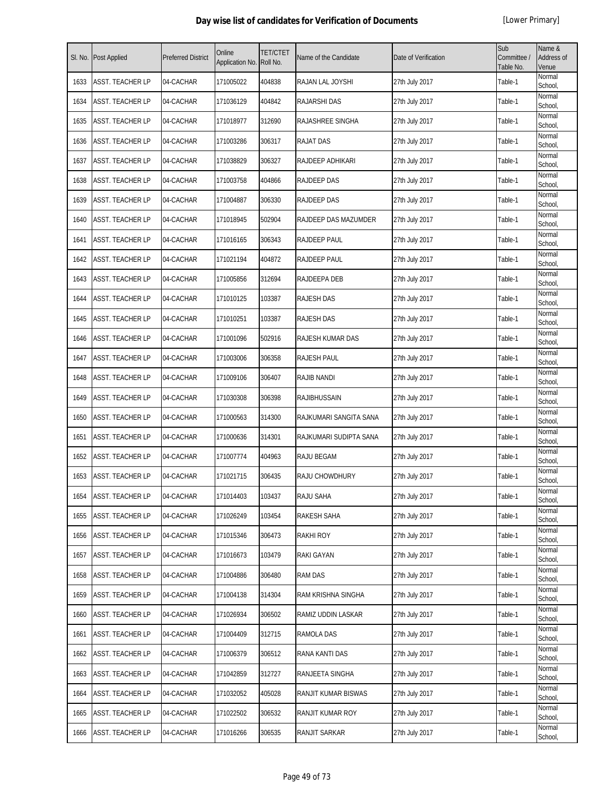| SI. No. | Post Applied            | <b>Preferred District</b> | Online<br>Application No. | <b>TET/CTET</b><br>Roll No. | Name of the Candidate  | Date of Verification | Sub<br>Committee /<br>Table No. | Name &<br>Address of<br>Venue |
|---------|-------------------------|---------------------------|---------------------------|-----------------------------|------------------------|----------------------|---------------------------------|-------------------------------|
| 1633    | ASST. TEACHER LP        | 04-CACHAR                 | 171005022                 | 404838                      | RAJAN LAL JOYSHI       | 27th July 2017       | Table-1                         | Normal<br>School,             |
| 1634    | ASST. TEACHER LP        | 04-CACHAR                 | 171036129                 | 404842                      | <b>RAJARSHI DAS</b>    | 27th July 2017       | Table-1                         | Normal<br>School,             |
| 1635    | ASST. TEACHER LP        | 04-CACHAR                 | 171018977                 | 312690                      | RAJASHREE SINGHA       | 27th July 2017       | Table-1                         | Normal<br>School,             |
| 1636    | ASST. TEACHER LP        | 04-CACHAR                 | 171003286                 | 306317                      | <b>RAJAT DAS</b>       | 27th July 2017       | Table-1                         | Normal<br>School,             |
| 1637    | ASST. TEACHER LP        | 04-CACHAR                 | 171038829                 | 306327                      | RAJDEEP ADHIKARI       | 27th July 2017       | Table-1                         | Normal<br>School,             |
| 1638    | ASST. TEACHER LP        | 04-CACHAR                 | 171003758                 | 404866                      | <b>RAJDEEP DAS</b>     | 27th July 2017       | Table-1                         | Normal<br>School,             |
| 1639    | ASST. TEACHER LP        | 04-CACHAR                 | 171004887                 | 306330                      | RAJDEEP DAS            | 27th July 2017       | Table-1                         | Normal<br>School,             |
| 1640    | ASST. TEACHER LP        | 04-CACHAR                 | 171018945                 | 502904                      | RAJDEEP DAS MAZUMDER   | 27th July 2017       | Table-1                         | Normal<br>School,             |
| 1641    | ASST. TEACHER LP        | 04-CACHAR                 | 171016165                 | 306343                      | RAJDEEP PAUL           | 27th July 2017       | Table-1                         | Normal<br>School,             |
| 1642    | ASST. TEACHER LP        | 04-CACHAR                 | 171021194                 | 404872                      | RAJDEEP PAUL           | 27th July 2017       | Table-1                         | Normal<br>School,             |
| 1643    | ASST. TEACHER LP        | 04-CACHAR                 | 171005856                 | 312694                      | RAJDEEPA DEB           | 27th July 2017       | Table-1                         | Normal<br>School,             |
| 1644    | <b>ASST. TEACHER LP</b> | 04-CACHAR                 | 171010125                 | 103387                      | <b>RAJESH DAS</b>      | 27th July 2017       | Table-1                         | Normal<br>School,             |
| 1645    | ASST. TEACHER LP        | 04-CACHAR                 | 171010251                 | 103387                      | <b>RAJESH DAS</b>      | 27th July 2017       | Table-1                         | Normal<br>School.             |
| 1646    | ASST. TEACHER LP        | 04-CACHAR                 | 171001096                 | 502916                      | RAJESH KUMAR DAS       | 27th July 2017       | Table-1                         | Normal<br>School,             |
| 1647    | ASST. TEACHER LP        | 04-CACHAR                 | 171003006                 | 306358                      | RAJESH PAUL            | 27th July 2017       | Table-1                         | Normal<br>School,             |
| 1648    | ASST. TEACHER LP        | 04-CACHAR                 | 171009106                 | 306407                      | <b>RAJIB NANDI</b>     | 27th July 2017       | Table-1                         | Normal<br>School,             |
| 1649    | ASST. TEACHER LP        | 04-CACHAR                 | 171030308                 | 306398                      | <b>RAJIBHUSSAIN</b>    | 27th July 2017       | Table-1                         | Normal<br>School,             |
| 1650    | ASST. TEACHER LP        | 04-CACHAR                 | 171000563                 | 314300                      | RAJKUMARI SANGITA SANA | 27th July 2017       | Table-1                         | Normal<br>School,             |
| 1651    | ASST. TEACHER LP        | 04-CACHAR                 | 171000636                 | 314301                      | RAJKUMARI SUDIPTA SANA | 27th July 2017       | Table-1                         | Normal<br>School,             |
| 1652    | ASST. TEACHER LP        | 04-CACHAR                 | 171007774                 | 404963                      | <b>RAJU BEGAM</b>      | 27th July 2017       | Table-1                         | Normal<br>School,             |
| 1653    | ASST. TEACHER LP        | 04-CACHAR                 | 171021715                 | 306435                      | RAJU CHOWDHURY         | 27th July 2017       | Table-1                         | Normal<br>School,             |
| 1654    | <b>ASST. TEACHER LP</b> | 04-CACHAR                 | 171014403                 | 103437                      | RAJU SAHA              | 27th July 2017       | Table-1                         | Normal<br>School,             |
| 1655    | ASST. TEACHER LP        | 04-CACHAR                 | 171026249                 | 103454                      | RAKESH SAHA            | 27th July 2017       | Table-1                         | Normal<br>School,             |
| 1656    | ASST. TEACHER LP        | 04-CACHAR                 | 171015346                 | 306473                      | <b>RAKHI ROY</b>       | 27th July 2017       | Table-1                         | Normal<br>School,             |
| 1657    | ASST. TEACHER LP        | 04-CACHAR                 | 171016673                 | 103479                      | RAKI GAYAN             | 27th July 2017       | Table-1                         | Normal<br>School,             |
| 1658    | ASST. TEACHER LP        | 04-CACHAR                 | 171004886                 | 306480                      | <b>RAM DAS</b>         | 27th July 2017       | Table-1                         | Normal<br>School,             |
| 1659    | ASST. TEACHER LP        | 04-CACHAR                 | 171004138                 | 314304                      | RAM KRISHNA SINGHA     | 27th July 2017       | Table-1                         | Normal<br>School,             |
| 1660    | ASST. TEACHER LP        | 04-CACHAR                 | 171026934                 | 306502                      | RAMIZ UDDIN LASKAR     | 27th July 2017       | Table-1                         | Normal<br>School,             |
| 1661    | ASST. TEACHER LP        | 04-CACHAR                 | 171004409                 | 312715                      | RAMOLA DAS             | 27th July 2017       | Table-1                         | Normal<br>School,             |
| 1662    | ASST. TEACHER LP        | 04-CACHAR                 | 171006379                 | 306512                      | RANA KANTI DAS         | 27th July 2017       | Table-1                         | Normal<br>School,             |
| 1663    | ASST. TEACHER LP        | 04-CACHAR                 | 171042859                 | 312727                      | RANJEETA SINGHA        | 27th July 2017       | Table-1                         | Normal<br>School,             |
| 1664    | ASST. TEACHER LP        | 04-CACHAR                 | 171032052                 | 405028                      | RANJIT KUMAR BISWAS    | 27th July 2017       | Table-1                         | Normal<br>School,             |
| 1665    | ASST. TEACHER LP        | 04-CACHAR                 | 171022502                 | 306532                      | RANJIT KUMAR ROY       | 27th July 2017       | Table-1                         | Normal<br>School,             |
| 1666    | ASST. TEACHER LP        | 04-CACHAR                 | 171016266                 | 306535                      | RANJIT SARKAR          | 27th July 2017       | Table-1                         | Normal<br>School,             |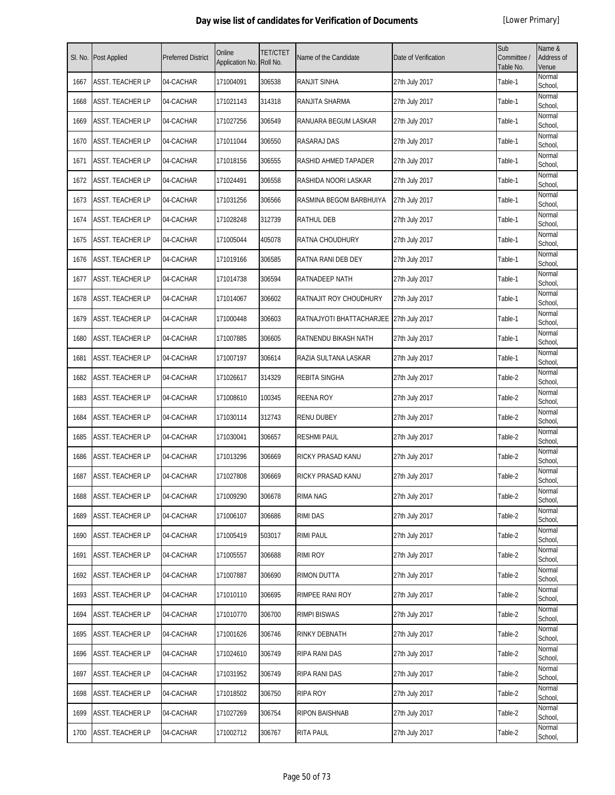| SI. No. | Post Applied            | <b>Preferred District</b> | Online<br>Application No. | <b>TET/CTET</b><br>Roll No. | Name of the Candidate                   | Date of Verification | Sub<br>Committee /<br>Table No. | Name &<br>Address of<br>Venue |
|---------|-------------------------|---------------------------|---------------------------|-----------------------------|-----------------------------------------|----------------------|---------------------------------|-------------------------------|
| 1667    | ASST. TEACHER LP        | 04-CACHAR                 | 171004091                 | 306538                      | RANJIT SINHA                            | 27th July 2017       | Table-1                         | Normal<br>School,             |
| 1668    | ASST. TEACHER LP        | 04-CACHAR                 | 171021143                 | 314318                      | RANJITA SHARMA                          | 27th July 2017       | Table-1                         | Normal<br>School,             |
| 1669    | ASST. TEACHER LP        | 04-CACHAR                 | 171027256                 | 306549                      | RANUARA BEGUM LASKAR                    | 27th July 2017       | Table-1                         | Normal<br>School,             |
| 1670    | <b>ASST. TEACHER LP</b> | 04-CACHAR                 | 171011044                 | 306550                      | RASARAJ DAS                             | 27th July 2017       | Table-1                         | Normal<br>School,             |
| 1671    | ASST. TEACHER LP        | 04-CACHAR                 | 171018156                 | 306555                      | RASHID AHMED TAPADER                    | 27th July 2017       | Table-1                         | Normal<br>School,             |
| 1672    | ASST. TEACHER LP        | 04-CACHAR                 | 171024491                 | 306558                      | RASHIDA NOORI LASKAR                    | 27th July 2017       | Table-1                         | Normal<br>School,             |
| 1673    | <b>ASST. TEACHER LP</b> | 04-CACHAR                 | 171031256                 | 306566                      | RASMINA BEGOM BARBHUIYA                 | 27th July 2017       | Table-1                         | Normal<br>School,             |
| 1674    | ASST. TEACHER LP        | 04-CACHAR                 | 171028248                 | 312739                      | <b>RATHUL DEB</b>                       | 27th July 2017       | Table-1                         | Normal<br>School,             |
| 1675    | ASST. TEACHER LP        | 04-CACHAR                 | 171005044                 | 405078                      | RATNA CHOUDHURY                         | 27th July 2017       | Table-1                         | Normal<br>School,             |
| 1676    | ASST. TEACHER LP        | 04-CACHAR                 | 171019166                 | 306585                      | RATNA RANI DEB DEY                      | 27th July 2017       | Table-1                         | Normal<br>School,             |
| 1677    | ASST. TEACHER LP        | 04-CACHAR                 | 171014738                 | 306594                      | RATNADEEP NATH                          | 27th July 2017       | Table-1                         | Normal<br>School,             |
| 1678    | ASST. TEACHER LP        | 04-CACHAR                 | 171014067                 | 306602                      | RATNAJIT ROY CHOUDHURY                  | 27th July 2017       | Table-1                         | Normal<br>School,             |
| 1679    | ASST. TEACHER LP        | 04-CACHAR                 | 171000448                 | 306603                      | RATNAJYOTI BHATTACHARJEE 27th July 2017 |                      | Table-1                         | Normal<br>School,             |
| 1680    | ASST. TEACHER LP        | 04-CACHAR                 | 171007885                 | 306605                      | RATNENDU BIKASH NATH                    | 27th July 2017       | Table-1                         | Normal<br>School,             |
| 1681    | ASST. TEACHER LP        | 04-CACHAR                 | 171007197                 | 306614                      | RAZIA SULTANA LASKAR                    | 27th July 2017       | Table-1                         | Normal<br>School,             |
| 1682    | ASST. TEACHER LP        | 04-CACHAR                 | 171026617                 | 314329                      | <b>REBITA SINGHA</b>                    | 27th July 2017       | Table-2                         | Normal<br>School,             |
| 1683    | ASST. TEACHER LP        | 04-CACHAR                 | 171008610                 | 100345                      | <b>REENA ROY</b>                        | 27th July 2017       | Table-2                         | Normal<br>School,             |
| 1684    | ASST. TEACHER LP        | 04-CACHAR                 | 171030114                 | 312743                      | <b>RENU DUBEY</b>                       | 27th July 2017       | Table-2                         | Normal<br>School,             |
| 1685    | ASST. TEACHER LP        | 04-CACHAR                 | 171030041                 | 306657                      | <b>RESHMI PAUL</b>                      | 27th July 2017       | Table-2                         | Normal<br>School,             |
| 1686    | ASST. TEACHER LP        | 04-CACHAR                 | 171013296                 | 306669                      | RICKY PRASAD KANU                       | 27th July 2017       | Table-2                         | Normal<br>School,             |
| 1687    | ASST. TEACHER LP        | 04-CACHAR                 | 171027808                 | 306669                      | RICKY PRASAD KANU                       | 27th July 2017       | Table-2                         | Normal<br>School,             |
| 1688    | ASST. TEACHER LP        | 04-CACHAR                 | 171009290                 | 306678                      | <b>RIMA NAG</b>                         | 27th July 2017       | Table-2                         | Normal<br>School,             |
| 1689    | ASST. TEACHER LP        | 04-CACHAR                 | 171006107                 | 306686                      | <b>RIMI DAS</b>                         | 27th July 2017       | Table-2                         | Normal<br>School,             |
| 1690    | ASST. TEACHER LP        | 04-CACHAR                 | 171005419                 | 503017                      | <b>RIMI PAUL</b>                        | 27th July 2017       | Table-2                         | Normal<br>School,             |
| 1691    | ASST. TEACHER LP        | 04-CACHAR                 | 171005557                 | 306688                      | RIMI ROY                                | 27th July 2017       | Table-2                         | Normal<br>School,             |
| 1692    | ASST. TEACHER LP        | 04-CACHAR                 | 171007887                 | 306690                      | <b>RIMON DUTTA</b>                      | 27th July 2017       | Table-2                         | Normal<br>School,             |
| 1693    | ASST. TEACHER LP        | 04-CACHAR                 | 171010110                 | 306695                      | RIMPEE RANI ROY                         | 27th July 2017       | Table-2                         | Normal<br>School,             |
| 1694    | ASST. TEACHER LP        | 04-CACHAR                 | 171010770                 | 306700                      | <b>RIMPI BISWAS</b>                     | 27th July 2017       | Table-2                         | Normal<br>School,             |
| 1695    | ASST. TEACHER LP        | 04-CACHAR                 | 171001626                 | 306746                      | RINKY DEBNATH                           | 27th July 2017       | Table-2                         | Normal<br>School,             |
| 1696    | ASST. TEACHER LP        | 04-CACHAR                 | 171024610                 | 306749                      | RIPA RANI DAS                           | 27th July 2017       | Table-2                         | Normal<br>School,             |
| 1697    | ASST. TEACHER LP        | 04-CACHAR                 | 171031952                 | 306749                      | RIPA RANI DAS                           | 27th July 2017       | Table-2                         | Normal<br>School,             |
| 1698    | ASST. TEACHER LP        | 04-CACHAR                 | 171018502                 | 306750                      | <b>RIPA ROY</b>                         | 27th July 2017       | Table-2                         | Normal<br>School,             |
| 1699    | ASST. TEACHER LP        | 04-CACHAR                 | 171027269                 | 306754                      | <b>RIPON BAISHNAB</b>                   | 27th July 2017       | Table-2                         | Normal<br>School,             |
| 1700    | ASST. TEACHER LP        | 04-CACHAR                 | 171002712                 | 306767                      | RITA PAUL                               | 27th July 2017       | Table-2                         | Normal<br>School,             |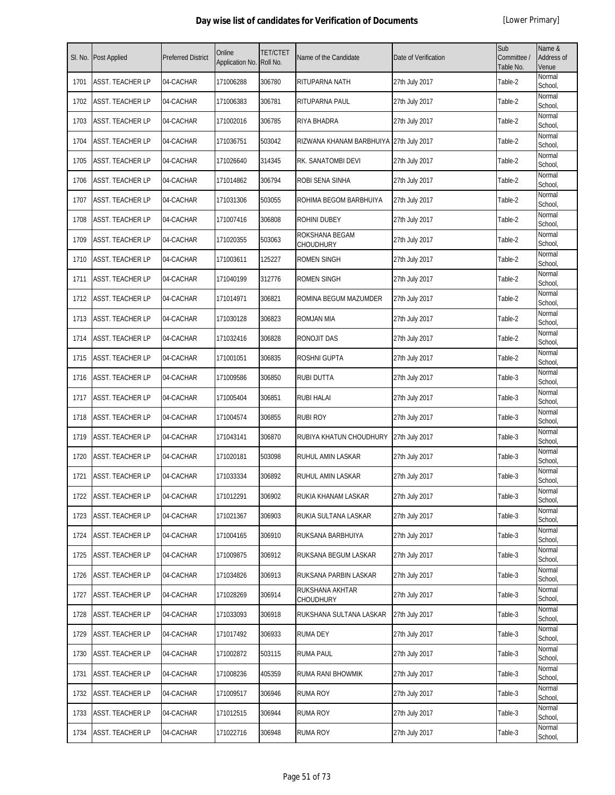|      | SI. No. Post Applied    | <b>Preferred District</b> | Online<br>Application No. | <b>TET/CTET</b><br>Roll No. | Name of the Candidate                   | Date of Verification | Sub<br>Committee /<br>Table No. | Name &<br>Address of<br>Venue |
|------|-------------------------|---------------------------|---------------------------|-----------------------------|-----------------------------------------|----------------------|---------------------------------|-------------------------------|
| 1701 | <b>ASST. TEACHER LP</b> | 04-CACHAR                 | 171006288                 | 306780                      | RITUPARNA NATH                          | 27th July 2017       | Table-2                         | Normal<br>School,             |
| 1702 | <b>ASST. TEACHER LP</b> | 04-CACHAR                 | 171006383                 | 306781                      | RITUPARNA PAUL                          | 27th July 2017       | Table-2                         | Normal<br>School,             |
| 1703 | <b>ASST. TEACHER LP</b> | 04-CACHAR                 | 171002016                 | 306785                      | RIYA BHADRA                             | 27th July 2017       | Table-2                         | Normal<br>School,             |
| 1704 | <b>ASST. TEACHER LP</b> | 04-CACHAR                 | 171036751                 | 503042                      | RIZWANA KHANAM BARBHUIYA 27th July 2017 |                      | Table-2                         | Normal<br>School,             |
| 1705 | <b>ASST. TEACHER LP</b> | 04-CACHAR                 | 171026640                 | 314345                      | RK. SANATOMBI DEVI                      | 27th July 2017       | Table-2                         | Normal<br>School,             |
| 1706 | ASST. TEACHER LP        | 04-CACHAR                 | 171014862                 | 306794                      | ROBI SENA SINHA                         | 27th July 2017       | Table-2                         | Normal<br>School,             |
| 1707 | <b>ASST. TEACHER LP</b> | 04-CACHAR                 | 171031306                 | 503055                      | ROHIMA BEGOM BARBHUIYA                  | 27th July 2017       | Table-2                         | Normal<br>School,             |
| 1708 | <b>ASST. TEACHER LP</b> | 04-CACHAR                 | 171007416                 | 306808                      | ROHINI DUBEY                            | 27th July 2017       | Table-2                         | Normal<br>School,             |
| 1709 | <b>ASST. TEACHER LP</b> | 04-CACHAR                 | 171020355                 | 503063                      | ROKSHANA BEGAM<br><b>CHOUDHURY</b>      | 27th July 2017       | Table-2                         | Normal<br>School,             |
| 1710 | <b>ASST. TEACHER LP</b> | 04-CACHAR                 | 171003611                 | 125227                      | <b>ROMEN SINGH</b>                      | 27th July 2017       | Table-2                         | Normal<br>School,             |
| 1711 | <b>ASST. TEACHER LP</b> | 04-CACHAR                 | 171040199                 | 312776                      | ROMEN SINGH                             | 27th July 2017       | Table-2                         | Normal<br>School,             |
| 1712 | <b>ASST. TEACHER LP</b> | 04-CACHAR                 | 171014971                 | 306821                      | ROMINA BEGUM MAZUMDER                   | 27th July 2017       | Table-2                         | Normal<br>School,             |
| 1713 | <b>ASST. TEACHER LP</b> | 04-CACHAR                 | 171030128                 | 306823                      | <b>ROMJAN MIA</b>                       | 27th July 2017       | Table-2                         | Normal<br>School,             |
| 1714 | <b>ASST. TEACHER LP</b> | 04-CACHAR                 | 171032416                 | 306828                      | RONOJIT DAS                             | 27th July 2017       | Table-2                         | Normal<br>School,             |
| 1715 | <b>ASST. TEACHER LP</b> | 04-CACHAR                 | 171001051                 | 306835                      | ROSHNI GUPTA                            | 27th July 2017       | Table-2                         | Normal<br>School,             |
| 1716 | <b>ASST. TEACHER LP</b> | 04-CACHAR                 | 171009586                 | 306850                      | <b>RUBI DUTTA</b>                       | 27th July 2017       | Table-3                         | Normal<br>School,             |
| 1717 | <b>ASST. TEACHER LP</b> | 04-CACHAR                 | 171005404                 | 306851                      | <b>RUBI HALAI</b>                       | 27th July 2017       | Table-3                         | Normal<br>School,             |
| 1718 | <b>ASST. TEACHER LP</b> | 04-CACHAR                 | 171004574                 | 306855                      | <b>RUBI ROY</b>                         | 27th July 2017       | Table-3                         | Normal<br>School,             |
| 1719 | <b>ASST. TEACHER LP</b> | 04-CACHAR                 | 171043141                 | 306870                      | RUBIYA KHATUN CHOUDHURY                 | 27th July 2017       | Table-3                         | Normal<br>School,             |
| 1720 | <b>ASST. TEACHER LP</b> | 04-CACHAR                 | 171020181                 | 503098                      | RUHUL AMIN LASKAR                       | 27th July 2017       | Table-3                         | Normal<br>School,             |
| 1721 | <b>ASST. TEACHER LP</b> | 04-CACHAR                 | 171033334                 | 306892                      | RUHUL AMIN LASKAR                       | 27th July 2017       | Table-3                         | Normal<br>School,             |
| 1722 | <b>ASST. TEACHER LP</b> | 04-CACHAR                 | 171012291                 | 306902                      | RUKIA KHANAM LASKAR                     | 27th July 2017       | Table-3                         | Normal<br>School,             |
| 1723 | <b>ASST. TEACHER LP</b> | 04-CACHAR                 | 171021367                 | 306903                      | RUKIA SULTANA LASKAR                    | 27th July 2017       | Table-3                         | Normal<br>School,             |
| 1724 | <b>ASST. TEACHER LP</b> | 04-CACHAR                 | 171004165                 | 306910                      | RUKSANA BARBHUIYA                       | 27th July 2017       | Table-3                         | Normal<br>School,             |
| 1725 | <b>ASST. TEACHER LP</b> | 04-CACHAR                 | 171009875                 | 306912                      | RUKSANA BEGUM LASKAR                    | 27th July 2017       | Table-3                         | Normal<br>School,             |
| 1726 | <b>ASST. TEACHER LP</b> | 04-CACHAR                 | 171034826                 | 306913                      | RUKSANA PARBIN LASKAR                   | 27th July 2017       | Table-3                         | Normal<br>School,             |
| 1727 | <b>ASST. TEACHER LP</b> | 04-CACHAR                 | 171028269                 | 306914                      | RUKSHANA AKHTAR<br><b>CHOUDHURY</b>     | 27th July 2017       | Table-3                         | Normal<br>School,             |
| 1728 | <b>ASST. TEACHER LP</b> | 04-CACHAR                 | 171033093                 | 306918                      | RUKSHANA SULTANA LASKAR                 | 27th July 2017       | Table-3                         | Normal<br>School,             |
| 1729 | <b>ASST. TEACHER LP</b> | 04-CACHAR                 | 171017492                 | 306933                      | RUMA DEY                                | 27th July 2017       | Table-3                         | Normal<br>School,             |
| 1730 | <b>ASST. TEACHER LP</b> | 04-CACHAR                 | 171002872                 | 503115                      | <b>RUMA PAUL</b>                        | 27th July 2017       | Table-3                         | Normal<br>School,             |
| 1731 | <b>ASST. TEACHER LP</b> | 04-CACHAR                 | 171008236                 | 405359                      | RUMA RANI BHOWMIK                       | 27th July 2017       | Table-3                         | Normal<br>School,             |
| 1732 | <b>ASST. TEACHER LP</b> | 04-CACHAR                 | 171009517                 | 306946                      | <b>RUMA ROY</b>                         | 27th July 2017       | Table-3                         | Normal<br>School,             |
| 1733 | <b>ASST. TEACHER LP</b> | 04-CACHAR                 | 171012515                 | 306944                      | RUMA ROY                                | 27th July 2017       | Table-3                         | Normal<br>School,             |
| 1734 | <b>ASST. TEACHER LP</b> | 04-CACHAR                 | 171022716                 | 306948                      | <b>RUMA ROY</b>                         | 27th July 2017       | Table-3                         | Normal<br>School,             |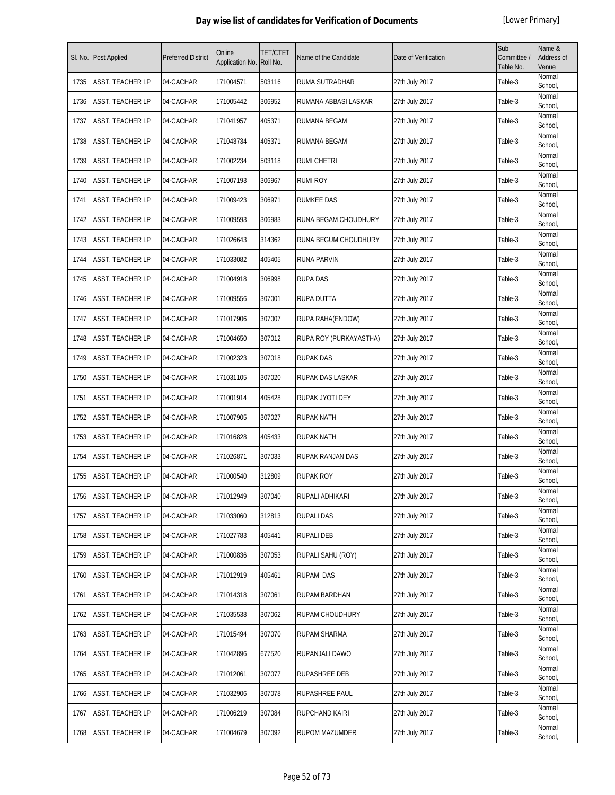| SI. No. | <b>Post Applied</b>     | <b>Preferred District</b> | Online<br>Application No. | <b>TET/CTET</b><br>Roll No. | Name of the Candidate  | Date of Verification | Sub<br>Committee /<br>Table No. | Name &<br>Address of<br>Venue |
|---------|-------------------------|---------------------------|---------------------------|-----------------------------|------------------------|----------------------|---------------------------------|-------------------------------|
| 1735    | ASST. TEACHER LP        | 04-CACHAR                 | 171004571                 | 503116                      | RUMA SUTRADHAR         | 27th July 2017       | Table-3                         | Normal<br>School,             |
| 1736    | ASST. TEACHER LP        | 04-CACHAR                 | 171005442                 | 306952                      | RUMANA ABBASI LASKAR   | 27th July 2017       | Table-3                         | Normal<br>School,             |
| 1737    | ASST. TEACHER LP        | 04-CACHAR                 | 171041957                 | 405371                      | RUMANA BEGAM           | 27th July 2017       | Table-3                         | Normal<br>School,             |
| 1738    | ASST. TEACHER LP        | 04-CACHAR                 | 171043734                 | 405371                      | <b>RUMANA BEGAM</b>    | 27th July 2017       | Table-3                         | Normal<br>School,             |
| 1739    | ASST. TEACHER LP        | 04-CACHAR                 | 171002234                 | 503118                      | <b>RUMI CHETRI</b>     | 27th July 2017       | Table-3                         | Normal<br>School,             |
| 1740    | ASST. TEACHER LP        | 04-CACHAR                 | 171007193                 | 306967                      | <b>RUMI ROY</b>        | 27th July 2017       | Table-3                         | Normal<br>School,             |
| 1741    | ASST. TEACHER LP        | 04-CACHAR                 | 171009423                 | 306971                      | <b>RUMKEE DAS</b>      | 27th July 2017       | Table-3                         | Normal<br>School,             |
| 1742    | ASST. TEACHER LP        | 04-CACHAR                 | 171009593                 | 306983                      | RUNA BEGAM CHOUDHURY   | 27th July 2017       | Table-3                         | Normal<br>School,             |
| 1743    | ASST. TEACHER LP        | 04-CACHAR                 | 171026643                 | 314362                      | RUNA BEGUM CHOUDHURY   | 27th July 2017       | Table-3                         | Normal<br>School,             |
| 1744    | ASST. TEACHER LP        | 04-CACHAR                 | 171033082                 | 405405                      | <b>RUNA PARVIN</b>     | 27th July 2017       | Table-3                         | Normal<br>School,             |
| 1745    | ASST. TEACHER LP        | 04-CACHAR                 | 171004918                 | 306998                      | <b>RUPA DAS</b>        | 27th July 2017       | Table-3                         | Normal<br>School,             |
| 1746    | ASST. TEACHER LP        | 04-CACHAR                 | 171009556                 | 307001                      | RUPA DUTTA             | 27th July 2017       | Table-3                         | Normal<br>School,             |
| 1747    | ASST. TEACHER LP        | 04-CACHAR                 | 171017906                 | 307007                      | RUPA RAHA(ENDOW)       | 27th July 2017       | Table-3                         | Normal<br>School,             |
| 1748    | ASST. TEACHER LP        | 04-CACHAR                 | 171004650                 | 307012                      | RUPA ROY (PURKAYASTHA) | 27th July 2017       | Table-3                         | Normal<br>School,             |
| 1749    | ASST. TEACHER LP        | 04-CACHAR                 | 171002323                 | 307018                      | <b>RUPAK DAS</b>       | 27th July 2017       | Table-3                         | Normal<br>School,             |
| 1750    | ASST. TEACHER LP        | 04-CACHAR                 | 171031105                 | 307020                      | RUPAK DAS LASKAR       | 27th July 2017       | Table-3                         | Normal<br>School,             |
| 1751    | <b>ASST. TEACHER LP</b> | 04-CACHAR                 | 171001914                 | 405428                      | RUPAK JYOTI DEY        | 27th July 2017       | Table-3                         | Normal<br>School,             |
| 1752    | ASST. TEACHER LP        | 04-CACHAR                 | 171007905                 | 307027                      | <b>RUPAK NATH</b>      | 27th July 2017       | Table-3                         | Normal<br>School,             |
| 1753    | ASST. TEACHER LP        | 04-CACHAR                 | 171016828                 | 405433                      | <b>RUPAK NATH</b>      | 27th July 2017       | Table-3                         | Normal<br>School,             |
| 1754    | ASST. TEACHER LP        | 04-CACHAR                 | 171026871                 | 307033                      | RUPAK RANJAN DAS       | 27th July 2017       | Table-3                         | Normal<br>School,             |
| 1755    | ASST. TEACHER LP        | 04-CACHAR                 | 171000540                 | 312809                      | <b>RUPAK ROY</b>       | 27th July 2017       | Table-3                         | Normal<br>School,             |
| 1756    | <b>ASST. TEACHER LP</b> | 04-CACHAR                 | 171012949                 | 307040                      | RUPALI ADHIKARI        | 27th July 2017       | Table-3                         | Normal<br>School,             |
| 1757    | ASST. TEACHER LP        | 04-CACHAR                 | 171033060                 | 312813                      | <b>RUPALI DAS</b>      | 27th July 2017       | Table-3                         | Normal<br>School,             |
| 1758    | ASST. TEACHER LP        | 04-CACHAR                 | 171027783                 | 405441                      | <b>RUPALI DEB</b>      | 27th July 2017       | Table-3                         | Normal<br>School,             |
| 1759    | ASST. TEACHER LP        | 04-CACHAR                 | 171000836                 | 307053                      | RUPALI SAHU (ROY)      | 27th July 2017       | Table-3                         | Normal<br>School,             |
| 1760    | ASST. TEACHER LP        | 04-CACHAR                 | 171012919                 | 405461                      | <b>RUPAM DAS</b>       | 27th July 2017       | Table-3                         | Normal<br>School,             |
| 1761    | ASST. TEACHER LP        | 04-CACHAR                 | 171014318                 | 307061                      | RUPAM BARDHAN          | 27th July 2017       | Table-3                         | Normal<br>School,             |
| 1762    | ASST. TEACHER LP        | 04-CACHAR                 | 171035538                 | 307062                      | <b>RUPAM CHOUDHURY</b> | 27th July 2017       | Table-3                         | Normal<br>School,             |
| 1763    | ASST. TEACHER LP        | 04-CACHAR                 | 171015494                 | 307070                      | <b>RUPAM SHARMA</b>    | 27th July 2017       | Table-3                         | Normal<br>School,             |
| 1764    | ASST. TEACHER LP        | 04-CACHAR                 | 171042896                 | 677520                      | RUPANJALI DAWO         | 27th July 2017       | Table-3                         | Normal<br>School,             |
| 1765    | ASST. TEACHER LP        | 04-CACHAR                 | 171012061                 | 307077                      | RUPASHREE DEB          | 27th July 2017       | Table-3                         | Normal<br>School,             |
| 1766    | ASST. TEACHER LP        | 04-CACHAR                 | 171032906                 | 307078                      | RUPASHREE PAUL         | 27th July 2017       | Table-3                         | Normal<br>School,             |
| 1767    | ASST. TEACHER LP        | 04-CACHAR                 | 171006219                 | 307084                      | <b>RUPCHAND KAIRI</b>  | 27th July 2017       | Table-3                         | Normal<br>School,             |
| 1768    | ASST. TEACHER LP        | 04-CACHAR                 | 171004679                 | 307092                      | <b>RUPOM MAZUMDER</b>  | 27th July 2017       | Table-3                         | Normal<br>School,             |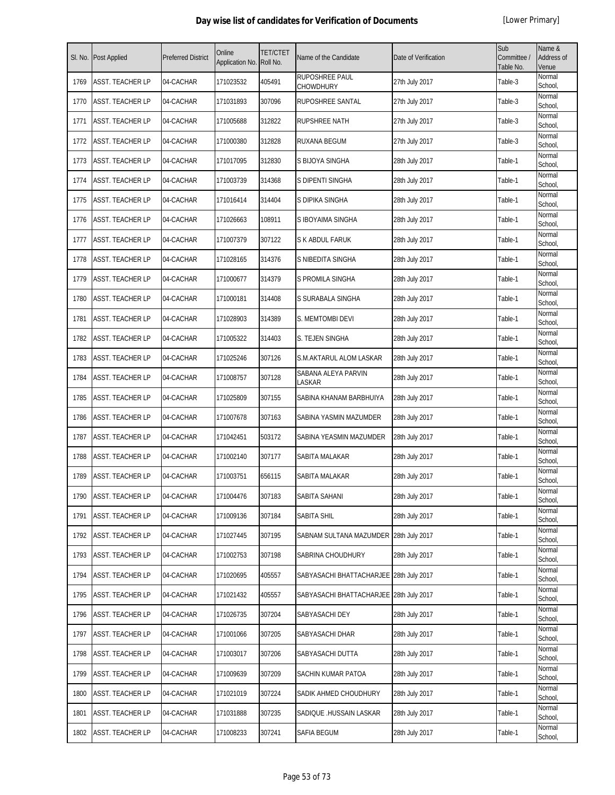| SI. No. | <b>Post Applied</b>     | <b>Preferred District</b> | Online<br>Application No. | <b>TET/CTET</b><br>Roll No. | Name of the Candidate                   | Date of Verification | Sub<br>Committee /<br>Table No. | Name &<br>Address of<br>Venue |
|---------|-------------------------|---------------------------|---------------------------|-----------------------------|-----------------------------------------|----------------------|---------------------------------|-------------------------------|
| 1769    | <b>ASST. TEACHER LP</b> | 04-CACHAR                 | 171023532                 | 405491                      | RUPOSHREE PAUL<br>CHOWDHURY             | 27th July 2017       | Table-3                         | Normal<br>School,             |
| 1770    | <b>ASST. TEACHER LP</b> | 04-CACHAR                 | 171031893                 | 307096                      | RUPOSHREE SANTAL                        | 27th July 2017       | Table-3                         | Normal<br>School,             |
| 1771    | <b>ASST. TEACHER LP</b> | 04-CACHAR                 | 171005688                 | 312822                      | RUPSHREE NATH                           | 27th July 2017       | Table-3                         | Normal<br>School,             |
| 1772    | <b>ASST. TEACHER LP</b> | 04-CACHAR                 | 171000380                 | 312828                      | RUXANA BEGUM                            | 27th July 2017       | Table-3                         | Normal<br>School,             |
| 1773    | <b>ASST. TEACHER LP</b> | 04-CACHAR                 | 171017095                 | 312830                      | S BIJOYA SINGHA                         | 28th July 2017       | Table-1                         | Normal<br>School,             |
| 1774    | <b>ASST. TEACHER LP</b> | 04-CACHAR                 | 171003739                 | 314368                      | S DIPENTI SINGHA                        | 28th July 2017       | Table-1                         | Normal<br>School,             |
| 1775    | <b>ASST. TEACHER LP</b> | 04-CACHAR                 | 171016414                 | 314404                      | S DIPIKA SINGHA                         | 28th July 2017       | Table-1                         | Normal<br>School,             |
| 1776    | <b>ASST. TEACHER LP</b> | 04-CACHAR                 | 171026663                 | 108911                      | S IBOYAIMA SINGHA                       | 28th July 2017       | Table-1                         | Normal<br>School,             |
| 1777    | <b>ASST. TEACHER LP</b> | 04-CACHAR                 | 171007379                 | 307122                      | S K ABDUL FARUK                         | 28th July 2017       | Table-1                         | Normal<br>School,             |
| 1778    | <b>ASST. TEACHER LP</b> | 04-CACHAR                 | 171028165                 | 314376                      | S NIBEDITA SINGHA                       | 28th July 2017       | Table-1                         | Normal<br>School,             |
| 1779    | <b>ASST. TEACHER LP</b> | 04-CACHAR                 | 171000677                 | 314379                      | S PROMILA SINGHA                        | 28th July 2017       | Table-1                         | Normal<br>School,             |
| 1780    | <b>ASST. TEACHER LP</b> | 04-CACHAR                 | 171000181                 | 314408                      | S SURABALA SINGHA                       | 28th July 2017       | Table-1                         | Normal<br>School,             |
| 1781    | <b>ASST. TEACHER LP</b> | 04-CACHAR                 | 171028903                 | 314389                      | S. MEMTOMBI DEVI                        | 28th July 2017       | Table-1                         | Normal<br>School,             |
| 1782    | <b>ASST. TEACHER LP</b> | 04-CACHAR                 | 171005322                 | 314403                      | S. TEJEN SINGHA                         | 28th July 2017       | Table-1                         | Normal<br>School,             |
| 1783    | <b>ASST. TEACHER LP</b> | 04-CACHAR                 | 171025246                 | 307126                      | S.M.AKTARUL ALOM LASKAR                 | 28th July 2017       | Table-1                         | Normal<br>School,             |
| 1784    | ASST. TEACHER LP        | 04-CACHAR                 | 171008757                 | 307128                      | SABANA ALEYA PARVIN<br>LASKAR           | 28th July 2017       | Table-1                         | Normal<br>School,             |
| 1785    | <b>ASST. TEACHER LP</b> | 04-CACHAR                 | 171025809                 | 307155                      | SABINA KHANAM BARBHUIYA                 | 28th July 2017       | Table-1                         | Normal<br>School,             |
| 1786    | <b>ASST. TEACHER LP</b> | 04-CACHAR                 | 171007678                 | 307163                      | SABINA YASMIN MAZUMDER                  | 28th July 2017       | Table-1                         | Normal<br>School,             |
| 1787    | <b>ASST. TEACHER LP</b> | 04-CACHAR                 | 171042451                 | 503172                      | SABINA YEASMIN MAZUMDER                 | 28th July 2017       | Table-1                         | Normal<br>School,             |
| 1788    | <b>ASST. TEACHER LP</b> | 04-CACHAR                 | 171002140                 | 307177                      | SABITA MALAKAR                          | 28th July 2017       | Table-1                         | Normal<br>School,             |
| 1789    | ASST. TEACHER LP        | 04-CACHAR                 | 171003751                 | 656115                      | SABITA MALAKAR                          | 28th July 2017       | Table-1                         | Normal<br>School,             |
| 1790    | <b>ASST. TEACHER LP</b> | 04-CACHAR                 | 171004476                 | 307183                      | SABITA SAHANI                           | 28th July 2017       | Table-1                         | Normal<br>School,             |
| 1791    | <b>ASST. TEACHER LP</b> | 04-CACHAR                 | 171009136                 | 307184                      | <b>SABITA SHIL</b>                      | 28th July 2017       | Table-1                         | Normal<br>School,             |
| 1792    | <b>ASST. TEACHER LP</b> | 04-CACHAR                 | 171027445                 | 307195                      | SABNAM SULTANA MAZUMDER 28th July 2017  |                      | Table-1                         | Normal<br>School,             |
| 1793    | ASST. TEACHER LP        | 04-CACHAR                 | 171002753                 | 307198                      | SABRINA CHOUDHURY                       | 28th July 2017       | Table-1                         | Normal<br>School,             |
| 1794    | <b>ASST. TEACHER LP</b> | 04-CACHAR                 | 171020695                 | 405557                      | SABYASACHI BHATTACHARJEE 28th July 2017 |                      | Table-1                         | Normal<br>School,             |
| 1795    | <b>ASST. TEACHER LP</b> | 04-CACHAR                 | 171021432                 | 405557                      | SABYASACHI BHATTACHARJEE 28th July 2017 |                      | Table-1                         | Normal<br>School,             |
| 1796    | <b>ASST. TEACHER LP</b> | 04-CACHAR                 | 171026735                 | 307204                      | SABYASACHI DEY                          | 28th July 2017       | Table-1                         | Normal<br>School,             |
| 1797    | <b>ASST. TEACHER LP</b> | 04-CACHAR                 | 171001066                 | 307205                      | SABYASACHI DHAR                         | 28th July 2017       | Table-1                         | Normal<br>School,             |
| 1798    | <b>ASST. TEACHER LP</b> | 04-CACHAR                 | 171003017                 | 307206                      | SABYASACHI DUTTA                        | 28th July 2017       | Table-1                         | Normal<br>School,             |
| 1799    | <b>ASST. TEACHER LP</b> | 04-CACHAR                 | 171009639                 | 307209                      | SACHIN KUMAR PATOA                      | 28th July 2017       | Table-1                         | Normal<br>School,             |
| 1800    | <b>ASST. TEACHER LP</b> | 04-CACHAR                 | 171021019                 | 307224                      | SADIK AHMED CHOUDHURY                   | 28th July 2017       | Table-1                         | Normal<br>School,             |
| 1801    | <b>ASST. TEACHER LP</b> | 04-CACHAR                 | 171031888                 | 307235                      | SADIQUE .HUSSAIN LASKAR                 | 28th July 2017       | Table-1                         | Normal<br>School,             |
| 1802    | <b>ASST. TEACHER LP</b> | 04-CACHAR                 | 171008233                 | 307241                      | SAFIA BEGUM                             | 28th July 2017       | Table-1                         | Normal<br>School,             |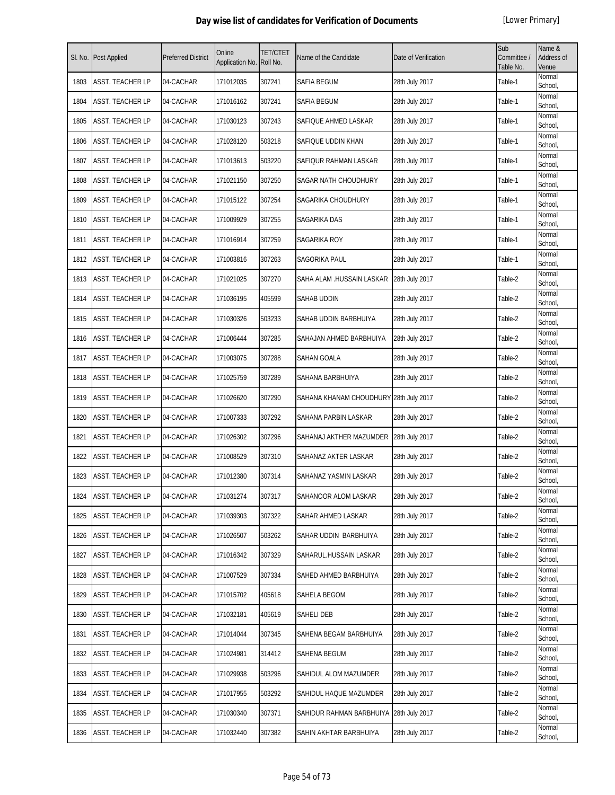| SI. No. | Post Applied            | <b>Preferred District</b> | Online<br>Application No. | <b>TET/CTET</b><br>Roll No. | Name of the Candidate                  | Date of Verification | Sub<br>Committee /<br>Table No. | Name &<br>Address of<br>Venue |
|---------|-------------------------|---------------------------|---------------------------|-----------------------------|----------------------------------------|----------------------|---------------------------------|-------------------------------|
| 1803    | <b>ASST. TEACHER LP</b> | 04-CACHAR                 | 171012035                 | 307241                      | SAFIA BEGUM                            | 28th July 2017       | Table-1                         | Normal<br>School,             |
| 1804    | ASST. TEACHER LP        | 04-CACHAR                 | 171016162                 | 307241                      | SAFIA BEGUM                            | 28th July 2017       | Table-1                         | Normal<br>School,             |
| 1805    | ASST. TEACHER LP        | 04-CACHAR                 | 171030123                 | 307243                      | SAFIQUE AHMED LASKAR                   | 28th July 2017       | Table-1                         | Normal<br>School,             |
| 1806    | ASST. TEACHER LP        | 04-CACHAR                 | 171028120                 | 503218                      | SAFIQUE UDDIN KHAN                     | 28th July 2017       | Table-1                         | Normal<br>School,             |
| 1807    | ASST. TEACHER LP        | 04-CACHAR                 | 171013613                 | 503220                      | SAFIQUR RAHMAN LASKAR                  | 28th July 2017       | Table-1                         | Normal<br>School,             |
| 1808    | ASST. TEACHER LP        | 04-CACHAR                 | 171021150                 | 307250                      | SAGAR NATH CHOUDHURY                   | 28th July 2017       | Table-1                         | Normal<br>School,             |
| 1809    | ASST. TEACHER LP        | 04-CACHAR                 | 171015122                 | 307254                      | SAGARIKA CHOUDHURY                     | 28th July 2017       | Table-1                         | Normal<br>School,             |
| 1810    | ASST. TEACHER LP        | 04-CACHAR                 | 171009929                 | 307255                      | SAGARIKA DAS                           | 28th July 2017       | Table-1                         | Normal<br>School,             |
| 1811    | ASST. TEACHER LP        | 04-CACHAR                 | 171016914                 | 307259                      | SAGARIKA ROY                           | 28th July 2017       | Table-1                         | Normal<br>School,             |
| 1812    | ASST. TEACHER LP        | 04-CACHAR                 | 171003816                 | 307263                      | SAGORIKA PAUL                          | 28th July 2017       | Table-1                         | Normal<br>School,             |
| 1813    | <b>ASST. TEACHER LP</b> | 04-CACHAR                 | 171021025                 | 307270                      | SAHA ALAM .HUSSAIN LASKAR              | 28th July 2017       | Table-2                         | Normal<br>School,             |
| 1814    | <b>ASST. TEACHER LP</b> | 04-CACHAR                 | 171036195                 | 405599                      | SAHAB UDDIN                            | 28th July 2017       | Table-2                         | Normal<br>School,             |
| 1815    | ASST. TEACHER LP        | 04-CACHAR                 | 171030326                 | 503233                      | SAHAB UDDIN BARBHUIYA                  | 28th July 2017       | Table-2                         | Normal<br>School,             |
| 1816    | ASST. TEACHER LP        | 04-CACHAR                 | 171006444                 | 307285                      | SAHAJAN AHMED BARBHUIYA                | 28th July 2017       | Table-2                         | Normal<br>School,             |
| 1817    | ASST. TEACHER LP        | 04-CACHAR                 | 171003075                 | 307288                      | SAHAN GOALA                            | 28th July 2017       | Table-2                         | Normal<br>School,             |
| 1818    | ASST. TEACHER LP        | 04-CACHAR                 | 171025759                 | 307289                      | SAHANA BARBHUIYA                       | 28th July 2017       | Table-2                         | Normal<br>School,             |
| 1819    | ASST. TEACHER LP        | 04-CACHAR                 | 171026620                 | 307290                      | SAHANA KHANAM CHOUDHURY 28th July 2017 |                      | Table-2                         | Normal<br>School,             |
| 1820    | ASST. TEACHER LP        | 04-CACHAR                 | 171007333                 | 307292                      | SAHANA PARBIN LASKAR                   | 28th July 2017       | Table-2                         | Normal<br>School,             |
| 1821    | ASST. TEACHER LP        | 04-CACHAR                 | 171026302                 | 307296                      | SAHANAJ AKTHER MAZUMDER                | 28th July 2017       | Table-2                         | Normal<br>School,             |
| 1822    | <b>ASST. TEACHER LP</b> | 04-CACHAR                 | 171008529                 | 307310                      | SAHANAZ AKTER LASKAR                   | 28th July 2017       | Table-2                         | Normal<br>School,             |
| 1823    | ASST. TEACHER LP        | 04-CACHAR                 | 171012380                 | 307314                      | SAHANAZ YASMIN LASKAR                  | 28th July 2017       | Table-2                         | Normal<br>School,             |
| 1824    | ASST. TEACHER LP        | 04-CACHAR                 | 171031274                 | 307317                      | SAHANOOR ALOM LASKAR                   | 28th July 2017       | Table-2                         | Normal<br>School,             |
| 1825    | ASST. TEACHER LP        | 04-CACHAR                 | 171039303                 | 307322                      | SAHAR AHMED LASKAR                     | 28th July 2017       | Table-2                         | Normal<br>School,             |
| 1826    | ASST. TEACHER LP        | 04-CACHAR                 | 171026507                 | 503262                      | SAHAR UDDIN BARBHUIYA                  | 28th July 2017       | Table-2                         | Normal<br>School,             |
| 1827    | ASST. TEACHER LP        | 04-CACHAR                 | 171016342                 | 307329                      | SAHARUL.HUSSAIN LASKAR                 | 28th July 2017       | Table-2                         | Normal<br>School,             |
| 1828    | ASST. TEACHER LP        | 04-CACHAR                 | 171007529                 | 307334                      | SAHED AHMED BARBHUIYA                  | 28th July 2017       | Table-2                         | Normal<br>School,             |
| 1829    | ASST. TEACHER LP        | 04-CACHAR                 | 171015702                 | 405618                      | SAHELA BEGOM                           | 28th July 2017       | Table-2                         | Normal<br>School,             |
| 1830    | ASST. TEACHER LP        | 04-CACHAR                 | 171032181                 | 405619                      | SAHELI DEB                             | 28th July 2017       | Table-2                         | Normal<br>School,             |
| 1831    | ASST. TEACHER LP        | 04-CACHAR                 | 171014044                 | 307345                      | SAHENA BEGAM BARBHUIYA                 | 28th July 2017       | Table-2                         | Normal<br>School,             |
| 1832    | ASST. TEACHER LP        | 04-CACHAR                 | 171024981                 | 314412                      | SAHENA BEGUM                           | 28th July 2017       | Table-2                         | Normal<br>School,             |
| 1833    | ASST. TEACHER LP        | 04-CACHAR                 | 171029938                 | 503296                      | SAHIDUL ALOM MAZUMDER                  | 28th July 2017       | Table-2                         | Normal<br>School,             |
| 1834    | ASST. TEACHER LP        | 04-CACHAR                 | 171017955                 | 503292                      | SAHIDUL HAQUE MAZUMDER                 | 28th July 2017       | Table-2                         | Normal<br>School,             |
| 1835    | ASST. TEACHER LP        | 04-CACHAR                 | 171030340                 | 307371                      | SAHIDUR RAHMAN BARBHUIYA               | 28th July 2017       | Table-2                         | Normal<br>School,             |
| 1836    | ASST. TEACHER LP        | 04-CACHAR                 | 171032440                 | 307382                      | SAHIN AKHTAR BARBHUIYA                 | 28th July 2017       | Table-2                         | Normal<br>School,             |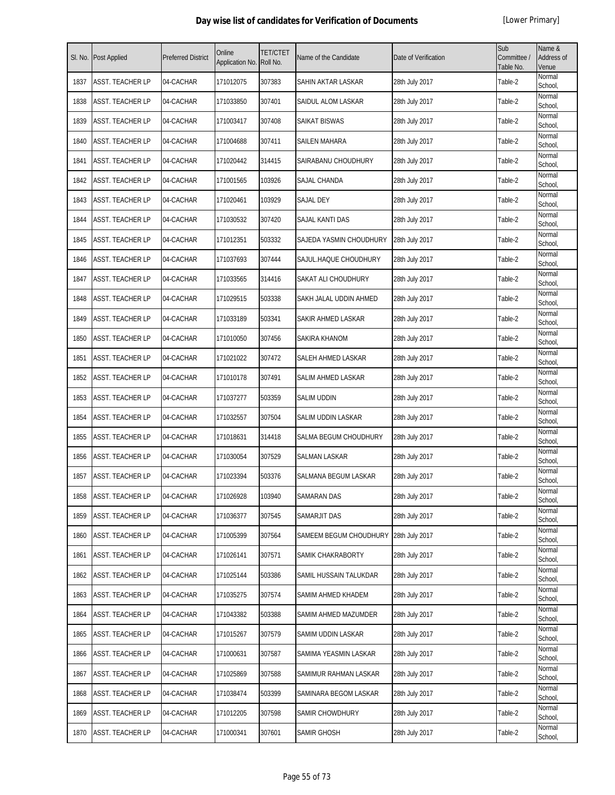|      | Sl. No. Post Applied    | <b>Preferred District</b> | Online<br>Application No. | <b>TET/CTET</b><br>Roll No. | Name of the Candidate   | Date of Verification | Sub<br>Committee /<br>Table No. | Name &<br>Address of<br>Venue |
|------|-------------------------|---------------------------|---------------------------|-----------------------------|-------------------------|----------------------|---------------------------------|-------------------------------|
| 1837 | <b>ASST. TEACHER LP</b> | 04-CACHAR                 | 171012075                 | 307383                      | SAHIN AKTAR LASKAR      | 28th July 2017       | Table-2                         | Normal<br>School,             |
| 1838 | ASST. TEACHER LP        | 04-CACHAR                 | 171033850                 | 307401                      | SAIDUL ALOM LASKAR      | 28th July 2017       | Table-2                         | Normal<br>School,             |
| 1839 | <b>ASST. TEACHER LP</b> | 04-CACHAR                 | 171003417                 | 307408                      | SAIKAT BISWAS           | 28th July 2017       | Table-2                         | Normal<br>School,             |
| 1840 | <b>ASST. TEACHER LP</b> | 04-CACHAR                 | 171004688                 | 307411                      | <b>SAILEN MAHARA</b>    | 28th July 2017       | Table-2                         | Normal<br>School,             |
| 1841 | <b>ASST. TEACHER LP</b> | 04-CACHAR                 | 171020442                 | 314415                      | SAIRABANU CHOUDHURY     | 28th July 2017       | Table-2                         | Normal<br>School,             |
| 1842 | <b>ASST. TEACHER LP</b> | 04-CACHAR                 | 171001565                 | 103926                      | SAJAL CHANDA            | 28th July 2017       | Table-2                         | Normal<br>School,             |
| 1843 | <b>ASST. TEACHER LP</b> | 04-CACHAR                 | 171020461                 | 103929                      | <b>SAJAL DEY</b>        | 28th July 2017       | Table-2                         | Normal<br>School,             |
| 1844 | <b>ASST. TEACHER LP</b> | 04-CACHAR                 | 171030532                 | 307420                      | SAJAL KANTI DAS         | 28th July 2017       | Table-2                         | Normal<br>School,             |
| 1845 | <b>ASST. TEACHER LP</b> | 04-CACHAR                 | 171012351                 | 503332                      | SAJEDA YASMIN CHOUDHURY | 28th July 2017       | Table-2                         | Normal<br>School,             |
| 1846 | ASST. TEACHER LP        | 04-CACHAR                 | 171037693                 | 307444                      | SAJUL.HAQUE CHOUDHURY   | 28th July 2017       | Table-2                         | Normal<br>School,             |
| 1847 | <b>ASST. TEACHER LP</b> | 04-CACHAR                 | 171033565                 | 314416                      | SAKAT ALI CHOUDHURY     | 28th July 2017       | Table-2                         | Normal<br>School,             |
| 1848 | <b>ASST. TEACHER LP</b> | 04-CACHAR                 | 171029515                 | 503338                      | SAKH JALAL UDDIN AHMED  | 28th July 2017       | Table-2                         | Normal<br>School,             |
| 1849 | ASST. TEACHER LP        | 04-CACHAR                 | 171033189                 | 503341                      | SAKIR AHMED LASKAR      | 28th July 2017       | Table-2                         | Normal<br>School,             |
| 1850 | <b>ASST. TEACHER LP</b> | 04-CACHAR                 | 171010050                 | 307456                      | SAKIRA KHANOM           | 28th July 2017       | Table-2                         | Normal<br>School,             |
| 1851 | <b>ASST. TEACHER LP</b> | 04-CACHAR                 | 171021022                 | 307472                      | SALEH AHMED LASKAR      | 28th July 2017       | Table-2                         | Normal<br>School,             |
| 1852 | <b>ASST. TEACHER LP</b> | 04-CACHAR                 | 171010178                 | 307491                      | SALIM AHMED LASKAR      | 28th July 2017       | Table-2                         | Normal<br>School,             |
| 1853 | <b>ASST. TEACHER LP</b> | 04-CACHAR                 | 171037277                 | 503359                      | <b>SALIM UDDIN</b>      | 28th July 2017       | Table-2                         | Normal<br>School,             |
| 1854 | ASST. TEACHER LP        | 04-CACHAR                 | 171032557                 | 307504                      | SALIM UDDIN LASKAR      | 28th July 2017       | Table-2                         | Normal<br>School,             |
| 1855 | ASST. TEACHER LP        | 04-CACHAR                 | 171018631                 | 314418                      | SALMA BEGUM CHOUDHURY   | 28th July 2017       | Table-2                         | Normal<br>School,             |
| 1856 | <b>ASST. TEACHER LP</b> | 04-CACHAR                 | 171030054                 | 307529                      | SALMAN LASKAR           | 28th July 2017       | Table-2                         | Normal<br>School,             |
| 1857 | ASST. TEACHER LP        | 04-CACHAR                 | 171023394                 | 503376                      | SALMANA BEGUM LASKAR    | 28th July 2017       | Table-2                         | Normal<br>School,             |
| 1858 | <b>ASST. TEACHER LP</b> | 04-CACHAR                 | 171026928                 | 103940                      | <b>SAMARAN DAS</b>      | 28th July 2017       | Table-2                         | Normal<br>School,             |
| 1859 | <b>ASST. TEACHER LP</b> | 04-CACHAR                 | 171036377                 | 307545                      | SAMARJIT DAS            | 28th July 2017       | Table-2                         | Normal<br>School,             |
| 1860 | <b>ASST. TEACHER LP</b> | 04-CACHAR                 | 171005399                 | 307564                      | SAMEEM BEGUM CHOUDHURY  | 28th July 2017       | Table-2                         | Normal<br>School,             |
| 1861 | <b>ASST. TEACHER LP</b> | 04-CACHAR                 | 171026141                 | 307571                      | SAMIK CHAKRABORTY       | 28th July 2017       | Table-2                         | Normal<br>School,             |
| 1862 | <b>ASST. TEACHER LP</b> | 04-CACHAR                 | 171025144                 | 503386                      | SAMIL HUSSAIN TALUKDAR  | 28th July 2017       | Table-2                         | Normal<br>School,             |
| 1863 | <b>ASST. TEACHER LP</b> | 04-CACHAR                 | 171035275                 | 307574                      | SAMIM AHMED KHADEM      | 28th July 2017       | Table-2                         | Normal<br>School,             |
| 1864 | <b>ASST. TEACHER LP</b> | 04-CACHAR                 | 171043382                 | 503388                      | SAMIM AHMED MAZUMDER    | 28th July 2017       | Table-2                         | Normal<br>School,             |
| 1865 | <b>ASST. TEACHER LP</b> | 04-CACHAR                 | 171015267                 | 307579                      | SAMIM UDDIN LASKAR      | 28th July 2017       | Table-2                         | Normal<br>School,             |
| 1866 | <b>ASST. TEACHER LP</b> | 04-CACHAR                 | 171000631                 | 307587                      | SAMIMA YEASMIN LASKAR   | 28th July 2017       | Table-2                         | Normal<br>School,             |
| 1867 | <b>ASST. TEACHER LP</b> | 04-CACHAR                 | 171025869                 | 307588                      | SAMIMUR RAHMAN LASKAR   | 28th July 2017       | Table-2                         | Normal<br>School,             |
| 1868 | <b>ASST. TEACHER LP</b> | 04-CACHAR                 | 171038474                 | 503399                      | SAMINARA BEGOM LASKAR   | 28th July 2017       | Table-2                         | Normal<br>School,             |
| 1869 | <b>ASST. TEACHER LP</b> | 04-CACHAR                 | 171012205                 | 307598                      | <b>SAMIR CHOWDHURY</b>  | 28th July 2017       | Table-2                         | Normal<br>School,             |
| 1870 | ASST. TEACHER LP        | 04-CACHAR                 | 171000341                 | 307601                      | SAMIR GHOSH             | 28th July 2017       | Table-2                         | Normal<br>School,             |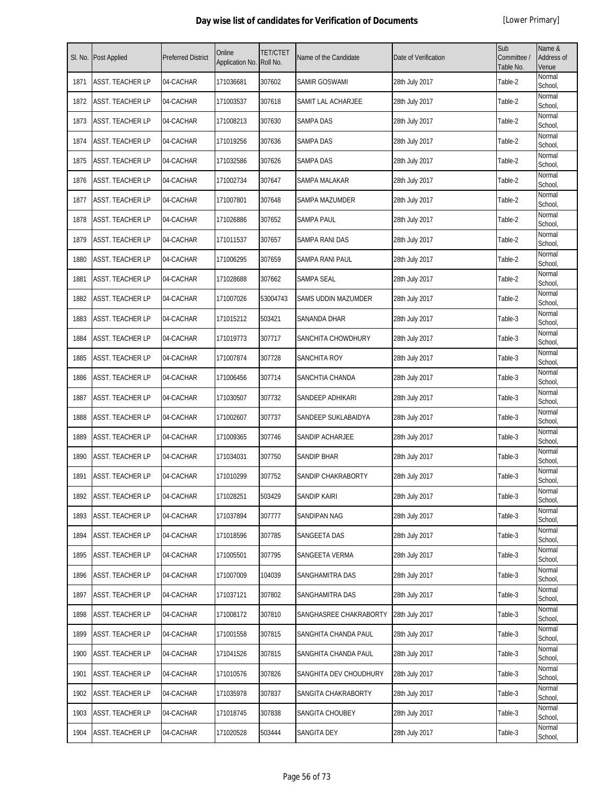| SI. No. | Post Applied            | <b>Preferred District</b> | Online<br>Application No. | <b>TET/CTET</b><br>Roll No. | Name of the Candidate  | Date of Verification | Sub<br>Committee /<br>Table No. | Name &<br>Address of<br>Venue |
|---------|-------------------------|---------------------------|---------------------------|-----------------------------|------------------------|----------------------|---------------------------------|-------------------------------|
| 1871    | <b>ASST. TEACHER LP</b> | 04-CACHAR                 | 171036681                 | 307602                      | SAMIR GOSWAMI          | 28th July 2017       | Table-2                         | Normal<br>School,             |
| 1872    | ASST. TEACHER LP        | 04-CACHAR                 | 171003537                 | 307618                      | SAMIT LAL ACHARJEE     | 28th July 2017       | Table-2                         | Normal<br>School,             |
| 1873    | ASST. TEACHER LP        | 04-CACHAR                 | 171008213                 | 307630                      | <b>SAMPA DAS</b>       | 28th July 2017       | Table-2                         | Normal<br>School,             |
| 1874    | ASST. TEACHER LP        | 04-CACHAR                 | 171019256                 | 307636                      | <b>SAMPA DAS</b>       | 28th July 2017       | Table-2                         | Normal<br>School,             |
| 1875    | ASST. TEACHER LP        | 04-CACHAR                 | 171032586                 | 307626                      | SAMPA DAS              | 28th July 2017       | Table-2                         | Normal<br>School,             |
| 1876    | ASST. TEACHER LP        | 04-CACHAR                 | 171002734                 | 307647                      | SAMPA MALAKAR          | 28th July 2017       | Table-2                         | Normal<br>School,             |
| 1877    | ASST. TEACHER LP        | 04-CACHAR                 | 171007801                 | 307648                      | SAMPA MAZUMDER         | 28th July 2017       | Table-2                         | Normal<br>School,             |
| 1878    | ASST. TEACHER LP        | 04-CACHAR                 | 171026886                 | 307652                      | <b>SAMPA PAUL</b>      | 28th July 2017       | Table-2                         | Normal<br>School,             |
| 1879    | ASST. TEACHER LP        | 04-CACHAR                 | 171011537                 | 307657                      | SAMPA RANI DAS         | 28th July 2017       | Table-2                         | Normal<br>School,             |
| 1880    | ASST. TEACHER LP        | 04-CACHAR                 | 171006295                 | 307659                      | SAMPA RANI PAUL        | 28th July 2017       | Table-2                         | Normal<br>School,             |
| 1881    | <b>ASST. TEACHER LP</b> | 04-CACHAR                 | 171028688                 | 307662                      | SAMPA SEAL             | 28th July 2017       | Table-2                         | Normal<br>School,             |
| 1882    | <b>ASST. TEACHER LP</b> | 04-CACHAR                 | 171007026                 | 53004743                    | SAMS UDDIN MAZUMDER    | 28th July 2017       | Table-2                         | Normal<br>School,             |
| 1883    | ASST. TEACHER LP        | 04-CACHAR                 | 171015212                 | 503421                      | SANANDA DHAR           | 28th July 2017       | Table-3                         | Normal<br>School,             |
| 1884    | ASST. TEACHER LP        | 04-CACHAR                 | 171019773                 | 307717                      | SANCHITA CHOWDHURY     | 28th July 2017       | Table-3                         | Normal<br>School,             |
| 1885    | ASST. TEACHER LP        | 04-CACHAR                 | 171007874                 | 307728                      | SANCHITA ROY           | 28th July 2017       | Table-3                         | Normal<br>School,             |
| 1886    | ASST. TEACHER LP        | 04-CACHAR                 | 171006456                 | 307714                      | SANCHTIA CHANDA        | 28th July 2017       | Table-3                         | Normal<br>School,             |
| 1887    | ASST. TEACHER LP        | 04-CACHAR                 | 171030507                 | 307732                      | SANDEEP ADHIKARI       | 28th July 2017       | Table-3                         | Normal<br>School,             |
| 1888    | ASST. TEACHER LP        | 04-CACHAR                 | 171002607                 | 307737                      | SANDEEP SUKLABAIDYA    | 28th July 2017       | Table-3                         | Normal<br>School,             |
| 1889    | ASST. TEACHER LP        | 04-CACHAR                 | 171009365                 | 307746                      | SANDIP ACHARJEE        | 28th July 2017       | Table-3                         | Normal<br>School,             |
| 1890    | <b>ASST. TEACHER LP</b> | 04-CACHAR                 | 171034031                 | 307750                      | SANDIP BHAR            | 28th July 2017       | Table-3                         | Normal<br>School,             |
| 1891    | ASST. TEACHER LP        | 04-CACHAR                 | 171010299                 | 307752                      | SANDIP CHAKRABORTY     | 28th July 2017       | Table-3                         | Normal<br>School,             |
| 1892    | ASST. TEACHER LP        | 04-CACHAR                 | 171028251                 | 503429                      | <b>SANDIP KAIRI</b>    | 28th July 2017       | Table-3                         | Normal<br>School,             |
| 1893    | ASST. TEACHER LP        | 04-CACHAR                 | 171037894                 | 307777                      | SANDIPAN NAG           | 28th July 2017       | Table-3                         | Normal<br>School,             |
| 1894    | ASST. TEACHER LP        | 04-CACHAR                 | 171018596                 | 307785                      | SANGEETA DAS           | 28th July 2017       | Table-3                         | Normal<br>School,             |
| 1895    | ASST. TEACHER LP        | 04-CACHAR                 | 171005501                 | 307795                      | SANGEETA VERMA         | 28th July 2017       | Table-3                         | Normal<br>School,             |
| 1896    | ASST. TEACHER LP        | 04-CACHAR                 | 171007009                 | 104039                      | SANGHAMITRA DAS        | 28th July 2017       | Table-3                         | Normal<br>School,             |
| 1897    | ASST. TEACHER LP        | 04-CACHAR                 | 171037121                 | 307802                      | SANGHAMITRA DAS        | 28th July 2017       | Table-3                         | Normal<br>School,             |
| 1898    | ASST. TEACHER LP        | 04-CACHAR                 | 171008172                 | 307810                      | SANGHASREE CHAKRABORTY | 28th July 2017       | Table-3                         | Normal<br>School,             |
| 1899    | ASST. TEACHER LP        | 04-CACHAR                 | 171001558                 | 307815                      | SANGHITA CHANDA PAUL   | 28th July 2017       | Table-3                         | Normal<br>School,             |
| 1900    | ASST. TEACHER LP        | 04-CACHAR                 | 171041526                 | 307815                      | SANGHITA CHANDA PAUL   | 28th July 2017       | Table-3                         | Normal<br>School,             |
| 1901    | ASST. TEACHER LP        | 04-CACHAR                 | 171010576                 | 307826                      | SANGHITA DEV CHOUDHURY | 28th July 2017       | Table-3                         | Normal<br>School,             |
| 1902    | ASST. TEACHER LP        | 04-CACHAR                 | 171035978                 | 307837                      | SANGITA CHAKRABORTY    | 28th July 2017       | Table-3                         | Normal<br>School,             |
| 1903    | ASST. TEACHER LP        | 04-CACHAR                 | 171018745                 | 307838                      | SANGITA CHOUBEY        | 28th July 2017       | Table-3                         | Normal<br>School,             |
| 1904    | ASST. TEACHER LP        | 04-CACHAR                 | 171020528                 | 503444                      | SANGITA DEY            | 28th July 2017       | Table-3                         | Normal<br>School,             |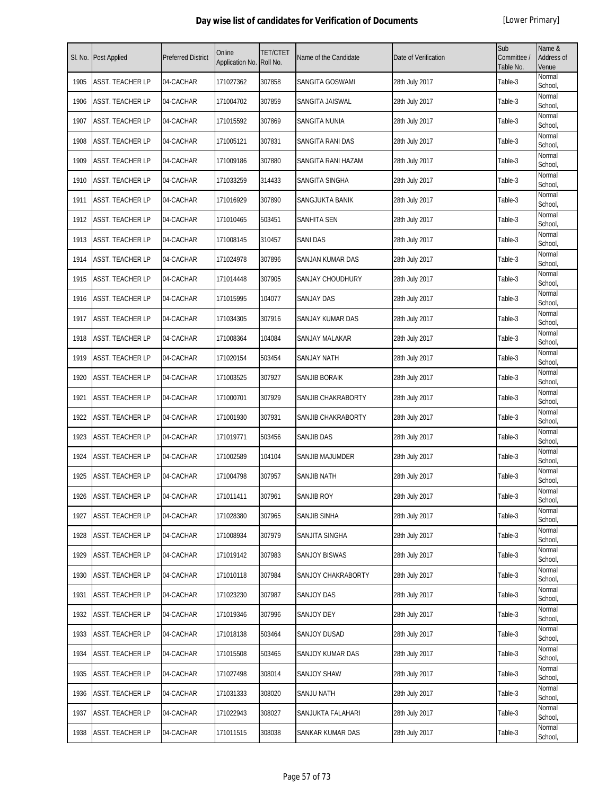| SI. No. | Post Applied            | <b>Preferred District</b> | Online<br>Application No. | <b>TET/CTET</b><br>Roll No. | Name of the Candidate  | Date of Verification | Sub<br>Committee /<br>Table No. | Name &<br>Address of<br>Venue |
|---------|-------------------------|---------------------------|---------------------------|-----------------------------|------------------------|----------------------|---------------------------------|-------------------------------|
| 1905    | <b>ASST. TEACHER LP</b> | 04-CACHAR                 | 171027362                 | 307858                      | SANGITA GOSWAMI        | 28th July 2017       | Table-3                         | Normal<br>School,             |
| 1906    | ASST. TEACHER LP        | 04-CACHAR                 | 171004702                 | 307859                      | SANGITA JAISWAL        | 28th July 2017       | Table-3                         | Normal<br>School,             |
| 1907    | ASST. TEACHER LP        | 04-CACHAR                 | 171015592                 | 307869                      | SANGITA NUNIA          | 28th July 2017       | Table-3                         | Normal<br>School,             |
| 1908    | ASST. TEACHER LP        | 04-CACHAR                 | 171005121                 | 307831                      | SANGITA RANI DAS       | 28th July 2017       | Table-3                         | Normal<br>School,             |
| 1909    | ASST. TEACHER LP        | 04-CACHAR                 | 171009186                 | 307880                      | SANGITA RANI HAZAM     | 28th July 2017       | Table-3                         | Normal<br>School,             |
| 1910    | ASST. TEACHER LP        | 04-CACHAR                 | 171033259                 | 314433                      | SANGITA SINGHA         | 28th July 2017       | Table-3                         | Normal<br>School,             |
| 1911    | ASST. TEACHER LP        | 04-CACHAR                 | 171016929                 | 307890                      | SANGJUKTA BANIK        | 28th July 2017       | Table-3                         | Normal<br>School,             |
| 1912    | ASST. TEACHER LP        | 04-CACHAR                 | 171010465                 | 503451                      | <b>SANHITA SEN</b>     | 28th July 2017       | Table-3                         | Normal<br>School,             |
| 1913    | ASST. TEACHER LP        | 04-CACHAR                 | 171008145                 | 310457                      | SANI DAS               | 28th July 2017       | Table-3                         | Normal<br>School,             |
| 1914    | ASST. TEACHER LP        | 04-CACHAR                 | 171024978                 | 307896                      | SANJAN KUMAR DAS       | 28th July 2017       | Table-3                         | Normal<br>School,             |
| 1915    | <b>ASST. TEACHER LP</b> | 04-CACHAR                 | 171014448                 | 307905                      | SANJAY CHOUDHURY       | 28th July 2017       | Table-3                         | Normal<br>School,             |
| 1916    | ASST. TEACHER LP        | 04-CACHAR                 | 171015995                 | 104077                      | <b>SANJAY DAS</b>      | 28th July 2017       | Table-3                         | Normal<br>School,             |
| 1917    | ASST. TEACHER LP        | 04-CACHAR                 | 171034305                 | 307916                      | SANJAY KUMAR DAS       | 28th July 2017       | Table-3                         | Normal<br>School,             |
| 1918    | ASST. TEACHER LP        | 04-CACHAR                 | 171008364                 | 104084                      | SANJAY MALAKAR         | 28th July 2017       | Table-3                         | Normal<br>School,             |
| 1919    | ASST. TEACHER LP        | 04-CACHAR                 | 171020154                 | 503454                      | SANJAY NATH            | 28th July 2017       | Table-3                         | Normal<br>School,             |
| 1920    | ASST. TEACHER LP        | 04-CACHAR                 | 171003525                 | 307927                      | SANJIB BORAIK          | 28th July 2017       | Table-3                         | Normal<br>School,             |
| 1921    | ASST. TEACHER LP        | 04-CACHAR                 | 171000701                 | 307929                      | SANJIB CHAKRABORTY     | 28th July 2017       | Table-3                         | Normal<br>School,             |
| 1922    | ASST. TEACHER LP        | 04-CACHAR                 | 171001930                 | 307931                      | SANJIB CHAKRABORTY     | 28th July 2017       | Table-3                         | Normal<br>School,             |
| 1923    | ASST. TEACHER LP        | 04-CACHAR                 | 171019771                 | 503456                      | <b>SANJIB DAS</b>      | 28th July 2017       | Table-3                         | Normal<br>School,             |
| 1924    | ASST. TEACHER LP        | 04-CACHAR                 | 171002589                 | 104104                      | <b>SANJIB MAJUMDER</b> | 28th July 2017       | Table-3                         | Normal<br>School,             |
| 1925    | ASST. TEACHER LP        | 04-CACHAR                 | 171004798                 | 307957                      | SANJIB NATH            | 28th July 2017       | Table-3                         | Normal<br>School,             |
| 1926    | ASST. TEACHER LP        | 04-CACHAR                 | 171011411                 | 307961                      | <b>SANJIB ROY</b>      | 28th July 2017       | Table-3                         | Normal<br>School,             |
| 1927    | ASST. TEACHER LP        | 04-CACHAR                 | 171028380                 | 307965                      | SANJIB SINHA           | 28th July 2017       | Table-3                         | Normal<br>School,             |
| 1928    | ASST. TEACHER LP        | 04-CACHAR                 | 171008934                 | 307979                      | SANJITA SINGHA         | 28th July 2017       | Table-3                         | Normal<br>School,             |
| 1929    | ASST. TEACHER LP        | 04-CACHAR                 | 171019142                 | 307983                      | SANJOY BISWAS          | 28th July 2017       | Table-3                         | Normal<br>School,             |
| 1930    | ASST. TEACHER LP        | 04-CACHAR                 | 171010118                 | 307984                      | SANJOY CHAKRABORTY     | 28th July 2017       | Table-3                         | Normal<br>School,             |
| 1931    | ASST. TEACHER LP        | 04-CACHAR                 | 171023230                 | 307987                      | SANJOY DAS             | 28th July 2017       | Table-3                         | Normal<br>School,             |
| 1932    | ASST. TEACHER LP        | 04-CACHAR                 | 171019346                 | 307996                      | SANJOY DEY             | 28th July 2017       | Table-3                         | Normal<br>School,             |
| 1933    | ASST. TEACHER LP        | 04-CACHAR                 | 171018138                 | 503464                      | SANJOY DUSAD           | 28th July 2017       | Table-3                         | Normal<br>School,             |
| 1934    | ASST. TEACHER LP        | 04-CACHAR                 | 171015508                 | 503465                      | SANJOY KUMAR DAS       | 28th July 2017       | Table-3                         | Normal<br>School,             |
| 1935    | ASST. TEACHER LP        | 04-CACHAR                 | 171027498                 | 308014                      | SANJOY SHAW            | 28th July 2017       | Table-3                         | Normal<br>School,             |
| 1936    | ASST. TEACHER LP        | 04-CACHAR                 | 171031333                 | 308020                      | SANJU NATH             | 28th July 2017       | Table-3                         | Normal<br>School,             |
| 1937    | ASST. TEACHER LP        | 04-CACHAR                 | 171022943                 | 308027                      | SANJUKTA FALAHARI      | 28th July 2017       | Table-3                         | Normal<br>School,             |
| 1938    | ASST. TEACHER LP        | 04-CACHAR                 | 171011515                 | 308038                      | SANKAR KUMAR DAS       | 28th July 2017       | Table-3                         | Normal<br>School,             |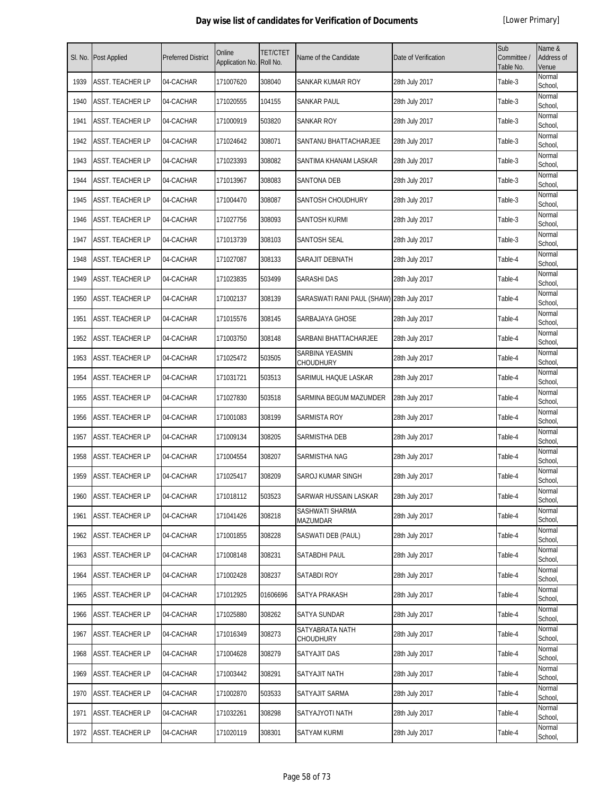| SI. No. | <b>Post Applied</b>     | <b>Preferred District</b> | Online<br>Application No. | <b>TET/CTET</b><br>Roll No. | Name of the Candidate                      | Date of Verification | Sub<br>Committee /<br>Table No. | Name &<br>Address of<br>Venue |
|---------|-------------------------|---------------------------|---------------------------|-----------------------------|--------------------------------------------|----------------------|---------------------------------|-------------------------------|
| 1939    | <b>ASST. TEACHER LP</b> | 04-CACHAR                 | 171007620                 | 308040                      | SANKAR KUMAR ROY                           | 28th July 2017       | Table-3                         | Normal<br>School,             |
| 1940    | ASST. TEACHER LP        | 04-CACHAR                 | 171020555                 | 104155                      | SANKAR PAUL                                | 28th July 2017       | Table-3                         | Normal<br>School,             |
| 1941    | <b>ASST. TEACHER LP</b> | 04-CACHAR                 | 171000919                 | 503820                      | SANKAR ROY                                 | 28th July 2017       | Table-3                         | Normal<br>School,             |
| 1942    | <b>ASST. TEACHER LP</b> | 04-CACHAR                 | 171024642                 | 308071                      | SANTANU BHATTACHARJEE                      | 28th July 2017       | Table-3                         | Normal<br>School,             |
| 1943    | <b>ASST. TEACHER LP</b> | 04-CACHAR                 | 171023393                 | 308082                      | SANTIMA KHANAM LASKAR                      | 28th July 2017       | Table-3                         | Normal<br>School,             |
| 1944    | <b>ASST. TEACHER LP</b> | 04-CACHAR                 | 171013967                 | 308083                      | <b>SANTONA DEB</b>                         | 28th July 2017       | Table-3                         | Normal<br>School,             |
| 1945    | ASST. TEACHER LP        | 04-CACHAR                 | 171004470                 | 308087                      | SANTOSH CHOUDHURY                          | 28th July 2017       | Table-3                         | Normal<br>School,             |
| 1946    | ASST. TEACHER LP        | 04-CACHAR                 | 171027756                 | 308093                      | SANTOSH KURMI                              | 28th July 2017       | Table-3                         | Normal<br>School,             |
| 1947    | <b>ASST. TEACHER LP</b> | 04-CACHAR                 | 171013739                 | 308103                      | SANTOSH SEAL                               | 28th July 2017       | Table-3                         | Normal<br>School,             |
| 1948    | ASST. TEACHER LP        | 04-CACHAR                 | 171027087                 | 308133                      | SARAJIT DEBNATH                            | 28th July 2017       | Table-4                         | Normal<br>School,             |
| 1949    | <b>ASST. TEACHER LP</b> | 04-CACHAR                 | 171023835                 | 503499                      | <b>SARASHI DAS</b>                         | 28th July 2017       | Table-4                         | Normal<br>School,             |
| 1950    | ASST. TEACHER LP        | 04-CACHAR                 | 171002137                 | 308139                      | SARASWATI RANI PAUL (SHAW) 28th July 2017  |                      | Table-4                         | Normal<br>School,             |
| 1951    | <b>ASST. TEACHER LP</b> | 04-CACHAR                 | 171015576                 | 308145                      | SARBAJAYA GHOSE                            | 28th July 2017       | Table-4                         | Normal<br>School,             |
| 1952    | <b>ASST. TEACHER LP</b> | 04-CACHAR                 | 171003750                 | 308148                      | SARBANI BHATTACHARJEE                      | 28th July 2017       | Table-4                         | Normal<br>School,             |
| 1953    | <b>ASST. TEACHER LP</b> | 04-CACHAR                 | 171025472                 | 503505                      | <b>SARBINA YEASMIN</b><br><b>CHOUDHURY</b> | 28th July 2017       | Table-4                         | Normal<br>School,             |
| 1954    | ASST. TEACHER LP        | 04-CACHAR                 | 171031721                 | 503513                      | SARIMUL HAQUE LASKAR                       | 28th July 2017       | Table-4                         | Normal<br>School,             |
| 1955    | ASST. TEACHER LP        | 04-CACHAR                 | 171027830                 | 503518                      | SARMINA BEGUM MAZUMDER                     | 28th July 2017       | Table-4                         | Normal<br>School,             |
| 1956    | ASST. TEACHER LP        | 04-CACHAR                 | 171001083                 | 308199                      | SARMISTA ROY                               | 28th July 2017       | Table-4                         | Normal<br>School,             |
| 1957    | <b>ASST. TEACHER LP</b> | 04-CACHAR                 | 171009134                 | 308205                      | SARMISTHA DEB                              | 28th July 2017       | Table-4                         | Normal<br>School,             |
| 1958    | <b>ASST. TEACHER LP</b> | 04-CACHAR                 | 171004554                 | 308207                      | SARMISTHA NAG                              | 28th July 2017       | Table-4                         | Normal<br>School,             |
| 1959    | ASST. TEACHER LP        | 04-CACHAR                 | 171025417                 | 308209                      | SAROJ KUMAR SINGH                          | 28th July 2017       | Table-4                         | Normal<br>School,             |
| 1960    | <b>ASST. TEACHER LP</b> | 04-CACHAR                 | 171018112                 | 503523                      | SARWAR HUSSAIN LASKAR                      | 28th July 2017       | Table-4                         | Normal<br>School,             |
| 1961    | <b>ASST. TEACHER LP</b> | 04-CACHAR                 | 171041426                 | 308218                      | SASHWATI SHARMA<br>MAZUMDAR                | 28th July 2017       | Table-4                         | Normal<br>School,             |
| 1962    | ASST. TEACHER LP        | 04-CACHAR                 | 171001855                 | 308228                      | SASWATI DEB (PAUL)                         | 28th July 2017       | Table-4                         | Normal<br>School.             |
| 1963    | <b>ASST. TEACHER LP</b> | 04-CACHAR                 | 171008148                 | 308231                      | SATABDHI PAUL                              | 28th July 2017       | Table-4                         | Normal<br>School,             |
| 1964    | <b>ASST. TEACHER LP</b> | 04-CACHAR                 | 171002428                 | 308237                      | <b>SATABDI ROY</b>                         | 28th July 2017       | Table-4                         | Normal<br>School,             |
| 1965    | <b>ASST. TEACHER LP</b> | 04-CACHAR                 | 171012925                 | 01606696                    | SATYA PRAKASH                              | 28th July 2017       | Table-4                         | Normal<br>School,             |
| 1966    | <b>ASST. TEACHER LP</b> | 04-CACHAR                 | 171025880                 | 308262                      | SATYA SUNDAR                               | 28th July 2017       | Table-4                         | Normal<br>School,             |
| 1967    | <b>ASST. TEACHER LP</b> | 04-CACHAR                 | 171016349                 | 308273                      | SATYABRATA NATH<br><b>CHOUDHURY</b>        | 28th July 2017       | Table-4                         | Normal<br>School,             |
| 1968    | <b>ASST. TEACHER LP</b> | 04-CACHAR                 | 171004628                 | 308279                      | <b>SATYAJIT DAS</b>                        | 28th July 2017       | Table-4                         | Normal<br>School,             |
| 1969    | <b>ASST. TEACHER LP</b> | 04-CACHAR                 | 171003442                 | 308291                      | SATYAJIT NATH                              | 28th July 2017       | Table-4                         | Normal<br>School,             |
| 1970    | <b>ASST. TEACHER LP</b> | 04-CACHAR                 | 171002870                 | 503533                      | SATYAJIT SARMA                             | 28th July 2017       | Table-4                         | Normal<br>School,             |
| 1971    | <b>ASST. TEACHER LP</b> | 04-CACHAR                 | 171032261                 | 308298                      | SATYAJYOTI NATH                            | 28th July 2017       | Table-4                         | Normal<br>School,             |
| 1972    | <b>ASST. TEACHER LP</b> | 04-CACHAR                 | 171020119                 | 308301                      | <b>SATYAM KURMI</b>                        | 28th July 2017       | Table-4                         | Normal<br>School,             |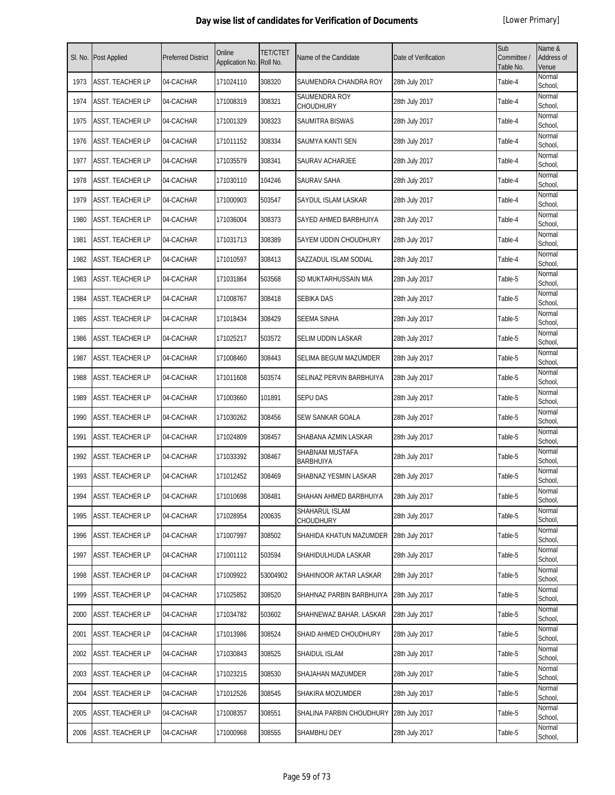| SI. No. | <b>Post Applied</b>     | <b>Preferred District</b> | Online<br>Application No. | <b>TET/CTET</b><br>Roll No. | Name of the Candidate               | Date of Verification | Sub<br>Committee /<br>Table No. | Name &<br>Address of<br>Venue |
|---------|-------------------------|---------------------------|---------------------------|-----------------------------|-------------------------------------|----------------------|---------------------------------|-------------------------------|
| 1973    | <b>ASST. TEACHER LP</b> | 04-CACHAR                 | 171024110                 | 308320                      | SAUMENDRA CHANDRA ROY               | 28th July 2017       | Table-4                         | Normal<br>School,             |
| 1974    | ASST. TEACHER LP        | 04-CACHAR                 | 171008319                 | 308321                      | SAUMENDRA ROY<br>CHOUDHURY          | 28th July 2017       | Table-4                         | Normal<br>School,             |
| 1975    | ASST. TEACHER LP        | 04-CACHAR                 | 171001329                 | 308323                      | SAUMITRA BISWAS                     | 28th July 2017       | Table-4                         | Normal<br>School,             |
| 1976    | ASST. TEACHER LP        | 04-CACHAR                 | 171011152                 | 308334                      | SAUMYA KANTI SEN                    | 28th July 2017       | Table-4                         | Normal<br>School,             |
| 1977    | ASST. TEACHER LP        | 04-CACHAR                 | 171035579                 | 308341                      | SAURAV ACHARJEE                     | 28th July 2017       | Table-4                         | Normal<br>School,             |
| 1978    | ASST. TEACHER LP        | 04-CACHAR                 | 171030110                 | 104246                      | SAURAV SAHA                         | 28th July 2017       | Table-4                         | Normal<br>School,             |
| 1979    | <b>ASST. TEACHER LP</b> | 04-CACHAR                 | 171000903                 | 503547                      | SAYDUL ISLAM LASKAR                 | 28th July 2017       | Table-4                         | Normal<br>School,             |
| 1980    | ASST. TEACHER LP        | 04-CACHAR                 | 171036004                 | 308373                      | SAYED AHMED BARBHUIYA               | 28th July 2017       | Table-4                         | Normal<br>School,             |
| 1981    | <b>ASST. TEACHER LP</b> | 04-CACHAR                 | 171031713                 | 308389                      | SAYEM UDDIN CHOUDHURY               | 28th July 2017       | Table-4                         | Normal<br>School,             |
| 1982    | ASST. TEACHER LP        | 04-CACHAR                 | 171010597                 | 308413                      | SAZZADUL ISLAM SODIAL               | 28th July 2017       | Table-4                         | Normal<br>School,             |
| 1983    | ASST. TEACHER LP        | 04-CACHAR                 | 171031864                 | 503568                      | SD MUKTARHUSSAIN MIA                | 28th July 2017       | Table-5                         | Normal<br>School,             |
| 1984    | ASST. TEACHER LP        | 04-CACHAR                 | 171008767                 | 308418                      | SEBIKA DAS                          | 28th July 2017       | Table-5                         | Normal<br>School,             |
| 1985    | ASST. TEACHER LP        | 04-CACHAR                 | 171018434                 | 308429                      | <b>SEEMA SINHA</b>                  | 28th July 2017       | Table-5                         | Normal<br>School,             |
| 1986    | ASST. TEACHER LP        | 04-CACHAR                 | 171025217                 | 503572                      | SELIM UDDIN LASKAR                  | 28th July 2017       | Table-5                         | Normal<br>School,             |
| 1987    | ASST. TEACHER LP        | 04-CACHAR                 | 171008460                 | 308443                      | SELIMA BEGUM MAZUMDER               | 28th July 2017       | Table-5                         | Normal<br>School,             |
| 1988    | ASST. TEACHER LP        | 04-CACHAR                 | 171011608                 | 503574                      | SELINAZ PERVIN BARBHUIYA            | 28th July 2017       | Table-5                         | Normal<br>School,             |
| 1989    | ASST. TEACHER LP        | 04-CACHAR                 | 171003660                 | 101891                      | <b>SEPU DAS</b>                     | 28th July 2017       | Table-5                         | Normal<br>School,             |
| 1990    | ASST. TEACHER LP        | 04-CACHAR                 | 171030262                 | 308456                      | SEW SANKAR GOALA                    | 28th July 2017       | Table-5                         | Normal<br>School,             |
| 1991    | <b>ASST. TEACHER LP</b> | 04-CACHAR                 | 171024809                 | 308457                      | SHABANA AZMIN LASKAR                | 28th July 2017       | Table-5                         | Normal<br>School,             |
| 1992    | ASST. TEACHER LP        | 04-CACHAR                 | 171033392                 | 308467                      | SHABNAM MUSTAFA<br><b>BARBHUIYA</b> | 28th July 2017       | Table-5                         | Normal<br>School,             |
| 1993    | ASST. TEACHER LP        | 04-CACHAR                 | 171012452                 | 308469                      | SHABNAZ YESMIN LASKAR               | 28th July 2017       | Table-5                         | Normal<br>School,             |
| 1994    | ASST. TEACHER LP        | 04-CACHAR                 | 171010698                 | 308481                      | SHAHAN AHMED BARBHUIYA              | 28th July 2017       | Table-5                         | Normal<br>School,             |
| 1995    | ASST. TEACHER LP        | 04-CACHAR                 | 171028954                 | 200635                      | SHAHARUL ISLAM<br><b>CHOUDHURY</b>  | 28th July 2017       | Table-5                         | Normal<br>School,             |
| 1996    | ASST. TEACHER LP        | 04-CACHAR                 | 171007997                 | 308502                      | SHAHIDA KHATUN MAZUMDER             | 28th July 2017       | Table-5                         | Normal<br>School,             |
| 1997    | ASST. TEACHER LP        | 04-CACHAR                 | 171001112                 | 503594                      | SHAHIDULHUDA LASKAR                 | 28th July 2017       | Table-5                         | Normal<br>School,             |
| 1998    | ASST. TEACHER LP        | 04-CACHAR                 | 171009922                 | 53004902                    | SHAHINOOR AKTAR LASKAR              | 28th July 2017       | Table-5                         | Normal<br>School,             |
| 1999    | ASST. TEACHER LP        | 04-CACHAR                 | 171025852                 | 308520                      | SHAHNAZ PARBIN BARBHUIYA            | 28th July 2017       | Table-5                         | Normal<br>School,             |
| 2000    | ASST. TEACHER LP        | 04-CACHAR                 | 171034782                 | 503602                      | SHAHNEWAZ BAHAR. LASKAR             | 28th July 2017       | Table-5                         | Normal<br>School,             |
| 2001    | ASST. TEACHER LP        | 04-CACHAR                 | 171013986                 | 308524                      | SHAID AHMED CHOUDHURY               | 28th July 2017       | Table-5                         | Normal<br>School,             |
| 2002    | ASST. TEACHER LP        | 04-CACHAR                 | 171030843                 | 308525                      | SHAIDUL ISLAM                       | 28th July 2017       | Table-5                         | Normal<br>School,             |
| 2003    | ASST. TEACHER LP        | 04-CACHAR                 | 171023215                 | 308530                      | SHAJAHAN MAZUMDER                   | 28th July 2017       | Table-5                         | Normal<br>School,             |
| 2004    | ASST. TEACHER LP        | 04-CACHAR                 | 171012526                 | 308545                      | SHAKIRA MOZUMDER                    | 28th July 2017       | Table-5                         | Normal<br>School,             |
| 2005    | ASST. TEACHER LP        | 04-CACHAR                 | 171008357                 | 308551                      | SHALINA PARBIN CHOUDHURY            | 28th July 2017       | Table-5                         | Normal<br>School,             |
| 2006    | ASST. TEACHER LP        | 04-CACHAR                 | 171000968                 | 308555                      | SHAMBHU DEY                         | 28th July 2017       | Table-5                         | Normal<br>School,             |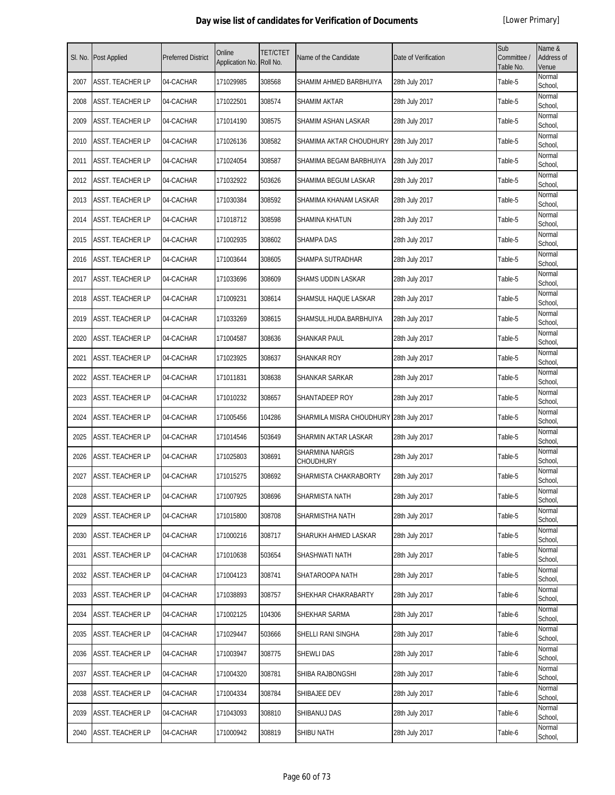| SI. No. | <b>Post Applied</b>     | <b>Preferred District</b> | Online<br>Application No. | <b>TET/CTET</b><br>Roll No. | Name of the Candidate               | Date of Verification | Sub<br>Committee /<br>Table No. | Name &<br><b>Address of</b><br>Venue |
|---------|-------------------------|---------------------------|---------------------------|-----------------------------|-------------------------------------|----------------------|---------------------------------|--------------------------------------|
| 2007    | <b>ASST. TEACHER LP</b> | 04-CACHAR                 | 171029985                 | 308568                      | SHAMIM AHMED BARBHUIYA              | 28th July 2017       | Table-5                         | Normal<br>School,                    |
| 2008    | <b>ASST. TEACHER LP</b> | 04-CACHAR                 | 171022501                 | 308574                      | SHAMIM AKTAR                        | 28th July 2017       | Table-5                         | Normal<br>School,                    |
| 2009    | <b>ASST. TEACHER LP</b> | 04-CACHAR                 | 171014190                 | 308575                      | SHAMIM ASHAN LASKAR                 | 28th July 2017       | Table-5                         | Normal<br>School,                    |
| 2010    | <b>ASST. TEACHER LP</b> | 04-CACHAR                 | 171026136                 | 308582                      | SHAMIMA AKTAR CHOUDHURY             | 28th July 2017       | Table-5                         | Normal<br>School,                    |
| 2011    | <b>ASST. TEACHER LP</b> | 04-CACHAR                 | 171024054                 | 308587                      | SHAMIMA BEGAM BARBHUIYA             | 28th July 2017       | Table-5                         | Normal<br>School,                    |
| 2012    | <b>ASST. TEACHER LP</b> | 04-CACHAR                 | 171032922                 | 503626                      | SHAMIMA BEGUM LASKAR                | 28th July 2017       | Table-5                         | Normal<br>School,                    |
| 2013    | <b>ASST. TEACHER LP</b> | 04-CACHAR                 | 171030384                 | 308592                      | SHAMIMA KHANAM LASKAR               | 28th July 2017       | Table-5                         | Normal<br>School,                    |
| 2014    | <b>ASST. TEACHER LP</b> | 04-CACHAR                 | 171018712                 | 308598                      | SHAMINA KHATUN                      | 28th July 2017       | Table-5                         | Normal<br>School,                    |
| 2015    | <b>ASST. TEACHER LP</b> | 04-CACHAR                 | 171002935                 | 308602                      | <b>SHAMPA DAS</b>                   | 28th July 2017       | Table-5                         | Normal<br>School,                    |
| 2016    | <b>ASST. TEACHER LP</b> | 04-CACHAR                 | 171003644                 | 308605                      | SHAMPA SUTRADHAR                    | 28th July 2017       | Table-5                         | Normal<br>School,                    |
| 2017    | <b>ASST. TEACHER LP</b> | 04-CACHAR                 | 171033696                 | 308609                      | SHAMS UDDIN LASKAR                  | 28th July 2017       | Table-5                         | Normal<br>School,                    |
| 2018    | <b>ASST. TEACHER LP</b> | 04-CACHAR                 | 171009231                 | 308614                      | SHAMSUL HAQUE LASKAR                | 28th July 2017       | Table-5                         | Normal<br>School,                    |
| 2019    | <b>ASST. TEACHER LP</b> | 04-CACHAR                 | 171033269                 | 308615                      | SHAMSUL.HUDA.BARBHUIYA              | 28th July 2017       | Table-5                         | Normal<br>School,                    |
| 2020    | <b>ASST. TEACHER LP</b> | 04-CACHAR                 | 171004587                 | 308636                      | SHANKAR PAUL                        | 28th July 2017       | Table-5                         | Normal<br>School,                    |
| 2021    | <b>ASST. TEACHER LP</b> | 04-CACHAR                 | 171023925                 | 308637                      | SHANKAR ROY                         | 28th July 2017       | Table-5                         | Normal<br>School,                    |
| 2022    | <b>ASST. TEACHER LP</b> | 04-CACHAR                 | 171011831                 | 308638                      | SHANKAR SARKAR                      | 28th July 2017       | Table-5                         | Normal<br>School,                    |
| 2023    | <b>ASST. TEACHER LP</b> | 04-CACHAR                 | 171010232                 | 308657                      | SHANTADEEP ROY                      | 28th July 2017       | Table-5                         | Normal<br>School,                    |
| 2024    | <b>ASST. TEACHER LP</b> | 04-CACHAR                 | 171005456                 | 104286                      | SHARMILA MISRA CHOUDHURY            | 28th July 2017       | Table-5                         | Normal<br>School,                    |
| 2025    | <b>ASST. TEACHER LP</b> | 04-CACHAR                 | 171014546                 | 503649                      | SHARMIN AKTAR LASKAR                | 28th July 2017       | Table-5                         | Normal<br>School,                    |
| 2026    | <b>ASST. TEACHER LP</b> | 04-CACHAR                 | 171025803                 | 308691                      | SHARMINA NARGIS<br><b>CHOUDHURY</b> | 28th July 2017       | Table-5                         | Normal<br>School,                    |
| 2027    | <b>ASST. TEACHER LP</b> | 04-CACHAR                 | 171015275                 | 308692                      | SHARMISTA CHAKRABORTY               | 28th July 2017       | Table-5                         | Normal<br>School,                    |
| 2028    | <b>ASST. TEACHER LP</b> | 04-CACHAR                 | 171007925                 | 308696                      | SHARMISTA NATH                      | 28th July 2017       | Table-5                         | Normal<br>School,                    |
| 2029    | ASST. TEACHER LP        | 04-CACHAR                 | 171015800                 | 308708                      | SHARMISTHA NATH                     | 28th July 2017       | Table-5                         | Normal<br>School,                    |
| 2030    | ASST. TEACHER LP        | 04-CACHAR                 | 171000216                 | 308717                      | SHARUKH AHMED LASKAR                | 28th July 2017       | Table-5                         | Normal<br>School,                    |
| 2031    | <b>ASST. TEACHER LP</b> | 04-CACHAR                 | 171010638                 | 503654                      | SHASHWATI NATH                      | 28th July 2017       | Table-5                         | Normal<br>School,                    |
| 2032    | <b>ASST. TEACHER LP</b> | 04-CACHAR                 | 171004123                 | 308741                      | SHATAROOPA NATH                     | 28th July 2017       | Table-5                         | Normal<br>School,                    |
| 2033    | <b>ASST. TEACHER LP</b> | 04-CACHAR                 | 171038893                 | 308757                      | SHEKHAR CHAKRABARTY                 | 28th July 2017       | Table-6                         | Normal<br>School,                    |
| 2034    | <b>ASST. TEACHER LP</b> | 04-CACHAR                 | 171002125                 | 104306                      | SHEKHAR SARMA                       | 28th July 2017       | Table-6                         | Normal<br>School,                    |
| 2035    | <b>ASST. TEACHER LP</b> | 04-CACHAR                 | 171029447                 | 503666                      | SHELLI RANI SINGHA                  | 28th July 2017       | Table-6                         | Normal<br>School,                    |
| 2036    | <b>ASST. TEACHER LP</b> | 04-CACHAR                 | 171003947                 | 308775                      | SHEWLI DAS                          | 28th July 2017       | Table-6                         | Normal<br>School,                    |
| 2037    | <b>ASST. TEACHER LP</b> | 04-CACHAR                 | 171004320                 | 308781                      | SHIBA RAJBONGSHI                    | 28th July 2017       | Table-6                         | Normal<br>School,                    |
| 2038    | <b>ASST. TEACHER LP</b> | 04-CACHAR                 | 171004334                 | 308784                      | SHIBAJEE DEV                        | 28th July 2017       | Table-6                         | Normal<br>School,                    |
| 2039    | <b>ASST. TEACHER LP</b> | 04-CACHAR                 | 171043093                 | 308810                      | SHIBANUJ DAS                        | 28th July 2017       | Table-6                         | Normal<br>School,                    |
| 2040    | <b>ASST. TEACHER LP</b> | 04-CACHAR                 | 171000942                 | 308819                      | SHIBU NATH                          | 28th July 2017       | Table-6                         | Normal<br>School,                    |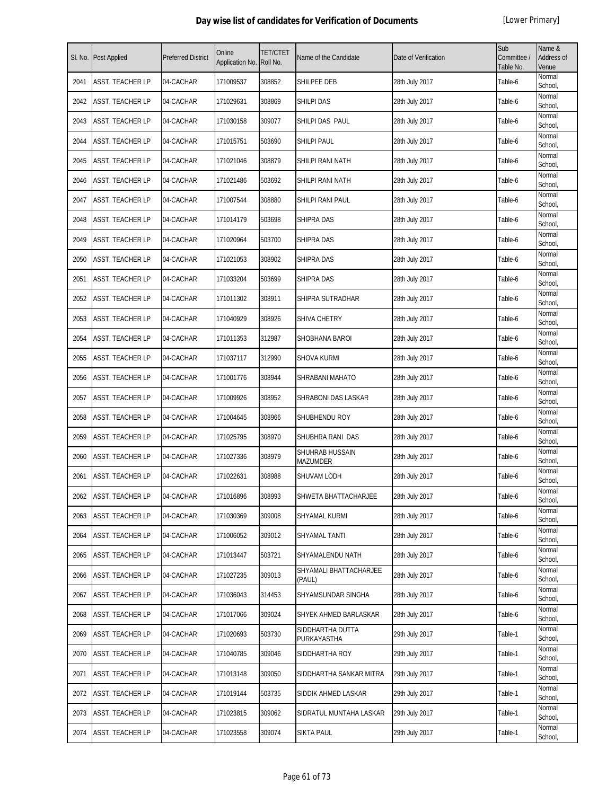| SI. No. | <b>Post Applied</b>     | <b>Preferred District</b> | Online<br>Application No. | <b>TET/CTET</b><br>Roll No. | Name of the Candidate            | Date of Verification | Sub<br>Committee /<br>Table No. | Name &<br>Address of<br>Venue |
|---------|-------------------------|---------------------------|---------------------------|-----------------------------|----------------------------------|----------------------|---------------------------------|-------------------------------|
| 2041    | ASST. TEACHER LP        | 04-CACHAR                 | 171009537                 | 308852                      | SHILPEE DEB                      | 28th July 2017       | Table-6                         | Normal<br>School,             |
| 2042    | ASST. TEACHER LP        | 04-CACHAR                 | 171029631                 | 308869                      | <b>SHILPI DAS</b>                | 28th July 2017       | Table-6                         | Normal<br>School,             |
| 2043    | ASST. TEACHER LP        | 04-CACHAR                 | 171030158                 | 309077                      | SHILPI DAS PAUL                  | 28th July 2017       | Table-6                         | Normal<br>School,             |
| 2044    | <b>ASST. TEACHER LP</b> | 04-CACHAR                 | 171015751                 | 503690                      | <b>SHILPI PAUL</b>               | 28th July 2017       | Table-6                         | Normal<br>School,             |
| 2045    | ASST. TEACHER LP        | 04-CACHAR                 | 171021046                 | 308879                      | SHILPI RANI NATH                 | 28th July 2017       | Table-6                         | Normal<br>School,             |
| 2046    | ASST. TEACHER LP        | 04-CACHAR                 | 171021486                 | 503692                      | SHILPI RANI NATH                 | 28th July 2017       | Table-6                         | Normal<br>School,             |
| 2047    | ASST. TEACHER LP        | 04-CACHAR                 | 171007544                 | 308880                      | SHILPI RANI PAUL                 | 28th July 2017       | Table-6                         | Normal<br>School,             |
| 2048    | ASST. TEACHER LP        | 04-CACHAR                 | 171014179                 | 503698                      | SHIPRA DAS                       | 28th July 2017       | Table-6                         | Normal<br>School,             |
| 2049    | ASST. TEACHER LP        | 04-CACHAR                 | 171020964                 | 503700                      | <b>SHIPRA DAS</b>                | 28th July 2017       | Table-6                         | Normal<br>School,             |
| 2050    | ASST. TEACHER LP        | 04-CACHAR                 | 171021053                 | 308902                      | SHIPRA DAS                       | 28th July 2017       | Table-6                         | Normal<br>School,             |
| 2051    | ASST. TEACHER LP        | 04-CACHAR                 | 171033204                 | 503699                      | SHIPRA DAS                       | 28th July 2017       | Table-6                         | Normal<br>School,             |
| 2052    | ASST. TEACHER LP        | 04-CACHAR                 | 171011302                 | 308911                      | SHIPRA SUTRADHAR                 | 28th July 2017       | Table-6                         | Normal<br>School,             |
| 2053    | ASST. TEACHER LP        | 04-CACHAR                 | 171040929                 | 308926                      | SHIVA CHETRY                     | 28th July 2017       | Table-6                         | Normal<br>School,             |
| 2054    | ASST. TEACHER LP        | 04-CACHAR                 | 171011353                 | 312987                      | SHOBHANA BAROI                   | 28th July 2017       | Table-6                         | Normal<br>School,             |
| 2055    | <b>ASST. TEACHER LP</b> | 04-CACHAR                 | 171037117                 | 312990                      | <b>SHOVA KURMI</b>               | 28th July 2017       | Table-6                         | Normal<br>School,             |
| 2056    | ASST. TEACHER LP        | 04-CACHAR                 | 171001776                 | 308944                      | SHRABANI MAHATO                  | 28th July 2017       | Table-6                         | Normal<br>School,             |
| 2057    | ASST. TEACHER LP        | 04-CACHAR                 | 171009926                 | 308952                      | SHRABONI DAS LASKAR              | 28th July 2017       | Table-6                         | Normal<br>School,             |
| 2058    | ASST. TEACHER LP        | 04-CACHAR                 | 171004645                 | 308966                      | SHUBHENDU ROY                    | 28th July 2017       | Table-6                         | Normal<br>School,             |
| 2059    | ASST. TEACHER LP        | 04-CACHAR                 | 171025795                 | 308970                      | SHUBHRA RANI DAS                 | 28th July 2017       | Table-6                         | Normal<br>School              |
| 2060    | ASST. TEACHER LP        | 04-CACHAR                 | 171027336                 | 308979                      | SHUHRAB HUSSAIN<br>MAZUMDER      | 28th July 2017       | Table-6                         | Normal<br>School,             |
| 2061    | ASST. TEACHER LP        | 04-CACHAR                 | 171022631                 | 308988                      | SHUVAM LODH                      | 28th July 2017       | Table-6                         | Normal<br>School,             |
| 2062    | <b>ASST. TEACHER LP</b> | 04-CACHAR                 | 171016896                 | 308993                      | SHWETA BHATTACHARJEE             | 28th July 2017       | Table-6                         | Normal<br>School              |
| 2063    | ASST. TEACHER LP        | 04-CACHAR                 | 171030369                 | 309008                      | SHYAMAL KURMI                    | 28th July 2017       | Table-6                         | Normal<br>School,             |
| 2064    | ASST. TEACHER LP        | 04-CACHAR                 | 171006052                 | 309012                      | SHYAMAL TANTI                    | 28th July 2017       | Table-6                         | Normal<br>School,             |
| 2065    | ASST. TEACHER LP        | 04-CACHAR                 | 171013447                 | 503721                      | SHYAMALENDU NATH                 | 28th July 2017       | Table-6                         | Normal<br>School,             |
| 2066    | ASST. TEACHER LP        | 04-CACHAR                 | 171027235                 | 309013                      | SHYAMALI BHATTACHARJEE<br>(PAUL) | 28th July 2017       | Table-6                         | Normal<br>School.             |
| 2067    | ASST. TEACHER LP        | 04-CACHAR                 | 171036043                 | 314453                      | SHYAMSUNDAR SINGHA               | 28th July 2017       | Table-6                         | Normal<br>School,             |
| 2068    | ASST. TEACHER LP        | 04-CACHAR                 | 171017066                 | 309024                      | SHYEK AHMED BARLASKAR            | 28th July 2017       | Table-6                         | Normal<br>School,             |
| 2069    | ASST. TEACHER LP        | 04-CACHAR                 | 171020693                 | 503730                      | SIDDHARTHA DUTTA<br>PURKAYASTHA  | 29th July 2017       | Table-1                         | Normal<br>School,             |
| 2070    | ASST. TEACHER LP        | 04-CACHAR                 | 171040785                 | 309046                      | SIDDHARTHA ROY                   | 29th July 2017       | Table-1                         | Normal<br>School,             |
| 2071    | ASST. TEACHER LP        | 04-CACHAR                 | 171013148                 | 309050                      | SIDDHARTHA SANKAR MITRA          | 29th July 2017       | Table-1                         | Normal<br>School,             |
| 2072    | ASST. TEACHER LP        | 04-CACHAR                 | 171019144                 | 503735                      | SIDDIK AHMED LASKAR              | 29th July 2017       | Table-1                         | Normal<br>School,             |
| 2073    | ASST. TEACHER LP        | 04-CACHAR                 | 171023815                 | 309062                      | SIDRATUL MUNTAHA LASKAR          | 29th July 2017       | Table-1                         | Normal<br>School,             |
| 2074    | ASST. TEACHER LP        | 04-CACHAR                 | 171023558                 | 309074                      | <b>SIKTA PAUL</b>                | 29th July 2017       | Table-1                         | Normal<br>School,             |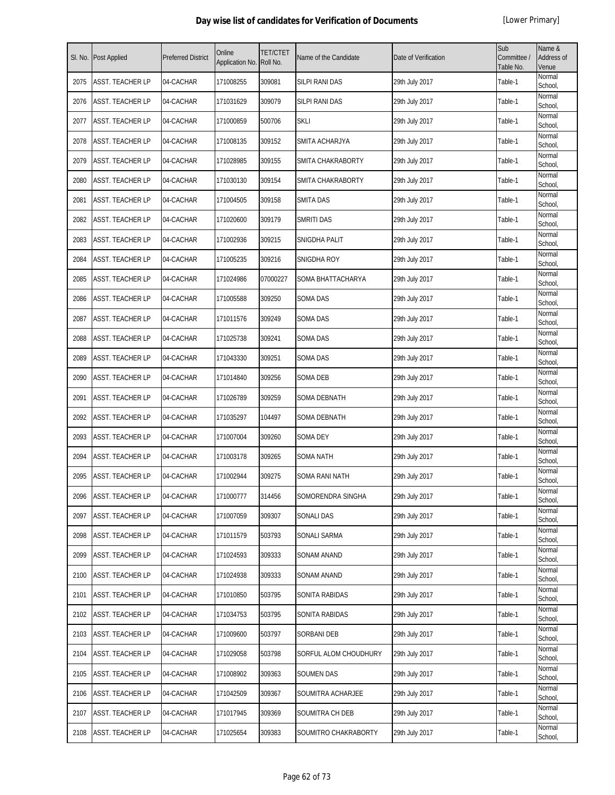| SI. No. | Post Applied            | <b>Preferred District</b> | Online<br>Application No. | <b>TET/CTET</b><br>Roll No. | Name of the Candidate | Date of Verification | Sub<br>Committee /<br>Table No. | Name &<br>Address of<br>Venue |
|---------|-------------------------|---------------------------|---------------------------|-----------------------------|-----------------------|----------------------|---------------------------------|-------------------------------|
| 2075    | ASST. TEACHER LP        | 04-CACHAR                 | 171008255                 | 309081                      | SILPI RANI DAS        | 29th July 2017       | Table-1                         | Normal<br>School,             |
| 2076    | ASST. TEACHER LP        | 04-CACHAR                 | 171031629                 | 309079                      | SILPI RANI DAS        | 29th July 2017       | Table-1                         | Normal<br>School,             |
| 2077    | ASST. TEACHER LP        | 04-CACHAR                 | 171000859                 | 500706                      | <b>SKLI</b>           | 29th July 2017       | Table-1                         | Normal<br>School,             |
| 2078    | <b>ASST. TEACHER LP</b> | 04-CACHAR                 | 171008135                 | 309152                      | SMITA ACHARJYA        | 29th July 2017       | Table-1                         | Normal<br>School,             |
| 2079    | ASST. TEACHER LP        | 04-CACHAR                 | 171028985                 | 309155                      | SMITA CHAKRABORTY     | 29th July 2017       | Table-1                         | Normal<br>School,             |
| 2080    | ASST. TEACHER LP        | 04-CACHAR                 | 171030130                 | 309154                      | SMITA CHAKRABORTY     | 29th July 2017       | Table-1                         | Normal<br>School,             |
| 2081    | ASST. TEACHER LP        | 04-CACHAR                 | 171004505                 | 309158                      | SMITA DAS             | 29th July 2017       | Table-1                         | Normal<br>School,             |
| 2082    | ASST. TEACHER LP        | 04-CACHAR                 | 171020600                 | 309179                      | SMRITI DAS            | 29th July 2017       | Table-1                         | Normal<br>School,             |
| 2083    | ASST. TEACHER LP        | 04-CACHAR                 | 171002936                 | 309215                      | SNIGDHA PALIT         | 29th July 2017       | Table-1                         | Normal<br>School,             |
| 2084    | ASST. TEACHER LP        | 04-CACHAR                 | 171005235                 | 309216                      | SNIGDHA ROY           | 29th July 2017       | Table-1                         | Normal<br>School,             |
| 2085    | ASST. TEACHER LP        | 04-CACHAR                 | 171024986                 | 07000227                    | SOMA BHATTACHARYA     | 29th July 2017       | Table-1                         | Normal<br>School,             |
| 2086    | ASST. TEACHER LP        | 04-CACHAR                 | 171005588                 | 309250                      | <b>SOMA DAS</b>       | 29th July 2017       | Table-1                         | Normal<br>School,             |
| 2087    | ASST. TEACHER LP        | 04-CACHAR                 | 171011576                 | 309249                      | SOMA DAS              | 29th July 2017       | Table-1                         | Normal<br>School,             |
| 2088    | ASST. TEACHER LP        | 04-CACHAR                 | 171025738                 | 309241                      | SOMA DAS              | 29th July 2017       | Table-1                         | Normal<br>School,             |
| 2089    | ASST. TEACHER LP        | 04-CACHAR                 | 171043330                 | 309251                      | <b>SOMA DAS</b>       | 29th July 2017       | Table-1                         | Normal<br>School,             |
| 2090    | ASST. TEACHER LP        | 04-CACHAR                 | 171014840                 | 309256                      | SOMA DEB              | 29th July 2017       | Table-1                         | Normal<br>School,             |
| 2091    | ASST. TEACHER LP        | 04-CACHAR                 | 171026789                 | 309259                      | SOMA DEBNATH          | 29th July 2017       | Table-1                         | Normal<br>School,             |
| 2092    | ASST. TEACHER LP        | 04-CACHAR                 | 171035297                 | 104497                      | SOMA DEBNATH          | 29th July 2017       | Table-1                         | Normal<br>School,             |
| 2093    | ASST. TEACHER LP        | 04-CACHAR                 | 171007004                 | 309260                      | <b>SOMA DEY</b>       | 29th July 2017       | Table-1                         | Normal<br>School,             |
| 2094    | ASST. TEACHER LP        | 04-CACHAR                 | 171003178                 | 309265                      | SOMA NATH             | 29th July 2017       | Table-1                         | Normal<br>School,             |
| 2095    | ASST. TEACHER LP        | 04-CACHAR                 | 171002944                 | 309275                      | SOMA RANI NATH        | 29th July 2017       | Table-1                         | Normal<br>School,             |
| 2096    | ASST. TEACHER LP        | 04-CACHAR                 | 171000777                 | 314456                      | SOMORENDRA SINGHA     | 29th July 2017       | Table-1                         | Normal<br>School              |
| 2097    | ASST. TEACHER LP        | 04-CACHAR                 | 171007059                 | 309307                      | <b>SONALI DAS</b>     | 29th July 2017       | Table-1                         | Normal<br>School,             |
| 2098    | ASST. TEACHER LP        | 04-CACHAR                 | 171011579                 | 503793                      | SONALI SARMA          | 29th July 2017       | Table-1                         | Normal<br>School,             |
| 2099    | ASST. TEACHER LP        | 04-CACHAR                 | 171024593                 | 309333                      | SONAM ANAND           | 29th July 2017       | Table-1                         | Normal<br>School,             |
| 2100    | ASST. TEACHER LP        | 04-CACHAR                 | 171024938                 | 309333                      | SONAM ANAND           | 29th July 2017       | Table-1                         | Normal<br>School,             |
| 2101    | ASST. TEACHER LP        | 04-CACHAR                 | 171010850                 | 503795                      | SONITA RABIDAS        | 29th July 2017       | Table-1                         | Normal<br>School,             |
| 2102    | ASST. TEACHER LP        | 04-CACHAR                 | 171034753                 | 503795                      | SONITA RABIDAS        | 29th July 2017       | Table-1                         | Normal<br>School,             |
| 2103    | ASST. TEACHER LP        | 04-CACHAR                 | 171009600                 | 503797                      | <b>SORBANI DEB</b>    | 29th July 2017       | Table-1                         | Normal<br>School,             |
| 2104    | ASST. TEACHER LP        | 04-CACHAR                 | 171029058                 | 503798                      | SORFUL ALOM CHOUDHURY | 29th July 2017       | Table-1                         | Normal<br>School,             |
| 2105    | ASST. TEACHER LP        | 04-CACHAR                 | 171008902                 | 309363                      | SOUMEN DAS            | 29th July 2017       | Table-1                         | Normal<br>School,             |
| 2106    | ASST. TEACHER LP        | 04-CACHAR                 | 171042509                 | 309367                      | SOUMITRA ACHARJEE     | 29th July 2017       | Table-1                         | Normal<br>School,             |
| 2107    | ASST. TEACHER LP        | 04-CACHAR                 | 171017945                 | 309369                      | SOUMITRA CH DEB       | 29th July 2017       | Table-1                         | Normal<br>School,             |
| 2108    | ASST. TEACHER LP        | 04-CACHAR                 | 171025654                 | 309383                      | SOUMITRO CHAKRABORTY  | 29th July 2017       | Table-1                         | Normal<br>School,             |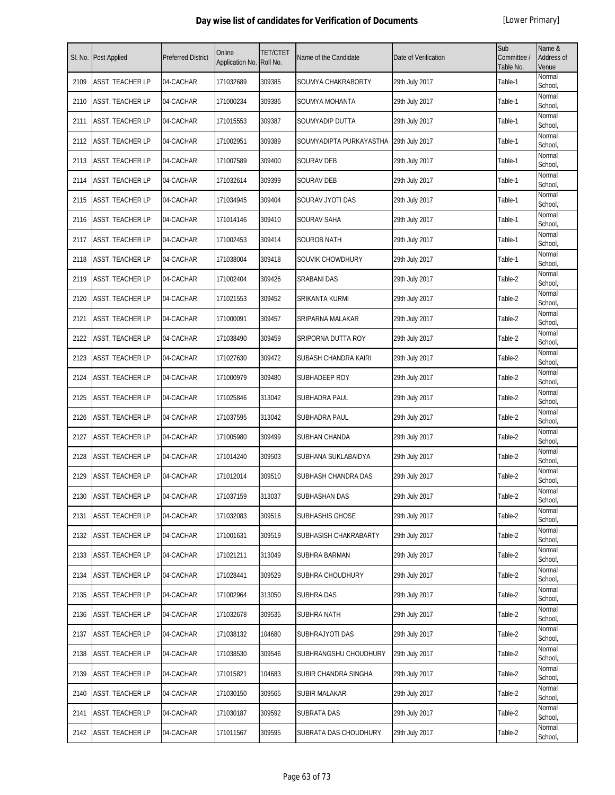| SI. No. | Post Applied            | <b>Preferred District</b> | Online<br>Application No. | TET/CTET<br>Roll No. | Name of the Candidate   | Date of Verification | Sub<br>Committee /<br>Table No. | Name &<br>Address of<br>Venue |
|---------|-------------------------|---------------------------|---------------------------|----------------------|-------------------------|----------------------|---------------------------------|-------------------------------|
| 2109    | ASST. TEACHER LP        | 04-CACHAR                 | 171032689                 | 309385               | SOUMYA CHAKRABORTY      | 29th July 2017       | Table-1                         | Normal<br>School,             |
| 2110    | ASST. TEACHER LP        | 04-CACHAR                 | 171000234                 | 309386               | SOUMYA MOHANTA          | 29th July 2017       | Table-1                         | Normal<br>School,             |
| 2111    | ASST. TEACHER LP        | 04-CACHAR                 | 171015553                 | 309387               | SOUMYADIP DUTTA         | 29th July 2017       | Table-1                         | Normal<br>School,             |
| 2112    | ASST. TEACHER LP        | 04-CACHAR                 | 171002951                 | 309389               | SOUMYADIPTA PURKAYASTHA | 29th July 2017       | Table-1                         | Normal<br>School,             |
| 2113    | ASST. TEACHER LP        | 04-CACHAR                 | 171007589                 | 309400               | SOURAV DEB              | 29th July 2017       | Table-1                         | Normal<br>School,             |
| 2114    | ASST. TEACHER LP        | 04-CACHAR                 | 171032614                 | 309399               | SOURAV DEB              | 29th July 2017       | Table-1                         | Normal<br>School,             |
| 2115    | ASST. TEACHER LP        | 04-CACHAR                 | 171034945                 | 309404               | SOURAV JYOTI DAS        | 29th July 2017       | Table-1                         | Normal<br>School,             |
| 2116    | ASST. TEACHER LP        | 04-CACHAR                 | 171014146                 | 309410               | SOURAV SAHA             | 29th July 2017       | Table-1                         | Normal<br>School,             |
| 2117    | ASST. TEACHER LP        | 04-CACHAR                 | 171002453                 | 309414               | SOUROB NATH             | 29th July 2017       | Table-1                         | Normal<br>School,             |
| 2118    | <b>ASST. TEACHER LP</b> | 04-CACHAR                 | 171038004                 | 309418               | SOUVIK CHOWDHURY        | 29th July 2017       | Table-1                         | Normal<br>School,             |
| 2119    | ASST. TEACHER LP        | 04-CACHAR                 | 171002404                 | 309426               | <b>SRABANI DAS</b>      | 29th July 2017       | Table-2                         | Normal<br>School,             |
| 2120    | ASST. TEACHER LP        | 04-CACHAR                 | 171021553                 | 309452               | SRIKANTA KURMI          | 29th July 2017       | Table-2                         | Normal<br>School,             |
| 2121    | ASST. TEACHER LP        | 04-CACHAR                 | 171000091                 | 309457               | SRIPARNA MALAKAR        | 29th July 2017       | Table-2                         | Normal<br>School,             |
| 2122    | ASST. TEACHER LP        | 04-CACHAR                 | 171038490                 | 309459               | SRIPORNA DUTTA ROY      | 29th July 2017       | Table-2                         | Normal<br>School,             |
| 2123    | ASST. TEACHER LP        | 04-CACHAR                 | 171027630                 | 309472               | SUBASH CHANDRA KAIRI    | 29th July 2017       | Table-2                         | Normal<br>School,             |
| 2124    | ASST. TEACHER LP        | 04-CACHAR                 | 171000979                 | 309480               | SUBHADEEP ROY           | 29th July 2017       | Table-2                         | Normal<br>School,             |
| 2125    | ASST. TEACHER LP        | 04-CACHAR                 | 171025846                 | 313042               | SUBHADRA PAUL           | 29th July 2017       | Table-2                         | Normal<br>School,             |
| 2126    | ASST. TEACHER LP        | 04-CACHAR                 | 171037595                 | 313042               | SUBHADRA PAUL           | 29th July 2017       | Table-2                         | Normal<br>School,             |
| 2127    | ASST. TEACHER LP        | 04-CACHAR                 | 171005980                 | 309499               | SUBHAN CHANDA           | 29th July 2017       | Table-2                         | Normal<br>School,             |
| 2128    | ASST. TEACHER LP        | 04-CACHAR                 | 171014240                 | 309503               | SUBHANA SUKLABAIDYA     | 29th July 2017       | Table-2                         | Normal<br>School,             |
| 2129    | ASST. TEACHER LP        | 04-CACHAR                 | 171012014                 | 309510               | SUBHASH CHANDRA DAS     | 29th July 2017       | Table-2                         | Normal<br>School,             |
| 2130    | ASST. TEACHER LP        | 04-CACHAR                 | 171037159                 | 313037               | SUBHASHAN DAS           | 29th July 2017       | Table-2                         | Normal<br>School,             |
| 2131    | ASST. TEACHER LP        | 04-CACHAR                 | 171032083                 | 309516               | SUBHASHIS GHOSE         | 29th July 2017       | Table-2                         | Normal<br>School,             |
| 2132    | ASST. TEACHER LP        | 04-CACHAR                 | 171001631                 | 309519               | SUBHASISH CHAKRABARTY   | 29th July 2017       | Table-2                         | Normal<br>School,             |
| 2133    | ASST. TEACHER LP        | 04-CACHAR                 | 171021211                 | 313049               | SUBHRA BARMAN           | 29th July 2017       | Table-2                         | Normal<br>School,             |
| 2134    | ASST. TEACHER LP        | 04-CACHAR                 | 171028441                 | 309529               | SUBHRA CHOUDHURY        | 29th July 2017       | Table-2                         | Normal<br>School,             |
| 2135    | ASST. TEACHER LP        | 04-CACHAR                 | 171002964                 | 313050               | SUBHRA DAS              | 29th July 2017       | Table-2                         | Normal<br>School,             |
| 2136    | ASST. TEACHER LP        | 04-CACHAR                 | 171032678                 | 309535               | SUBHRA NATH             | 29th July 2017       | Table-2                         | Normal<br>School,             |
| 2137    | ASST. TEACHER LP        | 04-CACHAR                 | 171038132                 | 104680               | SUBHRAJYOTI DAS         | 29th July 2017       | Table-2                         | Normal<br>School,             |
| 2138    | ASST. TEACHER LP        | 04-CACHAR                 | 171038530                 | 309546               | SUBHRANGSHU CHOUDHURY   | 29th July 2017       | Table-2                         | Normal<br>School,             |
| 2139    | ASST. TEACHER LP        | 04-CACHAR                 | 171015821                 | 104683               | SUBIR CHANDRA SINGHA    | 29th July 2017       | Table-2                         | Normal<br>School,             |
| 2140    | ASST. TEACHER LP        | 04-CACHAR                 | 171030150                 | 309565               | SUBIR MALAKAR           | 29th July 2017       | Table-2                         | Normal<br>School,             |
| 2141    | ASST. TEACHER LP        | 04-CACHAR                 | 171030187                 | 309592               | SUBRATA DAS             | 29th July 2017       | Table-2                         | Normal<br>School,             |
| 2142    | ASST. TEACHER LP        | 04-CACHAR                 | 171011567                 | 309595               | SUBRATA DAS CHOUDHURY   | 29th July 2017       | Table-2                         | Normal<br>School,             |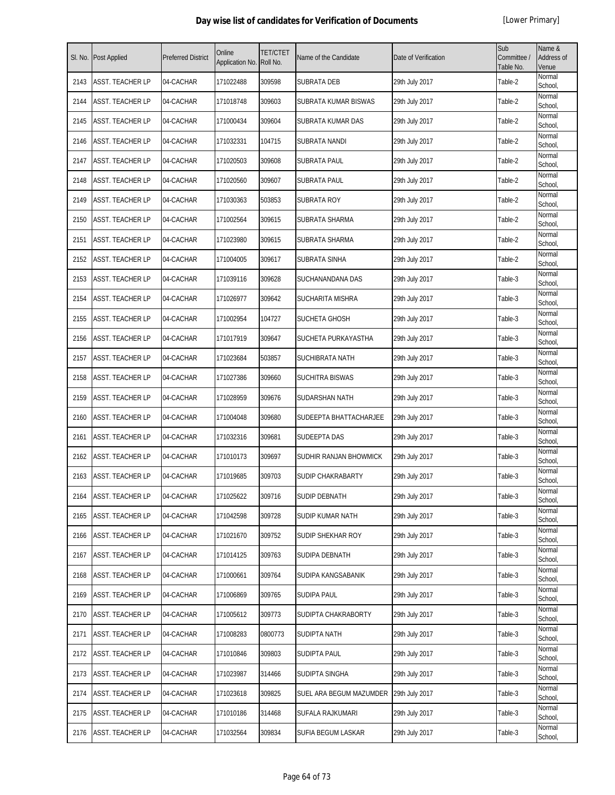| SI. No. | <b>Post Applied</b>     | <b>Preferred District</b> | Online<br>Application No. | <b>TET/CTET</b><br>Roll No. | Name of the Candidate    | Date of Verification | Sub<br>Committee /<br>Table No. | Name &<br><b>Address of</b><br>Venue |
|---------|-------------------------|---------------------------|---------------------------|-----------------------------|--------------------------|----------------------|---------------------------------|--------------------------------------|
| 2143    | <b>ASST. TEACHER LP</b> | 04-CACHAR                 | 171022488                 | 309598                      | <b>SUBRATA DEB</b>       | 29th July 2017       | Table-2                         | Normal<br>School,                    |
| 2144    | <b>ASST. TEACHER LP</b> | 04-CACHAR                 | 171018748                 | 309603                      | SUBRATA KUMAR BISWAS     | 29th July 2017       | Table-2                         | Normal<br>School,                    |
| 2145    | <b>ASST. TEACHER LP</b> | 04-CACHAR                 | 171000434                 | 309604                      | SUBRATA KUMAR DAS        | 29th July 2017       | Table-2                         | Normal<br>School,                    |
| 2146    | ASST. TEACHER LP        | 04-CACHAR                 | 171032331                 | 104715                      | SUBRATA NANDI            | 29th July 2017       | Table-2                         | Normal<br>School,                    |
| 2147    | <b>ASST. TEACHER LP</b> | 04-CACHAR                 | 171020503                 | 309608                      | SUBRATA PAUL             | 29th July 2017       | Table-2                         | Normal<br>School,                    |
| 2148    | ASST. TEACHER LP        | 04-CACHAR                 | 171020560                 | 309607                      | SUBRATA PAUL             | 29th July 2017       | Table-2                         | Normal<br>School,                    |
| 2149    | <b>ASST. TEACHER LP</b> | 04-CACHAR                 | 171030363                 | 503853                      | <b>SUBRATA ROY</b>       | 29th July 2017       | Table-2                         | Normal<br>School,                    |
| 2150    | <b>ASST. TEACHER LP</b> | 04-CACHAR                 | 171002564                 | 309615                      | SUBRATA SHARMA           | 29th July 2017       | Table-2                         | Normal<br>School,                    |
| 2151    | <b>ASST. TEACHER LP</b> | 04-CACHAR                 | 171023980                 | 309615                      | SUBRATA SHARMA           | 29th July 2017       | Table-2                         | Normal<br>School,                    |
| 2152    | <b>ASST. TEACHER LP</b> | 04-CACHAR                 | 171004005                 | 309617                      | <b>SUBRATA SINHA</b>     | 29th July 2017       | Table-2                         | Normal<br>School,                    |
| 2153    | <b>ASST. TEACHER LP</b> | 04-CACHAR                 | 171039116                 | 309628                      | SUCHANANDANA DAS         | 29th July 2017       | Table-3                         | Normal<br>School,                    |
| 2154    | <b>ASST. TEACHER LP</b> | 04-CACHAR                 | 171026977                 | 309642                      | <b>SUCHARITA MISHRA</b>  | 29th July 2017       | Table-3                         | Normal<br>School,                    |
| 2155    | <b>ASST. TEACHER LP</b> | 04-CACHAR                 | 171002954                 | 104727                      | SUCHETA GHOSH            | 29th July 2017       | Table-3                         | Normal<br>School.                    |
| 2156    | <b>ASST. TEACHER LP</b> | 04-CACHAR                 | 171017919                 | 309647                      | SUCHETA PURKAYASTHA      | 29th July 2017       | Table-3                         | Normal<br>School,                    |
| 2157    | <b>ASST. TEACHER LP</b> | 04-CACHAR                 | 171023684                 | 503857                      | <b>SUCHIBRATA NATH</b>   | 29th July 2017       | Table-3                         | Normal<br>School,                    |
| 2158    | ASST. TEACHER LP        | 04-CACHAR                 | 171027386                 | 309660                      | <b>SUCHITRA BISWAS</b>   | 29th July 2017       | Table-3                         | Normal<br>School,                    |
| 2159    | <b>ASST. TEACHER LP</b> | 04-CACHAR                 | 171028959                 | 309676                      | SUDARSHAN NATH           | 29th July 2017       | Table-3                         | Normal<br>School,                    |
| 2160    | <b>ASST. TEACHER LP</b> | 04-CACHAR                 | 171004048                 | 309680                      | SUDEEPTA BHATTACHARJEE   | 29th July 2017       | Table-3                         | Normal<br>School,                    |
| 2161    | <b>ASST. TEACHER LP</b> | 04-CACHAR                 | 171032316                 | 309681                      | <b>SUDEEPTA DAS</b>      | 29th July 2017       | Table-3                         | Normal<br>School,                    |
| 2162    | <b>ASST. TEACHER LP</b> | 04-CACHAR                 | 171010173                 | 309697                      | SUDHIR RANJAN BHOWMICK   | 29th July 2017       | Table-3                         | Normal<br>School,                    |
| 2163    | <b>ASST. TEACHER LP</b> | 04-CACHAR                 | 171019685                 | 309703                      | <b>SUDIP CHAKRABARTY</b> | 29th July 2017       | Table-3                         | Normal<br>School,                    |
| 2164    | ASST. TEACHER LP        | 04-CACHAR                 | 171025622                 | 309716                      | <b>SUDIP DEBNATH</b>     | 29th July 2017       | Table-3                         | Normal<br>School,                    |
| 2165    | <b>ASST. TEACHER LP</b> | 04-CACHAR                 | 171042598                 | 309728                      | SUDIP KUMAR NATH         | 29th July 2017       | Table-3                         | Normal<br>School,                    |
| 2166    | ASST. TEACHER LP        | 04-CACHAR                 | 171021670                 | 309752                      | SUDIP SHEKHAR ROY        | 29th July 2017       | Table-3                         | Normal<br>School,                    |
| 2167    | <b>ASST. TEACHER LP</b> | 04-CACHAR                 | 171014125                 | 309763                      | <b>SUDIPA DEBNATH</b>    | 29th July 2017       | Table-3                         | Normal<br>School,                    |
| 2168    | <b>ASST. TEACHER LP</b> | 04-CACHAR                 | 171000661                 | 309764                      | SUDIPA KANGSABANIK       | 29th July 2017       | Table-3                         | Normal<br>School,                    |
| 2169    | ASST. TEACHER LP        | 04-CACHAR                 | 171006869                 | 309765                      | <b>SUDIPA PAUL</b>       | 29th July 2017       | Table-3                         | Normal<br>School,                    |
| 2170    | <b>ASST. TEACHER LP</b> | 04-CACHAR                 | 171005612                 | 309773                      | SUDIPTA CHAKRABORTY      | 29th July 2017       | Table-3                         | Normal<br>School,                    |
| 2171    | <b>ASST. TEACHER LP</b> | 04-CACHAR                 | 171008283                 | 0800773                     | <b>SUDIPTA NATH</b>      | 29th July 2017       | Table-3                         | Normal<br>School,                    |
| 2172    | <b>ASST. TEACHER LP</b> | 04-CACHAR                 | 171010846                 | 309803                      | <b>SUDIPTA PAUL</b>      | 29th July 2017       | Table-3                         | Normal<br>School,                    |
| 2173    | <b>ASST. TEACHER LP</b> | 04-CACHAR                 | 171023987                 | 314466                      | SUDIPTA SINGHA           | 29th July 2017       | Table-3                         | Normal<br>School,                    |
| 2174    | <b>ASST. TEACHER LP</b> | 04-CACHAR                 | 171023618                 | 309825                      | SUEL ARA BEGUM MAZUMDER  | 29th July 2017       | Table-3                         | Normal<br>School,                    |
| 2175    | <b>ASST. TEACHER LP</b> | 04-CACHAR                 | 171010186                 | 314468                      | SUFALA RAJKUMARI         | 29th July 2017       | Table-3                         | Normal<br>School,                    |
| 2176    | <b>ASST. TEACHER LP</b> | 04-CACHAR                 | 171032564                 | 309834                      | SUFIA BEGUM LASKAR       | 29th July 2017       | Table-3                         | Normal<br>School,                    |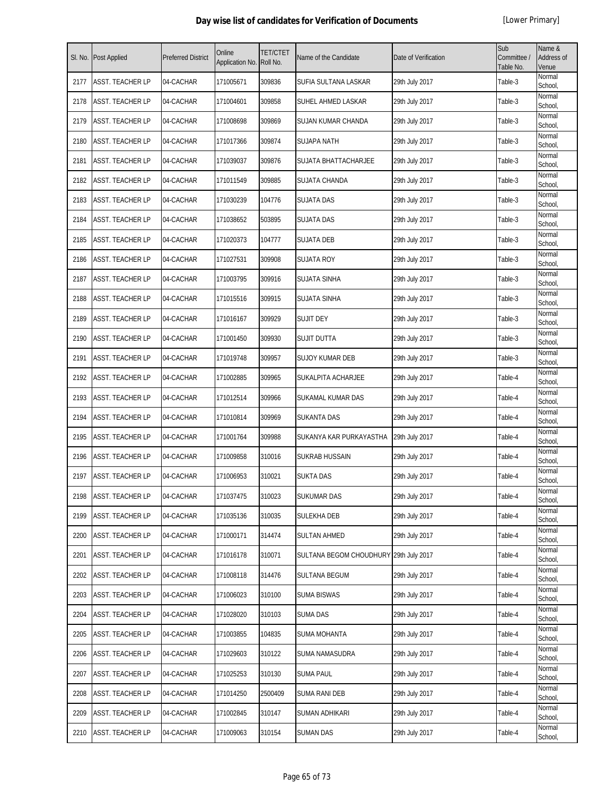| SI. No. | <b>Post Applied</b>     | <b>Preferred District</b> | Online<br>Application No. | <b>TET/CTET</b><br>Roll No. | Name of the Candidate                  | Date of Verification | Sub<br>Committee /<br>Table No. | Name &<br>Address of<br>Venue |
|---------|-------------------------|---------------------------|---------------------------|-----------------------------|----------------------------------------|----------------------|---------------------------------|-------------------------------|
| 2177    | ASST. TEACHER LP        | 04-CACHAR                 | 171005671                 | 309836                      | SUFIA SULTANA LASKAR                   | 29th July 2017       | Table-3                         | Normal<br>School,             |
| 2178    | ASST. TEACHER LP        | 04-CACHAR                 | 171004601                 | 309858                      | SUHEL AHMED LASKAR                     | 29th July 2017       | Table-3                         | Normal<br>School,             |
| 2179    | ASST. TEACHER LP        | 04-CACHAR                 | 171008698                 | 309869                      | SUJAN KUMAR CHANDA                     | 29th July 2017       | Table-3                         | Normal<br>School,             |
| 2180    | ASST. TEACHER LP        | 04-CACHAR                 | 171017366                 | 309874                      | <b>SUJAPA NATH</b>                     | 29th July 2017       | Table-3                         | Normal<br>School,             |
| 2181    | ASST. TEACHER LP        | 04-CACHAR                 | 171039037                 | 309876                      | SUJATA BHATTACHARJEE                   | 29th July 2017       | Table-3                         | Normal<br>School,             |
| 2182    | ASST. TEACHER LP        | 04-CACHAR                 | 171011549                 | 309885                      | SUJATA CHANDA                          | 29th July 2017       | Table-3                         | Normal<br>School,             |
| 2183    | ASST. TEACHER LP        | 04-CACHAR                 | 171030239                 | 104776                      | <b>SUJATA DAS</b>                      | 29th July 2017       | Table-3                         | Normal<br>School,             |
| 2184    | ASST. TEACHER LP        | 04-CACHAR                 | 171038652                 | 503895                      | <b>SUJATA DAS</b>                      | 29th July 2017       | Table-3                         | Normal<br>School,             |
| 2185    | ASST. TEACHER LP        | 04-CACHAR                 | 171020373                 | 104777                      | SUJATA DEB                             | 29th July 2017       | Table-3                         | Normal<br>School,             |
| 2186    | ASST. TEACHER LP        | 04-CACHAR                 | 171027531                 | 309908                      | <b>SUJATA ROY</b>                      | 29th July 2017       | Table-3                         | Normal<br>School,             |
| 2187    | ASST. TEACHER LP        | 04-CACHAR                 | 171003795                 | 309916                      | <b>SUJATA SINHA</b>                    | 29th July 2017       | Table-3                         | Normal<br>School,             |
| 2188    | ASST. TEACHER LP        | 04-CACHAR                 | 171015516                 | 309915                      | SUJATA SINHA                           | 29th July 2017       | Table-3                         | Normal<br>School,             |
| 2189    | ASST. TEACHER LP        | 04-CACHAR                 | 171016167                 | 309929                      | Sujit dey                              | 29th July 2017       | Table-3                         | Normal<br>School,             |
| 2190    | ASST. TEACHER LP        | 04-CACHAR                 | 171001450                 | 309930                      | SUJIT DUTTA                            | 29th July 2017       | Table-3                         | Normal<br>School,             |
| 2191    | ASST. TEACHER LP        | 04-CACHAR                 | 171019748                 | 309957                      | <b>SUJOY KUMAR DEB</b>                 | 29th July 2017       | Table-3                         | Normal<br>School,             |
| 2192    | ASST. TEACHER LP        | 04-CACHAR                 | 171002885                 | 309965                      | SUKALPITA ACHARJEE                     | 29th July 2017       | Table-4                         | Normal<br>School,             |
| 2193    | ASST. TEACHER LP        | 04-CACHAR                 | 171012514                 | 309966                      | SUKAMAL KUMAR DAS                      | 29th July 2017       | Table-4                         | Normal<br>School,             |
| 2194    | ASST. TEACHER LP        | 04-CACHAR                 | 171010814                 | 309969                      | <b>SUKANTA DAS</b>                     | 29th July 2017       | Table-4                         | Normal<br>School,             |
| 2195    | ASST. TEACHER LP        | 04-CACHAR                 | 171001764                 | 309988                      | SUKANYA KAR PURKAYASTHA                | 29th July 2017       | Table-4                         | Normal<br>School,             |
| 2196    | ASST. TEACHER LP        | 04-CACHAR                 | 171009858                 | 310016                      | SUKRAB HUSSAIN                         | 29th July 2017       | Table-4                         | Normal<br>School,             |
| 2197    | ASST. TEACHER LP        | 04-CACHAR                 | 171006953                 | 310021                      | <b>SUKTA DAS</b>                       | 29th July 2017       | Table-4                         | Normal<br>School,             |
| 2198    | ASST. TEACHER LP        | 04-CACHAR                 | 171037475                 | 310023                      | SUKUMAR DAS                            | 29th July 2017       | Table-4                         | Normal<br>School,             |
| 2199    | ASST. TEACHER LP        | 04-CACHAR                 | 171035136                 | 310035                      | SULEKHA DEB                            | 29th July 2017       | Table-4                         | Normal<br>School,             |
| 2200    | <b>ASST. TEACHER LP</b> | 04-CACHAR                 | 171000171                 | 314474                      | SULTAN AHMED                           | 29th July 2017       | Table-4                         | Normal<br>School,             |
| 2201    | ASST. TEACHER LP        | 04-CACHAR                 | 171016178                 | 310071                      | SULTANA BEGOM CHOUDHURY 29th July 2017 |                      | Table-4                         | Normal<br>School,             |
| 2202    | ASST. TEACHER LP        | 04-CACHAR                 | 171008118                 | 314476                      | <b>SULTANA BEGUM</b>                   | 29th July 2017       | Table-4                         | Normal<br>School,             |
| 2203    | ASST. TEACHER LP        | 04-CACHAR                 | 171006023                 | 310100                      | SUMA BISWAS                            | 29th July 2017       | Table-4                         | Normal<br>School,             |
| 2204    | ASST. TEACHER LP        | 04-CACHAR                 | 171028020                 | 310103                      | SUMA DAS                               | 29th July 2017       | Table-4                         | Normal<br>School,             |
| 2205    | ASST. TEACHER LP        | 04-CACHAR                 | 171003855                 | 104835                      | <b>SUMA MOHANTA</b>                    | 29th July 2017       | Table-4                         | Normal<br>School,             |
| 2206    | ASST. TEACHER LP        | 04-CACHAR                 | 171029603                 | 310122                      | SUMA NAMASUDRA                         | 29th July 2017       | Table-4                         | Normal<br>School,             |
| 2207    | ASST. TEACHER LP        | 04-CACHAR                 | 171025253                 | 310130                      | <b>SUMA PAUL</b>                       | 29th July 2017       | Table-4                         | Normal<br>School,             |
| 2208    | ASST. TEACHER LP        | 04-CACHAR                 | 171014250                 | 2500409                     | SUMA RANI DEB                          | 29th July 2017       | Table-4                         | Normal<br>School,             |
| 2209    | ASST. TEACHER LP        | 04-CACHAR                 | 171002845                 | 310147                      | SUMAN ADHIKARI                         | 29th July 2017       | Table-4                         | Normal<br>School,             |
| 2210    | ASST. TEACHER LP        | 04-CACHAR                 | 171009063                 | 310154                      | SUMAN DAS                              | 29th July 2017       | Table-4                         | Normal<br>School,             |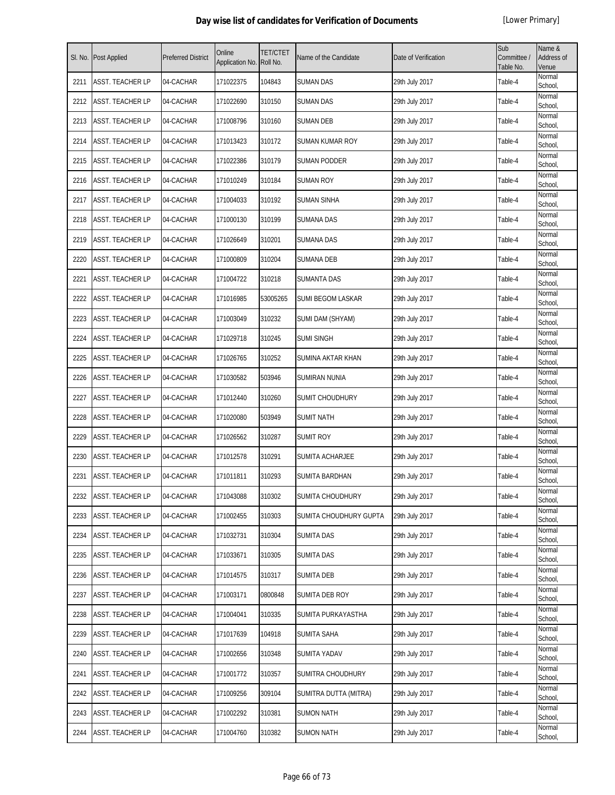| SI. No. | <b>Post Applied</b>     | <b>Preferred District</b> | Online<br>Application No. | <b>TET/CTET</b><br>Roll No. | Name of the Candidate    | Date of Verification | Sub<br>Committee /<br>Table No. | Name &<br>Address of<br>Venue |
|---------|-------------------------|---------------------------|---------------------------|-----------------------------|--------------------------|----------------------|---------------------------------|-------------------------------|
| 2211    | <b>ASST. TEACHER LP</b> | 04-CACHAR                 | 171022375                 | 104843                      | <b>SUMAN DAS</b>         | 29th July 2017       | Table-4                         | Normal<br>School,             |
| 2212    | <b>ASST. TEACHER LP</b> | 04-CACHAR                 | 171022690                 | 310150                      | <b>SUMAN DAS</b>         | 29th July 2017       | Table-4                         | Normal<br>School,             |
| 2213    | ASST. TEACHER LP        | 04-CACHAR                 | 171008796                 | 310160                      | <b>SUMAN DEB</b>         | 29th July 2017       | Table-4                         | Normal<br>School,             |
| 2214    | ASST. TEACHER LP        | 04-CACHAR                 | 171013423                 | 310172                      | SUMAN KUMAR ROY          | 29th July 2017       | Table-4                         | Normal<br>School,             |
| 2215    | ASST. TEACHER LP        | 04-CACHAR                 | 171022386                 | 310179                      | <b>SUMAN PODDER</b>      | 29th July 2017       | Table-4                         | Normal<br>School,             |
| 2216    | ASST. TEACHER LP        | 04-CACHAR                 | 171010249                 | 310184                      | SUMAN ROY                | 29th July 2017       | Table-4                         | Normal<br>School,             |
| 2217    | ASST. TEACHER LP        | 04-CACHAR                 | 171004033                 | 310192                      | <b>SUMAN SINHA</b>       | 29th July 2017       | Table-4                         | Normal<br>School,             |
| 2218    | ASST. TEACHER LP        | 04-CACHAR                 | 171000130                 | 310199                      | <b>SUMANA DAS</b>        | 29th July 2017       | Table-4                         | Normal<br>School,             |
| 2219    | ASST. TEACHER LP        | 04-CACHAR                 | 171026649                 | 310201                      | <b>SUMANA DAS</b>        | 29th July 2017       | Table-4                         | Normal<br>School,             |
| 2220    | ASST. TEACHER LP        | 04-CACHAR                 | 171000809                 | 310204                      | <b>SUMANA DEB</b>        | 29th July 2017       | Table-4                         | Normal<br>School,             |
| 2221    | ASST. TEACHER LP        | 04-CACHAR                 | 171004722                 | 310218                      | <b>SUMANTA DAS</b>       | 29th July 2017       | Table-4                         | Normal<br>School,             |
| 2222    | ASST. TEACHER LP        | 04-CACHAR                 | 171016985                 | 53005265                    | <b>SUMI BEGOM LASKAR</b> | 29th July 2017       | Table-4                         | Normal<br>School.             |
| 2223    | ASST. TEACHER LP        | 04-CACHAR                 | 171003049                 | 310232                      | SUMI DAM (SHYAM)         | 29th July 2017       | Table-4                         | Normal<br>School,             |
| 2224    | ASST. TEACHER LP        | 04-CACHAR                 | 171029718                 | 310245                      | <b>SUMI SINGH</b>        | 29th July 2017       | Table-4                         | Normal<br>School,             |
| 2225    | ASST. TEACHER LP        | 04-CACHAR                 | 171026765                 | 310252                      | SUMINA AKTAR KHAN        | 29th July 2017       | Table-4                         | Normal<br>School,             |
| 2226    | ASST. TEACHER LP        | 04-CACHAR                 | 171030582                 | 503946                      | <b>SUMIRAN NUNIA</b>     | 29th July 2017       | Table-4                         | Normal<br>School,             |
| 2227    | ASST. TEACHER LP        | 04-CACHAR                 | 171012440                 | 310260                      | SUMIT CHOUDHURY          | 29th July 2017       | Table-4                         | Normal<br>School,             |
| 2228    | ASST. TEACHER LP        | 04-CACHAR                 | 171020080                 | 503949                      | <b>SUMIT NATH</b>        | 29th July 2017       | Table-4                         | Normal<br>School,             |
| 2229    | ASST. TEACHER LP        | 04-CACHAR                 | 171026562                 | 310287                      | <b>SUMIT ROY</b>         | 29th July 2017       | Table-4                         | Normal<br>School,             |
| 2230    | <b>ASST. TEACHER LP</b> | 04-CACHAR                 | 171012578                 | 310291                      | <b>SUMITA ACHARJEE</b>   | 29th July 2017       | Table-4                         | Normal<br>School,             |
| 2231    | ASST. TEACHER LP        | 04-CACHAR                 | 171011811                 | 310293                      | SUMITA BARDHAN           | 29th July 2017       | Table-4                         | Normal<br>School,             |
| 2232    | ASST. TEACHER LP        | 04-CACHAR                 | 171043088                 | 310302                      | <b>SUMITA CHOUDHURY</b>  | 29th July 2017       | Table-4                         | Normal<br>School,             |
| 2233    | ASST. TEACHER LP        | 04-CACHAR                 | 171002455                 | 310303                      | SUMITA CHOUDHURY GUPTA   | 29th July 2017       | Table-4                         | Normal<br>School,             |
| 2234    | ASST. TEACHER LP        | 04-CACHAR                 | 171032731                 | 310304                      | <b>SUMITA DAS</b>        | 29th July 2017       | Table-4                         | Normal<br>School,             |
| 2235    | ASST. TEACHER LP        | 04-CACHAR                 | 171033671                 | 310305                      | <b>SUMITA DAS</b>        | 29th July 2017       | Table-4                         | Normal<br>School,             |
| 2236    | ASST. TEACHER LP        | 04-CACHAR                 | 171014575                 | 310317                      | <b>SUMITA DEB</b>        | 29th July 2017       | Table-4                         | Normal<br>School,             |
| 2237    | ASST. TEACHER LP        | 04-CACHAR                 | 171003171                 | 0800848                     | SUMITA DEB ROY           | 29th July 2017       | Table-4                         | Normal<br>School,             |
| 2238    | ASST. TEACHER LP        | 04-CACHAR                 | 171004041                 | 310335                      | SUMITA PURKAYASTHA       | 29th July 2017       | Table-4                         | Normal<br>School,             |
| 2239    | ASST. TEACHER LP        | 04-CACHAR                 | 171017639                 | 104918                      | <b>SUMITA SAHA</b>       | 29th July 2017       | Table-4                         | Normal<br>School,             |
| 2240    | ASST. TEACHER LP        | 04-CACHAR                 | 171002656                 | 310348                      | <b>SUMITA YADAV</b>      | 29th July 2017       | Table-4                         | Normal<br>School,             |
| 2241    | ASST. TEACHER LP        | 04-CACHAR                 | 171001772                 | 310357                      | <b>SUMITRA CHOUDHURY</b> | 29th July 2017       | Table-4                         | Normal<br>School,             |
| 2242    | ASST. TEACHER LP        | 04-CACHAR                 | 171009256                 | 309104                      | SUMITRA DUTTA (MITRA)    | 29th July 2017       | Table-4                         | Normal<br>School,             |
| 2243    | ASST. TEACHER LP        | 04-CACHAR                 | 171002292                 | 310381                      | <b>SUMON NATH</b>        | 29th July 2017       | Table-4                         | Normal<br>School,             |
| 2244    | ASST. TEACHER LP        | 04-CACHAR                 | 171004760                 | 310382                      | <b>SUMON NATH</b>        | 29th July 2017       | Table-4                         | Normal<br>School,             |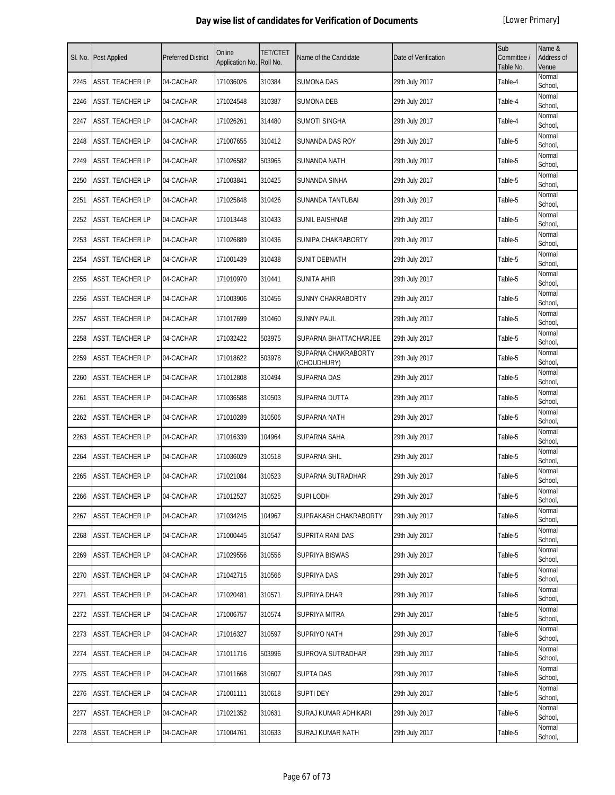| SI. No. | <b>Post Applied</b>     | <b>Preferred District</b> | Online<br>Application No. | <b>TET/CTET</b><br>Roll No. | Name of the Candidate              | Date of Verification | Sub<br>Committee /<br>Table No. | Name &<br>Address of<br>Venue |
|---------|-------------------------|---------------------------|---------------------------|-----------------------------|------------------------------------|----------------------|---------------------------------|-------------------------------|
| 2245    | <b>ASST. TEACHER LP</b> | 04-CACHAR                 | 171036026                 | 310384                      | <b>SUMONA DAS</b>                  | 29th July 2017       | Table-4                         | Normal<br>School,             |
| 2246    | <b>ASST. TEACHER LP</b> | 04-CACHAR                 | 171024548                 | 310387                      | <b>SUMONA DEB</b>                  | 29th July 2017       | Table-4                         | Normal<br>School,             |
| 2247    | <b>ASST. TEACHER LP</b> | 04-CACHAR                 | 171026261                 | 314480                      | SUMOTI SINGHA                      | 29th July 2017       | Table-4                         | Normal<br>School,             |
| 2248    | <b>ASST. TEACHER LP</b> | 04-CACHAR                 | 171007655                 | 310412                      | SUNANDA DAS ROY                    | 29th July 2017       | Table-5                         | Normal<br>School,             |
| 2249    | <b>ASST. TEACHER LP</b> | 04-CACHAR                 | 171026582                 | 503965                      | SUNANDA NATH                       | 29th July 2017       | Table-5                         | Normal<br>School,             |
| 2250    | <b>ASST. TEACHER LP</b> | 04-CACHAR                 | 171003841                 | 310425                      | SUNANDA SINHA                      | 29th July 2017       | Table-5                         | Normal<br>School,             |
| 2251    | <b>ASST. TEACHER LP</b> | 04-CACHAR                 | 171025848                 | 310426                      | SUNANDA TANTUBAI                   | 29th July 2017       | Table-5                         | Normal<br>School,             |
| 2252    | <b>ASST. TEACHER LP</b> | 04-CACHAR                 | 171013448                 | 310433                      | SUNIL BAISHNAB                     | 29th July 2017       | Table-5                         | Normal<br>School,             |
| 2253    | <b>ASST. TEACHER LP</b> | 04-CACHAR                 | 171026889                 | 310436                      | SUNIPA CHAKRABORTY                 | 29th July 2017       | Table-5                         | Normal<br>School,             |
| 2254    | <b>ASST. TEACHER LP</b> | 04-CACHAR                 | 171001439                 | 310438                      | SUNIT DEBNATH                      | 29th July 2017       | Table-5                         | Normal<br>School,             |
| 2255    | <b>ASST. TEACHER LP</b> | 04-CACHAR                 | 171010970                 | 310441                      | SUNITA AHIR                        | 29th July 2017       | Table-5                         | Normal<br>School,             |
| 2256    | <b>ASST. TEACHER LP</b> | 04-CACHAR                 | 171003906                 | 310456                      | SUNNY CHAKRABORTY                  | 29th July 2017       | Table-5                         | Normal<br>School,             |
| 2257    | <b>ASST. TEACHER LP</b> | 04-CACHAR                 | 171017699                 | 310460                      | <b>SUNNY PAUL</b>                  | 29th July 2017       | Table-5                         | Normal<br>School,             |
| 2258    | ASST. TEACHER LP        | 04-CACHAR                 | 171032422                 | 503975                      | SUPARNA BHATTACHARJEE              | 29th July 2017       | Table-5                         | Normal<br>School,             |
| 2259    | <b>ASST. TEACHER LP</b> | 04-CACHAR                 | 171018622                 | 503978                      | SUPARNA CHAKRABORTY<br>(CHOUDHURY) | 29th July 2017       | Table-5                         | Normal<br>School,             |
| 2260    | <b>ASST. TEACHER LP</b> | 04-CACHAR                 | 171012808                 | 310494                      | <b>SUPARNA DAS</b>                 | 29th July 2017       | Table-5                         | Normal<br>School,             |
| 2261    | <b>ASST. TEACHER LP</b> | 04-CACHAR                 | 171036588                 | 310503                      | SUPARNA DUTTA                      | 29th July 2017       | Table-5                         | Normal<br>School,             |
| 2262    | <b>ASST. TEACHER LP</b> | 04-CACHAR                 | 171010289                 | 310506                      | <b>SUPARNA NATH</b>                | 29th July 2017       | Table-5                         | Normal<br>School,             |
| 2263    | <b>ASST. TEACHER LP</b> | 04-CACHAR                 | 171016339                 | 104964                      | <b>SUPARNA SAHA</b>                | 29th July 2017       | Table-5                         | Normal<br>School.             |
| 2264    | <b>ASST. TEACHER LP</b> | 04-CACHAR                 | 171036029                 | 310518                      | SUPARNA SHIL                       | 29th July 2017       | Table-5                         | Normal<br>School,             |
| 2265    | <b>ASST. TEACHER LP</b> | 04-CACHAR                 | 171021084                 | 310523                      | SUPARNA SUTRADHAR                  | 29th July 2017       | Table-5                         | Normal<br>School,             |
| 2266    | ASST. TEACHER LP        | 04-CACHAR                 | 171012527                 | 310525                      | <b>SUPILODH</b>                    | 29th July 2017       | Table-5                         | Normal<br>School,             |
| 2267    | <b>ASST. TEACHER LP</b> | 04-CACHAR                 | 171034245                 | 104967                      | SUPRAKASH CHAKRABORTY              | 29th July 2017       | Table-5                         | Normal<br>School,             |
| 2268    | <b>ASST. TEACHER LP</b> | 04-CACHAR                 | 171000445                 | 310547                      | SUPRITA RANI DAS                   | 29th July 2017       | Table-5                         | Normal<br>School,             |
| 2269    | <b>ASST. TEACHER LP</b> | 04-CACHAR                 | 171029556                 | 310556                      | SUPRIYA BISWAS                     | 29th July 2017       | Table-5                         | Normal<br>School,             |
| 2270    | <b>ASST. TEACHER LP</b> | 04-CACHAR                 | 171042715                 | 310566                      | SUPRIYA DAS                        | 29th July 2017       | Table-5                         | Normal<br>School,             |
| 2271    | <b>ASST. TEACHER LP</b> | 04-CACHAR                 | 171020481                 | 310571                      | SUPRIYA DHAR                       | 29th July 2017       | Table-5                         | Normal<br>School,             |
| 2272    | <b>ASST. TEACHER LP</b> | 04-CACHAR                 | 171006757                 | 310574                      | SUPRIYA MITRA                      | 29th July 2017       | Table-5                         | Normal<br>School,             |
| 2273    | <b>ASST. TEACHER LP</b> | 04-CACHAR                 | 171016327                 | 310597                      | SUPRIYO NATH                       | 29th July 2017       | Table-5                         | Normal<br>School,             |
| 2274    | <b>ASST. TEACHER LP</b> | 04-CACHAR                 | 171011716                 | 503996                      | SUPROVA SUTRADHAR                  | 29th July 2017       | Table-5                         | Normal<br>School,             |
| 2275    | <b>ASST. TEACHER LP</b> | 04-CACHAR                 | 171011668                 | 310607                      | <b>SUPTA DAS</b>                   | 29th July 2017       | Table-5                         | Normal<br>School,             |
| 2276    | ASST. TEACHER LP        | 04-CACHAR                 | 171001111                 | 310618                      | <b>SUPTI DEY</b>                   | 29th July 2017       | Table-5                         | Normal<br>School,             |
| 2277    | <b>ASST. TEACHER LP</b> | 04-CACHAR                 | 171021352                 | 310631                      | SURAJ KUMAR ADHIKARI               | 29th July 2017       | Table-5                         | Normal<br>School,             |
| 2278    | <b>ASST. TEACHER LP</b> | 04-CACHAR                 | 171004761                 | 310633                      | SURAJ KUMAR NATH                   | 29th July 2017       | Table-5                         | Normal<br>School,             |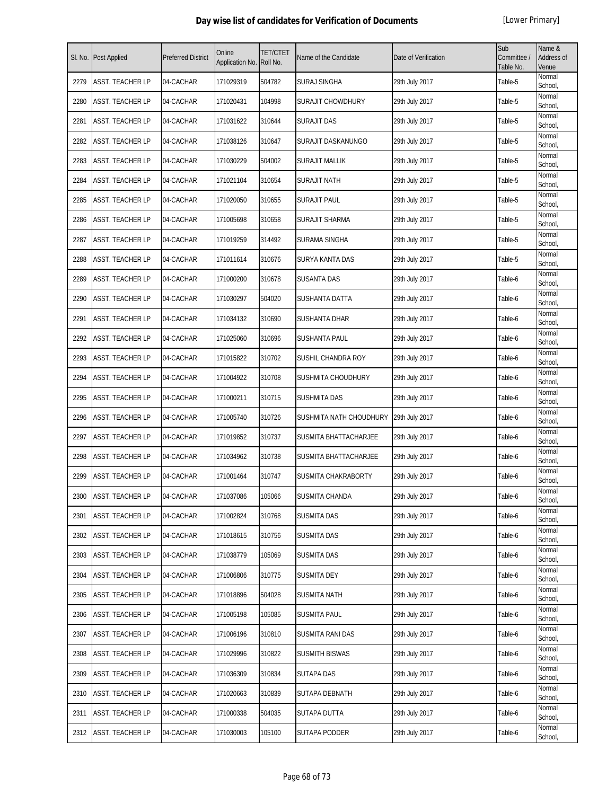| SI. No. | Post Applied            | <b>Preferred District</b> | Online<br>Application No. | <b>TET/CTET</b><br>Roll No. | Name of the Candidate      | Date of Verification | Sub<br>Committee /<br>Table No. | Name &<br><b>Address of</b><br>Venue |
|---------|-------------------------|---------------------------|---------------------------|-----------------------------|----------------------------|----------------------|---------------------------------|--------------------------------------|
| 2279    | ASST. TEACHER LP        | 04-CACHAR                 | 171029319                 | 504782                      | <b>SURAJ SINGHA</b>        | 29th July 2017       | Table-5                         | Normal<br>School,                    |
| 2280    | <b>ASST. TEACHER LP</b> | 04-CACHAR                 | 171020431                 | 104998                      | <b>SURAJIT CHOWDHURY</b>   | 29th July 2017       | Table-5                         | Normal<br>School,                    |
| 2281    | ASST. TEACHER LP        | 04-CACHAR                 | 171031622                 | 310644                      | <b>SURAJIT DAS</b>         | 29th July 2017       | Table-5                         | Normal<br>School,                    |
| 2282    | ASST. TEACHER LP        | 04-CACHAR                 | 171038126                 | 310647                      | SURAJIT DASKANUNGO         | 29th July 2017       | Table-5                         | Normal<br>School,                    |
| 2283    | ASST. TEACHER LP        | 04-CACHAR                 | 171030229                 | 504002                      | SURAJIT MALLIK             | 29th July 2017       | Table-5                         | Normal<br>School,                    |
| 2284    | <b>ASST. TEACHER LP</b> | 04-CACHAR                 | 171021104                 | 310654                      | SURAJIT NATH               | 29th July 2017       | Table-5                         | Normal<br>School,                    |
| 2285    | <b>ASST. TEACHER LP</b> | 04-CACHAR                 | 171020050                 | 310655                      | <b>SURAJIT PAUL</b>        | 29th July 2017       | Table-5                         | Normal<br>School,                    |
| 2286    | ASST. TEACHER LP        | 04-CACHAR                 | 171005698                 | 310658                      | SURAJIT SHARMA             | 29th July 2017       | Table-5                         | Normal<br>School,                    |
| 2287    | ASST. TEACHER LP        | 04-CACHAR                 | 171019259                 | 314492                      | SURAMA SINGHA              | 29th July 2017       | Table-5                         | Normal<br>School,                    |
| 2288    | <b>ASST. TEACHER LP</b> | 04-CACHAR                 | 171011614                 | 310676                      | <b>SURYA KANTA DAS</b>     | 29th July 2017       | Table-5                         | Normal<br>School,                    |
| 2289    | ASST. TEACHER LP        | 04-CACHAR                 | 171000200                 | 310678                      | <b>SUSANTA DAS</b>         | 29th July 2017       | Table-6                         | Normal<br>School,                    |
| 2290    | ASST. TEACHER LP        | 04-CACHAR                 | 171030297                 | 504020                      | SUSHANTA DATTA             | 29th July 2017       | Table-6                         | Normal<br>School,                    |
| 2291    | ASST. TEACHER LP        | 04-CACHAR                 | 171034132                 | 310690                      | SUSHANTA DHAR              | 29th July 2017       | Table-6                         | Normal<br>School,                    |
| 2292    | ASST. TEACHER LP        | 04-CACHAR                 | 171025060                 | 310696                      | SUSHANTA PAUL              | 29th July 2017       | Table-6                         | Normal<br>School,                    |
| 2293    | ASST. TEACHER LP        | 04-CACHAR                 | 171015822                 | 310702                      | SUSHIL CHANDRA ROY         | 29th July 2017       | Table-6                         | Normal<br>School,                    |
| 2294    | ASST. TEACHER LP        | 04-CACHAR                 | 171004922                 | 310708                      | SUSHMITA CHOUDHURY         | 29th July 2017       | Table-6                         | Normal<br>School,                    |
| 2295    | ASST. TEACHER LP        | 04-CACHAR                 | 171000211                 | 310715                      | SUSHMITA DAS               | 29th July 2017       | Table-6                         | Normal<br>School,                    |
| 2296    | ASST. TEACHER LP        | 04-CACHAR                 | 171005740                 | 310726                      | SUSHMITA NATH CHOUDHURY    | 29th July 2017       | Table-6                         | Normal<br>School,                    |
| 2297    | <b>ASST. TEACHER LP</b> | 04-CACHAR                 | 171019852                 | 310737                      | SUSMITA BHATTACHARJEE      | 29th July 2017       | Table-6                         | Normal<br>School,                    |
| 2298    | ASST. TEACHER LP        | 04-CACHAR                 | 171034962                 | 310738                      | SUSMITA BHATTACHARJEE      | 29th July 2017       | Table-6                         | Normal<br>School,                    |
| 2299    | ASST. TEACHER LP        | 04-CACHAR                 | 171001464                 | 310747                      | <b>SUSMITA CHAKRABORTY</b> | 29th July 2017       | Table-6                         | Normal<br>School,                    |
| 2300    | ASST. TEACHER LP        | 04-CACHAR                 | 171037086                 | 105066                      | SUSMITA CHANDA             | 29th July 2017       | Table-6                         | Normal<br>School,                    |
| 2301    | ASST. TEACHER LP        | 04-CACHAR                 | 171002824                 | 310768                      | <b>SUSMITA DAS</b>         | 29th July 2017       | Table-6                         | Normal<br>School,                    |
| 2302    | ASST. TEACHER LP        | 04-CACHAR                 | 171018615                 | 310756                      | SUSMITA DAS                | 29th July 2017       | Table-6                         | Normal<br>School,                    |
| 2303    | ASST. TEACHER LP        | 04-CACHAR                 | 171038779                 | 105069                      | <b>SUSMITA DAS</b>         | 29th July 2017       | Table-6                         | Normal<br>School,                    |
| 2304    | ASST. TEACHER LP        | 04-CACHAR                 | 171006806                 | 310775                      | <b>SUSMITA DEY</b>         | 29th July 2017       | Table-6                         | Normal<br>School,                    |
| 2305    | ASST. TEACHER LP        | 04-CACHAR                 | 171018896                 | 504028                      | SUSMITA NATH               | 29th July 2017       | Table-6                         | Normal<br>School,                    |
| 2306    | ASST. TEACHER LP        | 04-CACHAR                 | 171005198                 | 105085                      | <b>SUSMITA PAUL</b>        | 29th July 2017       | Table-6                         | Normal<br>School,                    |
| 2307    | ASST. TEACHER LP        | 04-CACHAR                 | 171006196                 | 310810                      | SUSMITA RANI DAS           | 29th July 2017       | Table-6                         | Normal<br>School,                    |
| 2308    | ASST. TEACHER LP        | 04-CACHAR                 | 171029996                 | 310822                      | <b>SUSMITH BISWAS</b>      | 29th July 2017       | Table-6                         | Normal<br>School,                    |
| 2309    | ASST. TEACHER LP        | 04-CACHAR                 | 171036309                 | 310834                      | SUTAPA DAS                 | 29th July 2017       | Table-6                         | Normal<br>School,                    |
| 2310    | ASST. TEACHER LP        | 04-CACHAR                 | 171020663                 | 310839                      | SUTAPA DEBNATH             | 29th July 2017       | Table-6                         | Normal<br>School,                    |
| 2311    | ASST. TEACHER LP        | 04-CACHAR                 | 171000338                 | 504035                      | <b>SUTAPA DUTTA</b>        | 29th July 2017       | Table-6                         | Normal<br>School,                    |
| 2312    | ASST. TEACHER LP        | 04-CACHAR                 | 171030003                 | 105100                      | SUTAPA PODDER              | 29th July 2017       | Table-6                         | Normal<br>School,                    |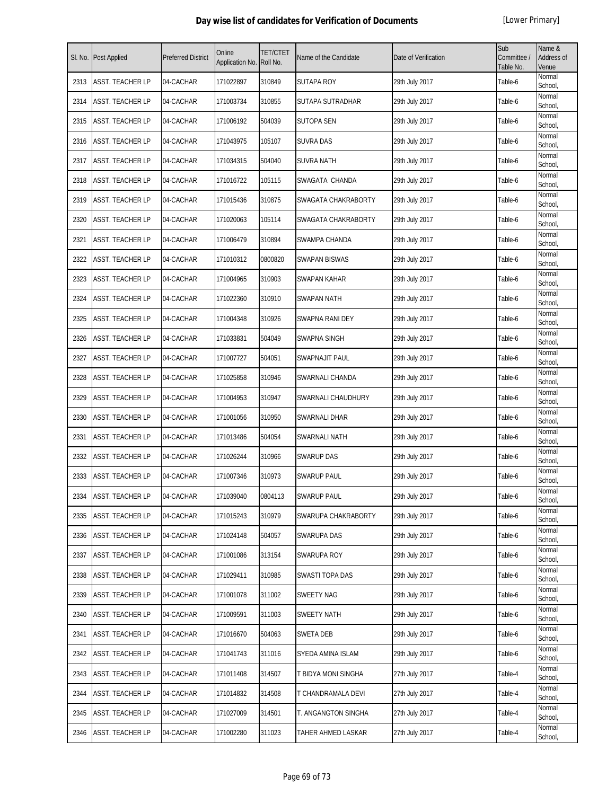| SI. No. | <b>Post Applied</b>     | <b>Preferred District</b> | Online<br>Application No. | <b>TET/CTET</b><br>Roll No. | Name of the Candidate | Date of Verification | Sub<br>Committee /<br>Table No. | Name &<br>Address of<br>Venue |
|---------|-------------------------|---------------------------|---------------------------|-----------------------------|-----------------------|----------------------|---------------------------------|-------------------------------|
| 2313    | <b>ASST. TEACHER LP</b> | 04-CACHAR                 | 171022897                 | 310849                      | <b>SUTAPA ROY</b>     | 29th July 2017       | Table-6                         | Normal<br>School,             |
| 2314    | <b>ASST. TEACHER LP</b> | 04-CACHAR                 | 171003734                 | 310855                      | SUTAPA SUTRADHAR      | 29th July 2017       | Table-6                         | Normal<br>School,             |
| 2315    | ASST. TEACHER LP        | 04-CACHAR                 | 171006192                 | 504039                      | <b>SUTOPA SEN</b>     | 29th July 2017       | Table-6                         | Normal<br>School,             |
| 2316    | ASST. TEACHER LP        | 04-CACHAR                 | 171043975                 | 105107                      | <b>SUVRA DAS</b>      | 29th July 2017       | Table-6                         | Normal<br>School,             |
| 2317    | ASST. TEACHER LP        | 04-CACHAR                 | 171034315                 | 504040                      | <b>SUVRA NATH</b>     | 29th July 2017       | Table-6                         | Normal<br>School,             |
| 2318    | ASST. TEACHER LP        | 04-CACHAR                 | 171016722                 | 105115                      | SWAGATA CHANDA        | 29th July 2017       | Table-6                         | Normal<br>School,             |
| 2319    | ASST. TEACHER LP        | 04-CACHAR                 | 171015436                 | 310875                      | SWAGATA CHAKRABORTY   | 29th July 2017       | Table-6                         | Normal<br>School,             |
| 2320    | ASST. TEACHER LP        | 04-CACHAR                 | 171020063                 | 105114                      | SWAGATA CHAKRABORTY   | 29th July 2017       | Table-6                         | Normal<br>School,             |
| 2321    | ASST. TEACHER LP        | 04-CACHAR                 | 171006479                 | 310894                      | SWAMPA CHANDA         | 29th July 2017       | Table-6                         | Normal<br>School,             |
| 2322    | ASST. TEACHER LP        | 04-CACHAR                 | 171010312                 | 0800820                     | SWAPAN BISWAS         | 29th July 2017       | Table-6                         | Normal<br>School,             |
| 2323    | ASST. TEACHER LP        | 04-CACHAR                 | 171004965                 | 310903                      | SWAPAN KAHAR          | 29th July 2017       | Table-6                         | Normal<br>School,             |
| 2324    | <b>ASST. TEACHER LP</b> | 04-CACHAR                 | 171022360                 | 310910                      | <b>SWAPAN NATH</b>    | 29th July 2017       | Table-6                         | Normal<br>School,             |
| 2325    | ASST. TEACHER LP        | 04-CACHAR                 | 171004348                 | 310926                      | SWAPNA RANI DEY       | 29th July 2017       | Table-6                         | Normal<br>School,             |
| 2326    | ASST. TEACHER LP        | 04-CACHAR                 | 171033831                 | 504049                      | SWAPNA SINGH          | 29th July 2017       | Table-6                         | Normal<br>School,             |
| 2327    | ASST. TEACHER LP        | 04-CACHAR                 | 171007727                 | 504051                      | <b>SWAPNAJIT PAUL</b> | 29th July 2017       | Table-6                         | Normal<br>School,             |
| 2328    | ASST. TEACHER LP        | 04-CACHAR                 | 171025858                 | 310946                      | SWARNALI CHANDA       | 29th July 2017       | Table-6                         | Normal<br>School,             |
| 2329    | ASST. TEACHER LP        | 04-CACHAR                 | 171004953                 | 310947                      | SWARNALI CHAUDHURY    | 29th July 2017       | Table-6                         | Normal<br>School,             |
| 2330    | ASST. TEACHER LP        | 04-CACHAR                 | 171001056                 | 310950                      | SWARNALI DHAR         | 29th July 2017       | Table-6                         | Normal<br>School,             |
| 2331    | ASST. TEACHER LP        | 04-CACHAR                 | 171013486                 | 504054                      | SWARNALI NATH         | 29th July 2017       | Table-6                         | Normal<br>School,             |
| 2332    | ASST. TEACHER LP        | 04-CACHAR                 | 171026244                 | 310966                      | <b>SWARUP DAS</b>     | 29th July 2017       | Table-6                         | Normal<br>School,             |
| 2333    | ASST. TEACHER LP        | 04-CACHAR                 | 171007346                 | 310973                      | <b>SWARUP PAUL</b>    | 29th July 2017       | Table-6                         | Normal<br>School,             |
| 2334    | <b>ASST. TEACHER LP</b> | 04-CACHAR                 | 171039040                 | 0804113                     | <b>SWARUP PAUL</b>    | 29th July 2017       | Table-6                         | Normal<br>School,             |
| 2335    | ASST. TEACHER LP        | 04-CACHAR                 | 171015243                 | 310979                      | SWARUPA CHAKRABORTY   | 29th July 2017       | Table-6                         | Normal<br>School,             |
| 2336    | ASST. TEACHER LP        | 04-CACHAR                 | 171024148                 | 504057                      | SWARUPA DAS           | 29th July 2017       | Table-6                         | Normal<br>School,             |
| 2337    | ASST. TEACHER LP        | 04-CACHAR                 | 171001086                 | 313154                      | SWARUPA ROY           | 29th July 2017       | Table-6                         | Normal<br>School,             |
| 2338    | ASST. TEACHER LP        | 04-CACHAR                 | 171029411                 | 310985                      | SWASTI TOPA DAS       | 29th July 2017       | Table-6                         | Normal<br>School,             |
| 2339    | ASST. TEACHER LP        | 04-CACHAR                 | 171001078                 | 311002                      | <b>SWEETY NAG</b>     | 29th July 2017       | Table-6                         | Normal<br>School,             |
| 2340    | ASST. TEACHER LP        | 04-CACHAR                 | 171009591                 | 311003                      | <b>SWEETY NATH</b>    | 29th July 2017       | Table-6                         | Normal<br>School,             |
| 2341    | ASST. TEACHER LP        | 04-CACHAR                 | 171016670                 | 504063                      | <b>SWETA DEB</b>      | 29th July 2017       | Table-6                         | Normal<br>School,             |
| 2342    | ASST. TEACHER LP        | 04-CACHAR                 | 171041743                 | 311016                      | SYEDA AMINA ISLAM     | 29th July 2017       | Table-6                         | Normal<br>School,             |
| 2343    | ASST. TEACHER LP        | 04-CACHAR                 | 171011408                 | 314507                      | T BIDYA MONI SINGHA   | 27th July 2017       | Table-4                         | Normal<br>School,             |
| 2344    | ASST. TEACHER LP        | 04-CACHAR                 | 171014832                 | 314508                      | T CHANDRAMALA DEVI    | 27th July 2017       | Table-4                         | Normal<br>School,             |
| 2345    | ASST. TEACHER LP        | 04-CACHAR                 | 171027009                 | 314501                      | T. ANGANGTON SINGHA   | 27th July 2017       | Table-4                         | Normal<br>School,             |
| 2346    | ASST. TEACHER LP        | 04-CACHAR                 | 171002280                 | 311023                      | TAHER AHMED LASKAR    | 27th July 2017       | Table-4                         | Normal<br>School,             |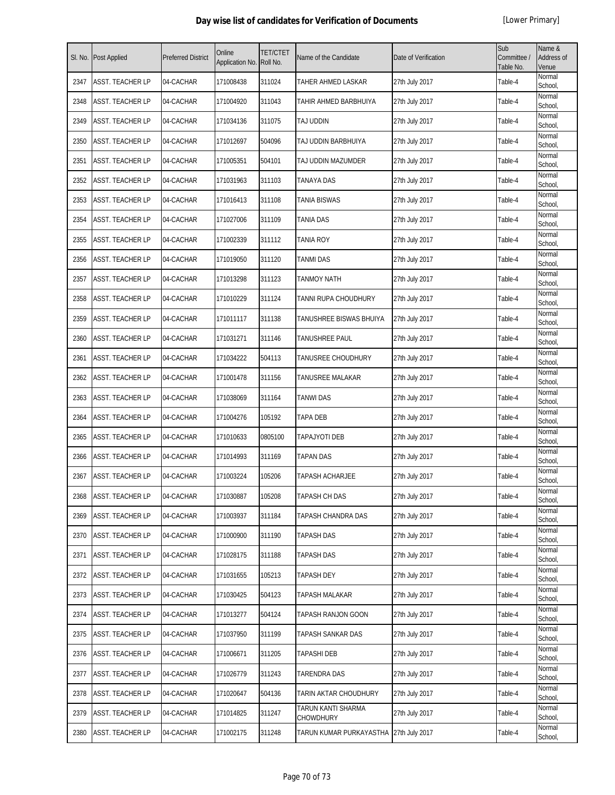| SI. No. | <b>Post Applied</b> | <b>Preferred District</b> | Online<br>Application No. | <b>TET/CTET</b><br>Roll No. | Name of the Candidate                  | Date of Verification | Sub<br>Committee /<br>Table No. | Name &<br>Address of<br>Venue |
|---------|---------------------|---------------------------|---------------------------|-----------------------------|----------------------------------------|----------------------|---------------------------------|-------------------------------|
| 2347    | ASST. TEACHER LP    | 04-CACHAR                 | 171008438                 | 311024                      | TAHER AHMED LASKAR                     | 27th July 2017       | Table-4                         | Normal<br>School,             |
| 2348    | ASST. TEACHER LP    | 04-CACHAR                 | 171004920                 | 311043                      | TAHIR AHMED BARBHUIYA                  | 27th July 2017       | Table-4                         | Normal<br>School,             |
| 2349    | ASST. TEACHER LP    | 04-CACHAR                 | 171034136                 | 311075                      | TAJ UDDIN                              | 27th July 2017       | Table-4                         | Normal<br>School,             |
| 2350    | ASST. TEACHER LP    | 04-CACHAR                 | 171012697                 | 504096                      | TAJ UDDIN BARBHUIYA                    | 27th July 2017       | Table-4                         | Normal<br>School,             |
| 2351    | ASST. TEACHER LP    | 04-CACHAR                 | 171005351                 | 504101                      | TAJ UDDIN MAZUMDER                     | 27th July 2017       | Table-4                         | Normal<br>School,             |
| 2352    | ASST. TEACHER LP    | 04-CACHAR                 | 171031963                 | 311103                      | TANAYA DAS                             | 27th July 2017       | Table-4                         | Normal<br>School,             |
| 2353    | ASST. TEACHER LP    | 04-CACHAR                 | 171016413                 | 311108                      | TANIA BISWAS                           | 27th July 2017       | Table-4                         | Normal<br>School,             |
| 2354    | ASST. TEACHER LP    | 04-CACHAR                 | 171027006                 | 311109                      | <b>TANIA DAS</b>                       | 27th July 2017       | Table-4                         | Normal<br>School,             |
| 2355    | ASST. TEACHER LP    | 04-CACHAR                 | 171002339                 | 311112                      | <b>TANIA ROY</b>                       | 27th July 2017       | Table-4                         | Normal<br>School,             |
| 2356    | ASST. TEACHER LP    | 04-CACHAR                 | 171019050                 | 311120                      | <b>TANMI DAS</b>                       | 27th July 2017       | Table-4                         | Normal<br>School,             |
| 2357    | ASST. TEACHER LP    | 04-CACHAR                 | 171013298                 | 311123                      | <b>TANMOY NATH</b>                     | 27th July 2017       | Table-4                         | Normal<br>School,             |
| 2358    | ASST. TEACHER LP    | 04-CACHAR                 | 171010229                 | 311124                      | TANNI RUPA CHOUDHURY                   | 27th July 2017       | Table-4                         | Normal<br>School,             |
| 2359    | ASST. TEACHER LP    | 04-CACHAR                 | 171011117                 | 311138                      | TANUSHREE BISWAS BHUIYA                | 27th July 2017       | Table-4                         | Normal<br>School,             |
| 2360    | ASST. TEACHER LP    | 04-CACHAR                 | 171031271                 | 311146                      | TANUSHREE PAUL                         | 27th July 2017       | Table-4                         | Normal<br>School,             |
| 2361    | ASST. TEACHER LP    | 04-CACHAR                 | 171034222                 | 504113                      | TANUSREE CHOUDHURY                     | 27th July 2017       | Table-4                         | Normal<br>School,             |
| 2362    | ASST. TEACHER LP    | 04-CACHAR                 | 171001478                 | 311156                      | TANUSREE MALAKAR                       | 27th July 2017       | Table-4                         | Normal<br>School,             |
| 2363    | ASST. TEACHER LP    | 04-CACHAR                 | 171038069                 | 311164                      | <b>TANWI DAS</b>                       | 27th July 2017       | Table-4                         | Normal<br>School,             |
| 2364    | ASST. TEACHER LP    | 04-CACHAR                 | 171004276                 | 105192                      | <b>TAPA DEB</b>                        | 27th July 2017       | Table-4                         | Normal<br>School,             |
| 2365    | ASST. TEACHER LP    | 04-CACHAR                 | 171010633                 | 0805100                     | <b>TAPAJYOTI DEB</b>                   | 27th July 2017       | Table-4                         | Normal<br>School,             |
| 2366    | ASST. TEACHER LP    | 04-CACHAR                 | 171014993                 | 311169                      | <b>TAPAN DAS</b>                       | 27th July 2017       | Table-4                         | Normal<br>School,             |
| 2367    | ASST. TEACHER LP    | 04-CACHAR                 | 171003224                 | 105206                      | TAPASH ACHARJEE                        | 27th July 2017       | Table-4                         | Normal<br>School,             |
| 2368    | ASST. TEACHER LP    | 04-CACHAR                 | 171030887                 | 105208                      | <b>TAPASH CH DAS</b>                   | 27th July 2017       | Table-4                         | Normal<br>School,             |
| 2369    | ASST. TEACHER LP    | 04-CACHAR                 | 171003937                 | 311184                      | TAPASH CHANDRA DAS                     | 27th July 2017       | Table-4                         | Normal<br>School,             |
| 2370    | ASST. TEACHER LP    | 04-CACHAR                 | 171000900                 | 311190                      | TAPASH DAS                             | 27th July 2017       | Table-4                         | Normal<br>School,             |
| 2371    | ASST. TEACHER LP    | 04-CACHAR                 | 171028175                 | 311188                      | TAPASH DAS                             | 27th July 2017       | Table-4                         | Normal<br>School,             |
| 2372    | ASST. TEACHER LP    | 04-CACHAR                 | 171031655                 | 105213                      | TAPASH DEY                             | 27th July 2017       | Table-4                         | Normal<br>School,             |
| 2373    | ASST. TEACHER LP    | 04-CACHAR                 | 171030425                 | 504123                      | TAPASH MALAKAR                         | 27th July 2017       | Table-4                         | Normal<br>School,             |
| 2374    | ASST. TEACHER LP    | 04-CACHAR                 | 171013277                 | 504124                      | TAPASH RANJON GOON                     | 27th July 2017       | Table-4                         | Normal<br>School,             |
| 2375    | ASST. TEACHER LP    | 04-CACHAR                 | 171037950                 | 311199                      | TAPASH SANKAR DAS                      | 27th July 2017       | Table-4                         | Normal<br>School,             |
| 2376    | ASST. TEACHER LP    | 04-CACHAR                 | 171006671                 | 311205                      | <b>TAPASHI DEB</b>                     | 27th July 2017       | Table-4                         | Normal<br>School,             |
| 2377    | ASST. TEACHER LP    | 04-CACHAR                 | 171026779                 | 311243                      | TARENDRA DAS                           | 27th July 2017       | Table-4                         | Normal<br>School,             |
| 2378    | ASST. TEACHER LP    | 04-CACHAR                 | 171020647                 | 504136                      | TARIN AKTAR CHOUDHURY                  | 27th July 2017       | Table-4                         | Normal<br>School,             |
| 2379    | ASST. TEACHER LP    | 04-CACHAR                 | 171014825                 | 311247                      | TARUN KANTI SHARMA<br>CHOWDHURY        | 27th July 2017       | Table-4                         | Normal<br>School,             |
| 2380    | ASST. TEACHER LP    | 04-CACHAR                 | 171002175                 | 311248                      | TARUN KUMAR PURKAYASTHA 27th July 2017 |                      | Table-4                         | Normal<br>School,             |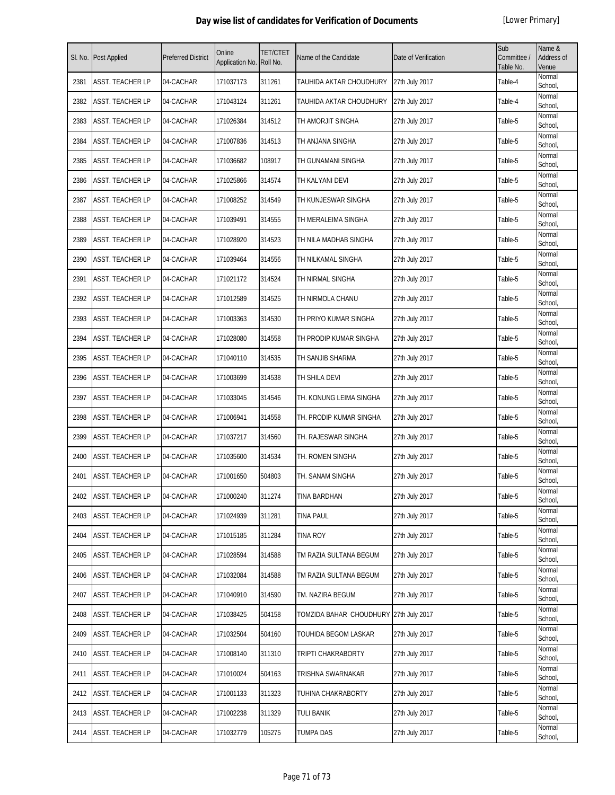| SI. No. | Post Applied            | <b>Preferred District</b> | Online<br>Application No. | <b>TET/CTET</b><br>Roll No. | Name of the Candidate                  | Date of Verification | Sub<br>Committee /<br>Table No. | Name &<br>Address of<br>Venue |
|---------|-------------------------|---------------------------|---------------------------|-----------------------------|----------------------------------------|----------------------|---------------------------------|-------------------------------|
| 2381    | ASST. TEACHER LP        | 04-CACHAR                 | 171037173                 | 311261                      | TAUHIDA AKTAR CHOUDHURY                | 27th July 2017       | Table-4                         | Normal<br>School,             |
| 2382    | ASST. TEACHER LP        | 04-CACHAR                 | 171043124                 | 311261                      | TAUHIDA AKTAR CHOUDHURY                | 27th July 2017       | Table-4                         | Normal<br>School,             |
| 2383    | ASST. TEACHER LP        | 04-CACHAR                 | 171026384                 | 314512                      | TH AMORJIT SINGHA                      | 27th July 2017       | Table-5                         | Normal<br>School,             |
| 2384    | ASST. TEACHER LP        | 04-CACHAR                 | 171007836                 | 314513                      | TH ANJANA SINGHA                       | 27th July 2017       | Table-5                         | Normal<br>School,             |
| 2385    | ASST. TEACHER LP        | 04-CACHAR                 | 171036682                 | 108917                      | TH GUNAMANI SINGHA                     | 27th July 2017       | Table-5                         | Normal<br>School,             |
| 2386    | ASST. TEACHER LP        | 04-CACHAR                 | 171025866                 | 314574                      | TH KALYANI DEVI                        | 27th July 2017       | Table-5                         | Normal<br>School,             |
| 2387    | <b>ASST. TEACHER LP</b> | 04-CACHAR                 | 171008252                 | 314549                      | TH KUNJESWAR SINGHA                    | 27th July 2017       | Table-5                         | Normal<br>School,             |
| 2388    | <b>ASST. TEACHER LP</b> | 04-CACHAR                 | 171039491                 | 314555                      | TH MERALEIMA SINGHA                    | 27th July 2017       | Table-5                         | Normal<br>School,             |
| 2389    | ASST. TEACHER LP        | 04-CACHAR                 | 171028920                 | 314523                      | TH NILA MADHAB SINGHA                  | 27th July 2017       | Table-5                         | Normal<br>School,             |
| 2390    | ASST. TEACHER LP        | 04-CACHAR                 | 171039464                 | 314556                      | TH NILKAMAL SINGHA                     | 27th July 2017       | Table-5                         | Normal<br>School,             |
| 2391    | ASST. TEACHER LP        | 04-CACHAR                 | 171021172                 | 314524                      | TH NIRMAL SINGHA                       | 27th July 2017       | Table-5                         | Normal<br>School,             |
| 2392    | ASST. TEACHER LP        | 04-CACHAR                 | 171012589                 | 314525                      | TH NIRMOLA CHANU                       | 27th July 2017       | Table-5                         | Normal<br>School,             |
| 2393    | ASST. TEACHER LP        | 04-CACHAR                 | 171003363                 | 314530                      | th Priyo Kumar Singha                  | 27th July 2017       | Table-5                         | Normal<br>School,             |
| 2394    | ASST. TEACHER LP        | 04-CACHAR                 | 171028080                 | 314558                      | TH PRODIP KUMAR SINGHA                 | 27th July 2017       | Table-5                         | Normal<br>School,             |
| 2395    | ASST. TEACHER LP        | 04-CACHAR                 | 171040110                 | 314535                      | TH SANJIB SHARMA                       | 27th July 2017       | Table-5                         | Normal<br>School,             |
| 2396    | <b>ASST. TEACHER LP</b> | 04-CACHAR                 | 171003699                 | 314538                      | TH SHILA DEVI                          | 27th July 2017       | Table-5                         | Normal<br>School,             |
| 2397    | ASST. TEACHER LP        | 04-CACHAR                 | 171033045                 | 314546                      | TH. KONUNG LEIMA SINGHA                | 27th July 2017       | Table-5                         | Normal<br>School,             |
| 2398    | <b>ASST. TEACHER LP</b> | 04-CACHAR                 | 171006941                 | 314558                      | TH. PRODIP KUMAR SINGHA                | 27th July 2017       | Table-5                         | Normal<br>School,             |
| 2399    | ASST. TEACHER LP        | 04-CACHAR                 | 171037217                 | 314560                      | TH. RAJESWAR SINGHA                    | 27th July 2017       | Table-5                         | Normal<br>School,             |
| 2400    | ASST. TEACHER LP        | 04-CACHAR                 | 171035600                 | 314534                      | TH. ROMEN SINGHA                       | 27th July 2017       | Table-5                         | Normal<br>School,             |
| 2401    | ASST. TEACHER LP        | 04-CACHAR                 | 171001650                 | 504803                      | TH. SANAM SINGHA                       | 27th July 2017       | Table-5                         | Normal<br>School,             |
| 2402    | ASST. TEACHER LP        | 04-CACHAR                 | 171000240                 | 311274                      | TINA BARDHAN                           | 27th July 2017       | Table-5                         | Normal<br>School,             |
| 2403    | ASST. TEACHER LP        | 04-CACHAR                 | 171024939                 | 311281                      | <b>TINA PAUL</b>                       | 27th July 2017       | Table-5                         | Normal<br>School,             |
| 2404    | ASST. TEACHER LP        | 04-CACHAR                 | 171015185                 | 311284                      | <b>TINA ROY</b>                        | 27th July 2017       | Table-5                         | Normal<br>School,             |
| 2405    | ASST. TEACHER LP        | 04-CACHAR                 | 171028594                 | 314588                      | TM RAZIA SULTANA BEGUM                 | 27th July 2017       | Table-5                         | Normal<br>School,             |
| 2406    | ASST. TEACHER LP        | 04-CACHAR                 | 171032084                 | 314588                      | TM RAZIA SULTANA BEGUM                 | 27th July 2017       | Table-5                         | Normal<br>School,             |
| 2407    | ASST. TEACHER LP        | 04-CACHAR                 | 171040910                 | 314590                      | TM. NAZIRA BEGUM                       | 27th July 2017       | Table-5                         | Normal<br>School,             |
| 2408    | ASST. TEACHER LP        | 04-CACHAR                 | 171038425                 | 504158                      | TOMZIDA BAHAR CHOUDHURY 27th July 2017 |                      | Table-5                         | Normal<br>School,             |
| 2409    | ASST. TEACHER LP        | 04-CACHAR                 | 171032504                 | 504160                      | TOUHIDA BEGOM LASKAR                   | 27th July 2017       | Table-5                         | Normal<br>School,             |
| 2410    | ASST. TEACHER LP        | 04-CACHAR                 | 171008140                 | 311310                      | TRIPTI CHAKRABORTY                     | 27th July 2017       | Table-5                         | Normal<br>School,             |
| 2411    | ASST. TEACHER LP        | 04-CACHAR                 | 171010024                 | 504163                      | TRISHNA SWARNAKAR                      | 27th July 2017       | Table-5                         | Normal<br>School,             |
| 2412    | ASST. TEACHER LP        | 04-CACHAR                 | 171001133                 | 311323                      | TUHINA CHAKRABORTY                     | 27th July 2017       | Table-5                         | Normal<br>School,             |
| 2413    | ASST. TEACHER LP        | 04-CACHAR                 | 171002238                 | 311329                      | TULI BANIK                             | 27th July 2017       | Table-5                         | Normal<br>School,             |
| 2414    | ASST. TEACHER LP        | 04-CACHAR                 | 171032779                 | 105275                      | <b>TUMPA DAS</b>                       | 27th July 2017       | Table-5                         | Normal<br>School,             |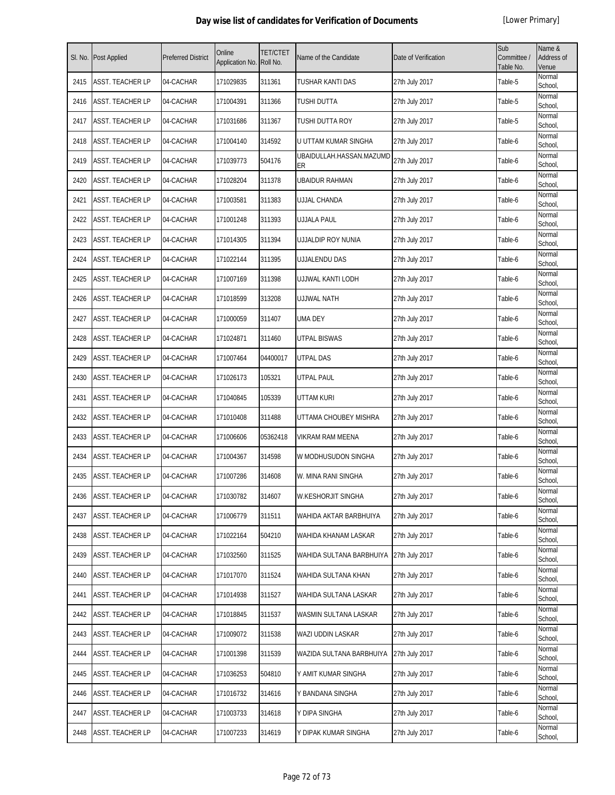| SI. No. | <b>Post Applied</b>     | <b>Preferred District</b> | Online<br>Application No. | <b>TET/CTET</b><br>Roll No. | Name of the Candidate          | Date of Verification | Sub<br>Committee /<br>Table No. | Name &<br>Address of<br>Venue |
|---------|-------------------------|---------------------------|---------------------------|-----------------------------|--------------------------------|----------------------|---------------------------------|-------------------------------|
| 2415    | <b>ASST. TEACHER LP</b> | 04-CACHAR                 | 171029835                 | 311361                      | TUSHAR KANTI DAS               | 27th July 2017       | Table-5                         | Normal<br>School,             |
| 2416    | <b>ASST. TEACHER LP</b> | 04-CACHAR                 | 171004391                 | 311366                      | TUSHI DUTTA                    | 27th July 2017       | Table-5                         | Normal<br>School,             |
| 2417    | <b>ASST. TEACHER LP</b> | 04-CACHAR                 | 171031686                 | 311367                      | TUSHI DUTTA ROY                | 27th July 2017       | Table-5                         | Normal<br>School,             |
| 2418    | ASST. TEACHER LP        | 04-CACHAR                 | 171004140                 | 314592                      | U UTTAM KUMAR SINGHA           | 27th July 2017       | Table-6                         | Normal<br>School,             |
| 2419    | <b>ASST. TEACHER LP</b> | 04-CACHAR                 | 171039773                 | 504176                      | UBAIDULLAH.HASSAN.MAZUMD<br>ER | 27th July 2017       | Table-6                         | Normal<br>School,             |
| 2420    | <b>ASST. TEACHER LP</b> | 04-CACHAR                 | 171028204                 | 311378                      | <b>UBAIDUR RAHMAN</b>          | 27th July 2017       | Table-6                         | Normal<br>School,             |
| 2421    | ASST. TEACHER LP        | 04-CACHAR                 | 171003581                 | 311383                      | <b>UJJAL CHANDA</b>            | 27th July 2017       | Table-6                         | Normal<br>School,             |
| 2422    | ASST. TEACHER LP        | 04-CACHAR                 | 171001248                 | 311393                      | <b>UJJALA PAUL</b>             | 27th July 2017       | Table-6                         | Normal<br>School,             |
| 2423    | ASST. TEACHER LP        | 04-CACHAR                 | 171014305                 | 311394                      | UJJALDIP ROY NUNIA             | 27th July 2017       | Table-6                         | Normal<br>School,             |
| 2424    | <b>ASST. TEACHER LP</b> | 04-CACHAR                 | 171022144                 | 311395                      | UJJALENDU DAS                  | 27th July 2017       | Table-6                         | Normal<br>School,             |
| 2425    | <b>ASST. TEACHER LP</b> | 04-CACHAR                 | 171007169                 | 311398                      | UJJWAL KANTI LODH              | 27th July 2017       | Table-6                         | Normal<br>School,             |
| 2426    | ASST. TEACHER LP        | 04-CACHAR                 | 171018599                 | 313208                      | <b>UJJWAL NATH</b>             | 27th July 2017       | Table-6                         | Normal<br>School,             |
| 2427    | ASST. TEACHER LP        | 04-CACHAR                 | 171000059                 | 311407                      | <b>UMA DEY</b>                 | 27th July 2017       | Table-6                         | Normal<br>School,             |
| 2428    | <b>ASST. TEACHER LP</b> | 04-CACHAR                 | 171024871                 | 311460                      | <b>UTPAL BISWAS</b>            | 27th July 2017       | Table-6                         | Normal<br>School,             |
| 2429    | ASST. TEACHER LP        | 04-CACHAR                 | 171007464                 | 04400017                    | <b>UTPAL DAS</b>               | 27th July 2017       | Table-6                         | Normal<br>School,             |
| 2430    | ASST. TEACHER LP        | 04-CACHAR                 | 171026173                 | 105321                      | <b>UTPAL PAUL</b>              | 27th July 2017       | Table-6                         | Normal<br>School,             |
| 2431    | <b>ASST. TEACHER LP</b> | 04-CACHAR                 | 171040845                 | 105339                      | UTTAM KURI                     | 27th July 2017       | Table-6                         | Normal<br>School,             |
| 2432    | <b>ASST. TEACHER LP</b> | 04-CACHAR                 | 171010408                 | 311488                      | UTTAMA CHOUBEY MISHRA          | 27th July 2017       | Table-6                         | Normal<br>School,             |
| 2433    | <b>ASST. TEACHER LP</b> | 04-CACHAR                 | 171006606                 | 05362418                    | <b>VIKRAM RAM MEENA</b>        | 27th July 2017       | Table-6                         | Normal<br>School,             |
| 2434    | ASST. TEACHER LP        | 04-CACHAR                 | 171004367                 | 314598                      | W MODHUSUDON SINGHA            | 27th July 2017       | Table-6                         | Normal<br>School,             |
| 2435    | ASST. TEACHER LP        | 04-CACHAR                 | 171007286                 | 314608                      | W. MINA RANI SINGHA            | 27th July 2017       | Table-6                         | Normal<br>School,             |
| 2436    | <b>ASST. TEACHER LP</b> | 04-CACHAR                 | 171030782                 | 314607                      | <b>W.KESHORJIT SINGHA</b>      | 27th July 2017       | Table-6                         | Normal<br>School,             |
| 2437    | <b>ASST. TEACHER LP</b> | 04-CACHAR                 | 171006779                 | 311511                      | WAHIDA AKTAR BARBHUIYA         | 27th July 2017       | Table-6                         | Normal<br>School,             |
| 2438    | ASST. TEACHER LP        | 04-CACHAR                 | 171022164                 | 504210                      | WAHIDA KHANAM LASKAR           | 27th July 2017       | Table-6                         | Normal<br>School.             |
| 2439    | <b>ASST. TEACHER LP</b> | 04-CACHAR                 | 171032560                 | 311525                      | WAHIDA SULTANA BARBHUIYA       | 27th July 2017       | Table-6                         | Normal<br>School,             |
| 2440    | <b>ASST. TEACHER LP</b> | 04-CACHAR                 | 171017070                 | 311524                      | WAHIDA SULTANA KHAN            | 27th July 2017       | Table-6                         | Normal<br>School,             |
| 2441    | <b>ASST. TEACHER LP</b> | 04-CACHAR                 | 171014938                 | 311527                      | WAHIDA SULTANA LASKAR          | 27th July 2017       | Table-6                         | Normal<br>School,             |
| 2442    | <b>ASST. TEACHER LP</b> | 04-CACHAR                 | 171018845                 | 311537                      | WASMIN SULTANA LASKAR          | 27th July 2017       | Table-6                         | Normal<br>School,             |
| 2443    | <b>ASST. TEACHER LP</b> | 04-CACHAR                 | 171009072                 | 311538                      | WAZI UDDIN LASKAR              | 27th July 2017       | Table-6                         | Normal<br>School,             |
| 2444    | <b>ASST. TEACHER LP</b> | 04-CACHAR                 | 171001398                 | 311539                      | WAZIDA SULTANA BARBHUIYA       | 27th July 2017       | Table-6                         | Normal<br>School,             |
| 2445    | <b>ASST. TEACHER LP</b> | 04-CACHAR                 | 171036253                 | 504810                      | Y AMIT KUMAR SINGHA            | 27th July 2017       | Table-6                         | Normal<br>School,             |
| 2446    | <b>ASST. TEACHER LP</b> | 04-CACHAR                 | 171016732                 | 314616                      | Y BANDANA SINGHA               | 27th July 2017       | Table-6                         | Normal<br>School,             |
| 2447    | <b>ASST. TEACHER LP</b> | 04-CACHAR                 | 171003733                 | 314618                      | Y DIPA SINGHA                  | 27th July 2017       | Table-6                         | Normal<br>School,             |
| 2448    | ASST. TEACHER LP        | 04-CACHAR                 | 171007233                 | 314619                      | Y DIPAK KUMAR SINGHA           | 27th July 2017       | Table-6                         | Normal<br>School,             |